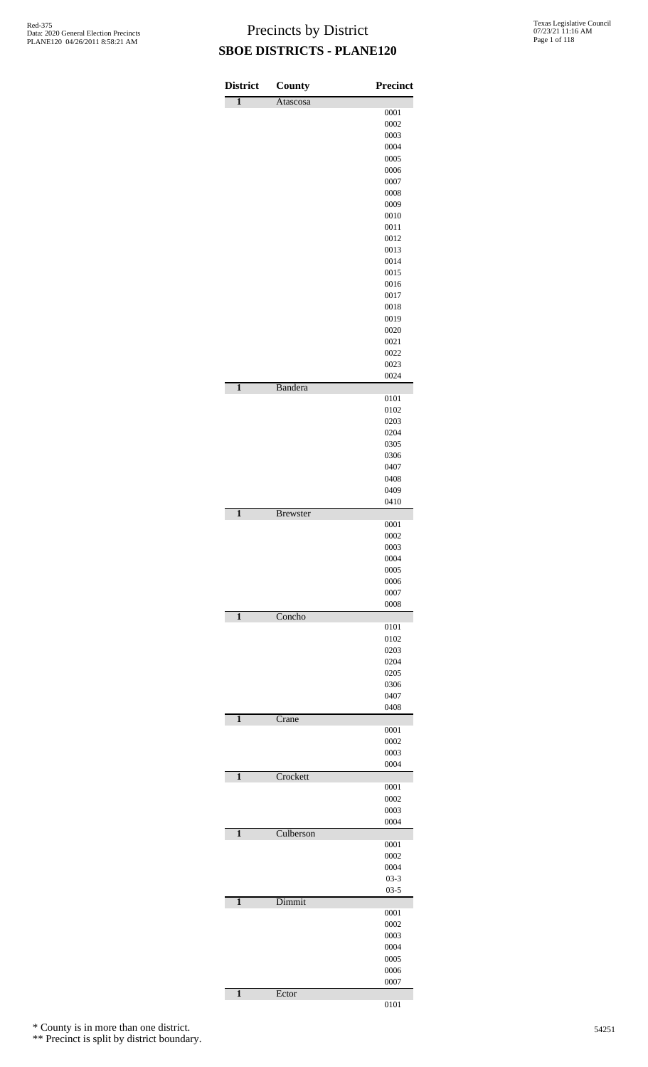| <b>District</b>         | <b>County</b>   | <b>Precinct</b>      |
|-------------------------|-----------------|----------------------|
| $\overline{\mathbf{1}}$ | Atascosa        |                      |
|                         |                 | 0001                 |
|                         |                 | 0002                 |
|                         |                 | 0003                 |
|                         |                 | 0004                 |
|                         |                 | 0005                 |
|                         |                 | 0006                 |
|                         |                 | 0007                 |
|                         |                 | 0008                 |
|                         |                 | 0009                 |
|                         |                 | 0010                 |
|                         |                 | 0011                 |
|                         |                 | 0012                 |
|                         |                 | 0013                 |
|                         |                 | 0014                 |
|                         |                 | 0015<br>0016         |
|                         |                 | 0017                 |
|                         |                 | 0018                 |
|                         |                 | 0019                 |
|                         |                 | 0020                 |
|                         |                 | 0021                 |
|                         |                 | 0022                 |
|                         |                 | 0023                 |
|                         |                 | 0024                 |
| $\mathbf{1}$            | <b>Bandera</b>  |                      |
|                         |                 | 0101                 |
|                         |                 | 0102                 |
|                         |                 | 0203                 |
|                         |                 | 0204                 |
|                         |                 | 0305                 |
|                         |                 | 0306                 |
|                         |                 | 0407                 |
|                         |                 | 0408<br>0409         |
|                         |                 | 0410                 |
| $\mathbf{1}$            | <b>Brewster</b> |                      |
|                         |                 | 0001                 |
|                         |                 | 0002                 |
|                         |                 | 0003                 |
|                         |                 | 0004                 |
|                         |                 | 0005                 |
|                         |                 | 0006                 |
|                         |                 | 0007                 |
| $\mathbf{1}$            | Concho          | 0008                 |
|                         |                 | 0101                 |
|                         |                 | 0102                 |
|                         |                 | 0203                 |
|                         |                 | 0204                 |
|                         |                 | 0205                 |
|                         |                 | 0306                 |
|                         |                 | 0407                 |
|                         |                 | 0408                 |
| $\overline{\mathbf{1}}$ | Crane           |                      |
|                         |                 | 0001                 |
|                         |                 | 0002                 |
|                         |                 | 0003<br>0004         |
| $\overline{\mathbf{1}}$ | Crockett        |                      |
|                         |                 | 0001                 |
|                         |                 | 0002                 |
|                         |                 | 0003                 |
|                         |                 | 0004                 |
| $\overline{\mathbf{1}}$ | Culberson       |                      |
|                         |                 | 0001                 |
|                         |                 | 0002                 |
|                         |                 | 0004                 |
|                         |                 | $03 - 3$<br>$03 - 5$ |
| $\mathbf{1}$            | Dimmit          |                      |
|                         |                 | 0001                 |
|                         |                 | 0002                 |
|                         |                 | 0003                 |
|                         |                 | 0004                 |
|                         |                 | 0005                 |
|                         |                 | 0006                 |
|                         |                 | 0007                 |
| $\mathbf{1}$            | Ector           |                      |
|                         |                 | 0101                 |

\* County is in more than one district.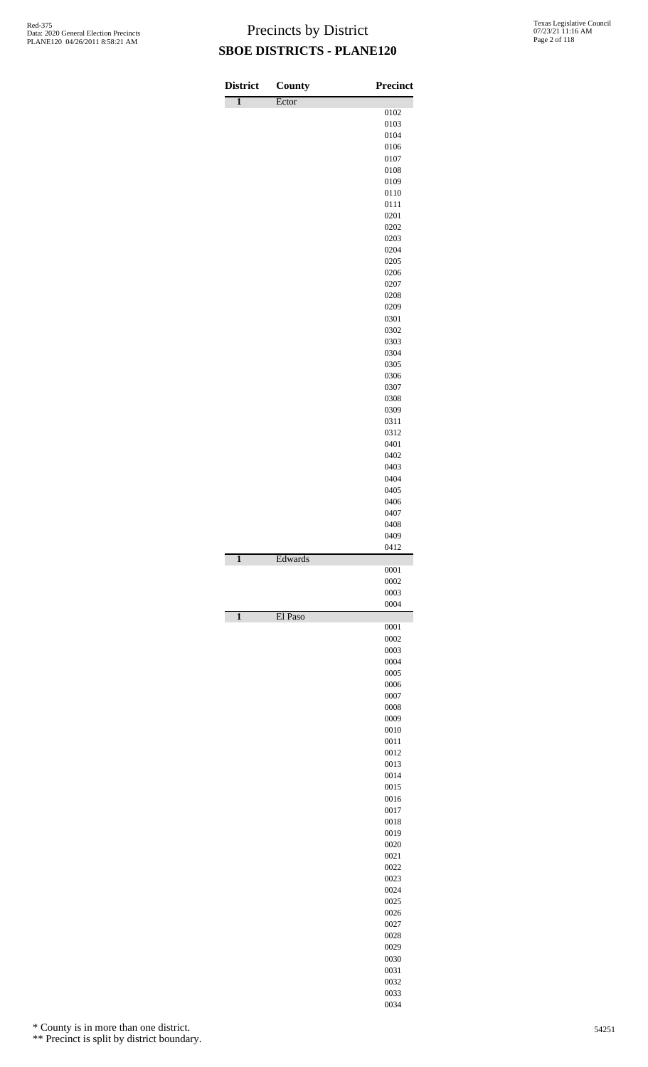| <b>District</b> | County  | <b>Precinct</b> |
|-----------------|---------|-----------------|
| 1               | Ector   | 0102            |
|                 |         | 0103            |
|                 |         | 0104            |
|                 |         | 0106            |
|                 |         | 0107            |
|                 |         | 0108            |
|                 |         | 0109            |
|                 |         | 0110            |
|                 |         | 0111<br>0201    |
|                 |         | 0202            |
|                 |         | 0203            |
|                 |         | 0204            |
|                 |         | 0205            |
|                 |         | 0206            |
|                 |         | 0207            |
|                 |         | 0208            |
|                 |         | 0209<br>0301    |
|                 |         | 0302            |
|                 |         | 0303            |
|                 |         | 0304            |
|                 |         | 0305            |
|                 |         | 0306            |
|                 |         | 0307            |
|                 |         | 0308            |
|                 |         | 0309            |
|                 |         | 0311<br>0312    |
|                 |         | 0401            |
|                 |         | 0402            |
|                 |         | 0403            |
|                 |         | 0404            |
|                 |         | 0405            |
|                 |         | 0406            |
|                 |         | 0407            |
|                 |         | 0408<br>0409    |
|                 |         | 0412            |
| $\mathbf{1}$    | Edwards |                 |
|                 |         | 0001            |
|                 |         | 0002            |
|                 |         | 0003            |
|                 |         | 0004            |
| $\mathbf{1}$    | El Paso | 0001            |
|                 |         | 0002            |
|                 |         | 0003            |
|                 |         | 0004            |
|                 |         | 0005            |
|                 |         | 0006            |
|                 |         | 0007            |
|                 |         | 0008            |
|                 |         | 0009<br>0010    |
|                 |         | 0011            |
|                 |         | 0012            |
|                 |         | 0013            |
|                 |         | 0014            |
|                 |         | 0015            |
|                 |         | 0016            |
|                 |         | 0017<br>0018    |
|                 |         | 0019            |
|                 |         | 0020            |
|                 |         | 0021            |
|                 |         | 0022            |
|                 |         | 0023            |
|                 |         | 0024            |
|                 |         | 0025            |
|                 |         | 0026            |
|                 |         | 0027<br>0028    |
|                 |         | 0029            |
|                 |         | 0030            |
|                 |         | 0031            |
|                 |         | 0032            |
|                 |         | 0033            |

\* County is in more than one district.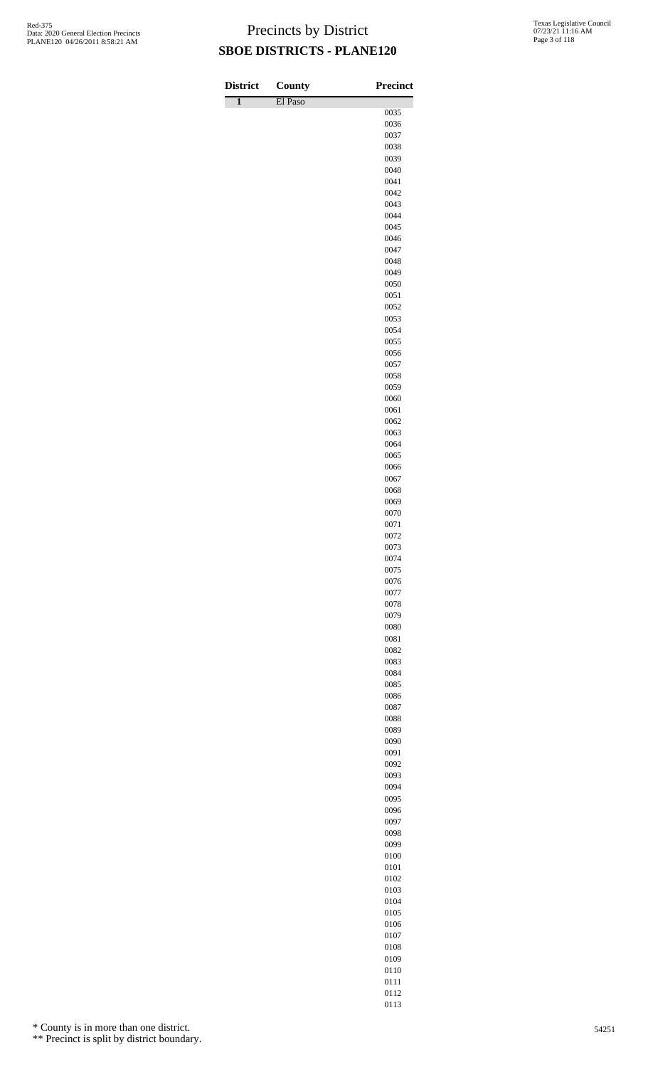| <b>District</b>         | County  | <b>Precinct</b> |
|-------------------------|---------|-----------------|
| $\overline{\mathbf{1}}$ | El Paso |                 |
|                         |         | 0035<br>0036    |
|                         |         | 0037            |
|                         |         | 0038            |
|                         |         | 0039            |
|                         |         | 0040            |
|                         |         | 0041            |
|                         |         | 0042            |
|                         |         | 0043<br>0044    |
|                         |         | 0045            |
|                         |         | 0046            |
|                         |         | 0047            |
|                         |         | 0048            |
|                         |         | 0049            |
|                         |         | 0050            |
|                         |         | 0051            |
|                         |         | 0052<br>0053    |
|                         |         | 0054            |
|                         |         | 0055            |
|                         |         | 0056            |
|                         |         | 0057            |
|                         |         | 0058            |
|                         |         | 0059            |
|                         |         | 0060            |
|                         |         | 0061            |
|                         |         | 0062<br>0063    |
|                         |         | 0064            |
|                         |         | 0065            |
|                         |         | 0066            |
|                         |         | 0067            |
|                         |         | 0068            |
|                         |         | 0069            |
|                         |         | 0070            |
|                         |         | 0071<br>0072    |
|                         |         | 0073            |
|                         |         | 0074            |
|                         |         | 0075            |
|                         |         | 0076            |
|                         |         | 0077            |
|                         |         | 0078            |
|                         |         | 0079            |
|                         |         | 0080<br>0081    |
|                         |         | 0082            |
|                         |         | 0083            |
|                         |         | 0084            |
|                         |         | 0085            |
|                         |         | 0086            |
|                         |         | 0087            |
|                         |         | 0088            |
|                         |         | 0089<br>0090    |
|                         |         | 0091            |
|                         |         | 0092            |
|                         |         | 0093            |
|                         |         | 0094            |
|                         |         | 0095            |
|                         |         | 0096            |
|                         |         | 0097            |
|                         |         | 0098            |
|                         |         | 0099            |
|                         |         | 0100<br>0101    |
|                         |         | 0102            |
|                         |         | 0103            |
|                         |         | 0104            |
|                         |         | 0105            |
|                         |         | 0106            |

\* County is in more than one district.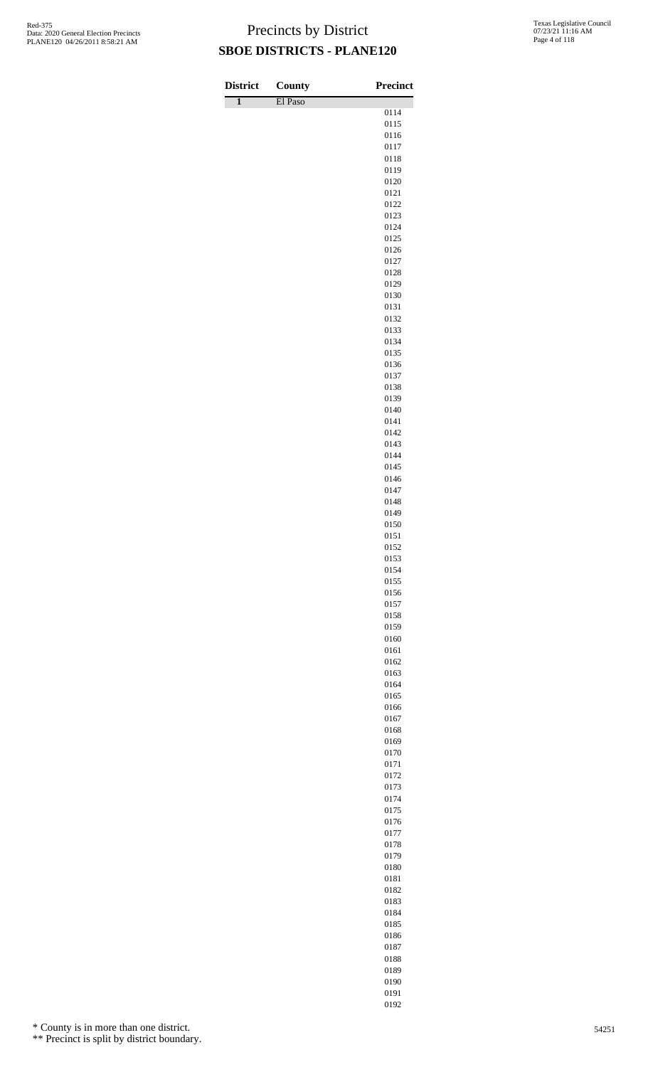| <b>District</b>         | County  | <b>Precinct</b> |
|-------------------------|---------|-----------------|
| $\overline{\mathbf{1}}$ | El Paso | 0114            |
|                         |         | 0115            |
|                         |         | 0116            |
|                         |         | 0117            |
|                         |         | 0118            |
|                         |         | 0119<br>0120    |
|                         |         | 0121            |
|                         |         | 0122            |
|                         |         | 0123            |
|                         |         | 0124            |
|                         |         | 0125<br>0126    |
|                         |         | 0127            |
|                         |         | 0128            |
|                         |         | 0129            |
|                         |         | 0130            |
|                         |         | 0131<br>0132    |
|                         |         | 0133            |
|                         |         | 0134            |
|                         |         | 0135            |
|                         |         | 0136<br>0137    |
|                         |         | 0138            |
|                         |         | 0139            |
|                         |         | 0140            |
|                         |         | 0141            |
|                         |         | 0142<br>0143    |
|                         |         | 0144            |
|                         |         | 0145            |
|                         |         | 0146            |
|                         |         | 0147<br>0148    |
|                         |         | 0149            |
|                         |         | 0150            |
|                         |         | 0151            |
|                         |         | 0152            |
|                         |         | 0153<br>0154    |
|                         |         | 0155            |
|                         |         | 0156            |
|                         |         | 0157            |
|                         |         | 0158            |
|                         |         | 0159<br>0160    |
|                         |         | 0161            |
|                         |         | 0162            |
|                         |         | 0163            |
|                         |         | 0164            |
|                         |         | 0165<br>0166    |
|                         |         | 0167            |
|                         |         | 0168            |
|                         |         | 0169            |
|                         |         | 0170<br>0171    |
|                         |         | 0172            |
|                         |         | 0173            |
|                         |         | 0174            |
|                         |         | 0175            |
|                         |         | 0176<br>0177    |
|                         |         | 0178            |
|                         |         | 0179            |
|                         |         | 0180            |
|                         |         | 0181            |
|                         |         | 0182<br>0183    |
|                         |         | 0184            |
|                         |         | 0185            |

\* County is in more than one district.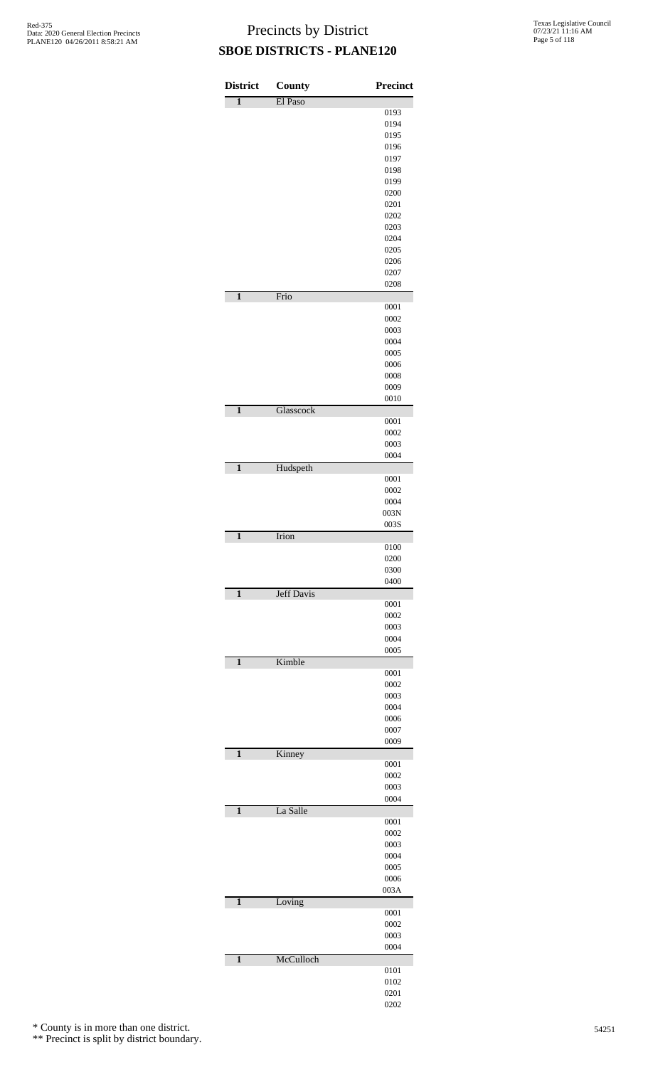| <b>District</b>         | County            | <b>Precinct</b> |
|-------------------------|-------------------|-----------------|
| $\overline{\mathbf{1}}$ | El Paso           |                 |
|                         |                   | 0193            |
|                         |                   | 0194            |
|                         |                   | 0195            |
|                         |                   | 0196            |
|                         |                   | 0197            |
|                         |                   | 0198            |
|                         |                   | 0199<br>0200    |
|                         |                   | 0201            |
|                         |                   | 0202            |
|                         |                   | 0203            |
|                         |                   | 0204            |
|                         |                   | 0205            |
|                         |                   | 0206            |
|                         |                   | 0207            |
|                         |                   | 0208            |
| $\mathbf{1}$            | Frio              |                 |
|                         |                   | 0001            |
|                         |                   | 0002            |
|                         |                   | 0003            |
|                         |                   | 0004            |
|                         |                   | 0005            |
|                         |                   | 0006            |
|                         |                   | 0008            |
|                         |                   | 0009            |
|                         |                   | 0010            |
| $\mathbf{1}$            | Glasscock         |                 |
|                         |                   | 0001<br>0002    |
|                         |                   | 0003            |
|                         |                   | 0004            |
| $\mathbf{1}$            | Hudspeth          |                 |
|                         |                   | 0001            |
|                         |                   | 0002            |
|                         |                   | 0004            |
|                         |                   | 003N            |
|                         |                   | 003S            |
| $\mathbf{1}$            | Irion             |                 |
|                         |                   | 0100            |
|                         |                   | 0200            |
|                         |                   | 0300            |
|                         | <b>Jeff Davis</b> | 0400            |
| $\mathbf{1}$            |                   | 0001            |
|                         |                   | 0002            |
|                         |                   | 0003            |
|                         |                   | 0004            |
|                         |                   | 0005            |
| $\mathbf{1}$            | Kimble            |                 |
|                         |                   | 0001            |
|                         |                   | 0002            |
|                         |                   | 0003            |
|                         |                   | 0004            |
|                         |                   | 0006            |
|                         |                   | 0007            |
|                         |                   | 0009            |
| $\mathbf{1}$            | Kinney            |                 |
|                         |                   | 0001            |
|                         |                   | 0002<br>0003    |
|                         |                   | 0004            |
| $\mathbf{1}$            | La Salle          |                 |
|                         |                   | 0001            |
|                         |                   | 0002            |
|                         |                   | 0003            |
|                         |                   | 0004            |
|                         |                   | 0005            |
|                         |                   | 0006            |
|                         |                   | 003A            |
| $\mathbf{1}$            | Loving            |                 |
|                         |                   | 0001            |
|                         |                   | 0002            |
|                         |                   | 0003            |
|                         |                   | 0004            |
| $\mathbf{1}$            | McCulloch         |                 |
|                         |                   | 0101            |
|                         |                   | 0102<br>0201    |
|                         |                   | 0202            |
|                         |                   |                 |

\* County is in more than one district.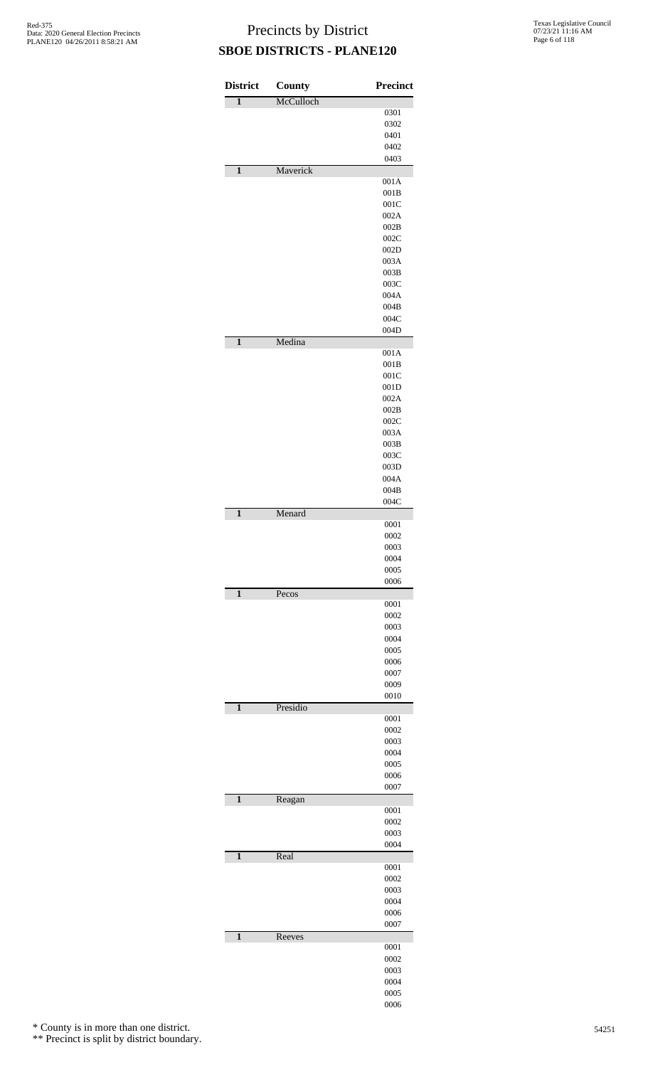| <b>District</b>         | <b>County</b> | <b>Precinct</b> |
|-------------------------|---------------|-----------------|
| $\overline{\mathbf{1}}$ | McCulloch     |                 |
|                         |               | 0301            |
|                         |               | 0302            |
|                         |               | 0401            |
|                         |               | 0402            |
|                         |               | 0403            |
| $\mathbf{1}$            | Maverick      | 001A            |
|                         |               | 001B            |
|                         |               | 001C            |
|                         |               | 002A            |
|                         |               | 002B            |
|                         |               | 002C            |
|                         |               | 002D            |
|                         |               | 003A            |
|                         |               | 003B            |
|                         |               | 003C            |
|                         |               | 004A            |
|                         |               | 004B            |
|                         |               | 004C            |
|                         |               | 004D            |
| $\overline{\mathbf{1}}$ | Medina        |                 |
|                         |               | 001A            |
|                         |               | 001B<br>001C    |
|                         |               | 001D            |
|                         |               | 002A            |
|                         |               | 002B            |
|                         |               | 002C            |
|                         |               | 003A            |
|                         |               | 003B            |
|                         |               | 003C            |
|                         |               | 003D            |
|                         |               | 004A            |
|                         |               | 004B            |
|                         |               | 004C            |
| $\mathbf{1}$            | Menard        |                 |
|                         |               | 0001            |
|                         |               | 0002            |
|                         |               | 0003            |
|                         |               | 0004            |
|                         |               | 0005<br>0006    |
| $\mathbf{1}$            | Pecos         |                 |
|                         |               | 0001            |
|                         |               | 0002            |
|                         |               | 0003            |
|                         |               | 0004            |
|                         |               | 0005            |
|                         |               | 0006            |
|                         |               | 0007            |
|                         |               | 0009            |
|                         |               | 0010            |
| $\mathbf{1}$            | Presidio      |                 |
|                         |               | 0001            |
|                         |               | 0002<br>0003    |
|                         |               | 0004            |
|                         |               | 0005            |
|                         |               | 0006            |
|                         |               | 0007            |
| $\mathbf{1}$            | Reagan        |                 |
|                         |               | 0001            |
|                         |               | 0002            |
|                         |               | 0003            |
|                         |               | 0004            |
| $\overline{\mathbf{1}}$ | Real          |                 |
|                         |               | 0001            |
|                         |               | 0002            |
|                         |               | 0003            |
|                         |               | 0004            |
|                         |               | 0006            |
|                         |               | 0007            |
| $\mathbf{1}$            | Reeves        |                 |
|                         |               | 0001<br>0002    |
|                         |               | 0003            |
|                         |               | 0004            |
|                         |               | 0005            |
|                         |               | 0006            |
|                         |               |                 |

\* County is in more than one district.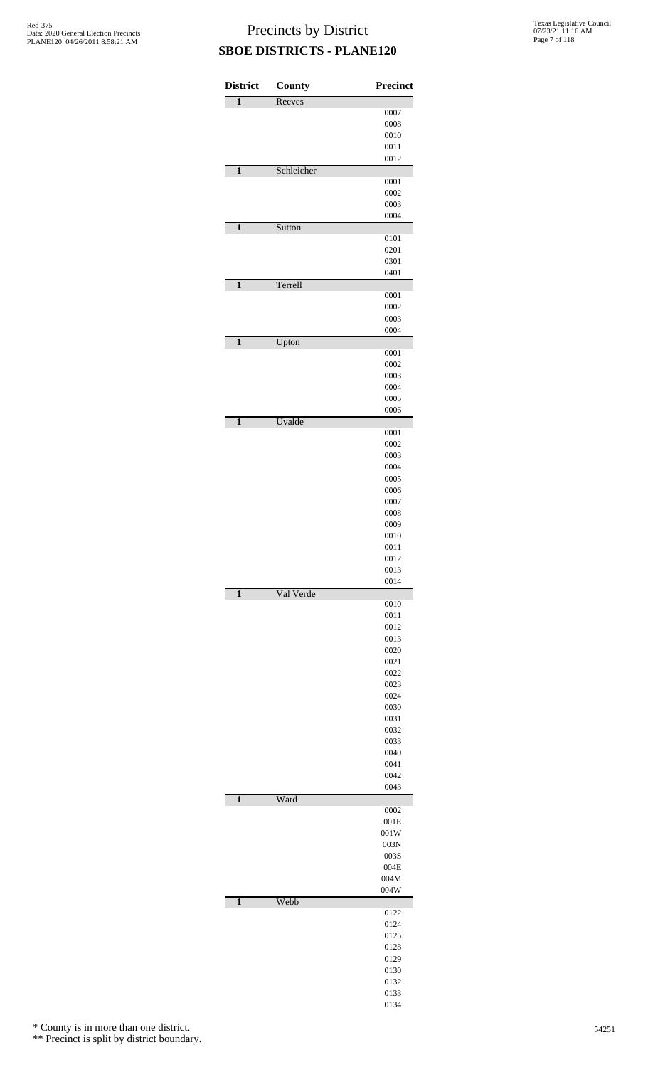| <b>District</b> | County     | Precinct     |
|-----------------|------------|--------------|
| $\overline{1}$  | Reeves     |              |
|                 |            | 0007         |
|                 |            | 0008<br>0010 |
|                 |            | 0011         |
|                 |            | 0012         |
| $\mathbf{1}$    | Schleicher |              |
|                 |            | 0001         |
|                 |            | 0002<br>0003 |
|                 |            | 0004         |
| $\mathbf{1}$    | Sutton     |              |
|                 |            | 0101         |
|                 |            | 0201<br>0301 |
|                 |            | 0401         |
| $\mathbf{1}$    | Terrell    |              |
|                 |            | 0001         |
|                 |            | 0002         |
|                 |            | 0003<br>0004 |
| $\mathbf{1}$    | Upton      |              |
|                 |            | 0001         |
|                 |            | 0002         |
|                 |            | 0003         |
|                 |            | 0004<br>0005 |
|                 |            | 0006         |
| $\mathbf{1}$    | Uvalde     |              |
|                 |            | 0001         |
|                 |            | 0002<br>0003 |
|                 |            | 0004         |
|                 |            | 0005         |
|                 |            | 0006         |
|                 |            | 0007         |
|                 |            | 0008<br>0009 |
|                 |            | 0010         |
|                 |            | 0011         |
|                 |            | 0012         |
|                 |            | 0013<br>0014 |
| $\mathbf{1}$    | Val Verde  |              |
|                 |            | 0010         |
|                 |            | 0011         |
|                 |            | 0012<br>0013 |
|                 |            | 0020         |
|                 |            | 0021         |
|                 |            | 0022         |
|                 |            | 0023<br>0024 |
|                 |            | 0030         |
|                 |            | 0031         |
|                 |            | 0032         |
|                 |            | 0033<br>0040 |
|                 |            | 0041         |
|                 |            | 0042         |
|                 |            | 0043         |
| $\mathbf{1}$    | Ward       | 0002         |
|                 |            | 001E         |
|                 |            | 001W         |
|                 |            | 003N         |
|                 |            | 003S         |
|                 |            | 004E<br>004M |
|                 |            | 004W         |
| $\mathbf{1}$    | Webb       |              |
|                 |            | 0122         |
|                 |            | 0124<br>0125 |
|                 |            | 0128         |
|                 |            | 0129         |
|                 |            | 0130         |
|                 |            | 0132<br>0133 |
|                 |            | 0134         |

\* County is in more than one district.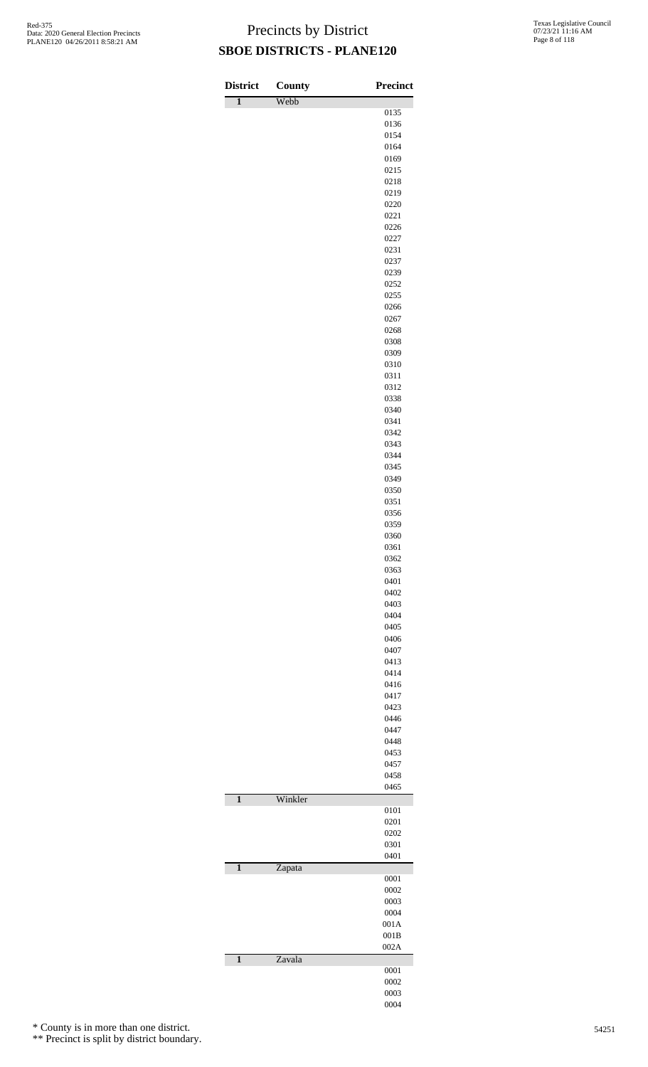| <b>District</b>         | County  | Precinct     |
|-------------------------|---------|--------------|
| $\overline{1}$          | Webb    |              |
|                         |         | 0135         |
|                         |         | 0136         |
|                         |         | 0154         |
|                         |         | 0164         |
|                         |         | 0169         |
|                         |         | 0215         |
|                         |         | 0218         |
|                         |         | 0219         |
|                         |         | 0220         |
|                         |         | 0221         |
|                         |         | 0226         |
|                         |         | 0227         |
|                         |         | 0231         |
|                         |         | 0237         |
|                         |         | 0239         |
|                         |         | 0252<br>0255 |
|                         |         |              |
|                         |         | 0266         |
|                         |         | 0267         |
|                         |         | 0268         |
|                         |         | 0308         |
|                         |         | 0309         |
|                         |         | 0310         |
|                         |         | 0311         |
|                         |         | 0312         |
|                         |         | 0338         |
|                         |         | 0340         |
|                         |         | 0341         |
|                         |         | 0342         |
|                         |         | 0343         |
|                         |         | 0344         |
|                         |         | 0345         |
|                         |         | 0349         |
|                         |         | 0350         |
|                         |         | 0351         |
|                         |         | 0356         |
|                         |         | 0359         |
|                         |         | 0360         |
|                         |         | 0361         |
|                         |         | 0362         |
|                         |         | 0363         |
|                         |         | 0401         |
|                         |         | 0402         |
|                         |         | 0403         |
|                         |         | 0404         |
|                         |         | 0405         |
|                         |         | 0406         |
|                         |         | 0407         |
|                         |         | 0413         |
|                         |         | 0414         |
|                         |         | 0416         |
|                         |         | 0417         |
|                         |         | 0423         |
|                         |         | 0446         |
|                         |         | 0447         |
|                         |         | 0448         |
|                         |         | 0453         |
|                         |         | 0457         |
|                         |         | 0458         |
|                         |         | 0465         |
| $\mathbf{1}$            | Winkler |              |
|                         |         | 0101         |
|                         |         | 0201         |
|                         |         | 0202         |
|                         |         | 0301         |
|                         |         | 0401         |
| $\overline{\mathbf{1}}$ | Zapata  |              |
|                         |         | 0001         |
|                         |         | 0002         |
|                         |         | 0003         |
|                         |         | 0004         |
|                         |         | 001A         |
|                         |         | 001B         |
|                         |         | 002A         |
| $\mathbf{1}$            | Zavala  |              |
|                         |         | 0001         |
|                         |         | 0002         |
|                         |         | 0003         |
|                         |         | 0004         |

\* County is in more than one district.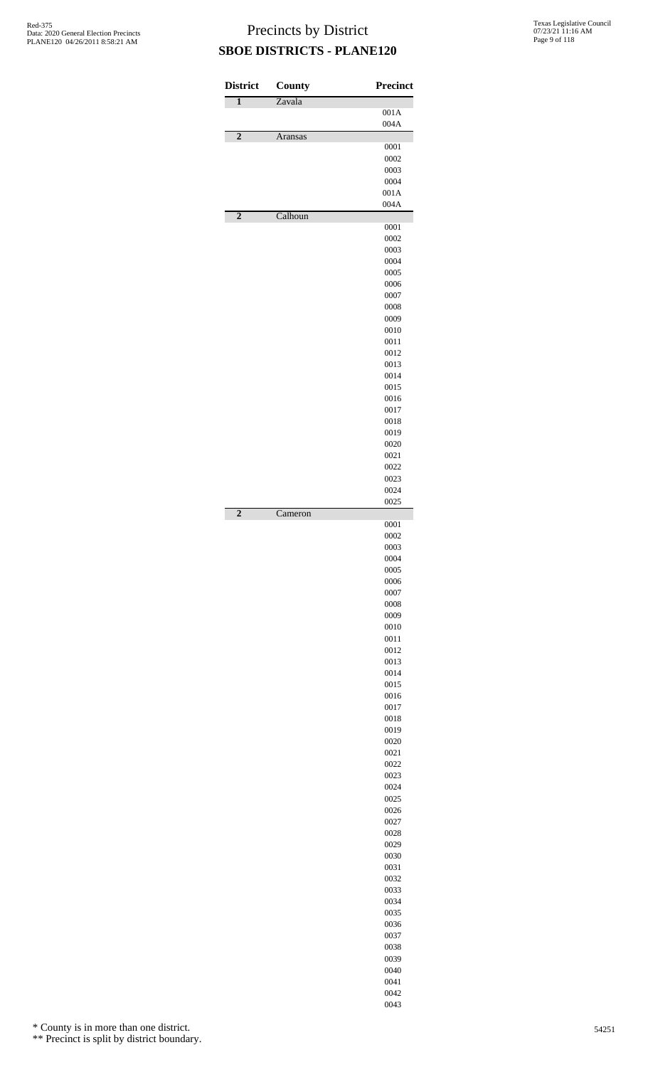| <b>District</b> | <b>County</b> | <b>Precinct</b> |
|-----------------|---------------|-----------------|
| 1               | Zavala        |                 |
|                 |               | 001A<br>004A    |
| $\overline{2}$  | Aransas       |                 |
|                 |               | 0001<br>0002    |
|                 |               | 0003            |
|                 |               | 0004            |
|                 |               | 001A            |
| $\overline{2}$  | Calhoun       | 004A            |
|                 |               | 0001            |
|                 |               | 0002            |
|                 |               | 0003            |
|                 |               | 0004<br>0005    |
|                 |               | 0006            |
|                 |               | 0007            |
|                 |               | 0008            |
|                 |               | 0009<br>0010    |
|                 |               | 0011            |
|                 |               | 0012            |
|                 |               | 0013            |
|                 |               | 0014<br>0015    |
|                 |               | 0016            |
|                 |               | 0017            |
|                 |               | 0018            |
|                 |               | 0019<br>0020    |
|                 |               | 0021            |
|                 |               | 0022            |
|                 |               | 0023            |
|                 |               | 0024<br>0025    |
| $\overline{2}$  | Cameron       |                 |
|                 |               | 0001            |
|                 |               | 0002<br>0003    |
|                 |               | 0004            |
|                 |               | 0005            |
|                 |               | 0006            |
|                 |               | 0007<br>0008    |
|                 |               | 0009            |
|                 |               | 0010            |
|                 |               | 0011            |
|                 |               | 0012<br>0013    |
|                 |               | 0014            |
|                 |               | 0015            |
|                 |               | 0016<br>0017    |
|                 |               | 0018            |
|                 |               | 0019            |
|                 |               | 0020            |
|                 |               | 0021<br>0022    |
|                 |               | 0023            |
|                 |               | 0024            |
|                 |               | 0025            |
|                 |               | 0026<br>0027    |
|                 |               | 0028            |
|                 |               | 0029            |
|                 |               | 0030<br>0031    |
|                 |               | 0032            |
|                 |               | 0033            |
|                 |               | 0034            |
|                 |               | 0035            |
|                 |               | 0036<br>0037    |
|                 |               | 0038            |
|                 |               | 0039            |
|                 |               | 0040            |
|                 |               | 0041<br>0042    |

\* County is in more than one district.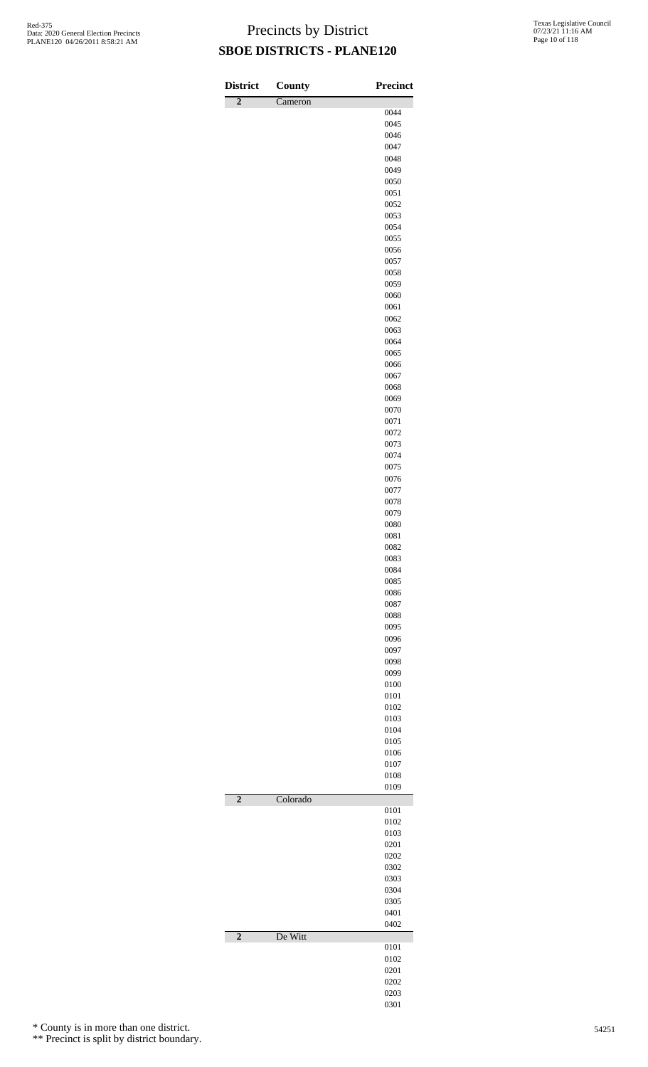| <b>District</b> | County   | <b>Precinct</b> |
|-----------------|----------|-----------------|
| $\overline{2}$  | Cameron  |                 |
|                 |          | 0044            |
|                 |          | 0045            |
|                 |          | 0046<br>0047    |
|                 |          | 0048            |
|                 |          | 0049            |
|                 |          | 0050            |
|                 |          | 0051            |
|                 |          | 0052<br>0053    |
|                 |          | 0054            |
|                 |          | 0055            |
|                 |          | 0056            |
|                 |          | 0057            |
|                 |          | 0058            |
|                 |          | 0059<br>0060    |
|                 |          | 0061            |
|                 |          | 0062            |
|                 |          | 0063            |
|                 |          | 0064            |
|                 |          | 0065<br>0066    |
|                 |          | 0067            |
|                 |          | 0068            |
|                 |          | 0069            |
|                 |          | 0070            |
|                 |          | 0071            |
|                 |          | 0072            |
|                 |          | 0073<br>0074    |
|                 |          | 0075            |
|                 |          | 0076            |
|                 |          | 0077            |
|                 |          | 0078            |
|                 |          | 0079<br>0080    |
|                 |          | 0081            |
|                 |          | 0082            |
|                 |          | 0083            |
|                 |          | 0084            |
|                 |          | 0085            |
|                 |          | 0086<br>0087    |
|                 |          | 0088            |
|                 |          | 0095            |
|                 |          | 0096            |
|                 |          | 0097            |
|                 |          | 0098<br>0099    |
|                 |          | 0100            |
|                 |          | 0101            |
|                 |          | 0102            |
|                 |          | 0103            |
|                 |          | 0104            |
|                 |          | 0105<br>0106    |
|                 |          | 0107            |
|                 |          | 0108            |
|                 |          | 0109            |
| $\overline{2}$  | Colorado |                 |
|                 |          | 0101<br>0102    |
|                 |          | 0103            |
|                 |          | 0201            |
|                 |          | 0202            |
|                 |          | 0302            |
|                 |          | 0303<br>0304    |
|                 |          | 0305            |
|                 |          | 0401            |
|                 |          | 0402            |
| $\overline{2}$  | De Witt  | 0101            |
|                 |          | 0102            |
|                 |          | 0201            |
|                 |          | 0202            |
|                 |          | 0203            |
|                 |          | 0301            |

\* County is in more than one district.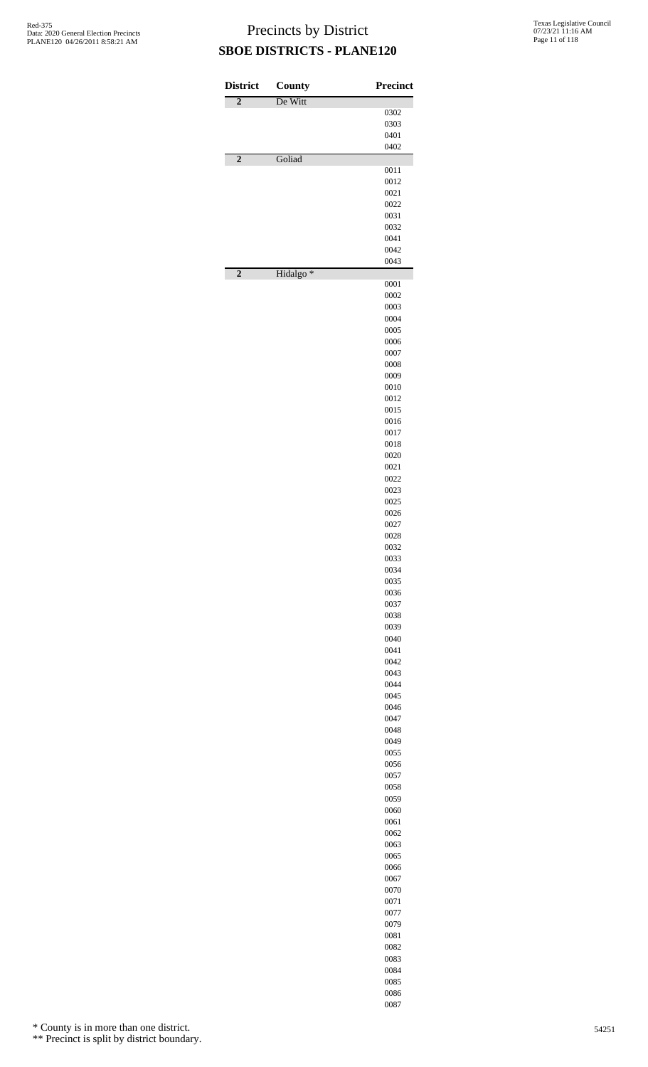| <b>District</b> | County               | <b>Precinct</b> |
|-----------------|----------------------|-----------------|
| $\overline{2}$  | De Witt              |                 |
|                 |                      | 0302            |
|                 |                      | 0303            |
|                 |                      | 0401<br>0402    |
| $\overline{2}$  | Goliad               |                 |
|                 |                      | 0011            |
|                 |                      | 0012<br>0021    |
|                 |                      | 0022            |
|                 |                      | 0031            |
|                 |                      | 0032            |
|                 |                      | 0041<br>0042    |
|                 |                      | 0043            |
| $\overline{2}$  | Hidalgo <sup>*</sup> |                 |
|                 |                      | 0001            |
|                 |                      | 0002<br>0003    |
|                 |                      | 0004            |
|                 |                      | 0005            |
|                 |                      | 0006            |
|                 |                      | 0007<br>0008    |
|                 |                      | 0009            |
|                 |                      | 0010            |
|                 |                      | 0012            |
|                 |                      | 0015            |
|                 |                      | 0016<br>0017    |
|                 |                      | 0018            |
|                 |                      | 0020            |
|                 |                      | 0021<br>0022    |
|                 |                      | 0023            |
|                 |                      | 0025            |
|                 |                      | 0026            |
|                 |                      | 0027            |
|                 |                      | 0028<br>0032    |
|                 |                      | 0033            |
|                 |                      | 0034            |
|                 |                      | 0035<br>0036    |
|                 |                      | 0037            |
|                 |                      | 0038            |
|                 |                      | 0039            |
|                 |                      | 0040<br>0041    |
|                 |                      | 0042            |
|                 |                      | 0043            |
|                 |                      | 0044            |
|                 |                      | 0045<br>0046    |
|                 |                      | 0047            |
|                 |                      | 0048            |
|                 |                      | 0049            |
|                 |                      | 0055<br>0056    |
|                 |                      | 0057            |
|                 |                      | 0058            |
|                 |                      | 0059            |
|                 |                      | 0060<br>0061    |
|                 |                      | 0062            |
|                 |                      | 0063            |
|                 |                      | 0065<br>0066    |
|                 |                      | 0067            |
|                 |                      | 0070            |
|                 |                      | 0071            |
|                 |                      | 0077            |
|                 |                      | 0079<br>0081    |
|                 |                      | 0082            |
|                 |                      | 0083            |
|                 |                      | 0084            |
|                 |                      | 0085<br>0086    |

\* County is in more than one district.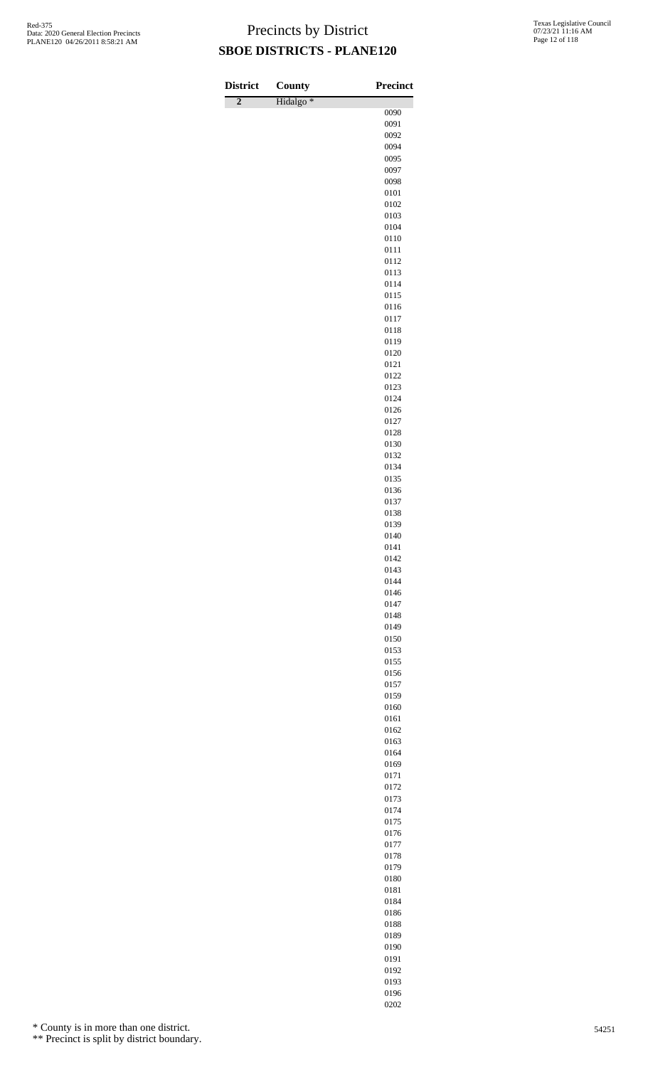| <b>District</b> | County    | <b>Precinct</b> |
|-----------------|-----------|-----------------|
| $\overline{2}$  | Hidalgo * | 0090            |
|                 |           | 0091            |
|                 |           | 0092            |
|                 |           | 0094            |
|                 |           | 0095<br>0097    |
|                 |           | 0098            |
|                 |           | 0101            |
|                 |           | 0102            |
|                 |           | 0103            |
|                 |           | 0104<br>0110    |
|                 |           | 0111            |
|                 |           | 0112            |
|                 |           | 0113            |
|                 |           | 0114            |
|                 |           | 0115<br>0116    |
|                 |           | 0117            |
|                 |           | 0118            |
|                 |           | 0119            |
|                 |           | 0120            |
|                 |           | 0121<br>0122    |
|                 |           | 0123            |
|                 |           | 0124            |
|                 |           | 0126            |
|                 |           | 0127            |
|                 |           | 0128<br>0130    |
|                 |           | 0132            |
|                 |           | 0134            |
|                 |           | 0135            |
|                 |           | 0136            |
|                 |           | 0137<br>0138    |
|                 |           | 0139            |
|                 |           | 0140            |
|                 |           | 0141            |
|                 |           | 0142            |
|                 |           | 0143            |
|                 |           | 0144<br>0146    |
|                 |           | 0147            |
|                 |           | 0148            |
|                 |           | 0149            |
|                 |           | 0150            |
|                 |           | 0153<br>0155    |
|                 |           | 0156            |
|                 |           | 0157            |
|                 |           | 0159            |
|                 |           | 0160<br>0161    |
|                 |           | 0162            |
|                 |           | 0163            |
|                 |           | 0164            |
|                 |           | 0169            |
|                 |           | 0171<br>0172    |
|                 |           | 0173            |
|                 |           | 0174            |
|                 |           | 0175            |
|                 |           | 0176            |
|                 |           | 0177            |
|                 |           | 0178<br>0179    |
|                 |           | 0180            |
|                 |           | 0181            |
|                 |           | 0184            |
|                 |           | 0186            |
|                 |           | 0188<br>0189    |
|                 |           | 0190            |

\* County is in more than one district.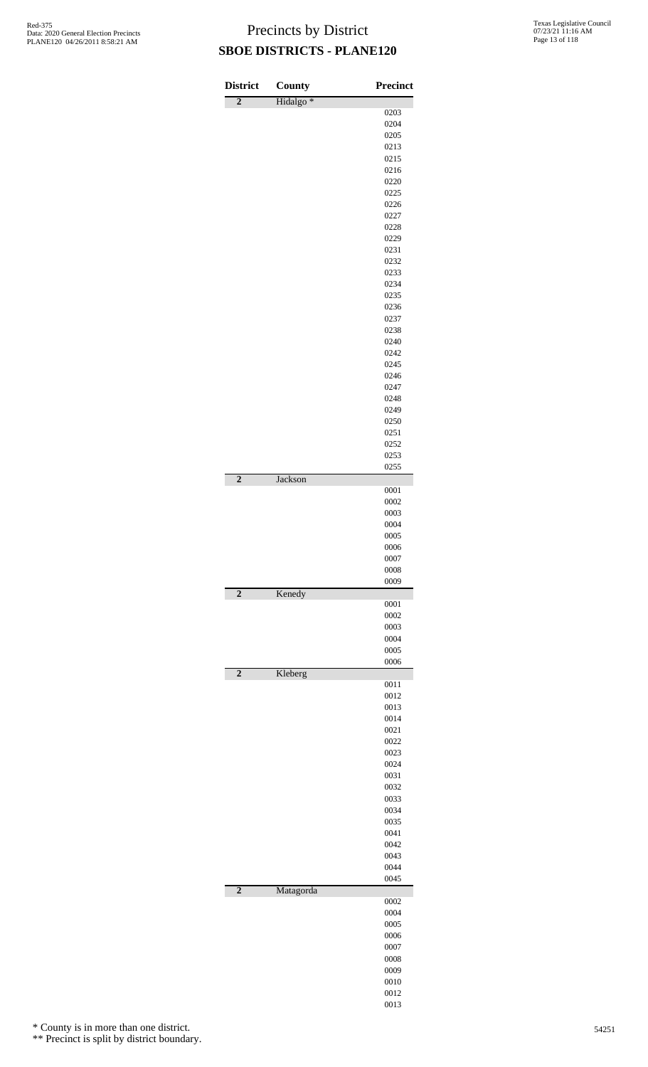| <b>District</b> | County               | <b>Precinct</b> |
|-----------------|----------------------|-----------------|
| $\overline{2}$  | Hidalgo <sup>*</sup> |                 |
|                 |                      | 0203            |
|                 |                      | 0204<br>0205    |
|                 |                      | 0213            |
|                 |                      | 0215            |
|                 |                      | 0216            |
|                 |                      | 0220            |
|                 |                      | 0225            |
|                 |                      | 0226            |
|                 |                      | 0227            |
|                 |                      | 0228<br>0229    |
|                 |                      | 0231            |
|                 |                      | 0232            |
|                 |                      | 0233            |
|                 |                      | 0234            |
|                 |                      | 0235            |
|                 |                      | 0236            |
|                 |                      | 0237            |
|                 |                      | 0238<br>0240    |
|                 |                      | 0242            |
|                 |                      | 0245            |
|                 |                      | 0246            |
|                 |                      | 0247            |
|                 |                      | 0248            |
|                 |                      | 0249            |
|                 |                      | 0250            |
|                 |                      | 0251            |
|                 |                      | 0252<br>0253    |
|                 |                      | 0255            |
| $\overline{2}$  | Jackson              |                 |
|                 |                      | 0001            |
|                 |                      | 0002            |
|                 |                      | 0003            |
|                 |                      | 0004<br>0005    |
|                 |                      | 0006            |
|                 |                      | 0007            |
|                 |                      | 0008            |
|                 |                      | 0009            |
| $\overline{2}$  | Kenedy               |                 |
|                 |                      | 0001<br>0002    |
|                 |                      | 0003            |
|                 |                      | 0004            |
|                 |                      | 0005            |
|                 |                      | 0006            |
| $\overline{2}$  | Kleberg              |                 |
|                 |                      | 0011<br>0012    |
|                 |                      | 0013            |
|                 |                      | 0014            |
|                 |                      | 0021            |
|                 |                      | 0022            |
|                 |                      | 0023            |
|                 |                      | 0024            |
|                 |                      | 0031<br>0032    |
|                 |                      | 0033            |
|                 |                      | 0034            |
|                 |                      | 0035            |
|                 |                      | 0041            |
|                 |                      | 0042            |
|                 |                      | 0043            |
|                 |                      | 0044<br>0045    |
| $\overline{2}$  | Matagorda            |                 |
|                 |                      | 0002            |
|                 |                      | 0004            |
|                 |                      | 0005            |
|                 |                      | 0006            |
|                 |                      | 0007<br>0008    |
|                 |                      | 0009            |
|                 |                      | 0010            |
|                 |                      | 0012            |

\* County is in more than one district.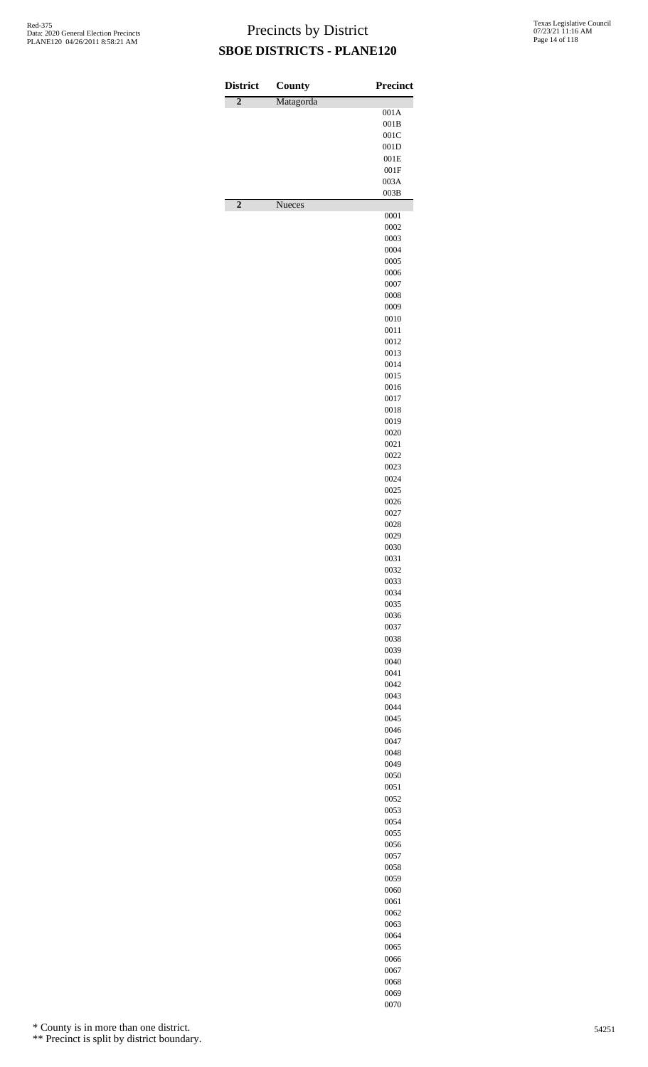| <b>District</b> | County        | <b>Precinct</b> |
|-----------------|---------------|-----------------|
| $\overline{2}$  | Matagorda     | 001A            |
|                 |               | 001B            |
|                 |               | 001C            |
|                 |               | 001D<br>001E    |
|                 |               | 001F            |
|                 |               | 003A            |
| $\overline{2}$  | <b>Nueces</b> | 003B            |
|                 |               | 0001<br>0002    |
|                 |               | 0003            |
|                 |               | 0004            |
|                 |               | 0005<br>0006    |
|                 |               | 0007            |
|                 |               | 0008            |
|                 |               | 0009            |
|                 |               | 0010<br>0011    |
|                 |               | 0012            |
|                 |               | 0013            |
|                 |               | 0014            |
|                 |               | 0015<br>0016    |
|                 |               | 0017            |
|                 |               | 0018            |
|                 |               | 0019            |
|                 |               | 0020<br>0021    |
|                 |               | 0022            |
|                 |               | 0023            |
|                 |               | 0024            |
|                 |               | 0025<br>0026    |
|                 |               | 0027            |
|                 |               | 0028            |
|                 |               | 0029<br>0030    |
|                 |               | 0031            |
|                 |               | 0032            |
|                 |               | 0033            |
|                 |               | 0034<br>0035    |
|                 |               | 0036            |
|                 |               | 0037            |
|                 |               | 0038            |
|                 |               | 0039<br>0040    |
|                 |               | 0041            |
|                 |               | 0042            |
|                 |               | 0043            |
|                 |               | 0044<br>0045    |
|                 |               | 0046            |
|                 |               | 0047            |
|                 |               | 0048            |
|                 |               | 0049<br>0050    |
|                 |               | 0051            |
|                 |               | 0052            |
|                 |               | 0053            |
|                 |               | 0054<br>0055    |
|                 |               | 0056            |
|                 |               | 0057            |
|                 |               | 0058<br>0059    |
|                 |               | 0060            |
|                 |               | 0061            |
|                 |               | 0062            |
|                 |               | 0063<br>0064    |
|                 |               | 0065            |
|                 |               | 0066            |
|                 |               | 0067            |
|                 |               | 0068            |

 

\* County is in more than one district.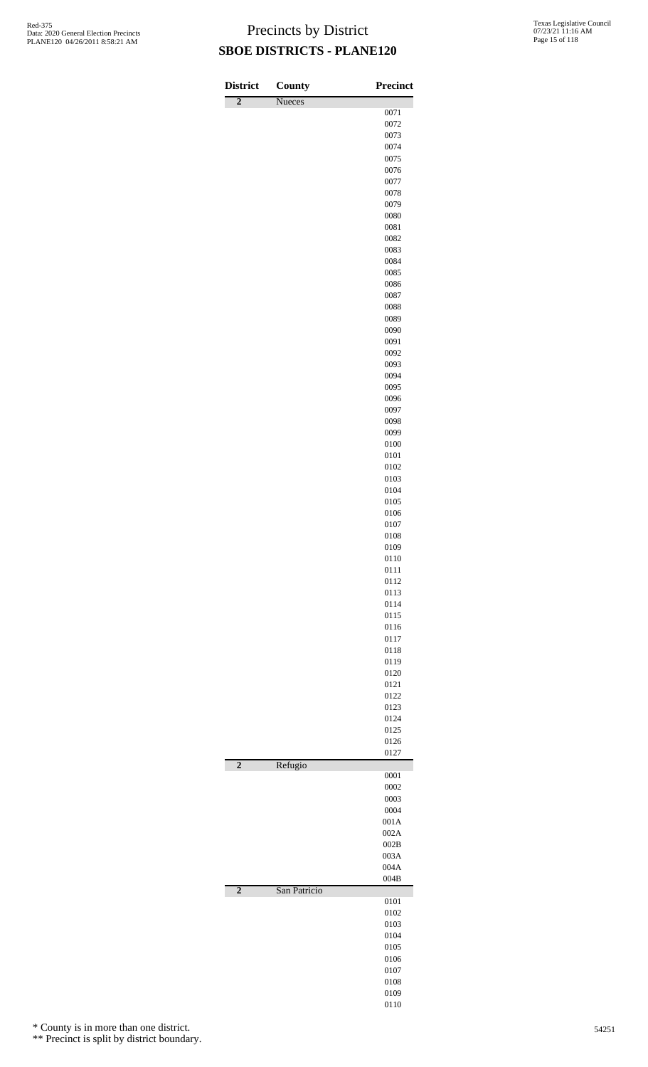| <b>District</b> | County       | <b>Precinct</b> |
|-----------------|--------------|-----------------|
| $\overline{2}$  | Nueces       |                 |
|                 |              | 0071            |
|                 |              | 0072            |
|                 |              | 0073<br>0074    |
|                 |              | 0075            |
|                 |              | 0076            |
|                 |              | 0077            |
|                 |              | 0078            |
|                 |              | 0079            |
|                 |              | 0080            |
|                 |              | 0081            |
|                 |              | 0082            |
|                 |              | 0083            |
|                 |              | 0084            |
|                 |              | 0085<br>0086    |
|                 |              | 0087            |
|                 |              | 0088            |
|                 |              | 0089            |
|                 |              | 0090            |
|                 |              | 0091            |
|                 |              | 0092            |
|                 |              | 0093            |
|                 |              | 0094            |
|                 |              | 0095            |
|                 |              | 0096            |
|                 |              | 0097            |
|                 |              | 0098<br>0099    |
|                 |              | 0100            |
|                 |              | 0101            |
|                 |              | 0102            |
|                 |              | 0103            |
|                 |              | 0104            |
|                 |              | 0105            |
|                 |              | 0106            |
|                 |              | 0107            |
|                 |              | 0108            |
|                 |              | 0109            |
|                 |              | 0110            |
|                 |              | 0111<br>0112    |
|                 |              | 0113            |
|                 |              | 0114            |
|                 |              | 0115            |
|                 |              | 0116            |
|                 |              | 0117            |
|                 |              | 0118            |
|                 |              | 0119            |
|                 |              | 0120            |
|                 |              | 0121            |
|                 |              | 0122            |
|                 |              | 0123<br>0124    |
|                 |              | 0125            |
|                 |              | 0126            |
|                 |              | 0127            |
| $\overline{2}$  | Refugio      |                 |
|                 |              | 0001            |
|                 |              | 0002            |
|                 |              | 0003            |
|                 |              | 0004<br>001A    |
|                 |              | 002A            |
|                 |              | 002B            |
|                 |              | 003A            |
|                 |              | 004A            |
|                 |              | 004B            |
| $\overline{2}$  | San Patricio |                 |
|                 |              | 0101            |
|                 |              | 0102<br>0103    |
|                 |              | 0104            |
|                 |              | 0105            |
|                 |              | 0106            |
|                 |              | 0107            |
|                 |              | 0108            |
|                 |              | 0109            |
|                 |              | 0110            |

\* County is in more than one district.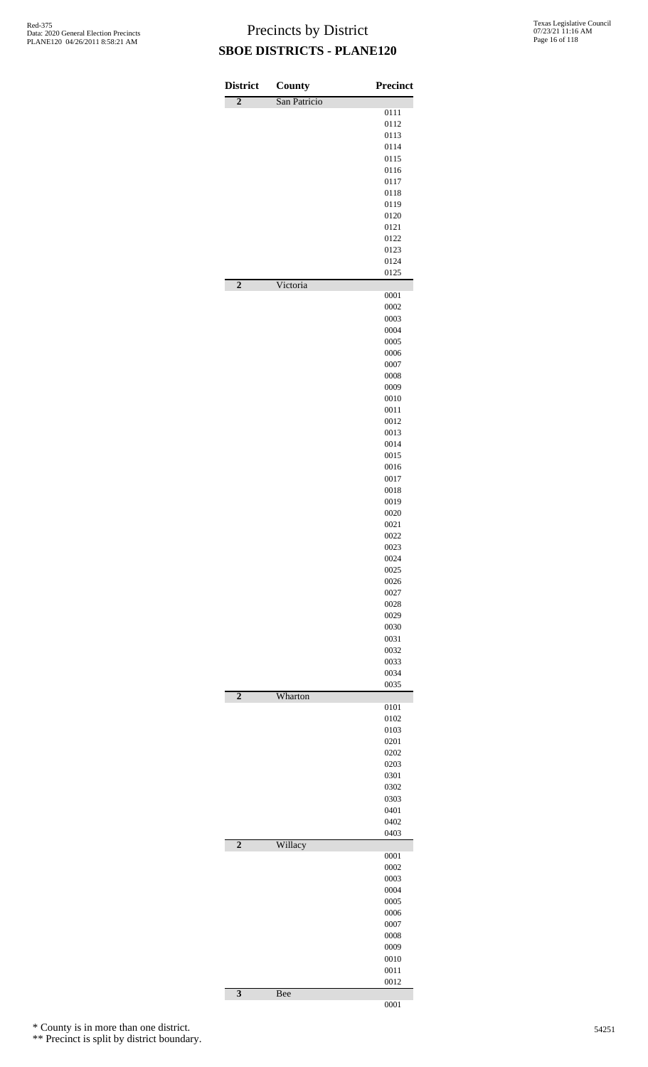| <b>District</b>         | <b>County</b> | <b>Precinct</b> |
|-------------------------|---------------|-----------------|
| $\overline{2}$          | San Patricio  |                 |
|                         |               | 0111<br>0112    |
|                         |               | 0113            |
|                         |               | 0114            |
|                         |               | 0115            |
|                         |               | 0116            |
|                         |               | 0117            |
|                         |               | 0118<br>0119    |
|                         |               | 0120            |
|                         |               | 0121            |
|                         |               | 0122            |
|                         |               | 0123            |
|                         |               | 0124<br>0125    |
| $\overline{2}$          | Victoria      | 0001            |
|                         |               | 0002            |
|                         |               | 0003            |
|                         |               | 0004<br>0005    |
|                         |               | 0006            |
|                         |               | 0007            |
|                         |               | 0008            |
|                         |               | 0009            |
|                         |               | 0010            |
|                         |               | 0011<br>0012    |
|                         |               | 0013            |
|                         |               | 0014            |
|                         |               | 0015            |
|                         |               | 0016            |
|                         |               | 0017            |
|                         |               | 0018<br>0019    |
|                         |               | 0020            |
|                         |               | 0021            |
|                         |               | 0022            |
|                         |               | 0023            |
|                         |               | 0024<br>0025    |
|                         |               | 0026            |
|                         |               | 0027            |
|                         |               | 0028            |
|                         |               | 0029            |
|                         |               | 0030            |
|                         |               | 0031<br>0032    |
|                         |               | 0033            |
|                         |               | 0034            |
| $\overline{2}$          | Wharton       | 0035            |
|                         |               | 0101            |
|                         |               | 0102<br>0103    |
|                         |               | 0201            |
|                         |               | 0202            |
|                         |               | 0203            |
|                         |               | 0301            |
|                         |               | 0302            |
|                         |               | 0303<br>0401    |
|                         |               | 0402            |
|                         |               | 0403            |
| $\overline{2}$          | Willacy       | 0001            |
|                         |               | 0002            |
|                         |               | 0003            |
|                         |               | 0004            |
|                         |               | 0005            |
|                         |               | 0006            |
|                         |               | 0007            |
|                         |               | 0008<br>0009    |
|                         |               | 0010            |
|                         |               | 0011            |
|                         |               | 0012            |
| $\overline{\mathbf{3}}$ | <b>Bee</b>    | 0001            |

\* County is in more than one district.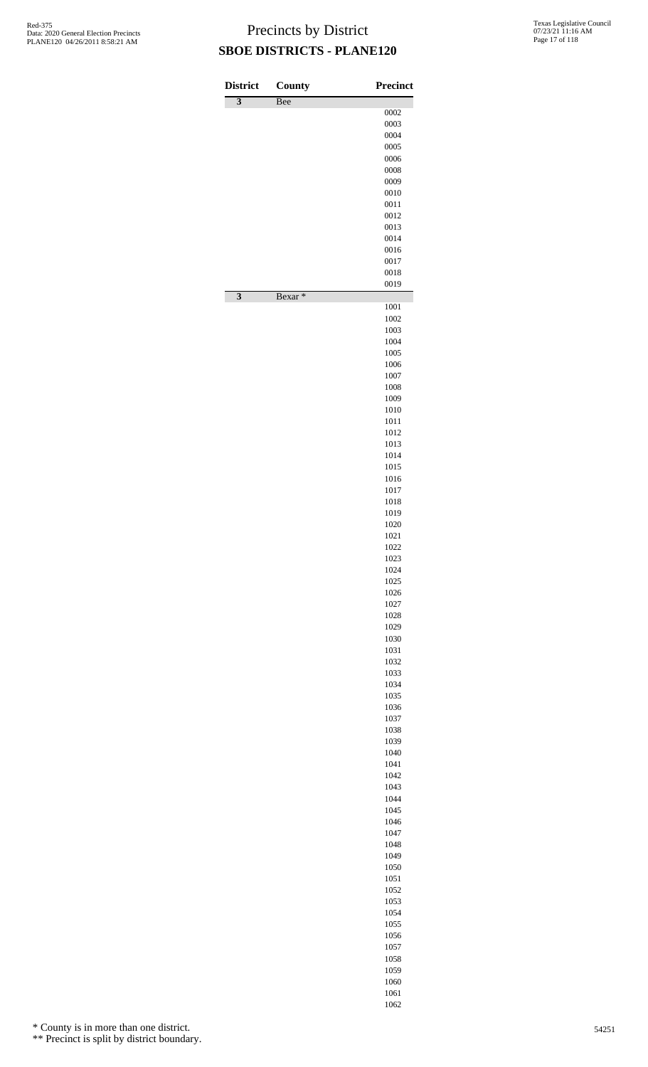| <b>District</b><br>$\overline{\mathbf{3}}$ | County<br>Bee | <b>Precinct</b> |
|--------------------------------------------|---------------|-----------------|
|                                            |               | 0002            |
|                                            |               | 0003            |
|                                            |               | 0004<br>0005    |
|                                            |               | 0006            |
|                                            |               | 0008            |
|                                            |               | 0009            |
|                                            |               | 0010<br>0011    |
|                                            |               | 0012            |
|                                            |               | 0013            |
|                                            |               | 0014            |
|                                            |               | 0016<br>0017    |
|                                            |               | 0018            |
| $\overline{\mathbf{3}}$                    | Bexar*        | 0019            |
|                                            |               | 1001            |
|                                            |               | 1002<br>1003    |
|                                            |               | 1004            |
|                                            |               | 1005            |
|                                            |               | 1006            |
|                                            |               | 1007<br>1008    |
|                                            |               | 1009            |
|                                            |               | 1010            |
|                                            |               | 1011            |
|                                            |               | 1012<br>1013    |
|                                            |               | 1014            |
|                                            |               | 1015            |
|                                            |               | 1016            |
|                                            |               | 1017<br>1018    |
|                                            |               | 1019            |
|                                            |               | 1020            |
|                                            |               | 1021<br>1022    |
|                                            |               | 1023            |
|                                            |               | 1024            |
|                                            |               | 1025            |
|                                            |               | 1026<br>1027    |
|                                            |               | 1028            |
|                                            |               | 1029            |
|                                            |               | 1030            |
|                                            |               | 1031<br>1032    |
|                                            |               | 1033            |
|                                            |               | 1034            |
|                                            |               | 1035            |
|                                            |               | 1036<br>1037    |
|                                            |               | 1038            |
|                                            |               | 1039            |
|                                            |               | 1040<br>1041    |
|                                            |               | 1042            |
|                                            |               | 1043            |
|                                            |               | 1044            |
|                                            |               | 1045<br>1046    |
|                                            |               | 1047            |
|                                            |               | 1048            |
|                                            |               | 1049            |
|                                            |               | 1050<br>1051    |
|                                            |               | 1052            |
|                                            |               | 1053            |
|                                            |               | 1054            |
|                                            |               | 1055            |
|                                            |               | 1056<br>1057    |
|                                            |               | 1058            |
|                                            |               | 1059            |
|                                            |               | 1060            |
|                                            |               | 1061            |

\* County is in more than one district.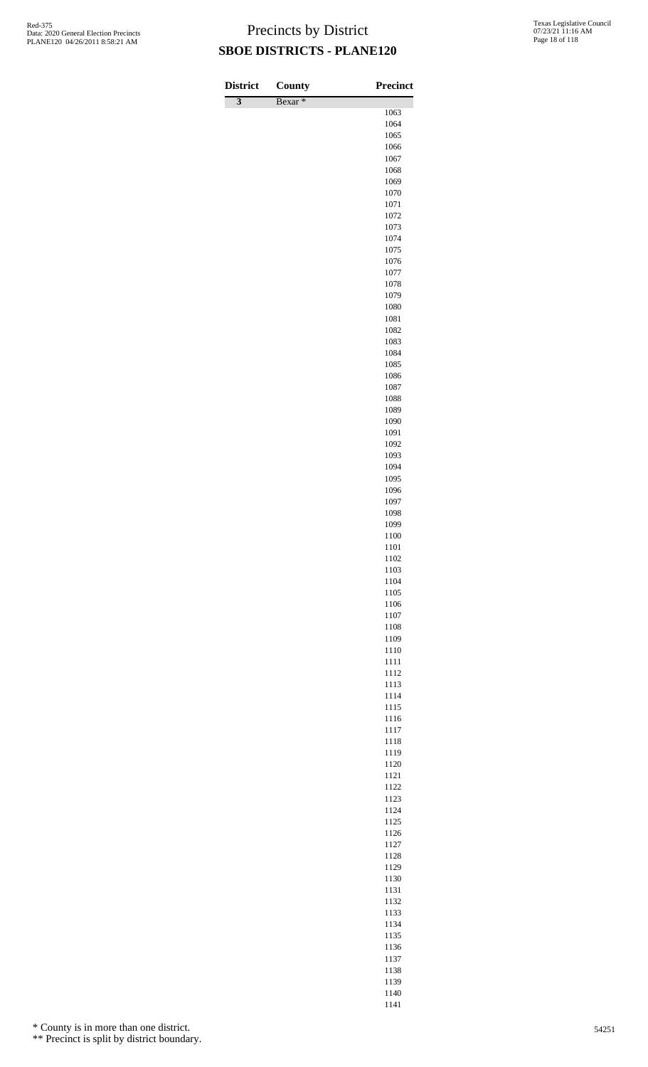| <b>District</b>           | <b>County</b>      | Precinct     |
|---------------------------|--------------------|--------------|
| $\overline{\overline{3}}$ | Bexar <sup>*</sup> |              |
|                           |                    | 1063<br>1064 |
|                           |                    | 1065         |
|                           |                    | 1066         |
|                           |                    | 1067         |
|                           |                    | 1068         |
|                           |                    | 1069         |
|                           |                    | 1070         |
|                           |                    | 1071<br>1072 |
|                           |                    | 1073         |
|                           |                    | 1074         |
|                           |                    | 1075         |
|                           |                    | 1076         |
|                           |                    | 1077         |
|                           |                    | 1078         |
|                           |                    | 1079         |
|                           |                    | 1080<br>1081 |
|                           |                    | 1082         |
|                           |                    | 1083         |
|                           |                    | 1084         |
|                           |                    | 1085         |
|                           |                    | 1086         |
|                           |                    | 1087         |
|                           |                    | 1088<br>1089 |
|                           |                    | 1090         |
|                           |                    | 1091         |
|                           |                    | 1092         |
|                           |                    | 1093         |
|                           |                    | 1094         |
|                           |                    | 1095         |
|                           |                    | 1096         |
|                           |                    | 1097<br>1098 |
|                           |                    | 1099         |
|                           |                    | 1100         |
|                           |                    | 1101         |
|                           |                    | 1102         |
|                           |                    | 1103         |
|                           |                    | 1104         |
|                           |                    | 1105<br>1106 |
|                           |                    | 1107         |
|                           |                    | 1108         |
|                           |                    | 1109         |
|                           |                    | 1110         |
|                           |                    | 1111         |
|                           |                    | 1112         |
|                           |                    | 1113         |
|                           |                    | 1114<br>1115 |
|                           |                    | 1116         |
|                           |                    | 1117         |
|                           |                    | 1118         |
|                           |                    | 1119         |
|                           |                    | 1120         |
|                           |                    | 1121         |
|                           |                    | 1122<br>1123 |
|                           |                    | 1124         |
|                           |                    | 1125         |
|                           |                    | 1126         |
|                           |                    | 1127         |
|                           |                    | 1128         |
|                           |                    | 1129         |
|                           |                    | 1130         |
|                           |                    | 1131         |
|                           |                    | 1132<br>1133 |
|                           |                    | 1134         |
|                           |                    | 1135         |

\* County is in more than one district.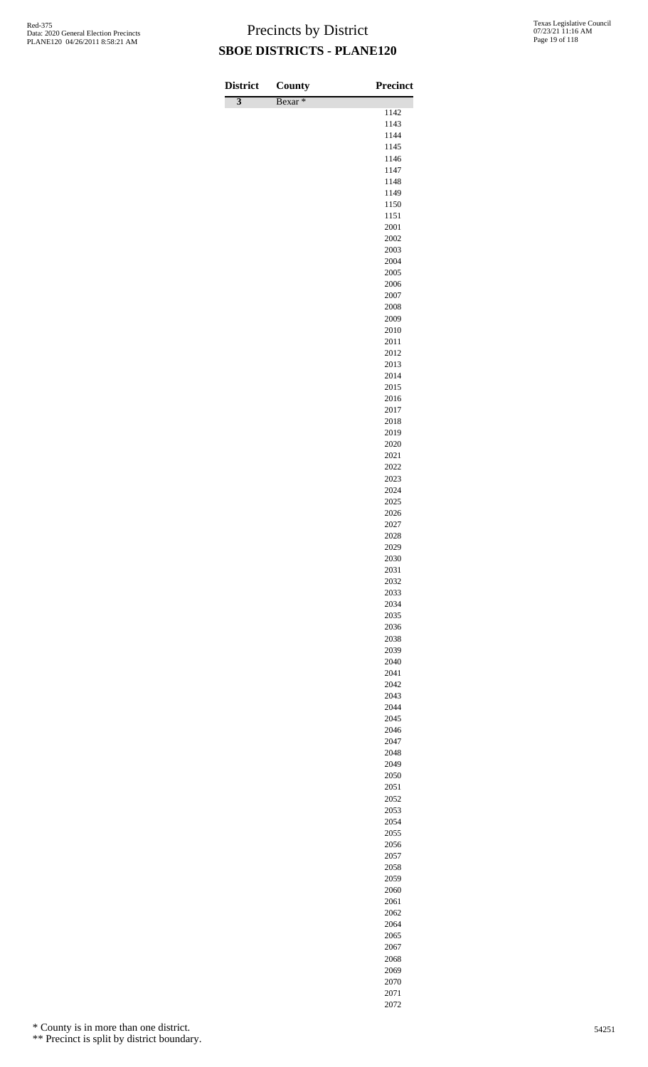| <b>District</b>           | County             | <b>Precinct</b> |
|---------------------------|--------------------|-----------------|
| $\overline{\overline{3}}$ | Bexar <sup>*</sup> | 1142            |
|                           |                    | 1143            |
|                           |                    | 1144            |
|                           |                    | 1145<br>1146    |
|                           |                    | 1147            |
|                           |                    | 1148            |
|                           |                    | 1149            |
|                           |                    | 1150<br>1151    |
|                           |                    | 2001            |
|                           |                    | 2002            |
|                           |                    | 2003<br>2004    |
|                           |                    | 2005            |
|                           |                    | 2006            |
|                           |                    | 2007            |
|                           |                    | 2008<br>2009    |
|                           |                    | 2010            |
|                           |                    | 2011            |
|                           |                    | 2012            |
|                           |                    | 2013<br>2014    |
|                           |                    | 2015            |
|                           |                    | 2016            |
|                           |                    | 2017<br>2018    |
|                           |                    | 2019            |
|                           |                    | 2020            |
|                           |                    | 2021            |
|                           |                    | 2022            |
|                           |                    | 2023<br>2024    |
|                           |                    | 2025            |
|                           |                    | 2026            |
|                           |                    | 2027<br>2028    |
|                           |                    | 2029            |
|                           |                    | 2030            |
|                           |                    | 2031            |
|                           |                    | 2032<br>2033    |
|                           |                    | 2034            |
|                           |                    | 2035            |
|                           |                    | 2036            |
|                           |                    | 2038<br>2039    |
|                           |                    | 2040            |
|                           |                    | 2041            |
|                           |                    | 2042<br>2043    |
|                           |                    | 2044            |
|                           |                    | 2045            |
|                           |                    | 2046            |
|                           |                    | 2047<br>2048    |
|                           |                    | 2049            |
|                           |                    | 2050            |
|                           |                    | 2051            |
|                           |                    | 2052<br>2053    |
|                           |                    | 2054            |
|                           |                    | 2055            |
|                           |                    | 2056            |
|                           |                    | 2057<br>2058    |
|                           |                    | 2059            |
|                           |                    | 2060            |
|                           |                    | 2061            |
|                           |                    | 2062<br>2064    |
|                           |                    | 2065            |

\* County is in more than one district.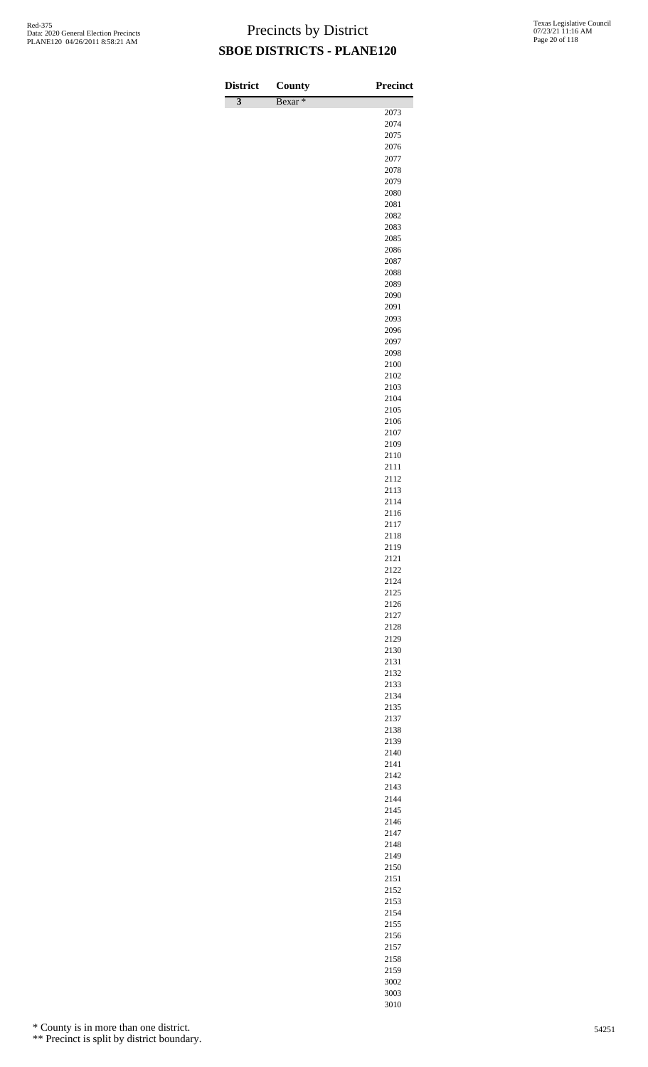| <b>District</b>           | County             | <b>Precinct</b> |
|---------------------------|--------------------|-----------------|
| $\overline{\overline{3}}$ | Bexar <sup>*</sup> | 2073            |
|                           |                    | 2074            |
|                           |                    | 2075            |
|                           |                    | 2076            |
|                           |                    | 2077<br>2078    |
|                           |                    | 2079            |
|                           |                    | 2080            |
|                           |                    | 2081            |
|                           |                    | 2082            |
|                           |                    | 2083<br>2085    |
|                           |                    | 2086            |
|                           |                    | 2087            |
|                           |                    | 2088            |
|                           |                    | 2089            |
|                           |                    | 2090            |
|                           |                    | 2091<br>2093    |
|                           |                    | 2096            |
|                           |                    | 2097            |
|                           |                    | 2098            |
|                           |                    | 2100            |
|                           |                    | 2102<br>2103    |
|                           |                    | 2104            |
|                           |                    | 2105            |
|                           |                    | 2106            |
|                           |                    | 2107            |
|                           |                    | 2109            |
|                           |                    | 2110<br>2111    |
|                           |                    | 2112            |
|                           |                    | 2113            |
|                           |                    | 2114            |
|                           |                    | 2116            |
|                           |                    | 2117<br>2118    |
|                           |                    | 2119            |
|                           |                    | 2121            |
|                           |                    | 2122            |
|                           |                    | 2124            |
|                           |                    | 2125            |
|                           |                    | 2126<br>2127    |
|                           |                    | 2128            |
|                           |                    | 2129            |
|                           |                    | 2130            |
|                           |                    | 2131            |
|                           |                    | 2132<br>2133    |
|                           |                    | 2134            |
|                           |                    | 2135            |
|                           |                    | 2137            |
|                           |                    | 2138            |
|                           |                    | 2139<br>2140    |
|                           |                    | 2141            |
|                           |                    | 2142            |
|                           |                    | 2143            |
|                           |                    | 2144            |
|                           |                    | 2145<br>2146    |
|                           |                    | 2147            |
|                           |                    | 2148            |
|                           |                    | 2149            |
|                           |                    | 2150            |
|                           |                    | 2151            |
|                           |                    | 2152<br>2153    |
|                           |                    | 2154            |

\* County is in more than one district.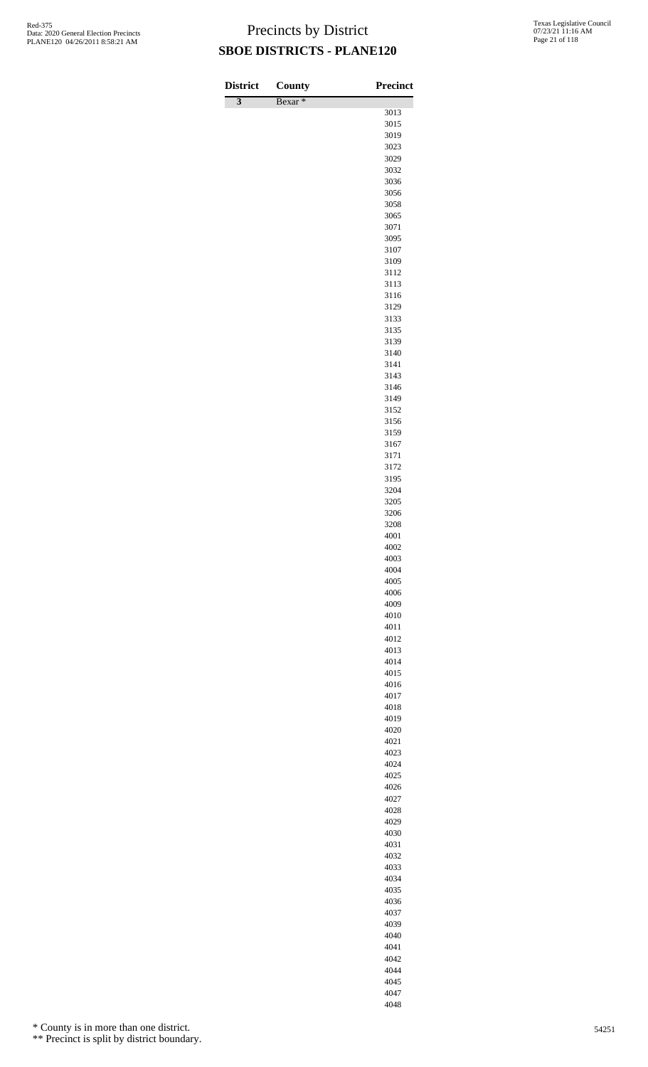| <b>District</b>           | County             | Precinct     |
|---------------------------|--------------------|--------------|
| $\overline{\overline{3}}$ | Bexar <sup>*</sup> | 3013         |
|                           |                    | 3015         |
|                           |                    | 3019         |
|                           |                    | 3023         |
|                           |                    | 3029         |
|                           |                    | 3032<br>3036 |
|                           |                    | 3056         |
|                           |                    | 3058         |
|                           |                    | 3065         |
|                           |                    | 3071         |
|                           |                    | 3095<br>3107 |
|                           |                    | 3109         |
|                           |                    | 3112         |
|                           |                    | 3113         |
|                           |                    | 3116         |
|                           |                    | 3129<br>3133 |
|                           |                    | 3135         |
|                           |                    | 3139         |
|                           |                    | 3140         |
|                           |                    | 3141         |
|                           |                    | 3143<br>3146 |
|                           |                    | 3149         |
|                           |                    | 3152         |
|                           |                    | 3156         |
|                           |                    | 3159         |
|                           |                    | 3167<br>3171 |
|                           |                    | 3172         |
|                           |                    | 3195         |
|                           |                    | 3204         |
|                           |                    | 3205<br>3206 |
|                           |                    | 3208         |
|                           |                    | 4001         |
|                           |                    | 4002         |
|                           |                    | 4003         |
|                           |                    | 4004<br>4005 |
|                           |                    | 4006         |
|                           |                    | 4009         |
|                           |                    | 4010         |
|                           |                    | 4011<br>4012 |
|                           |                    | 4013         |
|                           |                    | 4014         |
|                           |                    | 4015         |
|                           |                    | 4016         |
|                           |                    | 4017<br>4018 |
|                           |                    | 4019         |
|                           |                    | 4020         |
|                           |                    | 4021         |
|                           |                    | 4023<br>4024 |
|                           |                    | 4025         |
|                           |                    | 4026         |
|                           |                    | 4027         |
|                           |                    | 4028         |
|                           |                    | 4029<br>4030 |
|                           |                    | 4031         |
|                           |                    | 4032         |
|                           |                    | 4033         |
|                           |                    | 4034         |
|                           |                    | 4035<br>4036 |
|                           |                    | 4037         |
|                           |                    | 4039         |
|                           |                    | 4040         |
|                           |                    | 4041         |

\* County is in more than one district.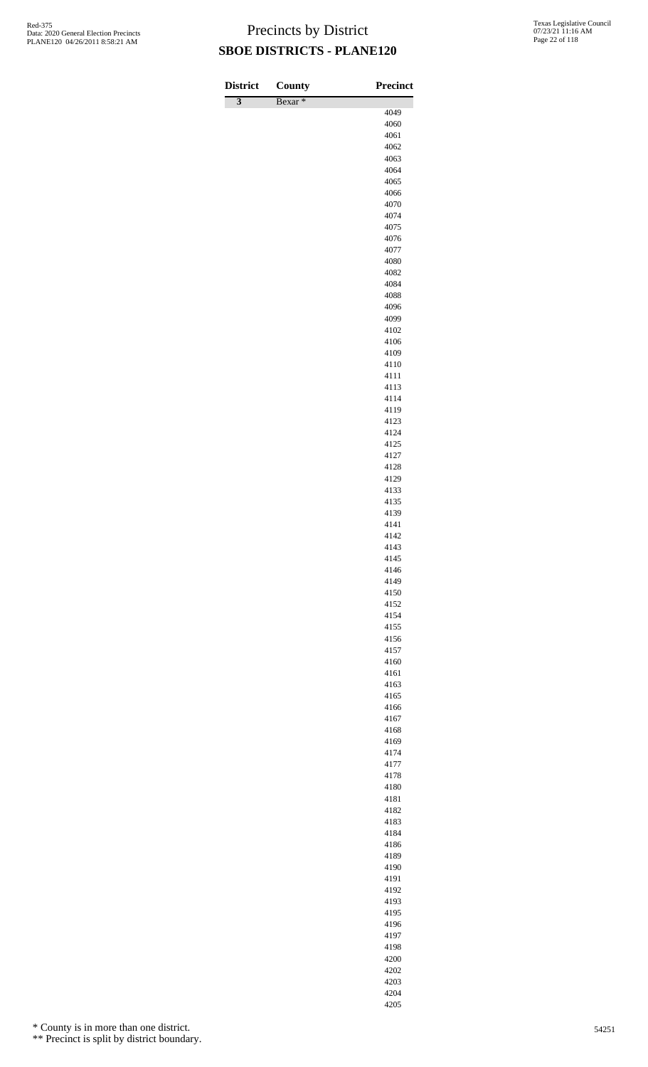| <b>District</b>         | County             | Precinct     |
|-------------------------|--------------------|--------------|
| $\overline{\mathbf{3}}$ | Bexar <sup>*</sup> |              |
|                         |                    | 4049         |
|                         |                    | 4060<br>4061 |
|                         |                    | 4062         |
|                         |                    | 4063         |
|                         |                    | 4064         |
|                         |                    | 4065         |
|                         |                    | 4066         |
|                         |                    | 4070<br>4074 |
|                         |                    | 4075         |
|                         |                    | 4076         |
|                         |                    | 4077         |
|                         |                    | 4080         |
|                         |                    | 4082         |
|                         |                    | 4084<br>4088 |
|                         |                    | 4096         |
|                         |                    | 4099         |
|                         |                    | 4102         |
|                         |                    | 4106         |
|                         |                    | 4109         |
|                         |                    | 4110         |
|                         |                    | 4111<br>4113 |
|                         |                    | 4114         |
|                         |                    | 4119         |
|                         |                    | 4123         |
|                         |                    | 4124         |
|                         |                    | 4125         |
|                         |                    | 4127         |
|                         |                    | 4128<br>4129 |
|                         |                    | 4133         |
|                         |                    | 4135         |
|                         |                    | 4139         |
|                         |                    | 4141         |
|                         |                    | 4142         |
|                         |                    | 4143<br>4145 |
|                         |                    | 4146         |
|                         |                    | 4149         |
|                         |                    | 4150         |
|                         |                    | 4152         |
|                         |                    | 4154         |
|                         |                    | 4155         |
|                         |                    | 4156<br>4157 |
|                         |                    | 4160         |
|                         |                    | 4161         |
|                         |                    | 4163         |
|                         |                    | 4165         |
|                         |                    | 4166         |
|                         |                    | 4167         |
|                         |                    | 4168<br>4169 |
|                         |                    | 4174         |
|                         |                    | 4177         |
|                         |                    | 4178         |
|                         |                    | 4180         |
|                         |                    | 4181         |
|                         |                    | 4182         |
|                         |                    | 4183<br>4184 |
|                         |                    | 4186         |
|                         |                    | 4189         |
|                         |                    | 4190         |
|                         |                    | 4191         |
|                         |                    | 4192         |
|                         |                    | 4193         |
|                         |                    | 4195<br>4196 |
|                         |                    | 4197         |
|                         |                    | 4198         |

\* County is in more than one district.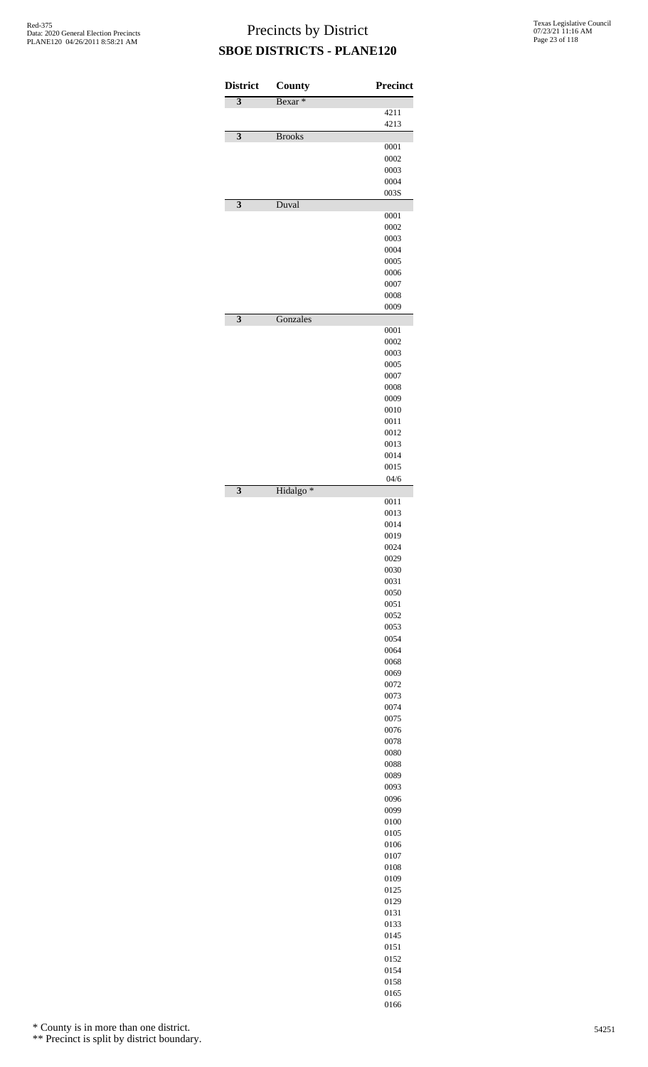| <b>District</b>         | County               | <b>Precinct</b> |
|-------------------------|----------------------|-----------------|
| $\overline{\mathbf{3}}$ | Bexar <sup>*</sup>   | 4211            |
|                         |                      | 4213            |
| 3                       | <b>Brooks</b>        | 0001            |
|                         |                      | 0002            |
|                         |                      | 0003            |
|                         |                      | 0004            |
| $\overline{\mathbf{3}}$ | Duval                | 003S            |
|                         |                      | 0001            |
|                         |                      | 0002            |
|                         |                      | 0003            |
|                         |                      | 0004<br>0005    |
|                         |                      | 0006            |
|                         |                      | 0007            |
|                         |                      | 0008<br>0009    |
| $\overline{\mathbf{3}}$ | Gonzales             |                 |
|                         |                      | 0001            |
|                         |                      | 0002            |
|                         |                      | 0003<br>0005    |
|                         |                      | 0007            |
|                         |                      | 0008            |
|                         |                      | 0009            |
|                         |                      | 0010<br>0011    |
|                         |                      | 0012            |
|                         |                      | 0013            |
|                         |                      | 0014<br>0015    |
|                         |                      | 04/6            |
| $\overline{\mathbf{3}}$ | Hidalgo <sup>*</sup> |                 |
|                         |                      | 0011<br>0013    |
|                         |                      | 0014            |
|                         |                      | 0019            |
|                         |                      | 0024            |
|                         |                      | 0029<br>0030    |
|                         |                      | 0031            |
|                         |                      | 0050            |
|                         |                      | 0051<br>0052    |
|                         |                      | 0053            |
|                         |                      | 0054            |
|                         |                      | 0064            |
|                         |                      | 0068<br>0069    |
|                         |                      | 0072            |
|                         |                      | 0073            |
|                         |                      | 0074<br>0075    |
|                         |                      | 0076            |
|                         |                      | 0078            |
|                         |                      | 0080            |
|                         |                      | 0088<br>0089    |
|                         |                      | 0093            |
|                         |                      | 0096            |
|                         |                      | 0099<br>0100    |
|                         |                      | 0105            |
|                         |                      | 0106            |
|                         |                      | 0107            |
|                         |                      | 0108<br>0109    |
|                         |                      | 0125            |
|                         |                      | 0129            |
|                         |                      | 0131<br>0133    |
|                         |                      | 0145            |
|                         |                      | 0151            |
|                         |                      | 0152            |
|                         |                      | 0154<br>0158    |
|                         |                      | 0165            |

\* County is in more than one district.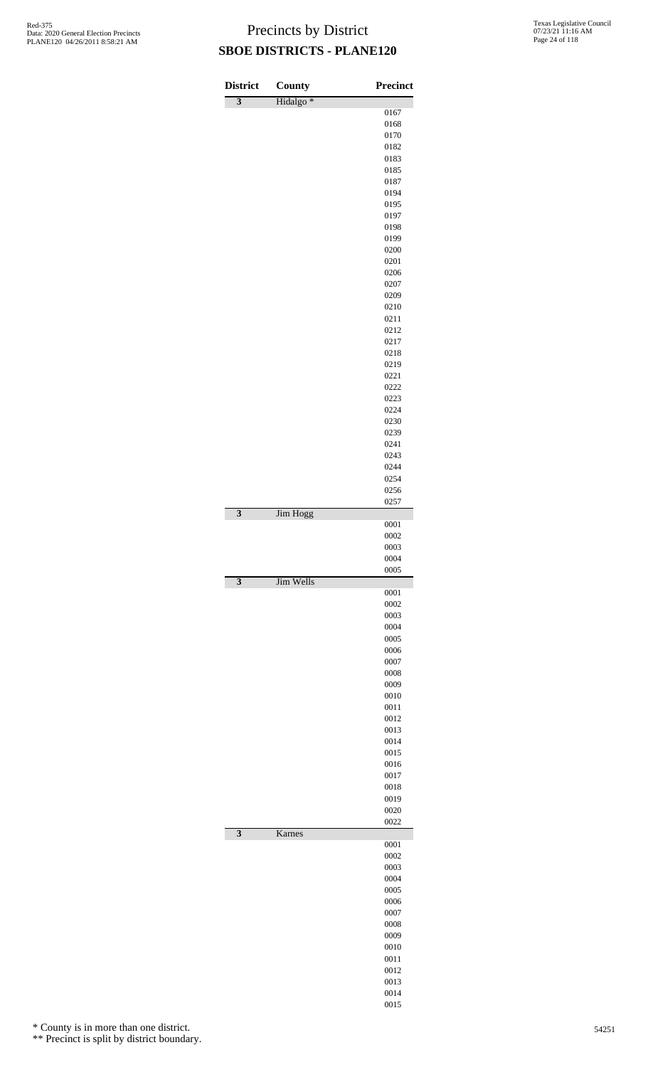| <b>District</b>         | <b>County</b>        | <b>Precinct</b> |
|-------------------------|----------------------|-----------------|
| $\overline{\mathbf{3}}$ | Hidalgo <sup>*</sup> |                 |
|                         |                      | 0167<br>0168    |
|                         |                      | 0170            |
|                         |                      | 0182            |
|                         |                      | 0183<br>0185    |
|                         |                      | 0187            |
|                         |                      | 0194            |
|                         |                      | 0195            |
|                         |                      | 0197<br>0198    |
|                         |                      | 0199            |
|                         |                      | 0200            |
|                         |                      | 0201<br>0206    |
|                         |                      | 0207            |
|                         |                      | 0209            |
|                         |                      | 0210            |
|                         |                      | 0211<br>0212    |
|                         |                      | 0217            |
|                         |                      | 0218            |
|                         |                      | 0219<br>0221    |
|                         |                      | 0222            |
|                         |                      | 0223            |
|                         |                      | 0224            |
|                         |                      | 0230<br>0239    |
|                         |                      | 0241            |
|                         |                      | 0243            |
|                         |                      | 0244            |
|                         |                      | 0254<br>0256    |
|                         |                      | 0257            |
| $\overline{\mathbf{3}}$ | Jim Hogg             | 0001            |
|                         |                      | 0002            |
|                         |                      | 0003<br>0004    |
|                         |                      | 0005            |
| 3                       | Jim Wells            |                 |
|                         |                      | 0001<br>0002    |
|                         |                      | 0003            |
|                         |                      | 0004            |
|                         |                      | 0005<br>0006    |
|                         |                      | 0007            |
|                         |                      | 0008            |
|                         |                      | 0009<br>0010    |
|                         |                      | 0011            |
|                         |                      | 0012            |
|                         |                      | 0013            |
|                         |                      | 0014<br>0015    |
|                         |                      | 0016            |
|                         |                      | 0017            |
|                         |                      | 0018            |
|                         |                      | 0019<br>0020    |
|                         |                      | 0022            |
| $\overline{\mathbf{3}}$ | Karnes               | 0001            |
|                         |                      | 0002            |
|                         |                      | 0003            |
|                         |                      | 0004<br>0005    |
|                         |                      | 0006            |
|                         |                      | 0007            |
|                         |                      | 0008            |
|                         |                      | 0009<br>0010    |
|                         |                      | 0011            |
|                         |                      | 0012            |
|                         |                      | 0013<br>0014    |
|                         |                      | 0015            |

\* County is in more than one district.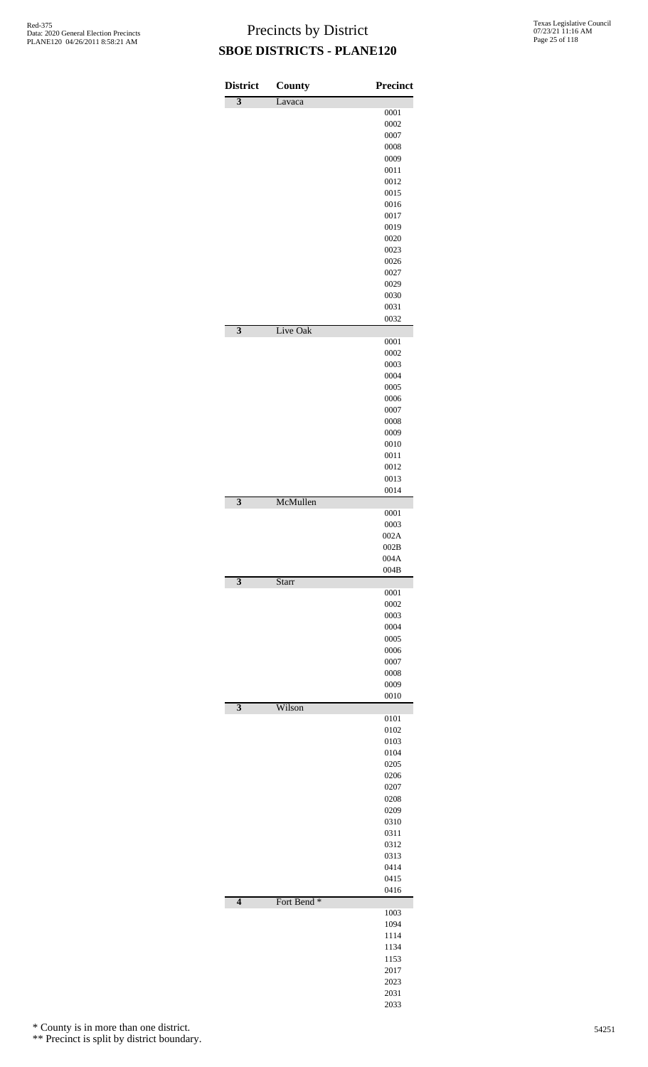| <b>District</b>           | County                 | <b>Precinct</b> |
|---------------------------|------------------------|-----------------|
| $\overline{\overline{3}}$ | Lavaca                 |                 |
|                           |                        | 0001            |
|                           |                        | 0002<br>0007    |
|                           |                        | 0008            |
|                           |                        | 0009            |
|                           |                        | 0011            |
|                           |                        | 0012            |
|                           |                        | 0015            |
|                           |                        | 0016            |
|                           |                        | 0017            |
|                           |                        | 0019<br>0020    |
|                           |                        | 0023            |
|                           |                        | 0026            |
|                           |                        | 0027            |
|                           |                        | 0029            |
|                           |                        | 0030            |
|                           |                        | 0031            |
|                           |                        | 0032            |
| $\overline{\overline{3}}$ | Live Oak               | 0001            |
|                           |                        | 0002            |
|                           |                        | 0003            |
|                           |                        | 0004            |
|                           |                        | 0005            |
|                           |                        | 0006            |
|                           |                        | 0007            |
|                           |                        | 0008            |
|                           |                        | 0009            |
|                           |                        | 0010<br>0011    |
|                           |                        | 0012            |
|                           |                        | 0013            |
|                           |                        | 0014            |
| $\overline{\mathbf{3}}$   | McMullen               |                 |
|                           |                        | 0001            |
|                           |                        | 0003            |
|                           |                        | 002A            |
|                           |                        | 002B<br>004A    |
|                           |                        | 004B            |
| 3                         | Starr                  |                 |
|                           |                        | 0001            |
|                           |                        | 0002            |
|                           |                        | 0003            |
|                           |                        | 0004            |
|                           |                        | 0005<br>0006    |
|                           |                        | 0007            |
|                           |                        | 0008            |
|                           |                        | 0009            |
|                           |                        | 0010            |
| 3                         | Wilson                 |                 |
|                           |                        | 0101            |
|                           |                        | 0102<br>0103    |
|                           |                        | 0104            |
|                           |                        | 0205            |
|                           |                        | 0206            |
|                           |                        | 0207            |
|                           |                        | 0208            |
|                           |                        | 0209            |
|                           |                        | 0310            |
|                           |                        | 0311<br>0312    |
|                           |                        | 0313            |
|                           |                        | 0414            |
|                           |                        | 0415            |
|                           |                        | 0416            |
| $\overline{\mathbf{4}}$   | Fort Bend <sup>*</sup> |                 |
|                           |                        | 1003            |
|                           |                        | 1094            |
|                           |                        | 1114            |
|                           |                        | 1134<br>1153    |
|                           |                        | 2017            |
|                           |                        | 2023            |
|                           |                        | 2031            |

\* County is in more than one district.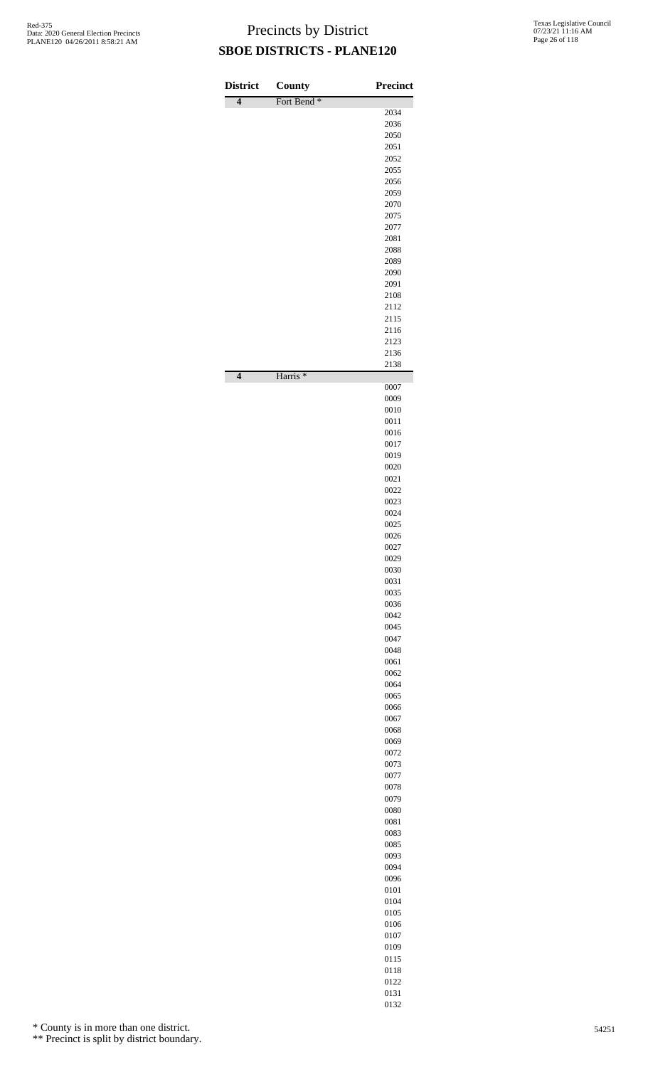| <b>District</b>     | <b>County</b>          | <b>Precinct</b> |
|---------------------|------------------------|-----------------|
| $\overline{4}$      | Fort Bend <sup>*</sup> | 2034            |
|                     |                        | 2036            |
|                     |                        | 2050<br>2051    |
|                     |                        | 2052            |
|                     |                        | 2055            |
|                     |                        | 2056<br>2059    |
|                     |                        | 2070            |
|                     |                        | 2075            |
|                     |                        | 2077<br>2081    |
|                     |                        | 2088            |
|                     |                        | 2089            |
|                     |                        | 2090<br>2091    |
|                     |                        | 2108            |
|                     |                        | 2112            |
|                     |                        | 2115            |
|                     |                        | 2116<br>2123    |
|                     |                        | 2136            |
| $\overline{\bf{4}}$ | Harris <sup>*</sup>    | 2138            |
|                     |                        | 0007<br>0009    |
|                     |                        | 0010            |
|                     |                        | 0011            |
|                     |                        | 0016<br>0017    |
|                     |                        | 0019            |
|                     |                        | 0020            |
|                     |                        | 0021            |
|                     |                        | 0022<br>0023    |
|                     |                        | 0024            |
|                     |                        | 0025            |
|                     |                        | 0026<br>0027    |
|                     |                        | 0029            |
|                     |                        | 0030            |
|                     |                        | 0031<br>0035    |
|                     |                        | 0036            |
|                     |                        | 0042            |
|                     |                        | 0045            |
|                     |                        | 0047<br>0048    |
|                     |                        | 0061            |
|                     |                        | 0062            |
|                     |                        | 0064<br>0065    |
|                     |                        | 0066            |
|                     |                        | 0067            |
|                     |                        | 0068            |
|                     |                        | 0069<br>0072    |
|                     |                        | 0073            |
|                     |                        | 0077            |
|                     |                        | 0078<br>0079    |
|                     |                        | 0080            |
|                     |                        | 0081            |
|                     |                        | 0083            |
|                     |                        | 0085<br>0093    |
|                     |                        | 0094            |
|                     |                        | 0096            |
|                     |                        | 0101<br>0104    |
|                     |                        | 0105            |
|                     |                        | 0106            |
|                     |                        | 0107            |
|                     |                        | 0109<br>0115    |
|                     |                        | 0118            |
|                     |                        | 0122            |
|                     |                        | 0131            |

\* County is in more than one district.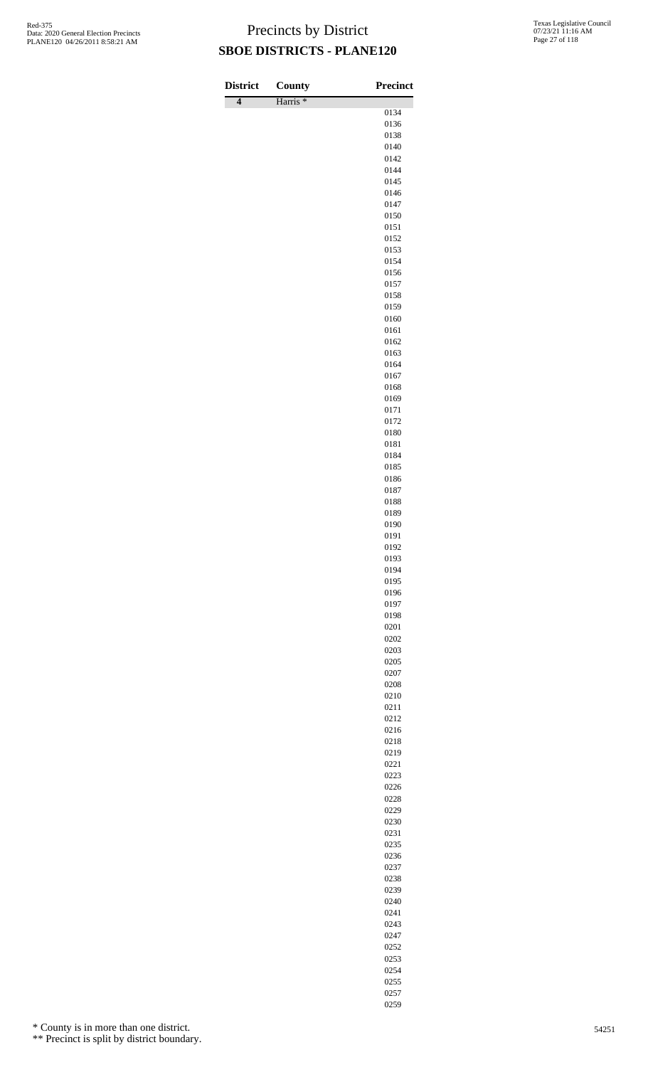| <b>District</b>     | County              | <b>Precinct</b> |
|---------------------|---------------------|-----------------|
| $\overline{\bf{4}}$ | Harris <sup>*</sup> | 0134            |
|                     |                     | 0136            |
|                     |                     | 0138            |
|                     |                     | 0140            |
|                     |                     | 0142            |
|                     |                     | 0144<br>0145    |
|                     |                     | 0146            |
|                     |                     | 0147            |
|                     |                     | 0150            |
|                     |                     | 0151<br>0152    |
|                     |                     | 0153            |
|                     |                     | 0154            |
|                     |                     | 0156            |
|                     |                     | 0157            |
|                     |                     | 0158<br>0159    |
|                     |                     | 0160            |
|                     |                     | 0161            |
|                     |                     | 0162            |
|                     |                     | 0163<br>0164    |
|                     |                     | 0167            |
|                     |                     | 0168            |
|                     |                     | 0169            |
|                     |                     | 0171            |
|                     |                     | 0172<br>0180    |
|                     |                     | 0181            |
|                     |                     | 0184            |
|                     |                     | 0185            |
|                     |                     | 0186            |
|                     |                     | 0187<br>0188    |
|                     |                     | 0189            |
|                     |                     | 0190            |
|                     |                     | 0191            |
|                     |                     | 0192<br>0193    |
|                     |                     | 0194            |
|                     |                     | 0195            |
|                     |                     | 0196            |
|                     |                     | 0197            |
|                     |                     | 0198<br>0201    |
|                     |                     | 0202            |
|                     |                     | 0203            |
|                     |                     | 0205            |
|                     |                     | 0207<br>0208    |
|                     |                     | 0210            |
|                     |                     | 0211            |
|                     |                     | 0212            |
|                     |                     | 0216            |
|                     |                     | 0218<br>0219    |
|                     |                     | 0221            |
|                     |                     | 0223            |
|                     |                     | 0226            |
|                     |                     | 0228            |
|                     |                     | 0229<br>0230    |
|                     |                     | 0231            |
|                     |                     | 0235            |
|                     |                     | 0236            |
|                     |                     | 0237            |
|                     |                     | 0238<br>0239    |
|                     |                     | 0240            |
|                     |                     | 0241            |
|                     |                     | 0243            |
|                     |                     | 0247            |

\* County is in more than one district.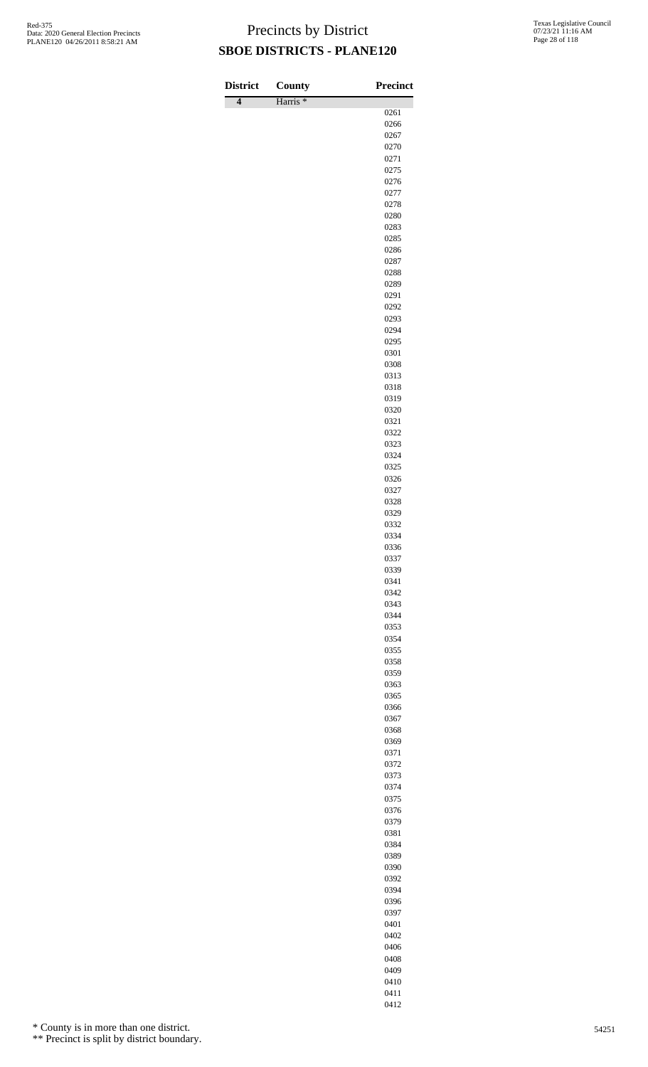| <b>District</b>     | County              | <b>Precinct</b> |
|---------------------|---------------------|-----------------|
| $\overline{\bf{4}}$ | Harris <sup>*</sup> | 0261            |
|                     |                     | 0266            |
|                     |                     | 0267            |
|                     |                     | 0270<br>0271    |
|                     |                     | 0275            |
|                     |                     | 0276            |
|                     |                     | 0277            |
|                     |                     | 0278            |
|                     |                     | 0280<br>0283    |
|                     |                     | 0285            |
|                     |                     | 0286            |
|                     |                     | 0287            |
|                     |                     | 0288            |
|                     |                     | 0289<br>0291    |
|                     |                     | 0292            |
|                     |                     | 0293            |
|                     |                     | 0294            |
|                     |                     | 0295            |
|                     |                     | 0301<br>0308    |
|                     |                     | 0313            |
|                     |                     | 0318            |
|                     |                     | 0319            |
|                     |                     | 0320<br>0321    |
|                     |                     | 0322            |
|                     |                     | 0323            |
|                     |                     | 0324            |
|                     |                     | 0325            |
|                     |                     | 0326<br>0327    |
|                     |                     | 0328            |
|                     |                     | 0329            |
|                     |                     | 0332            |
|                     |                     | 0334            |
|                     |                     | 0336<br>0337    |
|                     |                     | 0339            |
|                     |                     | 0341            |
|                     |                     | 0342            |
|                     |                     | 0343            |
|                     |                     | 0344<br>0353    |
|                     |                     | 0354            |
|                     |                     | 0355            |
|                     |                     | 0358            |
|                     |                     | 0359            |
|                     |                     | 0363<br>0365    |
|                     |                     | 0366            |
|                     |                     | 0367            |
|                     |                     | 0368            |
|                     |                     | 0369            |
|                     |                     | 0371<br>0372    |
|                     |                     | 0373            |
|                     |                     | 0374            |
|                     |                     | 0375            |
|                     |                     | 0376<br>0379    |
|                     |                     | 0381            |
|                     |                     | 0384            |
|                     |                     | 0389            |
|                     |                     | 0390            |
|                     |                     | 0392<br>0394    |
|                     |                     | 0396            |
|                     |                     | 0397            |
|                     |                     | 0401            |
|                     |                     | 0402            |

\* County is in more than one district.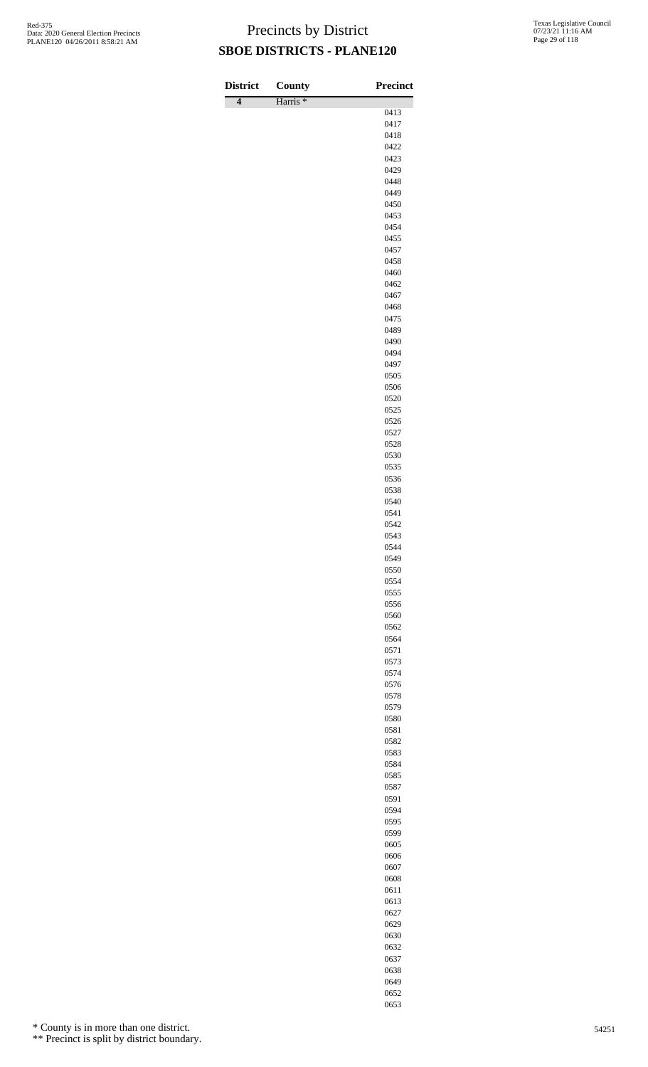| <b>District</b> | County              | Precinct     |
|-----------------|---------------------|--------------|
| $\overline{4}$  | Harris <sup>*</sup> | 0413         |
|                 |                     | 0417         |
|                 |                     | 0418         |
|                 |                     | 0422         |
|                 |                     | 0423         |
|                 |                     | 0429<br>0448 |
|                 |                     | 0449         |
|                 |                     | 0450         |
|                 |                     | 0453         |
|                 |                     | 0454         |
|                 |                     | 0455<br>0457 |
|                 |                     | 0458         |
|                 |                     | 0460         |
|                 |                     | 0462         |
|                 |                     | 0467         |
|                 |                     | 0468         |
|                 |                     | 0475<br>0489 |
|                 |                     | 0490         |
|                 |                     | 0494         |
|                 |                     | 0497         |
|                 |                     | 0505         |
|                 |                     | 0506         |
|                 |                     | 0520<br>0525 |
|                 |                     | 0526         |
|                 |                     | 0527         |
|                 |                     | 0528         |
|                 |                     | 0530         |
|                 |                     | 0535         |
|                 |                     | 0536<br>0538 |
|                 |                     | 0540         |
|                 |                     | 0541         |
|                 |                     | 0542         |
|                 |                     | 0543         |
|                 |                     | 0544<br>0549 |
|                 |                     | 0550         |
|                 |                     | 0554         |
|                 |                     | 0555         |
|                 |                     | 0556         |
|                 |                     | 0560<br>0562 |
|                 |                     | 0564         |
|                 |                     | 0571         |
|                 |                     | 0573         |
|                 |                     | 0574         |
|                 |                     | 0576<br>0578 |
|                 |                     | 0579         |
|                 |                     | 0580         |
|                 |                     | 0581         |
|                 |                     | 0582         |
|                 |                     | 0583         |
|                 |                     | 0584<br>0585 |
|                 |                     | 0587         |
|                 |                     | 0591         |
|                 |                     | 0594         |
|                 |                     | 0595         |
|                 |                     | 0599         |
|                 |                     | 0605<br>0606 |
|                 |                     | 0607         |
|                 |                     | 0608         |
|                 |                     | 0611         |
|                 |                     | 0613         |
|                 |                     | 0627         |
|                 |                     | 0629<br>0630 |
|                 |                     |              |

\* County is in more than one district.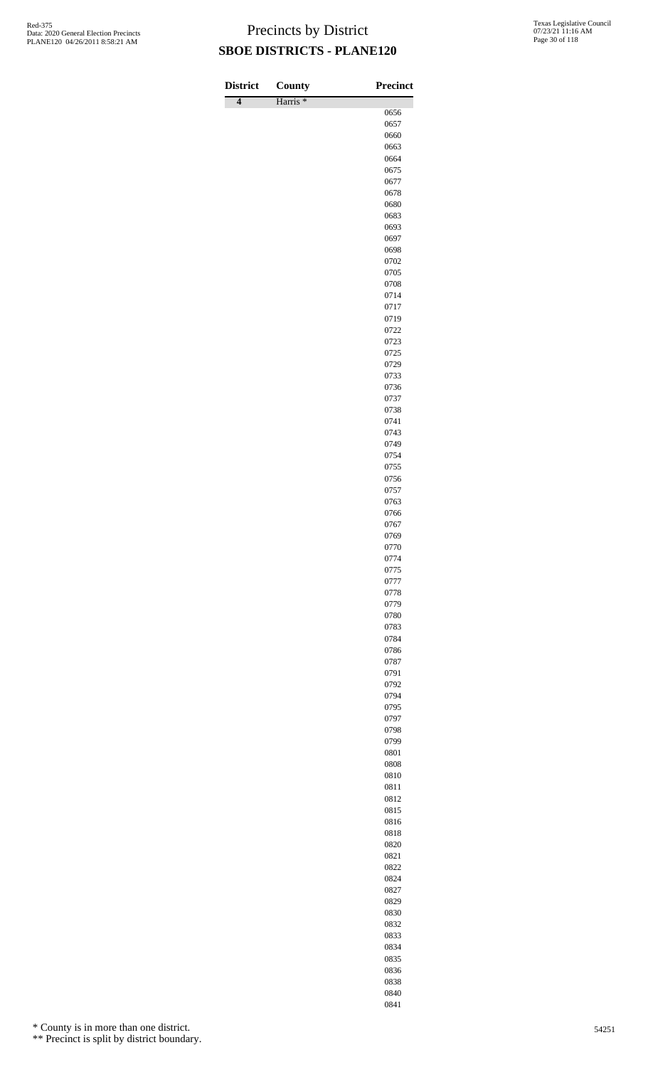| <b>District</b> | County              | <b>Precinct</b> |
|-----------------|---------------------|-----------------|
| $\overline{4}$  | Harris <sup>*</sup> | 0656            |
|                 |                     | 0657            |
|                 |                     | 0660            |
|                 |                     | 0663            |
|                 |                     | 0664<br>0675    |
|                 |                     | 0677            |
|                 |                     | 0678            |
|                 |                     | 0680            |
|                 |                     | 0683            |
|                 |                     | 0693<br>0697    |
|                 |                     | 0698            |
|                 |                     | 0702            |
|                 |                     | 0705            |
|                 |                     | 0708            |
|                 |                     | 0714<br>0717    |
|                 |                     | 0719            |
|                 |                     | 0722            |
|                 |                     | 0723            |
|                 |                     | 0725            |
|                 |                     | 0729<br>0733    |
|                 |                     | 0736            |
|                 |                     | 0737            |
|                 |                     | 0738            |
|                 |                     | 0741            |
|                 |                     | 0743            |
|                 |                     | 0749<br>0754    |
|                 |                     | 0755            |
|                 |                     | 0756            |
|                 |                     | 0757            |
|                 |                     | 0763            |
|                 |                     | 0766<br>0767    |
|                 |                     | 0769            |
|                 |                     | 0770            |
|                 |                     | 0774            |
|                 |                     | 0775            |
|                 |                     | 0777<br>0778    |
|                 |                     | 0779            |
|                 |                     | 0780            |
|                 |                     | 0783            |
|                 |                     | 0784            |
|                 |                     | 0786<br>0787    |
|                 |                     | 0791            |
|                 |                     | 0792            |
|                 |                     | 0794            |
|                 |                     | 0795            |
|                 |                     | 0797<br>0798    |
|                 |                     | 0799            |
|                 |                     | 0801            |
|                 |                     | 0808            |
|                 |                     | 0810            |
|                 |                     | 0811<br>0812    |
|                 |                     | 0815            |
|                 |                     | 0816            |
|                 |                     | 0818            |
|                 |                     | 0820            |
|                 |                     | 0821            |
|                 |                     | 0822<br>0824    |
|                 |                     | 0827            |
|                 |                     | 0829            |
|                 |                     | 0830            |
|                 |                     | 0832            |
|                 |                     | 0833<br>0834    |
|                 |                     |                 |

\* County is in more than one district.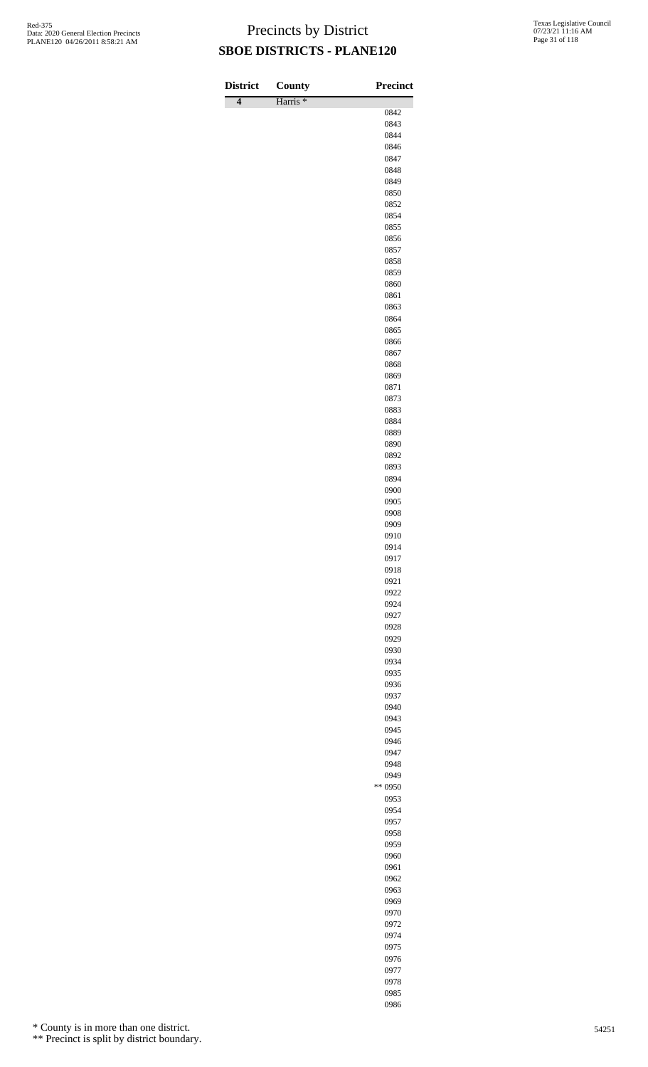| <b>District</b> | County              | <b>Precinct</b> |
|-----------------|---------------------|-----------------|
| $\overline{4}$  | Harris <sup>*</sup> | 0842            |
|                 |                     | 0843            |
|                 |                     | 0844            |
|                 |                     | 0846<br>0847    |
|                 |                     | 0848            |
|                 |                     | 0849            |
|                 |                     | 0850            |
|                 |                     | 0852            |
|                 |                     | 0854<br>0855    |
|                 |                     | 0856            |
|                 |                     | 0857            |
|                 |                     | 0858            |
|                 |                     | 0859<br>0860    |
|                 |                     | 0861            |
|                 |                     | 0863            |
|                 |                     | 0864            |
|                 |                     | 0865<br>0866    |
|                 |                     | 0867            |
|                 |                     | 0868            |
|                 |                     | 0869            |
|                 |                     | 0871            |
|                 |                     | 0873<br>0883    |
|                 |                     | 0884            |
|                 |                     | 0889            |
|                 |                     | 0890            |
|                 |                     | 0892<br>0893    |
|                 |                     | 0894            |
|                 |                     | 0900            |
|                 |                     | 0905            |
|                 |                     | 0908<br>0909    |
|                 |                     | 0910            |
|                 |                     | 0914            |
|                 |                     | 0917            |
|                 |                     | 0918<br>0921    |
|                 |                     | 0922            |
|                 |                     | 0924            |
|                 |                     | 0927            |
|                 |                     | 0928<br>0929    |
|                 |                     | 0930            |
|                 |                     | 0934            |
|                 |                     | 0935            |
|                 |                     | 0936            |
|                 |                     | 0937<br>0940    |
|                 |                     | 0943            |
|                 |                     | 0945            |
|                 |                     | 0946            |
|                 |                     | 0947<br>0948    |
|                 |                     | 0949            |
|                 |                     | ** 0950         |
|                 |                     | 0953            |
|                 |                     | 0954            |
|                 |                     | 0957<br>0958    |
|                 |                     | 0959            |
|                 |                     | 0960            |
|                 |                     | 0961            |
|                 |                     | 0962<br>0963    |
|                 |                     | 0969            |
|                 |                     | 0970            |
|                 |                     | 0972            |
|                 |                     | 0974            |
|                 |                     | 0975<br>0976    |
|                 |                     | 0977            |

 

\* County is in more than one district.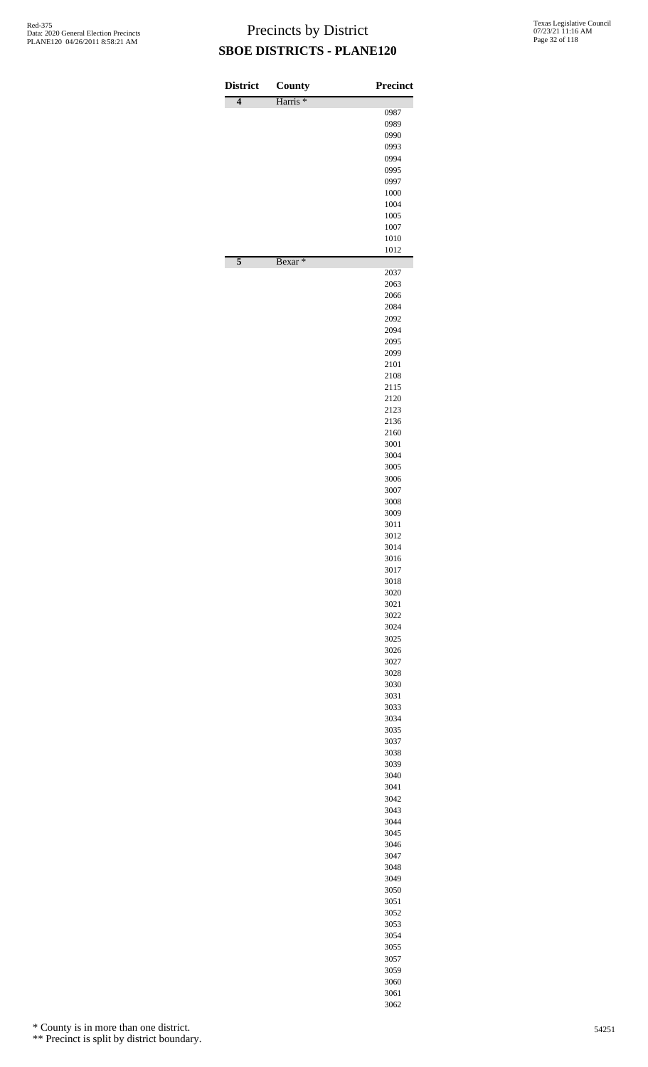| <b>District</b> | <b>County</b>       | <b>Precinct</b> |
|-----------------|---------------------|-----------------|
| $\overline{4}$  | Harris <sup>*</sup> | 0987            |
|                 |                     | 0989            |
|                 |                     | 0990            |
|                 |                     | 0993            |
|                 |                     | 0994            |
|                 |                     | 0995<br>0997    |
|                 |                     | 1000            |
|                 |                     | 1004            |
|                 |                     | 1005            |
|                 |                     | 1007            |
|                 |                     | 1010<br>1012    |
| $\overline{5}$  | Bexar <sup>*</sup>  | 2037            |
|                 |                     | 2063            |
|                 |                     | 2066            |
|                 |                     | 2084            |
|                 |                     | 2092<br>2094    |
|                 |                     | 2095            |
|                 |                     | 2099            |
|                 |                     | 2101            |
|                 |                     | 2108            |
|                 |                     | 2115            |
|                 |                     | 2120<br>2123    |
|                 |                     | 2136            |
|                 |                     | 2160            |
|                 |                     | 3001            |
|                 |                     | 3004            |
|                 |                     | 3005<br>3006    |
|                 |                     | 3007            |
|                 |                     | 3008            |
|                 |                     | 3009            |
|                 |                     | 3011            |
|                 |                     | 3012<br>3014    |
|                 |                     | 3016            |
|                 |                     | 3017            |
|                 |                     | 3018            |
|                 |                     | 3020            |
|                 |                     | 3021<br>3022    |
|                 |                     | 3024            |
|                 |                     | 3025            |
|                 |                     | 3026            |
|                 |                     | 3027            |
|                 |                     | 3028            |
|                 |                     | 3030<br>3031    |
|                 |                     | 3033            |
|                 |                     | 3034            |
|                 |                     | 3035            |
|                 |                     | 3037            |
|                 |                     | 3038<br>3039    |
|                 |                     | 3040            |
|                 |                     | 3041            |
|                 |                     | 3042            |
|                 |                     | 3043            |
|                 |                     | 3044<br>3045    |
|                 |                     | 3046            |
|                 |                     | 3047            |
|                 |                     | 3048            |
|                 |                     | 3049            |
|                 |                     | 3050<br>3051    |
|                 |                     | 3052            |
|                 |                     | 3053            |
|                 |                     | 3054            |
|                 |                     | 3055            |
|                 |                     | 3057            |
|                 |                     | 3059<br>3060    |
|                 |                     |                 |

 

\* County is in more than one district.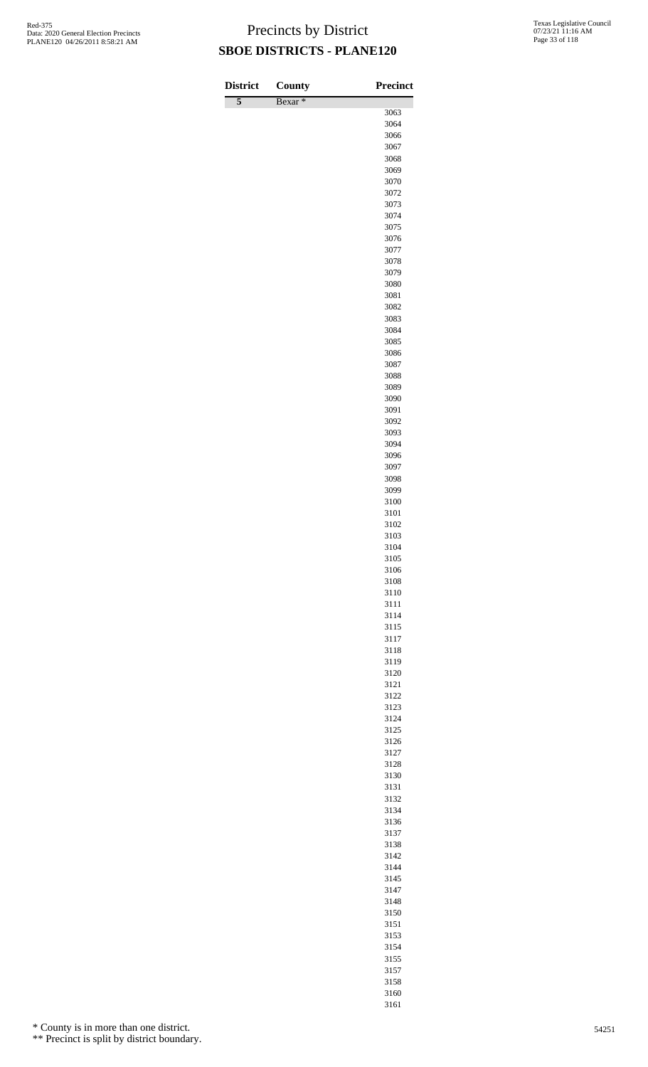| <b>District</b> | County             | <b>Precinct</b> |
|-----------------|--------------------|-----------------|
| 5               | Bexar <sup>*</sup> | 3063            |
|                 |                    | 3064            |
|                 |                    | 3066            |
|                 |                    | 3067            |
|                 |                    | 3068<br>3069    |
|                 |                    | 3070            |
|                 |                    | 3072            |
|                 |                    | 3073            |
|                 |                    | 3074            |
|                 |                    | 3075<br>3076    |
|                 |                    | 3077            |
|                 |                    | 3078            |
|                 |                    | 3079            |
|                 |                    | 3080            |
|                 |                    | 3081<br>3082    |
|                 |                    | 3083            |
|                 |                    | 3084            |
|                 |                    | 3085            |
|                 |                    | 3086            |
|                 |                    | 3087<br>3088    |
|                 |                    | 3089            |
|                 |                    | 3090            |
|                 |                    | 3091            |
|                 |                    | 3092            |
|                 |                    | 3093<br>3094    |
|                 |                    | 3096            |
|                 |                    | 3097            |
|                 |                    | 3098            |
|                 |                    | 3099            |
|                 |                    | 3100<br>3101    |
|                 |                    | 3102            |
|                 |                    | 3103            |
|                 |                    | 3104            |
|                 |                    | 3105            |
|                 |                    | 3106<br>3108    |
|                 |                    | 3110            |
|                 |                    | 3111            |
|                 |                    | 3114            |
|                 |                    | 3115            |
|                 |                    | 3117<br>3118    |
|                 |                    | 3119            |
|                 |                    | 3120            |
|                 |                    | 3121            |
|                 |                    | 3122            |
|                 |                    | 3123<br>3124    |
|                 |                    | 3125            |
|                 |                    | 3126            |
|                 |                    | 3127            |
|                 |                    | 3128            |
|                 |                    | 3130<br>3131    |
|                 |                    | 3132            |
|                 |                    | 3134            |
|                 |                    | 3136            |
|                 |                    | 3137            |
|                 |                    | 3138<br>3142    |
|                 |                    | 3144            |
|                 |                    | 3145            |
|                 |                    | 3147            |
|                 |                    | 3148            |
|                 |                    | 3150            |
|                 |                    | 3151            |
|                 |                    | 3153            |

\* County is in more than one district.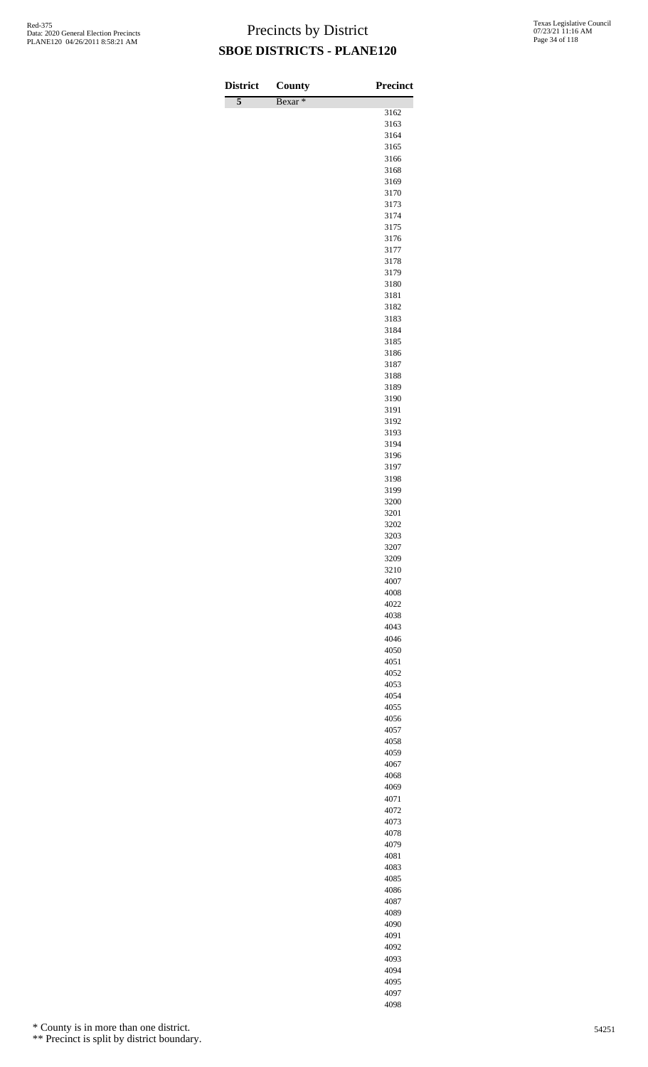| <b>District</b> | <b>County</b>      | <b>Precinct</b> |
|-----------------|--------------------|-----------------|
| $\overline{5}$  | Bexar <sup>*</sup> | 3162            |
|                 |                    | 3163            |
|                 |                    | 3164            |
|                 |                    | 3165            |
|                 |                    | 3166<br>3168    |
|                 |                    | 3169            |
|                 |                    | 3170            |
|                 |                    | 3173            |
|                 |                    | 3174            |
|                 |                    | 3175<br>3176    |
|                 |                    | 3177            |
|                 |                    | 3178            |
|                 |                    | 3179            |
|                 |                    | 3180            |
|                 |                    | 3181<br>3182    |
|                 |                    | 3183            |
|                 |                    | 3184            |
|                 |                    | 3185            |
|                 |                    | 3186            |
|                 |                    | 3187<br>3188    |
|                 |                    | 3189            |
|                 |                    | 3190            |
|                 |                    | 3191            |
|                 |                    | 3192            |
|                 |                    | 3193<br>3194    |
|                 |                    | 3196            |
|                 |                    | 3197            |
|                 |                    | 3198            |
|                 |                    | 3199<br>3200    |
|                 |                    | 3201            |
|                 |                    | 3202            |
|                 |                    | 3203            |
|                 |                    | 3207            |
|                 |                    | 3209<br>3210    |
|                 |                    | 4007            |
|                 |                    | 4008            |
|                 |                    | 4022            |
|                 |                    | 4038<br>4043    |
|                 |                    | 4046            |
|                 |                    | 4050            |
|                 |                    | 4051            |
|                 |                    | 4052            |
|                 |                    | 4053<br>4054    |
|                 |                    | 4055            |
|                 |                    | 4056            |
|                 |                    | 4057            |
|                 |                    | 4058            |
|                 |                    | 4059<br>4067    |
|                 |                    | 4068            |
|                 |                    | 4069            |
|                 |                    | 4071            |
|                 |                    | 4072            |
|                 |                    | 4073<br>4078    |
|                 |                    | 4079            |
|                 |                    | 4081            |
|                 |                    | 4083            |
|                 |                    | 4085            |
|                 |                    | 4086<br>4087    |
|                 |                    | 4089            |
|                 |                    | 4090            |
|                 |                    | 4091            |

\* County is in more than one district.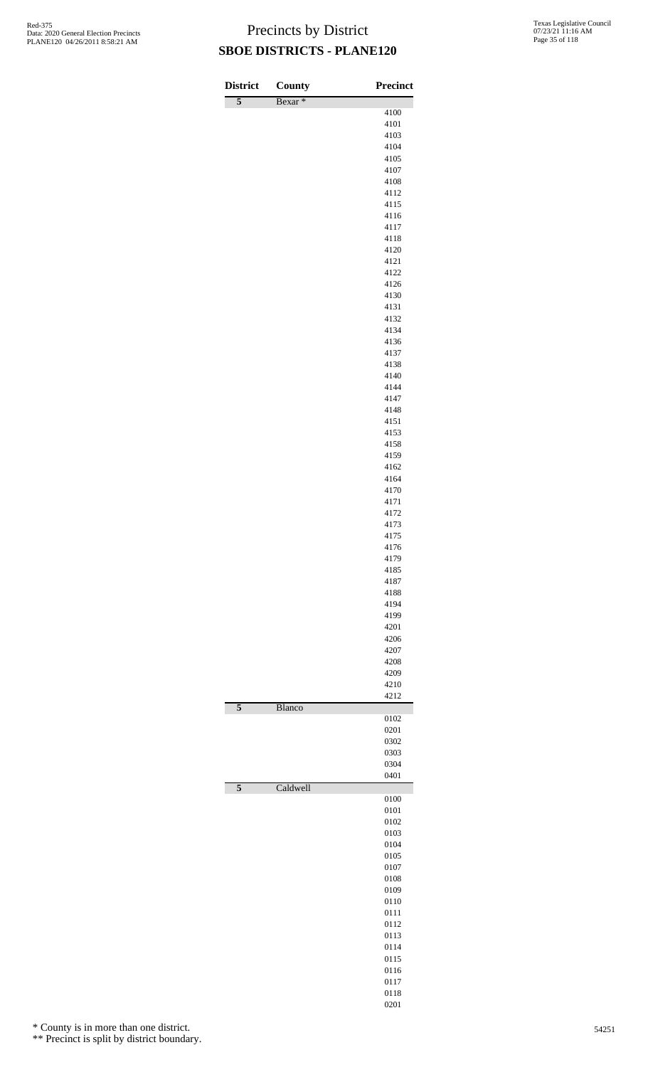| <b>District</b>         | County             | Precinct     |
|-------------------------|--------------------|--------------|
| $\overline{5}$          | Bexar <sup>*</sup> |              |
|                         |                    | 4100<br>4101 |
|                         |                    | 4103         |
|                         |                    | 4104<br>4105 |
|                         |                    | 4107         |
|                         |                    | 4108         |
|                         |                    | 4112<br>4115 |
|                         |                    | 4116         |
|                         |                    | 4117         |
|                         |                    | 4118<br>4120 |
|                         |                    | 4121         |
|                         |                    | 4122         |
|                         |                    | 4126<br>4130 |
|                         |                    | 4131         |
|                         |                    | 4132         |
|                         |                    | 4134<br>4136 |
|                         |                    | 4137         |
|                         |                    | 4138         |
|                         |                    | 4140<br>4144 |
|                         |                    | 4147         |
|                         |                    | 4148<br>4151 |
|                         |                    | 4153         |
|                         |                    | 4158         |
|                         |                    | 4159<br>4162 |
|                         |                    | 4164         |
|                         |                    | 4170         |
|                         |                    | 4171<br>4172 |
|                         |                    | 4173         |
|                         |                    | 4175         |
|                         |                    | 4176<br>4179 |
|                         |                    | 4185         |
|                         |                    | 4187         |
|                         |                    | 4188<br>4194 |
|                         |                    | 4199         |
|                         |                    | 4201<br>4206 |
|                         |                    | 4207         |
|                         |                    | 4208         |
|                         |                    | 4209<br>4210 |
|                         |                    | 4212         |
| $\overline{5}$          | Blanco             | 0102         |
|                         |                    | 0201         |
|                         |                    | 0302         |
|                         |                    | 0303<br>0304 |
|                         |                    | 0401         |
| $\overline{\mathbf{5}}$ | Caldwell           | 0100         |
|                         |                    | 0101         |
|                         |                    | 0102         |
|                         |                    | 0103<br>0104 |
|                         |                    | 0105         |
|                         |                    | 0107         |
|                         |                    | 0108<br>0109 |
|                         |                    | 0110         |
|                         |                    | 0111<br>0112 |
|                         |                    | 0113         |
|                         |                    | 0114         |
|                         |                    | 0115<br>0116 |
|                         |                    | 0117         |
|                         |                    | 0118         |
|                         |                    | 0201         |

\* County is in more than one district.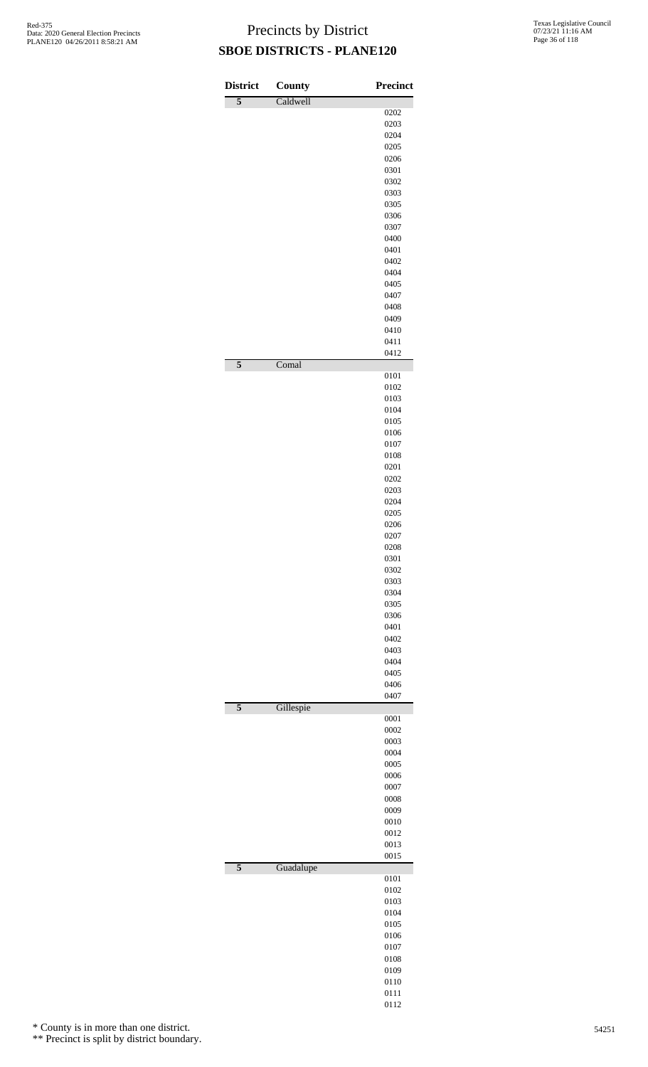| <b>District</b> | County    | <b>Precinct</b> |
|-----------------|-----------|-----------------|
| $\overline{5}$  | Caldwell  |                 |
|                 |           | 0202            |
|                 |           | 0203<br>0204    |
|                 |           | 0205            |
|                 |           | 0206            |
|                 |           | 0301            |
|                 |           | 0302            |
|                 |           | 0303<br>0305    |
|                 |           | 0306            |
|                 |           | 0307            |
|                 |           | 0400            |
|                 |           | 0401            |
|                 |           | 0402<br>0404    |
|                 |           | 0405            |
|                 |           | 0407            |
|                 |           | 0408            |
|                 |           | 0409            |
|                 |           | 0410<br>0411    |
|                 |           | 0412            |
| $\overline{5}$  | Comal     |                 |
|                 |           | 0101<br>0102    |
|                 |           | 0103            |
|                 |           | 0104            |
|                 |           | 0105            |
|                 |           | 0106            |
|                 |           | 0107<br>0108    |
|                 |           | 0201            |
|                 |           | 0202            |
|                 |           | 0203            |
|                 |           | 0204            |
|                 |           | 0205<br>0206    |
|                 |           | 0207            |
|                 |           | 0208            |
|                 |           | 0301            |
|                 |           | 0302<br>0303    |
|                 |           | 0304            |
|                 |           | 0305            |
|                 |           | 0306            |
|                 |           | 0401            |
|                 |           | 0402<br>0403    |
|                 |           | 0404            |
|                 |           | 0405            |
|                 |           | 0406            |
| $\overline{5}$  |           | 0407            |
|                 | Gillespie | 0001            |
|                 |           | 0002            |
|                 |           | 0003            |
|                 |           | 0004<br>0005    |
|                 |           | 0006            |
|                 |           | 0007            |
|                 |           | 0008            |
|                 |           | 0009<br>0010    |
|                 |           | 0012            |
|                 |           | 0013            |
|                 |           | 0015            |
| $\overline{5}$  | Guadalupe | 0101            |
|                 |           | 0102            |
|                 |           | 0103            |
|                 |           | 0104            |
|                 |           | 0105            |
|                 |           | 0106<br>0107    |
|                 |           | 0108            |
|                 |           | 0109            |
|                 |           | 0110            |
|                 |           | 0111            |

\* County is in more than one district.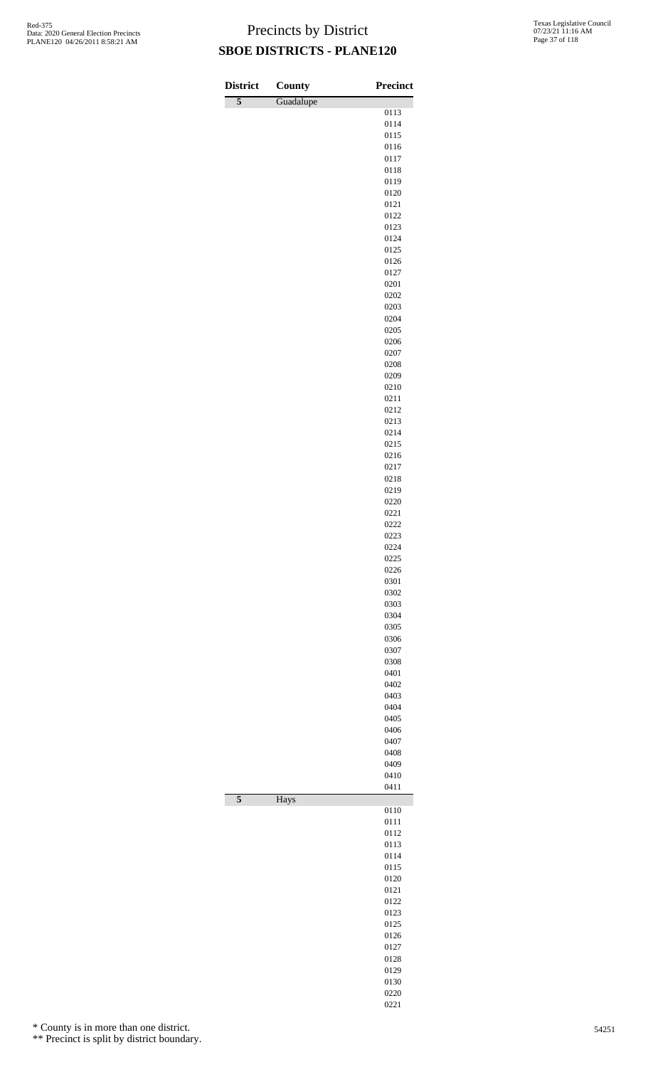| <b>District</b>         | <b>County</b> | <b>Precinct</b> |
|-------------------------|---------------|-----------------|
| $\overline{5}$          | Guadalupe     |                 |
|                         |               | 0113<br>0114    |
|                         |               | 0115            |
|                         |               | 0116            |
|                         |               | 0117            |
|                         |               | 0118<br>0119    |
|                         |               | 0120            |
|                         |               | 0121            |
|                         |               | 0122            |
|                         |               | 0123<br>0124    |
|                         |               | 0125            |
|                         |               | 0126            |
|                         |               | 0127            |
|                         |               | 0201            |
|                         |               | 0202<br>0203    |
|                         |               | 0204            |
|                         |               | 0205            |
|                         |               | 0206            |
|                         |               | 0207            |
|                         |               | 0208<br>0209    |
|                         |               | 0210            |
|                         |               | 0211            |
|                         |               | 0212            |
|                         |               | 0213            |
|                         |               | 0214<br>0215    |
|                         |               | 0216            |
|                         |               | 0217            |
|                         |               | 0218            |
|                         |               | 0219<br>0220    |
|                         |               | 0221            |
|                         |               | 0222            |
|                         |               | 0223            |
|                         |               | 0224            |
|                         |               | 0225<br>0226    |
|                         |               | 0301            |
|                         |               | 0302            |
|                         |               | 0303            |
|                         |               | 0304            |
|                         |               | 0305<br>0306    |
|                         |               | 0307            |
|                         |               | 0308            |
|                         |               | 0401            |
|                         |               | 0402<br>0403    |
|                         |               | 0404            |
|                         |               | 0405            |
|                         |               | 0406            |
|                         |               | 0407            |
|                         |               | 0408<br>0409    |
|                         |               | 0410            |
|                         |               | 0411            |
| $\overline{\mathbf{5}}$ | Hays          | 0110            |
|                         |               | 0111            |
|                         |               | 0112            |
|                         |               | 0113            |
|                         |               | 0114            |
|                         |               | 0115<br>0120    |
|                         |               | 0121            |
|                         |               | 0122            |
|                         |               | 0123            |
|                         |               | 0125            |
|                         |               | 0126<br>0127    |
|                         |               | 0128            |
|                         |               | 0129            |
|                         |               | 0130            |
|                         |               | 0220<br>0221    |
|                         |               |                 |

\* County is in more than one district.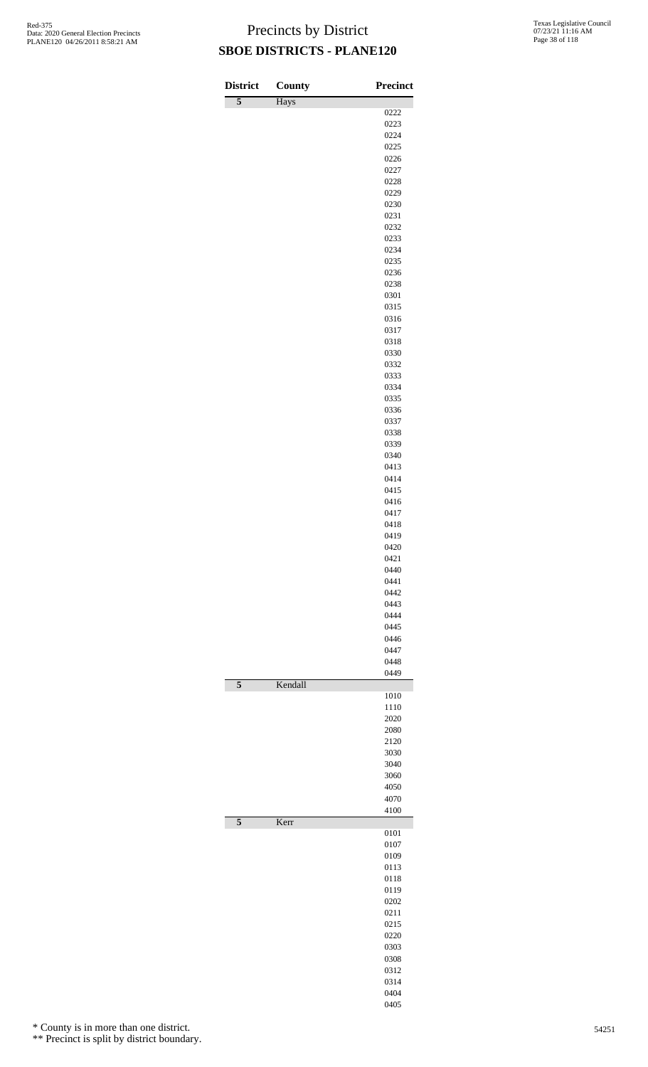| <b>District</b> | <b>County</b> | <b>Precinct</b> |
|-----------------|---------------|-----------------|
| 5               | Hays          |                 |
|                 |               | 0222            |
|                 |               | 0223<br>0224    |
|                 |               | 0225            |
|                 |               | 0226            |
|                 |               | 0227            |
|                 |               | 0228            |
|                 |               | 0229            |
|                 |               | 0230            |
|                 |               | 0231<br>0232    |
|                 |               | 0233            |
|                 |               | 0234            |
|                 |               | 0235            |
|                 |               | 0236            |
|                 |               | 0238            |
|                 |               | 0301<br>0315    |
|                 |               | 0316            |
|                 |               | 0317            |
|                 |               | 0318            |
|                 |               | 0330            |
|                 |               | 0332            |
|                 |               | 0333            |
|                 |               | 0334            |
|                 |               | 0335<br>0336    |
|                 |               | 0337            |
|                 |               | 0338            |
|                 |               | 0339            |
|                 |               | 0340            |
|                 |               | 0413            |
|                 |               | 0414            |
|                 |               | 0415<br>0416    |
|                 |               | 0417            |
|                 |               | 0418            |
|                 |               | 0419            |
|                 |               | 0420            |
|                 |               | 0421            |
|                 |               | 0440            |
|                 |               | 0441<br>0442    |
|                 |               | 0443            |
|                 |               | 0444            |
|                 |               | 0445            |
|                 |               | 0446            |
|                 |               | 0447            |
|                 |               | 0448            |
| $\overline{5}$  | Kendall       | 0449            |
|                 |               | 1010            |
|                 |               | 1110            |
|                 |               | 2020            |
|                 |               | 2080            |
|                 |               | 2120            |
|                 |               | 3030<br>3040    |
|                 |               | 3060            |
|                 |               | 4050            |
|                 |               | 4070            |
|                 |               | 4100            |
| $\overline{5}$  | Kerr          |                 |
|                 |               | 0101            |
|                 |               | 0107<br>0109    |
|                 |               | 0113            |
|                 |               | 0118            |
|                 |               | 0119            |
|                 |               | 0202            |
|                 |               | 0211            |
|                 |               | 0215            |
|                 |               | 0220<br>0303    |
|                 |               | 0308            |
|                 |               | 0312            |
|                 |               | 0314            |
|                 |               | 0404            |
|                 |               | 0405            |

\* County is in more than one district.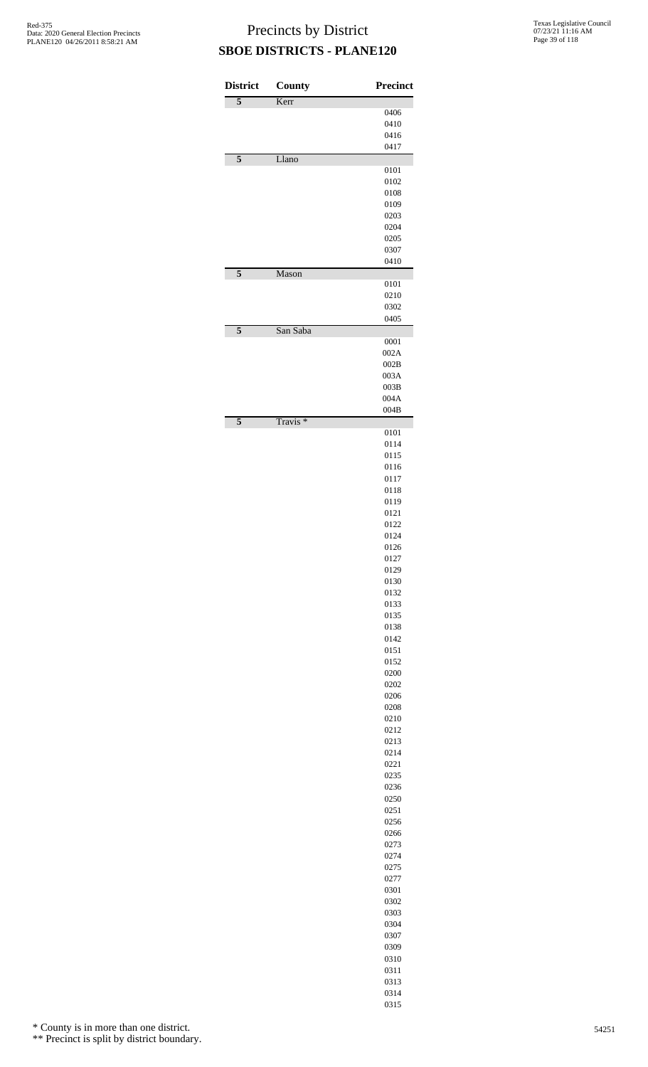| <b>District</b>         | <b>County</b>       | <b>Precinct</b> |
|-------------------------|---------------------|-----------------|
| 5                       | Kerr                | 0406            |
|                         |                     | 0410            |
|                         |                     | 0416            |
|                         |                     | 0417            |
| $\overline{\mathbf{5}}$ | Llano               | 0101            |
|                         |                     | 0102            |
|                         |                     | 0108            |
|                         |                     | 0109<br>0203    |
|                         |                     | 0204            |
|                         |                     | 0205            |
|                         |                     | 0307<br>0410    |
| 5                       | Mason               |                 |
|                         |                     | 0101            |
|                         |                     | 0210<br>0302    |
|                         |                     | 0405            |
| 5                       | San Saba            |                 |
|                         |                     | 0001<br>002A    |
|                         |                     | 002B            |
|                         |                     | 003A            |
|                         |                     | 003B            |
|                         |                     | 004A<br>004B    |
| $\overline{\mathbf{5}}$ | Travis <sup>*</sup> |                 |
|                         |                     | 0101<br>0114    |
|                         |                     | 0115            |
|                         |                     | 0116            |
|                         |                     | 0117            |
|                         |                     | 0118<br>0119    |
|                         |                     | 0121            |
|                         |                     | 0122            |
|                         |                     | 0124            |
|                         |                     | 0126<br>0127    |
|                         |                     | 0129            |
|                         |                     | 0130            |
|                         |                     | 0132<br>0133    |
|                         |                     | 0135            |
|                         |                     | 0138            |
|                         |                     | 0142            |
|                         |                     | 0151<br>0152    |
|                         |                     | 0200            |
|                         |                     | 0202            |
|                         |                     | 0206            |
|                         |                     | 0208<br>0210    |
|                         |                     | 0212            |
|                         |                     | 0213            |
|                         |                     | 0214            |
|                         |                     | 0221<br>0235    |
|                         |                     | 0236            |
|                         |                     | 0250            |
|                         |                     | 0251            |
|                         |                     | 0256<br>0266    |
|                         |                     | 0273            |
|                         |                     | 0274            |
|                         |                     | 0275<br>0277    |
|                         |                     | 0301            |
|                         |                     | 0302            |
|                         |                     | 0303            |
|                         |                     | 0304<br>0307    |
|                         |                     | 0309            |
|                         |                     | 0310            |
|                         |                     | 0311            |
|                         |                     | 0313<br>0314    |
|                         |                     |                 |

\* County is in more than one district.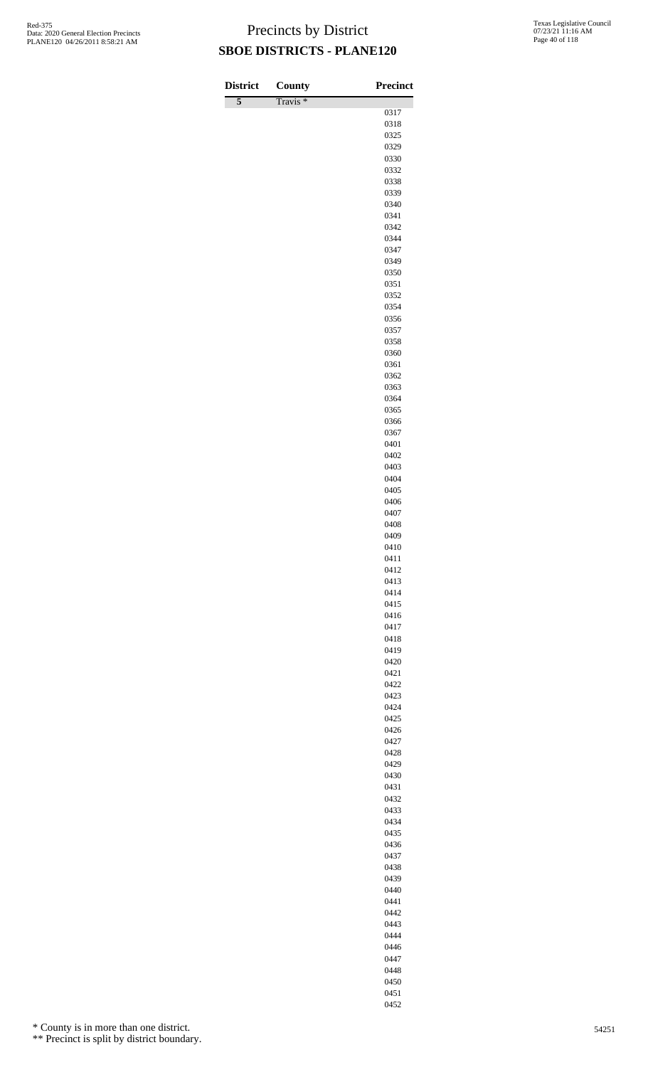| <b>District</b> | County              | <b>Precinct</b> |
|-----------------|---------------------|-----------------|
| 5               | Travis <sup>*</sup> |                 |
|                 |                     | 0317            |
|                 |                     | 0318<br>0325    |
|                 |                     | 0329            |
|                 |                     | 0330            |
|                 |                     | 0332            |
|                 |                     | 0338            |
|                 |                     | 0339<br>0340    |
|                 |                     | 0341            |
|                 |                     | 0342            |
|                 |                     | 0344            |
|                 |                     | 0347<br>0349    |
|                 |                     | 0350            |
|                 |                     | 0351            |
|                 |                     | 0352            |
|                 |                     | 0354            |
|                 |                     | 0356<br>0357    |
|                 |                     | 0358            |
|                 |                     | 0360            |
|                 |                     | 0361            |
|                 |                     | 0362<br>0363    |
|                 |                     | 0364            |
|                 |                     | 0365            |
|                 |                     | 0366            |
|                 |                     | 0367            |
|                 |                     | 0401<br>0402    |
|                 |                     | 0403            |
|                 |                     | 0404            |
|                 |                     | 0405            |
|                 |                     | 0406<br>0407    |
|                 |                     | 0408            |
|                 |                     | 0409            |
|                 |                     | 0410            |
|                 |                     | 0411<br>0412    |
|                 |                     | 0413            |
|                 |                     | 0414            |
|                 |                     | 0415            |
|                 |                     | 0416            |
|                 |                     | 0417<br>0418    |
|                 |                     | 0419            |
|                 |                     | 0420            |
|                 |                     | 0421            |
|                 |                     | 0422<br>0423    |
|                 |                     | 0424            |
|                 |                     | 0425            |
|                 |                     | 0426            |
|                 |                     | 0427<br>0428    |
|                 |                     | 0429            |
|                 |                     | 0430            |
|                 |                     | 0431            |
|                 |                     | 0432            |
|                 |                     | 0433<br>0434    |
|                 |                     | 0435            |
|                 |                     | 0436            |
|                 |                     | 0437            |
|                 |                     | 0438            |
|                 |                     | 0439<br>0440    |
|                 |                     | 0441            |
|                 |                     | 0442            |
|                 |                     | 0443            |
|                 |                     | 0444<br>0446    |
|                 |                     |                 |

\* County is in more than one district.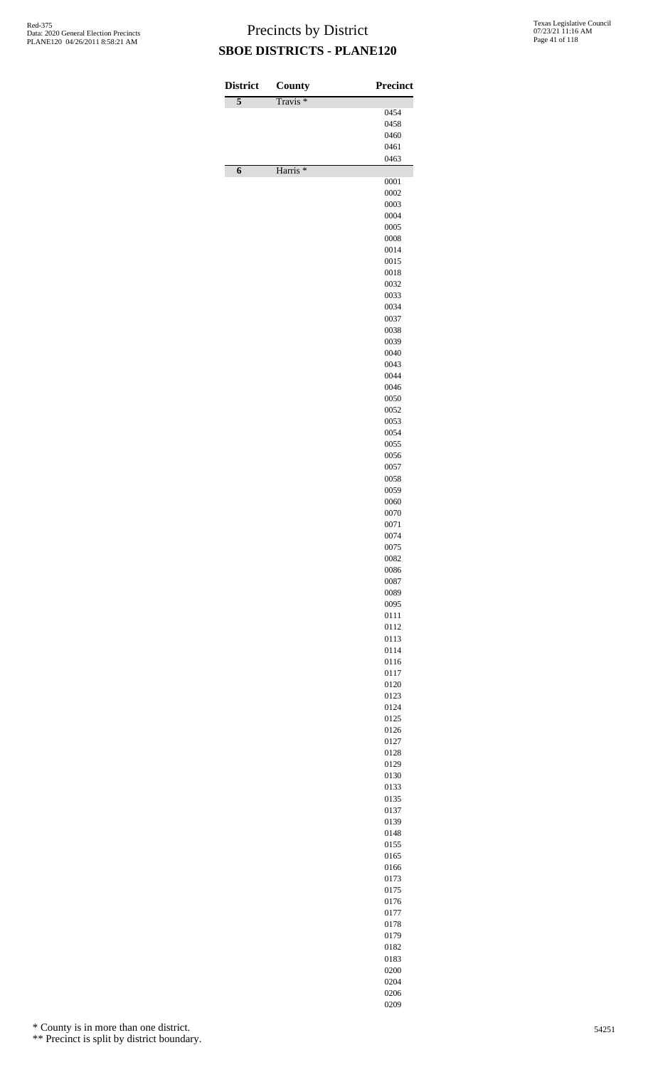| <b>District</b> | <b>County</b>       | <b>Precinct</b> |
|-----------------|---------------------|-----------------|
| 5               | Travis <sup>*</sup> | 0454            |
|                 |                     | 0458            |
|                 |                     | 0460<br>0461    |
|                 |                     | 0463            |
| 6               | Harris <sup>*</sup> |                 |
|                 |                     | 0001            |
|                 |                     | 0002<br>0003    |
|                 |                     | 0004            |
|                 |                     | 0005            |
|                 |                     | 0008<br>0014    |
|                 |                     | 0015            |
|                 |                     | 0018            |
|                 |                     | 0032<br>0033    |
|                 |                     | 0034            |
|                 |                     | 0037            |
|                 |                     | 0038            |
|                 |                     | 0039<br>0040    |
|                 |                     | 0043            |
|                 |                     | 0044            |
|                 |                     | 0046            |
|                 |                     | 0050<br>0052    |
|                 |                     | 0053            |
|                 |                     | 0054            |
|                 |                     | 0055<br>0056    |
|                 |                     | 0057            |
|                 |                     | 0058            |
|                 |                     | 0059<br>0060    |
|                 |                     | 0070            |
|                 |                     | 0071            |
|                 |                     | 0074            |
|                 |                     | 0075<br>0082    |
|                 |                     | 0086            |
|                 |                     | 0087            |
|                 |                     | 0089<br>0095    |
|                 |                     | 0111            |
|                 |                     | 0112            |
|                 |                     | 0113            |
|                 |                     | 0114<br>0116    |
|                 |                     | 0117            |
|                 |                     | 0120            |
|                 |                     | 0123<br>0124    |
|                 |                     | 0125            |
|                 |                     | 0126            |
|                 |                     | 0127<br>0128    |
|                 |                     | 0129            |
|                 |                     | 0130            |
|                 |                     | 0133            |
|                 |                     | 0135<br>0137    |
|                 |                     | 0139            |
|                 |                     | 0148            |
|                 |                     | 0155<br>0165    |
|                 |                     | 0166            |
|                 |                     | 0173            |
|                 |                     | 0175            |
|                 |                     | 0176<br>0177    |
|                 |                     | 0178            |
|                 |                     | 0179            |
|                 |                     | 0182            |
|                 |                     | 0183<br>0200    |
|                 |                     | 0204            |

 

\* County is in more than one district.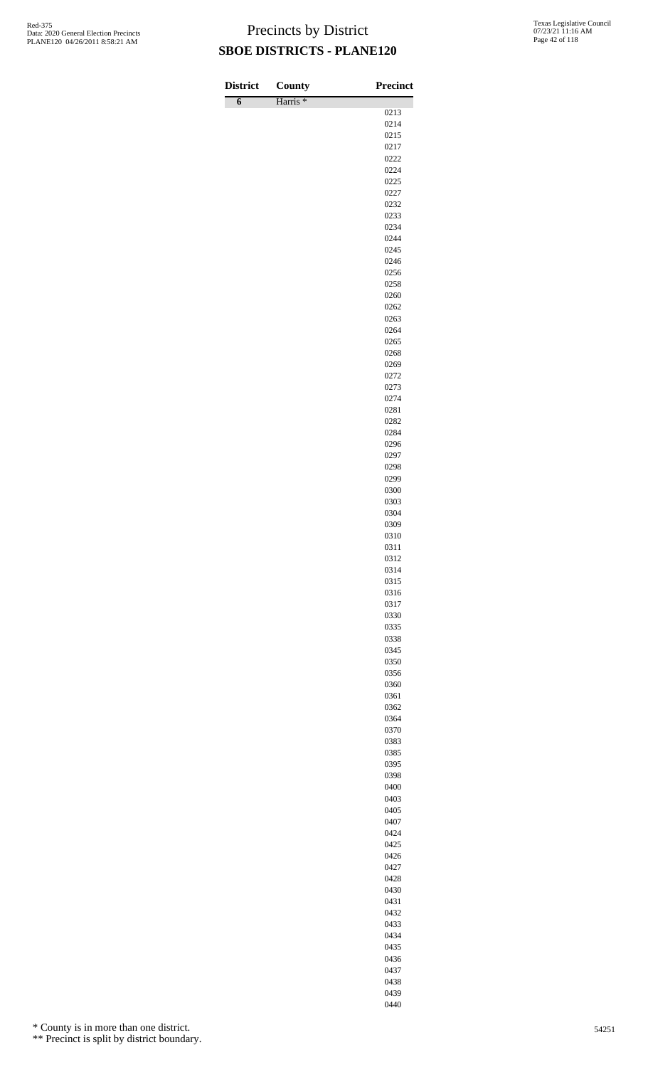| <b>District</b> | County              | <b>Precinct</b> |
|-----------------|---------------------|-----------------|
| $\overline{6}$  | Harris <sup>*</sup> |                 |
|                 |                     | 0213<br>0214    |
|                 |                     | 0215            |
|                 |                     | 0217            |
|                 |                     | 0222            |
|                 |                     | 0224            |
|                 |                     | 0225            |
|                 |                     | 0227<br>0232    |
|                 |                     | 0233            |
|                 |                     | 0234            |
|                 |                     | 0244            |
|                 |                     | 0245            |
|                 |                     | 0246            |
|                 |                     | 0256            |
|                 |                     | 0258<br>0260    |
|                 |                     | 0262            |
|                 |                     | 0263            |
|                 |                     | 0264            |
|                 |                     | 0265            |
|                 |                     | 0268            |
|                 |                     | 0269            |
|                 |                     | 0272            |
|                 |                     | 0273<br>0274    |
|                 |                     | 0281            |
|                 |                     | 0282            |
|                 |                     | 0284            |
|                 |                     | 0296            |
|                 |                     | 0297            |
|                 |                     | 0298            |
|                 |                     | 0299            |
|                 |                     | 0300<br>0303    |
|                 |                     | 0304            |
|                 |                     | 0309            |
|                 |                     | 0310            |
|                 |                     | 0311            |
|                 |                     | 0312            |
|                 |                     | 0314            |
|                 |                     | 0315<br>0316    |
|                 |                     | 0317            |
|                 |                     | 0330            |
|                 |                     | 0335            |
|                 |                     | 0338            |
|                 |                     | 0345            |
|                 |                     | 0350            |
|                 |                     | 0356<br>0360    |
|                 |                     | 0361            |
|                 |                     | 0362            |
|                 |                     | 0364            |
|                 |                     | 0370            |
|                 |                     | 0383            |
|                 |                     | 0385            |
|                 |                     | 0395            |
|                 |                     | 0398<br>0400    |
|                 |                     | 0403            |
|                 |                     | 0405            |
|                 |                     | 0407            |
|                 |                     | 0424            |
|                 |                     | 0425            |
|                 |                     | 0426            |
|                 |                     | 0427            |
|                 |                     | 0428            |
|                 |                     | 0430<br>0431    |
|                 |                     | 0432            |
|                 |                     | 0433            |
|                 |                     | 0434            |

\* County is in more than one district.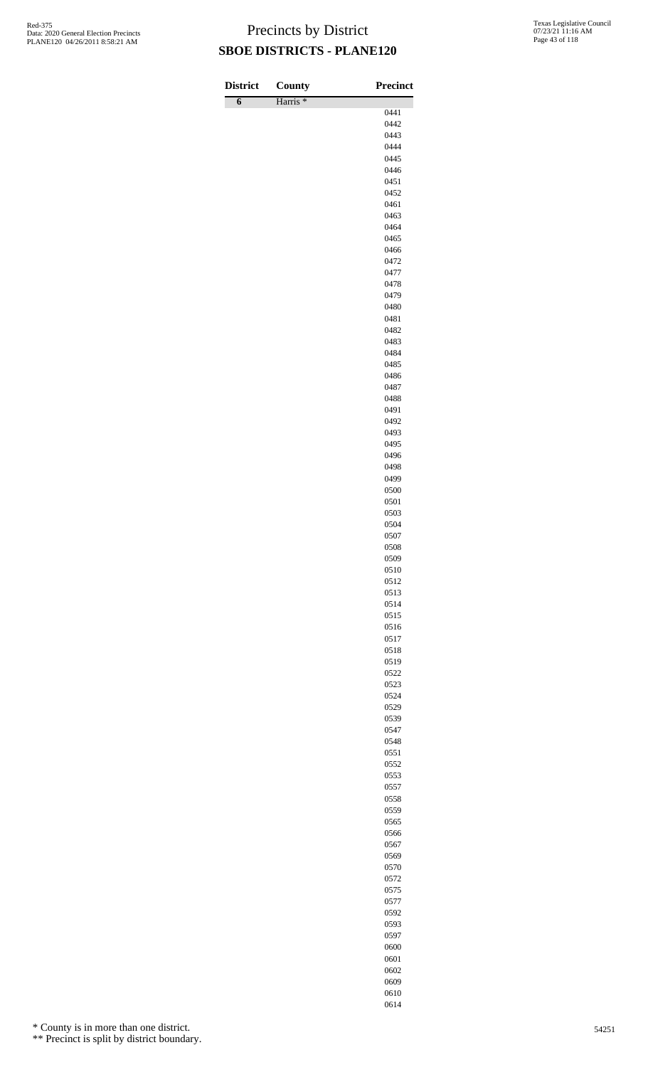| <b>District</b> |                               | <b>Precinct</b> |
|-----------------|-------------------------------|-----------------|
| $\overline{6}$  | County<br>Harris <sup>*</sup> |                 |
|                 |                               | 0441            |
|                 |                               | 0442            |
|                 |                               | 0443            |
|                 |                               | 0444<br>0445    |
|                 |                               | 0446            |
|                 |                               | 0451            |
|                 |                               | 0452            |
|                 |                               | 0461<br>0463    |
|                 |                               | 0464            |
|                 |                               | 0465            |
|                 |                               | 0466            |
|                 |                               | 0472<br>0477    |
|                 |                               | 0478            |
|                 |                               | 0479            |
|                 |                               | 0480            |
|                 |                               | 0481            |
|                 |                               | 0482<br>0483    |
|                 |                               | 0484            |
|                 |                               | 0485            |
|                 |                               | 0486            |
|                 |                               | 0487<br>0488    |
|                 |                               | 0491            |
|                 |                               | 0492            |
|                 |                               | 0493            |
|                 |                               | 0495<br>0496    |
|                 |                               | 0498            |
|                 |                               | 0499            |
|                 |                               | 0500            |
|                 |                               | 0501            |
|                 |                               | 0503<br>0504    |
|                 |                               | 0507            |
|                 |                               | 0508            |
|                 |                               | 0509            |
|                 |                               | 0510<br>0512    |
|                 |                               | 0513            |
|                 |                               | 0514            |
|                 |                               | 0515            |
|                 |                               | 0516<br>0517    |
|                 |                               | 0518            |
|                 |                               | 0519            |
|                 |                               | 0522            |
|                 |                               | 0523<br>0524    |
|                 |                               | 0529            |
|                 |                               | 0539            |
|                 |                               | 0547            |
|                 |                               | 0548<br>0551    |
|                 |                               | 0552            |
|                 |                               | 0553            |
|                 |                               | 0557            |
|                 |                               | 0558<br>0559    |
|                 |                               | 0565            |
|                 |                               | 0566            |
|                 |                               | 0567            |
|                 |                               | 0569            |
|                 |                               | 0570<br>0572    |
|                 |                               | 0575            |
|                 |                               | 0577            |
|                 |                               | 0592            |
|                 |                               | 0593<br>0597    |
|                 |                               | 0600            |

\* County is in more than one district.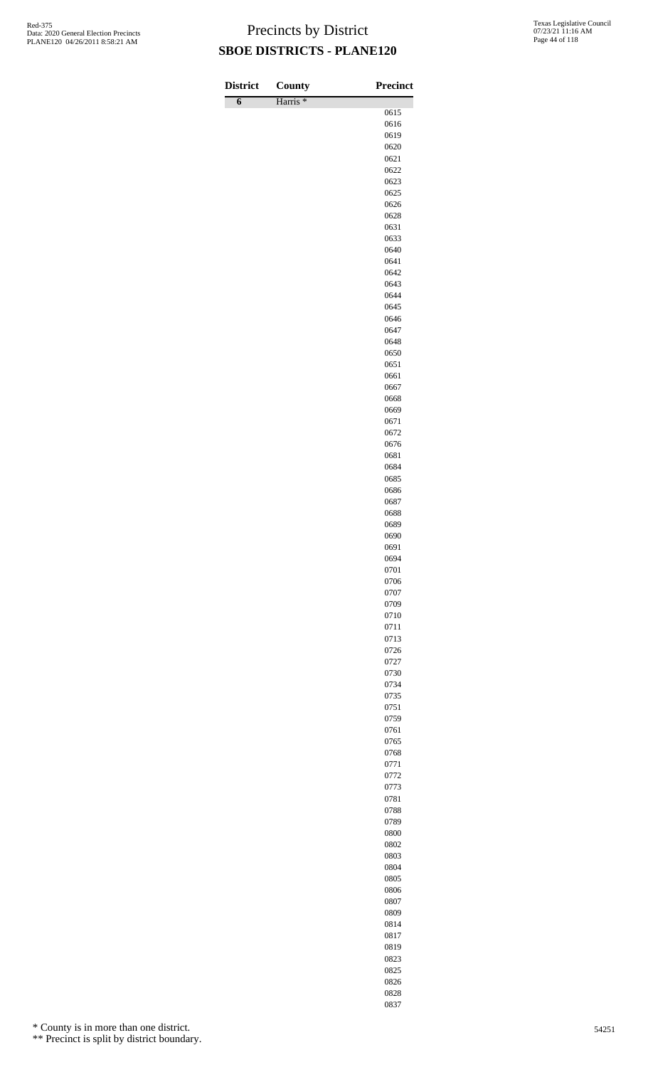| <b>District</b> | County              | <b>Precinct</b> |
|-----------------|---------------------|-----------------|
| $\overline{6}$  | Harris <sup>*</sup> |                 |
|                 |                     | 0615            |
|                 |                     | 0616<br>0619    |
|                 |                     | 0620            |
|                 |                     | 0621            |
|                 |                     | 0622            |
|                 |                     | 0623            |
|                 |                     | 0625            |
|                 |                     | 0626            |
|                 |                     | 0628<br>0631    |
|                 |                     | 0633            |
|                 |                     | 0640            |
|                 |                     | 0641            |
|                 |                     | 0642            |
|                 |                     | 0643<br>0644    |
|                 |                     | 0645            |
|                 |                     | 0646            |
|                 |                     | 0647            |
|                 |                     | 0648            |
|                 |                     | 0650            |
|                 |                     | 0651            |
|                 |                     | 0661<br>0667    |
|                 |                     | 0668            |
|                 |                     | 0669            |
|                 |                     | 0671            |
|                 |                     | 0672            |
|                 |                     | 0676            |
|                 |                     | 0681<br>0684    |
|                 |                     | 0685            |
|                 |                     | 0686            |
|                 |                     | 0687            |
|                 |                     | 0688            |
|                 |                     | 0689            |
|                 |                     | 0690            |
|                 |                     | 0691<br>0694    |
|                 |                     | 0701            |
|                 |                     | 0706            |
|                 |                     | 0707            |
|                 |                     | 0709            |
|                 |                     | 0710            |
|                 |                     | 0711            |
|                 |                     | 0713<br>0726    |
|                 |                     | 0727            |
|                 |                     | 0730            |
|                 |                     | 0734            |
|                 |                     | 0735            |
|                 |                     | 0751            |
|                 |                     | 0759<br>0761    |
|                 |                     | 0765            |
|                 |                     | 0768            |
|                 |                     | 0771            |
|                 |                     | 0772            |
|                 |                     | 0773            |
|                 |                     | 0781<br>0788    |
|                 |                     | 0789            |
|                 |                     | 0800            |
|                 |                     | 0802            |
|                 |                     | 0803            |
|                 |                     | 0804            |
|                 |                     | 0805            |
|                 |                     | 0806            |
|                 |                     | 0807<br>0809    |
|                 |                     | 0814            |
|                 |                     | 0817            |
|                 |                     | 0819            |

\* County is in more than one district.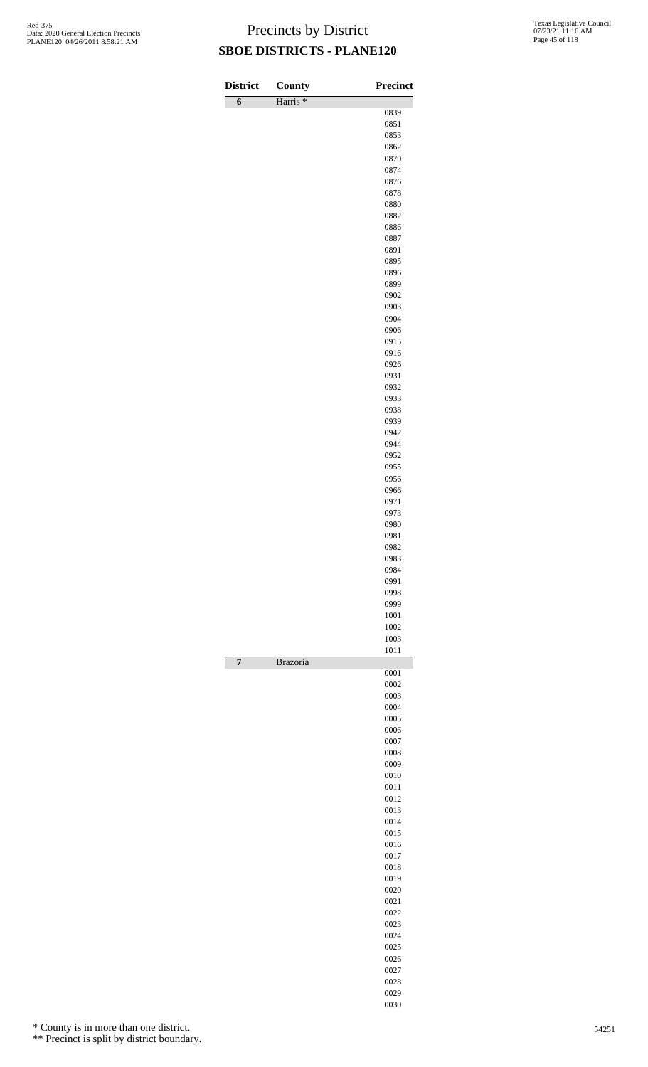| <b>District</b> | County              | <b>Precinct</b> |
|-----------------|---------------------|-----------------|
| $\overline{6}$  | Harris <sup>*</sup> |                 |
|                 |                     | 0839            |
|                 |                     | 0851            |
|                 |                     | 0853            |
|                 |                     | 0862<br>0870    |
|                 |                     | 0874            |
|                 |                     | 0876            |
|                 |                     | 0878            |
|                 |                     | 0880            |
|                 |                     | 0882            |
|                 |                     | 0886            |
|                 |                     | 0887            |
|                 |                     | 0891<br>0895    |
|                 |                     | 0896            |
|                 |                     | 0899            |
|                 |                     | 0902            |
|                 |                     | 0903            |
|                 |                     | 0904            |
|                 |                     | 0906            |
|                 |                     | 0915            |
|                 |                     | 0916<br>0926    |
|                 |                     | 0931            |
|                 |                     | 0932            |
|                 |                     | 0933            |
|                 |                     | 0938            |
|                 |                     | 0939            |
|                 |                     | 0942            |
|                 |                     | 0944            |
|                 |                     | 0952            |
|                 |                     | 0955<br>0956    |
|                 |                     | 0966            |
|                 |                     | 0971            |
|                 |                     | 0973            |
|                 |                     | 0980            |
|                 |                     | 0981            |
|                 |                     | 0982            |
|                 |                     | 0983            |
|                 |                     | 0984<br>0991    |
|                 |                     | 0998            |
|                 |                     | 0999            |
|                 |                     | 1001            |
|                 |                     | 1002            |
|                 |                     | 1003            |
| 7               | <b>Brazoria</b>     | 1011            |
|                 |                     | 0001            |
|                 |                     | 0002            |
|                 |                     | 0003<br>0004    |
|                 |                     | 0005            |
|                 |                     | 0006            |
|                 |                     | 0007            |
|                 |                     | 0008            |
|                 |                     | 0009            |
|                 |                     | 0010            |
|                 |                     | 0011            |
|                 |                     | 0012<br>0013    |
|                 |                     | 0014            |
|                 |                     | 0015            |
|                 |                     | 0016            |
|                 |                     | 0017            |
|                 |                     | 0018            |
|                 |                     | 0019            |
|                 |                     | 0020            |
|                 |                     | 0021            |
|                 |                     | 0022<br>0023    |
|                 |                     | 0024            |
|                 |                     | 0025            |
|                 |                     | 0026            |
|                 |                     | 0027            |
|                 |                     | 0028            |
|                 |                     | 0029            |
|                 |                     | 0030            |

\* County is in more than one district.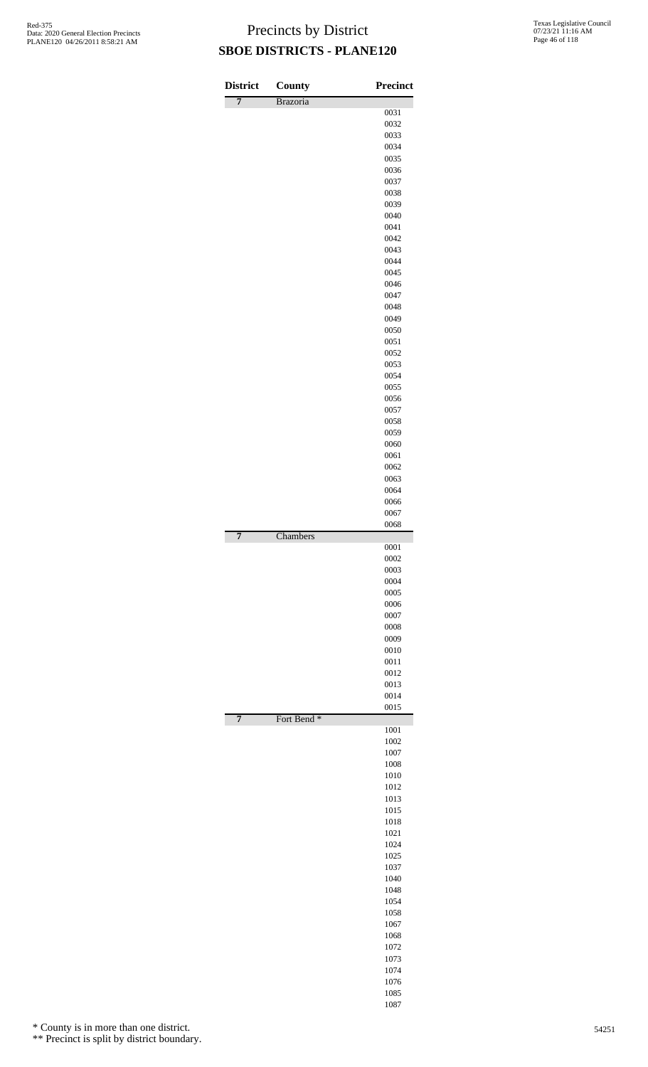| <b>District</b> | County                 | <b>Precinct</b> |
|-----------------|------------------------|-----------------|
| $\overline{7}$  | Brazoria               | 0031            |
|                 |                        | 0032            |
|                 |                        | 0033            |
|                 |                        | 0034            |
|                 |                        | 0035            |
|                 |                        | 0036<br>0037    |
|                 |                        | 0038            |
|                 |                        | 0039            |
|                 |                        | 0040            |
|                 |                        | 0041            |
|                 |                        | 0042<br>0043    |
|                 |                        | 0044            |
|                 |                        | 0045            |
|                 |                        | 0046            |
|                 |                        | 0047            |
|                 |                        | 0048<br>0049    |
|                 |                        | 0050            |
|                 |                        | 0051            |
|                 |                        | 0052            |
|                 |                        | 0053            |
|                 |                        | 0054<br>0055    |
|                 |                        | 0056            |
|                 |                        | 0057            |
|                 |                        | 0058            |
|                 |                        | 0059            |
|                 |                        | 0060<br>0061    |
|                 |                        | 0062            |
|                 |                        | 0063            |
|                 |                        | 0064            |
|                 |                        | 0066            |
|                 |                        | 0067<br>0068    |
| $\overline{7}$  | Chambers               |                 |
|                 |                        | 0001            |
|                 |                        | 0002            |
|                 |                        | 0003<br>0004    |
|                 |                        | 0005            |
|                 |                        | 0006            |
|                 |                        | 0007            |
|                 |                        | 0008<br>0009    |
|                 |                        | 0010            |
|                 |                        | 0011            |
|                 |                        | 0012            |
|                 |                        | 0013            |
|                 |                        | 0014<br>0015    |
| $\overline{7}$  | Fort Bend <sup>*</sup> |                 |
|                 |                        | 1001            |
|                 |                        | 1002            |
|                 |                        | 1007<br>1008    |
|                 |                        | 1010            |
|                 |                        | 1012            |
|                 |                        | 1013            |
|                 |                        | 1015            |
|                 |                        | 1018<br>1021    |
|                 |                        | 1024            |
|                 |                        | 1025            |
|                 |                        | 1037            |
|                 |                        | 1040<br>1048    |
|                 |                        | 1054            |
|                 |                        | 1058            |
|                 |                        | 1067            |
|                 |                        | 1068            |
|                 |                        | 1072            |
|                 |                        | 1073<br>1074    |
|                 |                        | 1076            |
|                 |                        | 1085            |

\* County is in more than one district.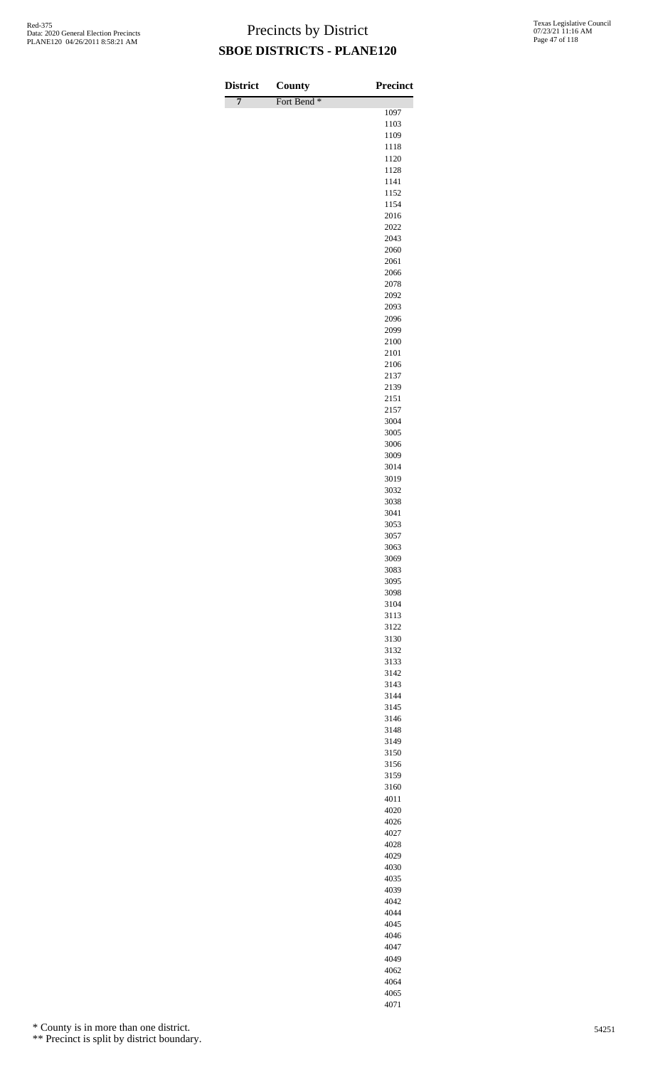| <b>District</b> | <b>County</b>          | Precinct     |
|-----------------|------------------------|--------------|
| $\overline{7}$  | Fort Bend <sup>*</sup> |              |
|                 |                        | 1097<br>1103 |
|                 |                        | 1109         |
|                 |                        | 1118         |
|                 |                        | 1120         |
|                 |                        | 1128<br>1141 |
|                 |                        | 1152         |
|                 |                        | 1154         |
|                 |                        | 2016         |
|                 |                        | 2022<br>2043 |
|                 |                        | 2060         |
|                 |                        | 2061         |
|                 |                        | 2066         |
|                 |                        | 2078         |
|                 |                        | 2092<br>2093 |
|                 |                        | 2096         |
|                 |                        | 2099         |
|                 |                        | 2100         |
|                 |                        | 2101<br>2106 |
|                 |                        | 2137         |
|                 |                        | 2139         |
|                 |                        | 2151         |
|                 |                        | 2157         |
|                 |                        | 3004<br>3005 |
|                 |                        | 3006         |
|                 |                        | 3009         |
|                 |                        | 3014         |
|                 |                        | 3019<br>3032 |
|                 |                        | 3038         |
|                 |                        | 3041         |
|                 |                        | 3053         |
|                 |                        | 3057         |
|                 |                        | 3063<br>3069 |
|                 |                        | 3083         |
|                 |                        | 3095         |
|                 |                        | 3098         |
|                 |                        | 3104<br>3113 |
|                 |                        | 3122         |
|                 |                        | 3130         |
|                 |                        | 3132         |
|                 |                        | 3133<br>3142 |
|                 |                        | 3143         |
|                 |                        | 3144         |
|                 |                        | 3145         |
|                 |                        | 3146         |
|                 |                        | 3148<br>3149 |
|                 |                        | 3150         |
|                 |                        | 3156         |
|                 |                        | 3159         |
|                 |                        | 3160         |
|                 |                        | 4011<br>4020 |
|                 |                        | 4026         |
|                 |                        | 4027         |
|                 |                        | 4028         |
|                 |                        | 4029         |
|                 |                        | 4030<br>4035 |
|                 |                        | 4039         |
|                 |                        | 4042         |
|                 |                        | 4044         |

\* County is in more than one district.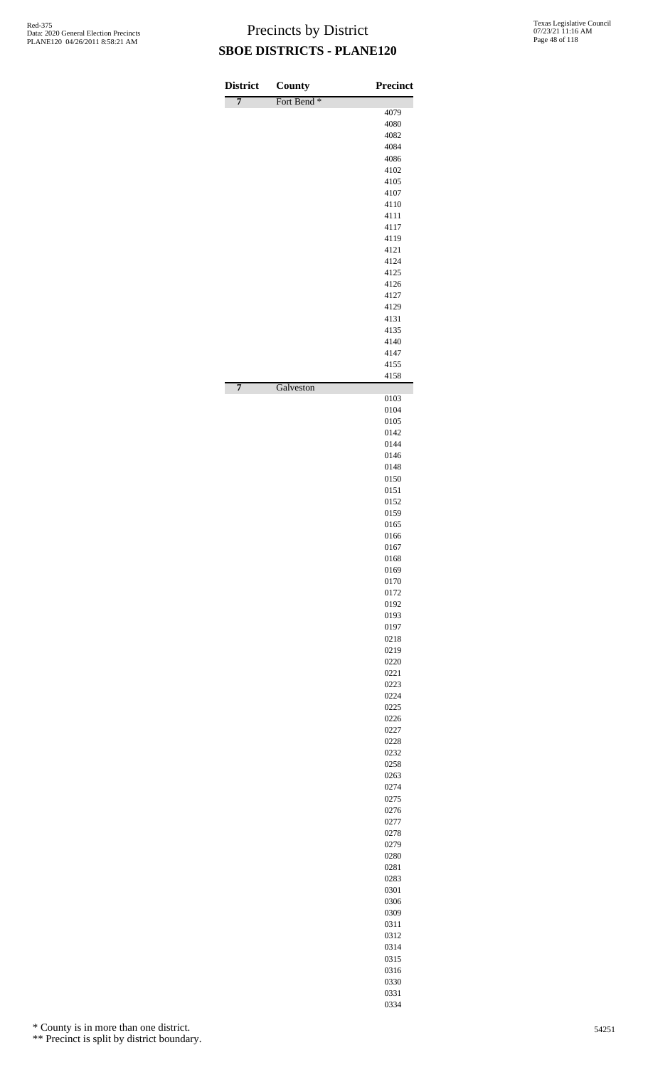| <b>District</b><br>$\overline{7}$ | County<br>Fort Bend <sup>*</sup> | <b>Precinct</b> |
|-----------------------------------|----------------------------------|-----------------|
|                                   |                                  | 4079            |
|                                   |                                  | 4080            |
|                                   |                                  | 4082<br>4084    |
|                                   |                                  | 4086            |
|                                   |                                  | 4102            |
|                                   |                                  | 4105            |
|                                   |                                  | 4107<br>4110    |
|                                   |                                  | 4111            |
|                                   |                                  | 4117            |
|                                   |                                  | 4119            |
|                                   |                                  | 4121<br>4124    |
|                                   |                                  | 4125            |
|                                   |                                  | 4126            |
|                                   |                                  | 4127            |
|                                   |                                  | 4129            |
|                                   |                                  | 4131<br>4135    |
|                                   |                                  | 4140            |
|                                   |                                  | 4147            |
|                                   |                                  | 4155            |
| 7                                 | Galveston                        | 4158            |
|                                   |                                  | 0103            |
|                                   |                                  | 0104<br>0105    |
|                                   |                                  | 0142            |
|                                   |                                  | 0144            |
|                                   |                                  | 0146            |
|                                   |                                  | 0148            |
|                                   |                                  | 0150<br>0151    |
|                                   |                                  | 0152            |
|                                   |                                  | 0159            |
|                                   |                                  | 0165            |
|                                   |                                  | 0166            |
|                                   |                                  | 0167<br>0168    |
|                                   |                                  | 0169            |
|                                   |                                  | 0170            |
|                                   |                                  | 0172            |
|                                   |                                  | 0192<br>0193    |
|                                   |                                  | 0197            |
|                                   |                                  | 0218            |
|                                   |                                  | 0219            |
|                                   |                                  | 0220            |
|                                   |                                  | 0221<br>0223    |
|                                   |                                  | 0224            |
|                                   |                                  | 0225            |
|                                   |                                  | 0226            |
|                                   |                                  | 0227<br>0228    |
|                                   |                                  | 0232            |
|                                   |                                  | 0258            |
|                                   |                                  | 0263            |
|                                   |                                  | 0274            |
|                                   |                                  | 0275<br>0276    |
|                                   |                                  | 0277            |
|                                   |                                  | 0278            |
|                                   |                                  | 0279            |
|                                   |                                  | 0280<br>0281    |
|                                   |                                  | 0283            |
|                                   |                                  | 0301            |
|                                   |                                  | 0306            |
|                                   |                                  | 0309            |
|                                   |                                  | 0311<br>0312    |
|                                   |                                  | 0314            |
|                                   |                                  | 0315            |
|                                   |                                  | 0316            |
|                                   |                                  | 0330            |
|                                   |                                  | 0331<br>0334    |
|                                   |                                  |                 |

\* County is in more than one district.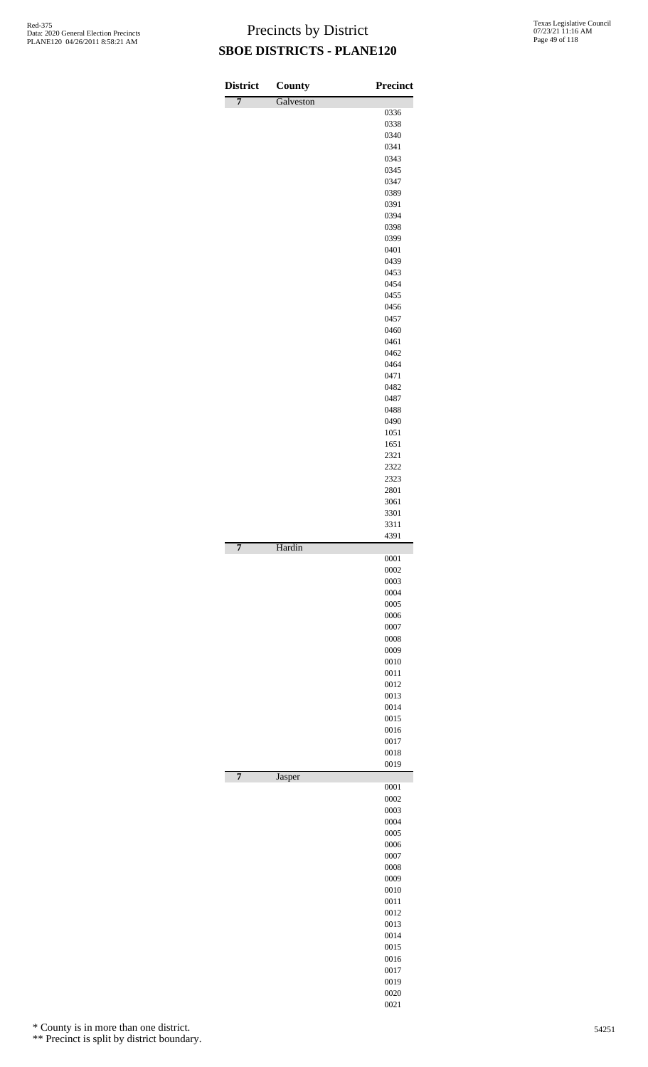| <b>District</b> | <b>County</b> | <b>Precinct</b> |
|-----------------|---------------|-----------------|
| $\overline{7}$  | Galveston     |                 |
|                 |               | 0336<br>0338    |
|                 |               | 0340            |
|                 |               | 0341            |
|                 |               | 0343<br>0345    |
|                 |               | 0347            |
|                 |               | 0389            |
|                 |               | 0391            |
|                 |               | 0394<br>0398    |
|                 |               | 0399            |
|                 |               | 0401            |
|                 |               | 0439<br>0453    |
|                 |               | 0454            |
|                 |               | 0455            |
|                 |               | 0456            |
|                 |               | 0457<br>0460    |
|                 |               | 0461            |
|                 |               | 0462            |
|                 |               | 0464            |
|                 |               | 0471<br>0482    |
|                 |               | 0487            |
|                 |               | 0488            |
|                 |               | 0490            |
|                 |               | 1051<br>1651    |
|                 |               | 2321            |
|                 |               | 2322            |
|                 |               | 2323            |
|                 |               | 2801<br>3061    |
|                 |               | 3301            |
|                 |               | 3311            |
|                 |               | 4391            |
| 7               | Hardin        | 0001            |
|                 |               | 0002            |
|                 |               | 0003            |
|                 |               | 0004<br>0005    |
|                 |               | 0006            |
|                 |               | 0007            |
|                 |               | 0008<br>0009    |
|                 |               | 0010            |
|                 |               | 0011            |
|                 |               | 0012            |
|                 |               | 0013<br>0014    |
|                 |               | 0015            |
|                 |               | 0016            |
|                 |               | 0017            |
|                 |               | 0018<br>0019    |
| $\overline{7}$  | Jasper        |                 |
|                 |               | 0001            |
|                 |               | 0002<br>0003    |
|                 |               | 0004            |
|                 |               | 0005            |
|                 |               | 0006            |
|                 |               | 0007<br>0008    |
|                 |               | 0009            |
|                 |               | 0010            |
|                 |               | 0011            |
|                 |               | 0012<br>0013    |
|                 |               | 0014            |
|                 |               | 0015            |
|                 |               | 0016<br>0017    |
|                 |               | 0019            |
|                 |               | 0020            |

\* County is in more than one district.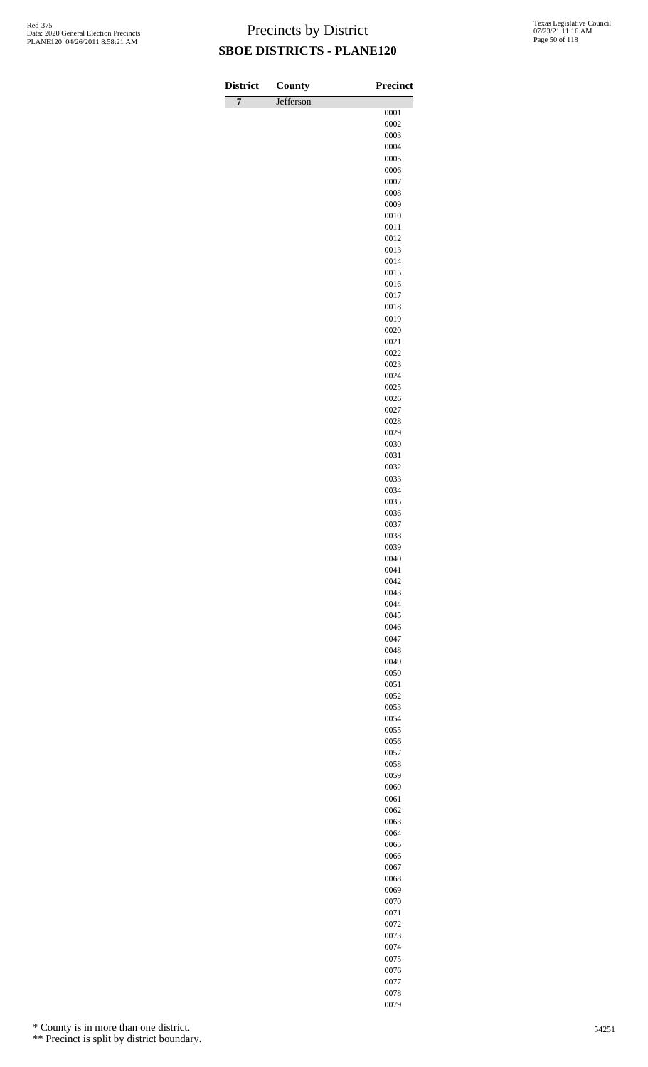| <b>District</b> | <b>County</b> | <b>Precinct</b> |
|-----------------|---------------|-----------------|
| 7               | Jefferson     | 0001            |
|                 |               | 0002            |
|                 |               | 0003            |
|                 |               | 0004            |
|                 |               | 0005            |
|                 |               | 0006<br>0007    |
|                 |               | 0008            |
|                 |               | 0009            |
|                 |               | 0010            |
|                 |               | 0011<br>0012    |
|                 |               | 0013            |
|                 |               | 0014            |
|                 |               | 0015            |
|                 |               | 0016            |
|                 |               | 0017<br>0018    |
|                 |               | 0019            |
|                 |               | 0020            |
|                 |               | 0021            |
|                 |               | 0022            |
|                 |               | 0023<br>0024    |
|                 |               | 0025            |
|                 |               | 0026            |
|                 |               | 0027            |
|                 |               | 0028            |
|                 |               | 0029<br>0030    |
|                 |               | 0031            |
|                 |               | 0032            |
|                 |               | 0033            |
|                 |               | 0034            |
|                 |               | 0035<br>0036    |
|                 |               | 0037            |
|                 |               | 0038            |
|                 |               | 0039            |
|                 |               | 0040            |
|                 |               | 0041<br>0042    |
|                 |               | 0043            |
|                 |               | 0044            |
|                 |               | 0045            |
|                 |               | 0046<br>0047    |
|                 |               | 0048            |
|                 |               | 0049            |
|                 |               | 0050            |
|                 |               | 0051<br>0052    |
|                 |               | 0053            |
|                 |               | 0054            |
|                 |               | 0055            |
|                 |               | 0056            |
|                 |               | 0057<br>0058    |
|                 |               | 0059            |
|                 |               | 0060            |
|                 |               | 0061            |
|                 |               | 0062            |
|                 |               | 0063<br>0064    |
|                 |               | 0065            |
|                 |               | 0066            |
|                 |               | 0067            |
|                 |               | 0068            |
|                 |               | 0069<br>0070    |
|                 |               | 0071            |
|                 |               | 0072            |
|                 |               | 0073            |
|                 |               | 0074            |

\* County is in more than one district.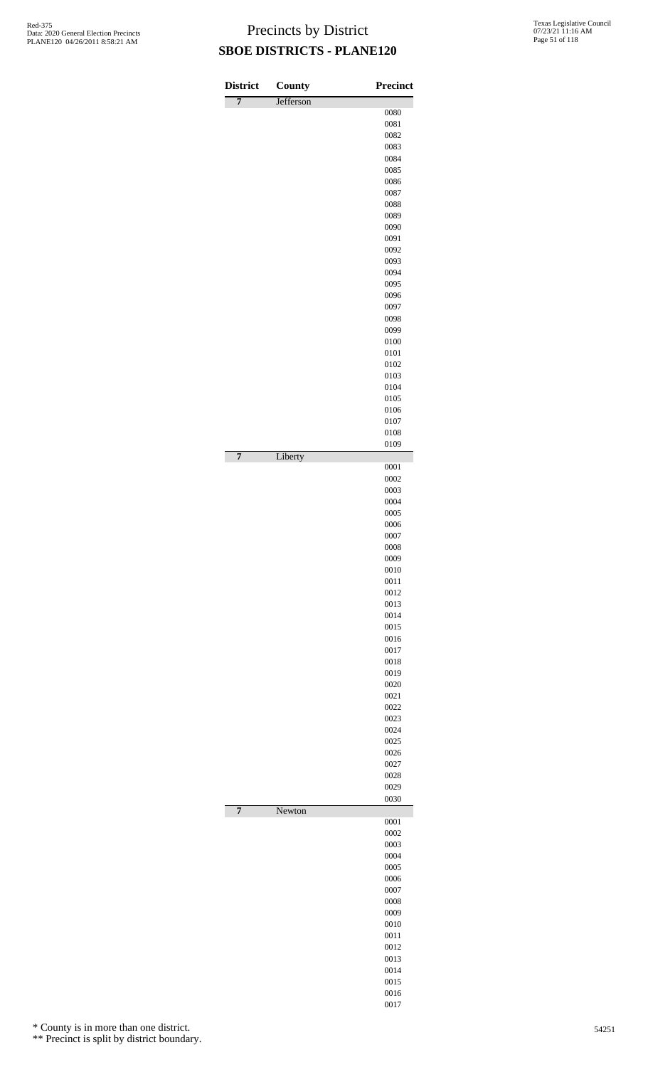| <b>District</b> | <b>County</b> | <b>Precinct</b> |
|-----------------|---------------|-----------------|
| $\overline{7}$  | Jefferson     | 0080            |
|                 |               | 0081            |
|                 |               | 0082            |
|                 |               | 0083<br>0084    |
|                 |               | 0085            |
|                 |               | 0086            |
|                 |               | 0087            |
|                 |               | 0088            |
|                 |               | 0089<br>0090    |
|                 |               | 0091            |
|                 |               | 0092            |
|                 |               | 0093<br>0094    |
|                 |               | 0095            |
|                 |               | 0096            |
|                 |               | 0097            |
|                 |               | 0098            |
|                 |               | 0099<br>0100    |
|                 |               | 0101            |
|                 |               | 0102            |
|                 |               | 0103            |
|                 |               | 0104<br>0105    |
|                 |               | 0106            |
|                 |               | 0107            |
|                 |               | 0108            |
| $\overline{7}$  | Liberty       | 0109            |
|                 |               | 0001<br>0002    |
|                 |               | 0003            |
|                 |               | 0004            |
|                 |               | 0005            |
|                 |               | 0006<br>0007    |
|                 |               | 0008            |
|                 |               | 0009<br>0010    |
|                 |               | 0011            |
|                 |               | 0012            |
|                 |               | 0013<br>0014    |
|                 |               | 0015            |
|                 |               | 0016            |
|                 |               | 0017            |
|                 |               | 0018<br>0019    |
|                 |               | 0020            |
|                 |               | 0021            |
|                 |               | 0022            |
|                 |               | 0023<br>0024    |
|                 |               | 0025            |
|                 |               | 0026            |
|                 |               | 0027            |
|                 |               | 0028<br>0029    |
|                 |               | 0030            |
| $\overline{7}$  | Newton        | 0001            |
|                 |               | 0002<br>0003    |
|                 |               | 0004            |
|                 |               | 0005            |
|                 |               | 0006            |
|                 |               | 0007<br>0008    |
|                 |               | 0009            |
|                 |               | 0010            |
|                 |               | 0011            |
|                 |               | 0012<br>0013    |
|                 |               | 0014            |
|                 |               | 0015            |
|                 |               | 0016            |
|                 |               | 0017            |

\* County is in more than one district.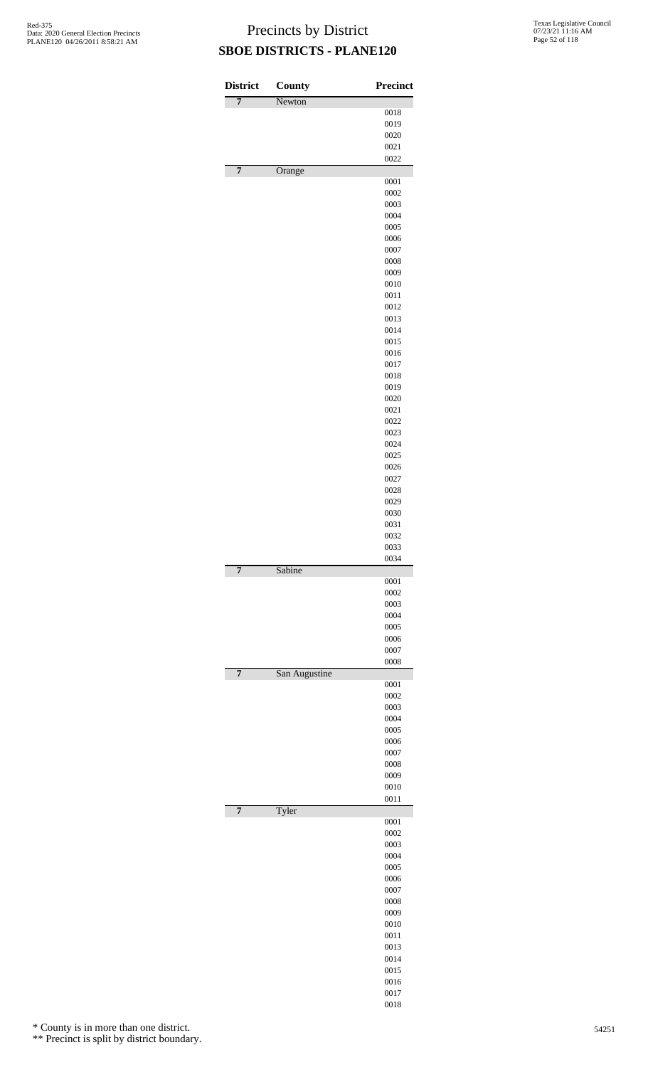| <b>District</b> | County        | <b>Precinct</b> |
|-----------------|---------------|-----------------|
| $\overline{7}$  | Newton        |                 |
|                 |               | 0018            |
|                 |               | 0019            |
|                 |               | 0020<br>0021    |
|                 |               | 0022            |
| $\overline{7}$  | Orange        |                 |
|                 |               | 0001            |
|                 |               | 0002            |
|                 |               | 0003            |
|                 |               | 0004            |
|                 |               | 0005            |
|                 |               | 0006<br>0007    |
|                 |               | 0008            |
|                 |               | 0009            |
|                 |               | 0010            |
|                 |               | 0011            |
|                 |               | 0012            |
|                 |               | 0013            |
|                 |               | 0014            |
|                 |               | 0015            |
|                 |               | 0016            |
|                 |               | 0017            |
|                 |               | 0018<br>0019    |
|                 |               | 0020            |
|                 |               | 0021            |
|                 |               | 0022            |
|                 |               | 0023            |
|                 |               | 0024            |
|                 |               | 0025            |
|                 |               | 0026            |
|                 |               | 0027            |
|                 |               | 0028            |
|                 |               | 0029            |
|                 |               | 0030<br>0031    |
|                 |               | 0032            |
|                 |               | 0033            |
|                 |               | 0034            |
| $\overline{7}$  | Sabine        |                 |
|                 |               | 0001            |
|                 |               | 0002            |
|                 |               | 0003<br>0004    |
|                 |               | 0005            |
|                 |               | 0006            |
|                 |               | 0007            |
|                 |               | 0008            |
| 7               | San Augustine |                 |
|                 |               | 0001            |
|                 |               | 0002            |
|                 |               | 0003<br>0004    |
|                 |               | 0005            |
|                 |               | 0006            |
|                 |               | 0007            |
|                 |               | 0008            |
|                 |               | 0009            |
|                 |               | 0010            |
|                 |               | 0011            |
| $\overline{7}$  | Tyler         | 0001            |
|                 |               | 0002            |
|                 |               | 0003            |
|                 |               | 0004            |
|                 |               | 0005            |
|                 |               | 0006            |
|                 |               | 0007            |
|                 |               | 0008            |
|                 |               | 0009            |
|                 |               | 0010            |
|                 |               | 0011            |
|                 |               | 0013            |
|                 |               | 0014<br>0015    |
|                 |               | 0016            |
|                 |               | 0017            |
|                 |               | 0018            |

\* County is in more than one district.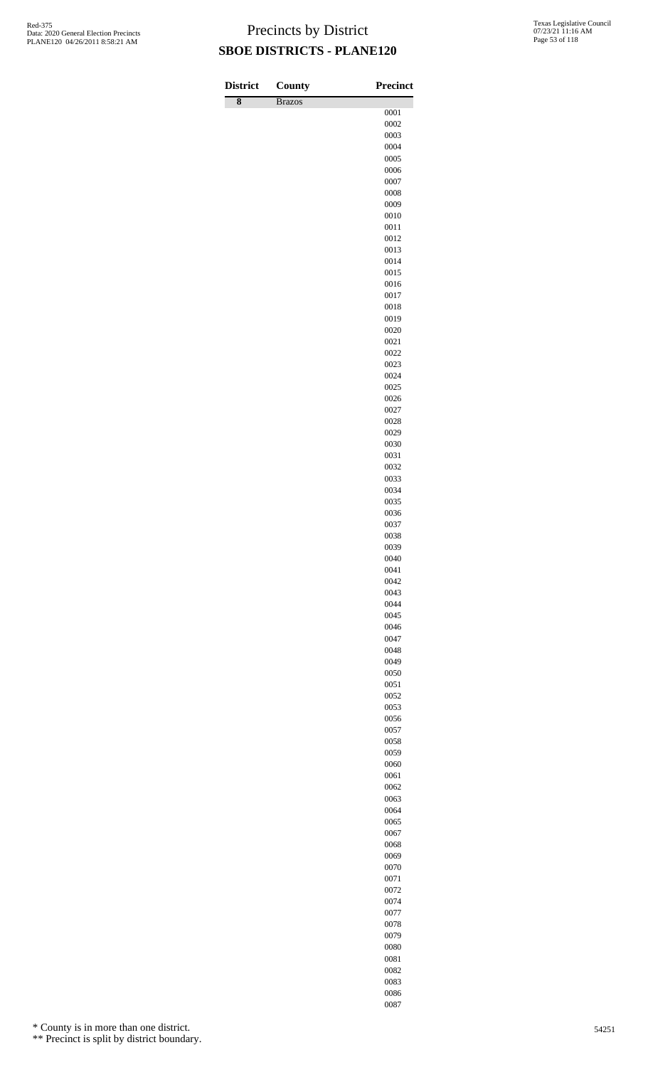| <b>District</b>    | County        | <b>Precinct</b> |
|--------------------|---------------|-----------------|
| $\overline{\bf 8}$ | <b>Brazos</b> |                 |
|                    |               | 0001<br>0002    |
|                    |               | 0003            |
|                    |               | 0004            |
|                    |               | 0005            |
|                    |               | 0006<br>0007    |
|                    |               | 0008            |
|                    |               | 0009            |
|                    |               | 0010            |
|                    |               | 0011<br>0012    |
|                    |               | 0013            |
|                    |               | 0014            |
|                    |               | 0015            |
|                    |               | 0016            |
|                    |               | 0017<br>0018    |
|                    |               | 0019            |
|                    |               | 0020            |
|                    |               | 0021            |
|                    |               | 0022<br>0023    |
|                    |               | 0024            |
|                    |               | 0025            |
|                    |               | 0026            |
|                    |               | 0027            |
|                    |               | 0028<br>0029    |
|                    |               | 0030            |
|                    |               | 0031            |
|                    |               | 0032            |
|                    |               | 0033            |
|                    |               | 0034<br>0035    |
|                    |               | 0036            |
|                    |               | 0037            |
|                    |               | 0038            |
|                    |               | 0039<br>0040    |
|                    |               | 0041            |
|                    |               | 0042            |
|                    |               | 0043            |
|                    |               | 0044            |
|                    |               | 0045<br>0046    |
|                    |               | 0047            |
|                    |               | 0048            |
|                    |               | 0049            |
|                    |               | 0050<br>0051    |
|                    |               | 0052            |
|                    |               | 0053            |
|                    |               | 0056            |
|                    |               | 0057            |
|                    |               | 0058<br>0059    |
|                    |               | 0060            |
|                    |               | 0061            |
|                    |               | 0062            |
|                    |               | 0063<br>0064    |
|                    |               | 0065            |
|                    |               | 0067            |
|                    |               | 0068            |
|                    |               | 0069            |
|                    |               | 0070<br>0071    |
|                    |               | 0072            |
|                    |               | 0074            |
|                    |               | 0077            |
|                    |               | 0078            |
|                    |               | 0079<br>0080    |

\* County is in more than one district.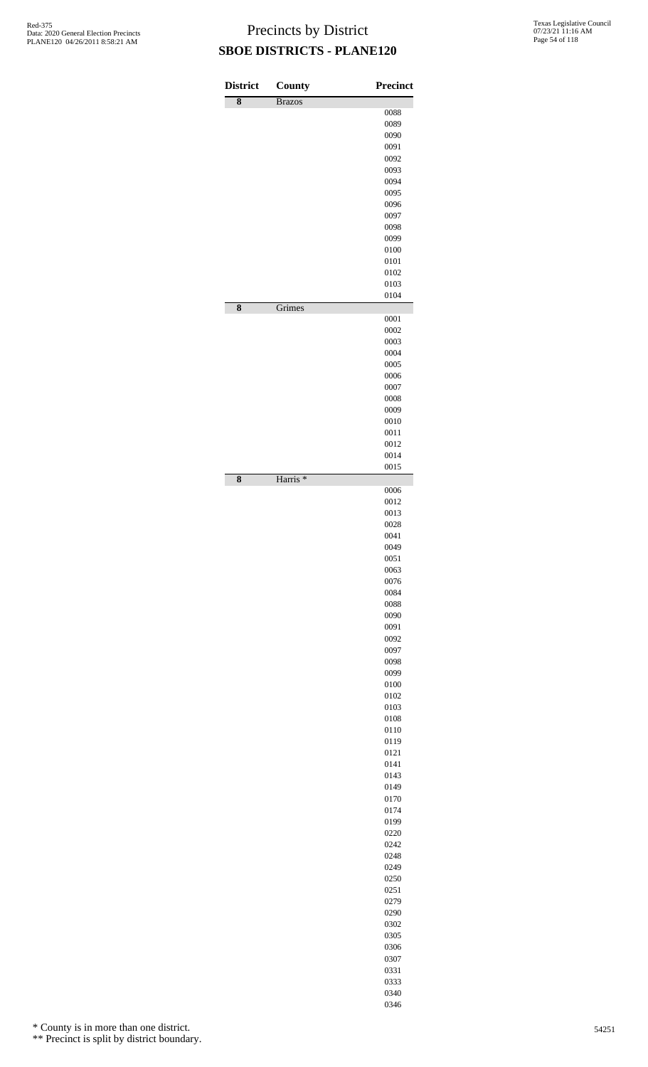| <b>District</b><br>$\overline{\bf 8}$ | County<br><b>Brazos</b> | <b>Precinct</b> |
|---------------------------------------|-------------------------|-----------------|
|                                       |                         | 0088            |
|                                       |                         | 0089            |
|                                       |                         | 0090<br>0091    |
|                                       |                         | 0092            |
|                                       |                         | 0093            |
|                                       |                         | 0094            |
|                                       |                         | 0095            |
|                                       |                         | 0096<br>0097    |
|                                       |                         | 0098            |
|                                       |                         | 0099            |
|                                       |                         | 0100            |
|                                       |                         | 0101            |
|                                       |                         | 0102<br>0103    |
|                                       |                         | 0104            |
| 8                                     | Grimes                  |                 |
|                                       |                         | 0001<br>0002    |
|                                       |                         | 0003            |
|                                       |                         | 0004            |
|                                       |                         | 0005            |
|                                       |                         | 0006            |
|                                       |                         | 0007            |
|                                       |                         | 0008<br>0009    |
|                                       |                         | 0010            |
|                                       |                         | 0011            |
|                                       |                         | 0012            |
|                                       |                         | 0014<br>0015    |
| 8                                     | Harris <sup>*</sup>     |                 |
|                                       |                         | 0006            |
|                                       |                         | 0012            |
|                                       |                         | 0013<br>0028    |
|                                       |                         | 0041            |
|                                       |                         | 0049            |
|                                       |                         | 0051            |
|                                       |                         | 0063            |
|                                       |                         | 0076<br>0084    |
|                                       |                         | 0088            |
|                                       |                         | 0090            |
|                                       |                         | 0091            |
|                                       |                         | 0092            |
|                                       |                         | 0097            |
|                                       |                         | 0098<br>0099    |
|                                       |                         | 0100            |
|                                       |                         | 0102            |
|                                       |                         | 0103            |
|                                       |                         | 0108            |
|                                       |                         | 0110<br>0119    |
|                                       |                         | 0121            |
|                                       |                         | 0141            |
|                                       |                         | 0143            |
|                                       |                         | 0149            |
|                                       |                         | 0170<br>0174    |
|                                       |                         | 0199            |
|                                       |                         | 0220            |
|                                       |                         | 0242            |
|                                       |                         | 0248            |
|                                       |                         | 0249<br>0250    |
|                                       |                         | 0251            |
|                                       |                         | 0279            |
|                                       |                         | 0290            |
|                                       |                         | 0302            |
|                                       |                         | 0305            |
|                                       |                         | 0306<br>0307    |
|                                       |                         | 0331            |
|                                       |                         | 0333            |
|                                       |                         | 0340            |

\* County is in more than one district.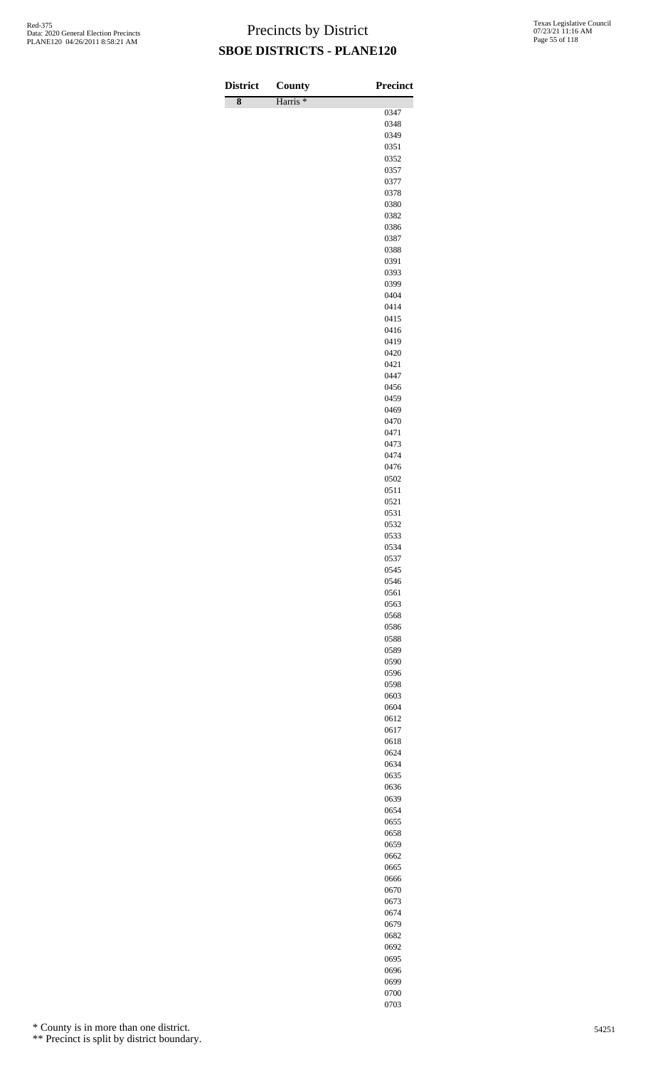| <b>District</b>    | <b>County</b>       | Precinct     |
|--------------------|---------------------|--------------|
| $\overline{\bf 8}$ | Harris <sup>*</sup> |              |
|                    |                     | 0347<br>0348 |
|                    |                     | 0349         |
|                    |                     | 0351         |
|                    |                     | 0352         |
|                    |                     | 0357<br>0377 |
|                    |                     | 0378         |
|                    |                     | 0380         |
|                    |                     | 0382         |
|                    |                     | 0386<br>0387 |
|                    |                     | 0388         |
|                    |                     | 0391         |
|                    |                     | 0393         |
|                    |                     | 0399         |
|                    |                     | 0404<br>0414 |
|                    |                     | 0415         |
|                    |                     | 0416         |
|                    |                     | 0419         |
|                    |                     | 0420<br>0421 |
|                    |                     | 0447         |
|                    |                     | 0456         |
|                    |                     | 0459         |
|                    |                     | 0469         |
|                    |                     | 0470<br>0471 |
|                    |                     | 0473         |
|                    |                     | 0474         |
|                    |                     | 0476         |
|                    |                     | 0502         |
|                    |                     | 0511<br>0521 |
|                    |                     | 0531         |
|                    |                     | 0532         |
|                    |                     | 0533         |
|                    |                     | 0534<br>0537 |
|                    |                     | 0545         |
|                    |                     | 0546         |
|                    |                     | 0561         |
|                    |                     | 0563<br>0568 |
|                    |                     | 0586         |
|                    |                     | 0588         |
|                    |                     | 0589         |
|                    |                     | 0590         |
|                    |                     | 0596<br>0598 |
|                    |                     | 0603         |
|                    |                     | 0604         |
|                    |                     | 0612         |
|                    |                     | 0617<br>0618 |
|                    |                     | 0624         |
|                    |                     | 0634         |
|                    |                     | 0635         |
|                    |                     | 0636         |
|                    |                     | 0639<br>0654 |
|                    |                     | 0655         |
|                    |                     | 0658         |
|                    |                     | 0659         |
|                    |                     | 0662         |
|                    |                     | 0665<br>0666 |
|                    |                     | 0670         |
|                    |                     | 0673         |
|                    |                     | 0674         |
|                    |                     | 0679         |
|                    |                     | 0682<br>0692 |

\* County is in more than one district.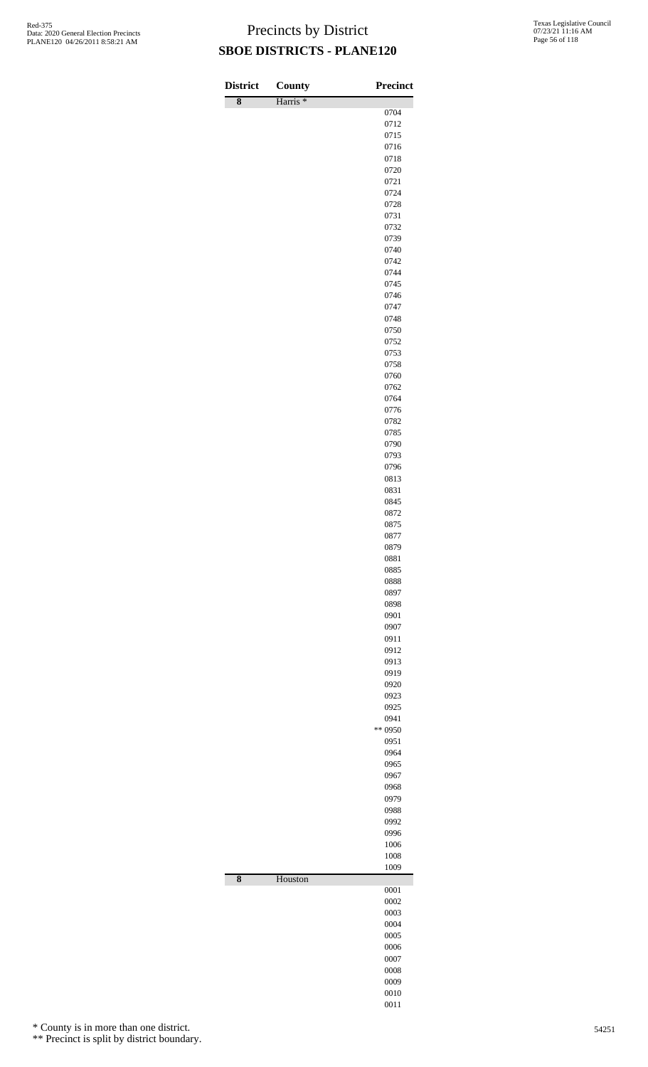| 0704<br>0712<br>0715<br>0716<br>0718<br>0720<br>0721<br>0724<br>0728<br>0731<br>0732<br>0739<br>0740<br>0742<br>0744<br>0745<br>0746<br>0747<br>0748<br>0750<br>0752<br>0753<br>0758<br>0760<br>0762<br>0764<br>0776<br>0782<br>0785<br>0790<br>0793<br>0796<br>0813<br>0831<br>0845<br>0872<br>0875<br>0877<br>0879<br>0881<br>0885<br>0888<br>0897<br>0898<br>0901<br>0907<br>0911<br>0912<br>0913<br>0919<br>0920<br>0923<br>0925<br>0941<br>** 0950<br>0951<br>0964<br>0965<br>0967<br>0968<br>0979<br>0988<br>0992<br>0996<br>1006<br>1008<br>1009<br>$\overline{\bf 8}$<br>Houston<br>0001<br>0002<br>0003<br>0004<br>0005 | <b>District</b>    | <b>County</b>       | <b>Precinct</b> |
|----------------------------------------------------------------------------------------------------------------------------------------------------------------------------------------------------------------------------------------------------------------------------------------------------------------------------------------------------------------------------------------------------------------------------------------------------------------------------------------------------------------------------------------------------------------------------------------------------------------------------------|--------------------|---------------------|-----------------|
|                                                                                                                                                                                                                                                                                                                                                                                                                                                                                                                                                                                                                                  | $\overline{\bf 8}$ | Harris <sup>*</sup> |                 |
|                                                                                                                                                                                                                                                                                                                                                                                                                                                                                                                                                                                                                                  |                    |                     |                 |
|                                                                                                                                                                                                                                                                                                                                                                                                                                                                                                                                                                                                                                  |                    |                     |                 |
|                                                                                                                                                                                                                                                                                                                                                                                                                                                                                                                                                                                                                                  |                    |                     |                 |
|                                                                                                                                                                                                                                                                                                                                                                                                                                                                                                                                                                                                                                  |                    |                     |                 |
|                                                                                                                                                                                                                                                                                                                                                                                                                                                                                                                                                                                                                                  |                    |                     |                 |
|                                                                                                                                                                                                                                                                                                                                                                                                                                                                                                                                                                                                                                  |                    |                     |                 |
|                                                                                                                                                                                                                                                                                                                                                                                                                                                                                                                                                                                                                                  |                    |                     |                 |
|                                                                                                                                                                                                                                                                                                                                                                                                                                                                                                                                                                                                                                  |                    |                     |                 |
|                                                                                                                                                                                                                                                                                                                                                                                                                                                                                                                                                                                                                                  |                    |                     |                 |
|                                                                                                                                                                                                                                                                                                                                                                                                                                                                                                                                                                                                                                  |                    |                     |                 |
|                                                                                                                                                                                                                                                                                                                                                                                                                                                                                                                                                                                                                                  |                    |                     |                 |
|                                                                                                                                                                                                                                                                                                                                                                                                                                                                                                                                                                                                                                  |                    |                     |                 |
|                                                                                                                                                                                                                                                                                                                                                                                                                                                                                                                                                                                                                                  |                    |                     |                 |
|                                                                                                                                                                                                                                                                                                                                                                                                                                                                                                                                                                                                                                  |                    |                     |                 |
|                                                                                                                                                                                                                                                                                                                                                                                                                                                                                                                                                                                                                                  |                    |                     |                 |
|                                                                                                                                                                                                                                                                                                                                                                                                                                                                                                                                                                                                                                  |                    |                     |                 |
|                                                                                                                                                                                                                                                                                                                                                                                                                                                                                                                                                                                                                                  |                    |                     |                 |
|                                                                                                                                                                                                                                                                                                                                                                                                                                                                                                                                                                                                                                  |                    |                     |                 |
|                                                                                                                                                                                                                                                                                                                                                                                                                                                                                                                                                                                                                                  |                    |                     |                 |
|                                                                                                                                                                                                                                                                                                                                                                                                                                                                                                                                                                                                                                  |                    |                     |                 |
|                                                                                                                                                                                                                                                                                                                                                                                                                                                                                                                                                                                                                                  |                    |                     |                 |
|                                                                                                                                                                                                                                                                                                                                                                                                                                                                                                                                                                                                                                  |                    |                     |                 |
|                                                                                                                                                                                                                                                                                                                                                                                                                                                                                                                                                                                                                                  |                    |                     |                 |
|                                                                                                                                                                                                                                                                                                                                                                                                                                                                                                                                                                                                                                  |                    |                     |                 |
|                                                                                                                                                                                                                                                                                                                                                                                                                                                                                                                                                                                                                                  |                    |                     |                 |
|                                                                                                                                                                                                                                                                                                                                                                                                                                                                                                                                                                                                                                  |                    |                     |                 |
|                                                                                                                                                                                                                                                                                                                                                                                                                                                                                                                                                                                                                                  |                    |                     |                 |
|                                                                                                                                                                                                                                                                                                                                                                                                                                                                                                                                                                                                                                  |                    |                     |                 |
|                                                                                                                                                                                                                                                                                                                                                                                                                                                                                                                                                                                                                                  |                    |                     |                 |
|                                                                                                                                                                                                                                                                                                                                                                                                                                                                                                                                                                                                                                  |                    |                     |                 |
|                                                                                                                                                                                                                                                                                                                                                                                                                                                                                                                                                                                                                                  |                    |                     |                 |
|                                                                                                                                                                                                                                                                                                                                                                                                                                                                                                                                                                                                                                  |                    |                     |                 |
|                                                                                                                                                                                                                                                                                                                                                                                                                                                                                                                                                                                                                                  |                    |                     |                 |
|                                                                                                                                                                                                                                                                                                                                                                                                                                                                                                                                                                                                                                  |                    |                     |                 |
|                                                                                                                                                                                                                                                                                                                                                                                                                                                                                                                                                                                                                                  |                    |                     |                 |
|                                                                                                                                                                                                                                                                                                                                                                                                                                                                                                                                                                                                                                  |                    |                     |                 |
|                                                                                                                                                                                                                                                                                                                                                                                                                                                                                                                                                                                                                                  |                    |                     |                 |
|                                                                                                                                                                                                                                                                                                                                                                                                                                                                                                                                                                                                                                  |                    |                     |                 |
|                                                                                                                                                                                                                                                                                                                                                                                                                                                                                                                                                                                                                                  |                    |                     |                 |
|                                                                                                                                                                                                                                                                                                                                                                                                                                                                                                                                                                                                                                  |                    |                     |                 |
|                                                                                                                                                                                                                                                                                                                                                                                                                                                                                                                                                                                                                                  |                    |                     |                 |
|                                                                                                                                                                                                                                                                                                                                                                                                                                                                                                                                                                                                                                  |                    |                     |                 |
|                                                                                                                                                                                                                                                                                                                                                                                                                                                                                                                                                                                                                                  |                    |                     |                 |
|                                                                                                                                                                                                                                                                                                                                                                                                                                                                                                                                                                                                                                  |                    |                     |                 |
|                                                                                                                                                                                                                                                                                                                                                                                                                                                                                                                                                                                                                                  |                    |                     |                 |
|                                                                                                                                                                                                                                                                                                                                                                                                                                                                                                                                                                                                                                  |                    |                     |                 |
|                                                                                                                                                                                                                                                                                                                                                                                                                                                                                                                                                                                                                                  |                    |                     |                 |
|                                                                                                                                                                                                                                                                                                                                                                                                                                                                                                                                                                                                                                  |                    |                     |                 |
|                                                                                                                                                                                                                                                                                                                                                                                                                                                                                                                                                                                                                                  |                    |                     |                 |
|                                                                                                                                                                                                                                                                                                                                                                                                                                                                                                                                                                                                                                  |                    |                     |                 |
|                                                                                                                                                                                                                                                                                                                                                                                                                                                                                                                                                                                                                                  |                    |                     |                 |
|                                                                                                                                                                                                                                                                                                                                                                                                                                                                                                                                                                                                                                  |                    |                     |                 |
|                                                                                                                                                                                                                                                                                                                                                                                                                                                                                                                                                                                                                                  |                    |                     |                 |
|                                                                                                                                                                                                                                                                                                                                                                                                                                                                                                                                                                                                                                  |                    |                     |                 |
|                                                                                                                                                                                                                                                                                                                                                                                                                                                                                                                                                                                                                                  |                    |                     |                 |
|                                                                                                                                                                                                                                                                                                                                                                                                                                                                                                                                                                                                                                  |                    |                     |                 |
|                                                                                                                                                                                                                                                                                                                                                                                                                                                                                                                                                                                                                                  |                    |                     |                 |
|                                                                                                                                                                                                                                                                                                                                                                                                                                                                                                                                                                                                                                  |                    |                     |                 |
|                                                                                                                                                                                                                                                                                                                                                                                                                                                                                                                                                                                                                                  |                    |                     |                 |
|                                                                                                                                                                                                                                                                                                                                                                                                                                                                                                                                                                                                                                  |                    |                     |                 |
|                                                                                                                                                                                                                                                                                                                                                                                                                                                                                                                                                                                                                                  |                    |                     |                 |
|                                                                                                                                                                                                                                                                                                                                                                                                                                                                                                                                                                                                                                  |                    |                     |                 |
|                                                                                                                                                                                                                                                                                                                                                                                                                                                                                                                                                                                                                                  |                    |                     |                 |
|                                                                                                                                                                                                                                                                                                                                                                                                                                                                                                                                                                                                                                  |                    |                     | 0006            |
| 0007                                                                                                                                                                                                                                                                                                                                                                                                                                                                                                                                                                                                                             |                    |                     |                 |
| 0008                                                                                                                                                                                                                                                                                                                                                                                                                                                                                                                                                                                                                             |                    |                     |                 |
| 0009                                                                                                                                                                                                                                                                                                                                                                                                                                                                                                                                                                                                                             |                    |                     |                 |
| 0010<br>0011                                                                                                                                                                                                                                                                                                                                                                                                                                                                                                                                                                                                                     |                    |                     |                 |

\* County is in more than one district.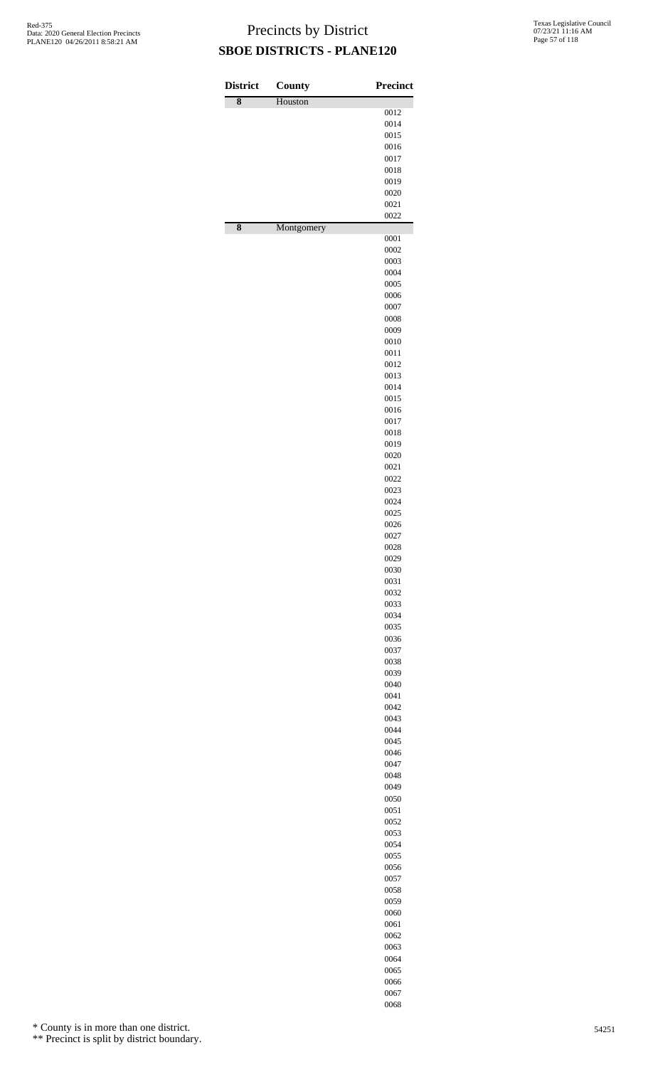| <b>District</b>    | County     | <b>Precinct</b> |
|--------------------|------------|-----------------|
| $\overline{\bf 8}$ | Houston    |                 |
|                    |            | 0012<br>0014    |
|                    |            | 0015            |
|                    |            | 0016            |
|                    |            | 0017            |
|                    |            | 0018            |
|                    |            | 0019            |
|                    |            | 0020            |
|                    |            | 0021            |
| 8                  |            | 0022            |
|                    | Montgomery | 0001            |
|                    |            | 0002            |
|                    |            | 0003            |
|                    |            | 0004            |
|                    |            | 0005            |
|                    |            | 0006            |
|                    |            | 0007            |
|                    |            | 0008<br>0009    |
|                    |            | 0010            |
|                    |            | 0011            |
|                    |            | 0012            |
|                    |            | 0013            |
|                    |            | 0014            |
|                    |            | 0015            |
|                    |            | 0016<br>0017    |
|                    |            | 0018            |
|                    |            | 0019            |
|                    |            | 0020            |
|                    |            | 0021            |
|                    |            | 0022            |
|                    |            | 0023            |
|                    |            | 0024            |
|                    |            | 0025<br>0026    |
|                    |            | 0027            |
|                    |            | 0028            |
|                    |            | 0029            |
|                    |            | 0030            |
|                    |            | 0031            |
|                    |            | 0032            |
|                    |            | 0033<br>0034    |
|                    |            | 0035            |
|                    |            | 0036            |
|                    |            | 0037            |
|                    |            | 0038            |
|                    |            | 0039            |
|                    |            | 0040            |
|                    |            | 0041<br>0042    |
|                    |            | 0043            |
|                    |            | 0044            |
|                    |            | 0045            |
|                    |            | 0046            |
|                    |            | 0047            |
|                    |            | 0048<br>0049    |
|                    |            | 0050            |
|                    |            | 0051            |
|                    |            | 0052            |
|                    |            | 0053            |
|                    |            | 0054            |
|                    |            | 0055            |
|                    |            | 0056<br>0057    |
|                    |            | 0058            |
|                    |            | 0059            |
|                    |            | 0060            |
|                    |            | 0061            |
|                    |            | 0062            |
|                    |            | 0063            |
|                    |            | 0064<br>0065    |
|                    |            |                 |

 

\* County is in more than one district.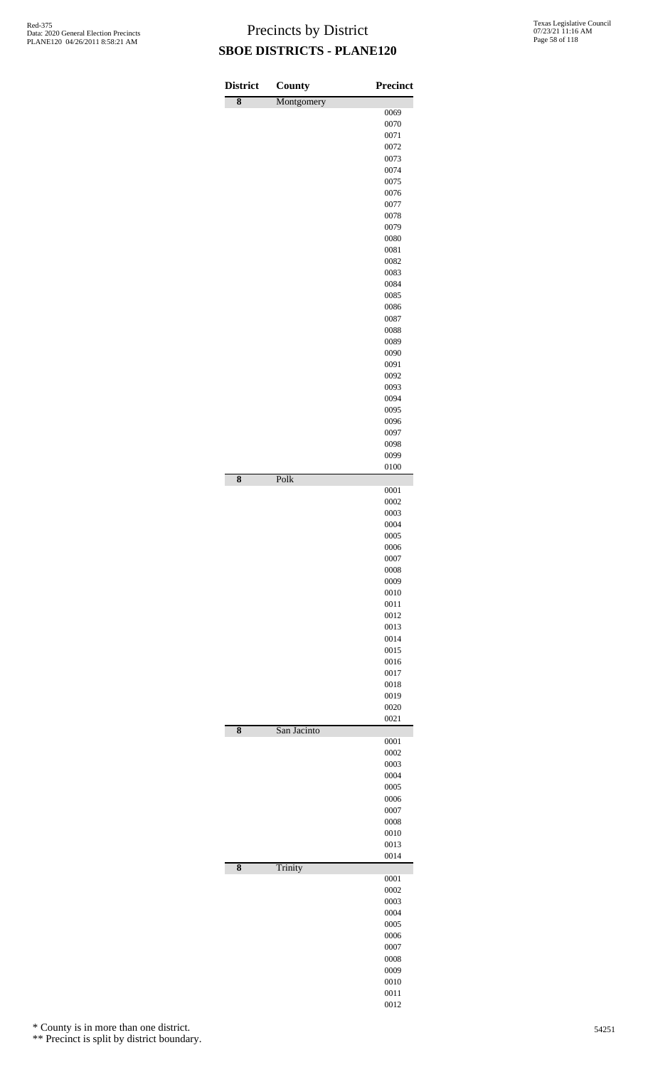| <b>District</b>    | County      | <b>Precinct</b> |
|--------------------|-------------|-----------------|
| 8                  | Montgomery  |                 |
|                    |             | 0069<br>0070    |
|                    |             | 0071            |
|                    |             | 0072            |
|                    |             | 0073<br>0074    |
|                    |             | 0075            |
|                    |             | 0076            |
|                    |             | 0077            |
|                    |             | 0078<br>0079    |
|                    |             | 0080            |
|                    |             | 0081            |
|                    |             | 0082<br>0083    |
|                    |             | 0084            |
|                    |             | 0085            |
|                    |             | 0086            |
|                    |             | 0087<br>0088    |
|                    |             | 0089            |
|                    |             | 0090            |
|                    |             | 0091            |
|                    |             | 0092<br>0093    |
|                    |             | 0094            |
|                    |             | 0095            |
|                    |             | 0096            |
|                    |             | 0097<br>0098    |
|                    |             | 0099            |
|                    |             | 0100            |
| $\overline{\bf 8}$ | Polk        | 0001            |
|                    |             | 0002            |
|                    |             | 0003<br>0004    |
|                    |             | 0005            |
|                    |             | 0006            |
|                    |             | 0007            |
|                    |             | 0008<br>0009    |
|                    |             | 0010            |
|                    |             | 0011            |
|                    |             | 0012<br>0013    |
|                    |             | 0014            |
|                    |             | 0015            |
|                    |             | 0016            |
|                    |             | 0017<br>0018    |
|                    |             | 0019            |
|                    |             | 0020            |
| 8                  | San Jacinto | 0021            |
|                    |             | 0001            |
|                    |             | 0002            |
|                    |             | 0003<br>0004    |
|                    |             | 0005            |
|                    |             | 0006            |
|                    |             | 0007<br>0008    |
|                    |             | 0010            |
|                    |             | 0013            |
| $\overline{\bf 8}$ | Trinity     | 0014            |
|                    |             | 0001            |
|                    |             | 0002            |
|                    |             | 0003<br>0004    |
|                    |             | 0005            |
|                    |             | 0006            |
|                    |             | 0007<br>0008    |
|                    |             | 0009            |
|                    |             | 0010            |
|                    |             | 0011            |

\* County is in more than one district.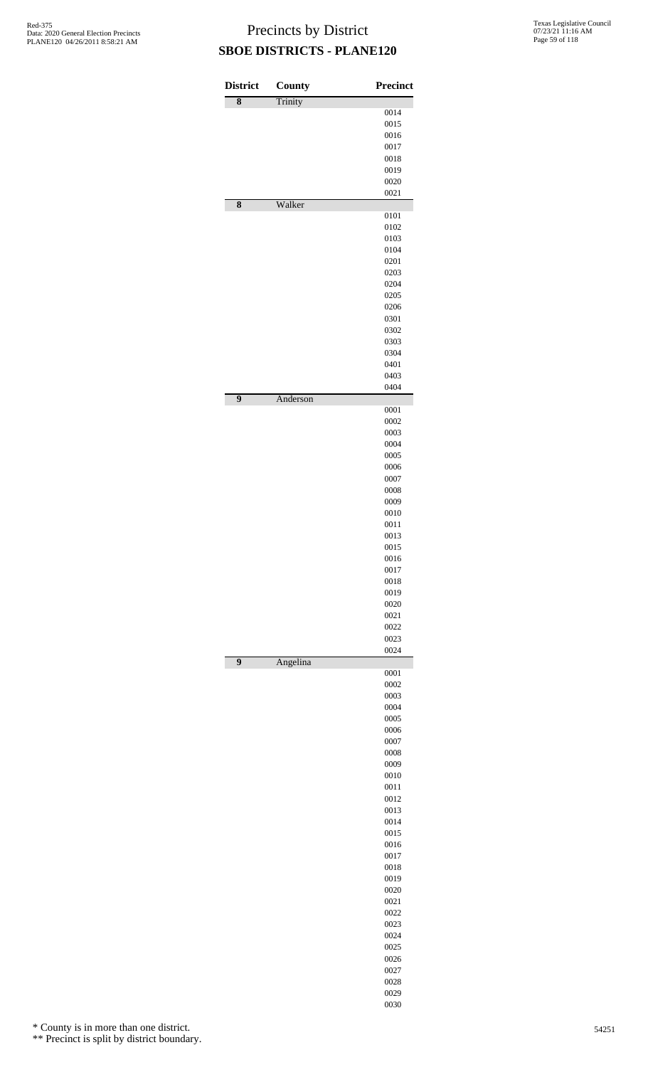| <b>District</b> | County   | <b>Precinct</b> |
|-----------------|----------|-----------------|
| 8               | Trinity  | 0014            |
|                 |          | 0015            |
|                 |          | 0016            |
|                 |          | 0017            |
|                 |          | 0018<br>0019    |
|                 |          | 0020            |
|                 |          | 0021            |
| 8               | Walker   | 0101            |
|                 |          | 0102            |
|                 |          | 0103<br>0104    |
|                 |          | 0201            |
|                 |          | 0203            |
|                 |          | 0204            |
|                 |          | 0205            |
|                 |          | 0206<br>0301    |
|                 |          | 0302            |
|                 |          | 0303            |
|                 |          | 0304            |
|                 |          | 0401            |
|                 |          | 0403            |
| $\overline{9}$  | Anderson | 0404            |
|                 |          | 0001            |
|                 |          | 0002<br>0003    |
|                 |          | 0004            |
|                 |          | 0005            |
|                 |          | 0006            |
|                 |          | 0007            |
|                 |          | 0008            |
|                 |          | 0009<br>0010    |
|                 |          | 0011            |
|                 |          | 0013            |
|                 |          | 0015            |
|                 |          | 0016<br>0017    |
|                 |          | 0018            |
|                 |          | 0019            |
|                 |          | 0020            |
|                 |          | 0021            |
|                 |          | 0022<br>0023    |
|                 |          | 0024            |
| $\overline{9}$  | Angelina | 0001            |
|                 |          | 0002            |
|                 |          | 0003            |
|                 |          | 0004            |
|                 |          | 0005<br>0006    |
|                 |          | 0007            |
|                 |          | 0008            |
|                 |          | 0009            |
|                 |          | 0010            |
|                 |          | 0011            |
|                 |          | 0012<br>0013    |
|                 |          | 0014            |
|                 |          | 0015            |
|                 |          | 0016            |
|                 |          | 0017            |
|                 |          | 0018<br>0019    |
|                 |          | 0020            |
|                 |          | 0021            |
|                 |          | 0022            |
|                 |          | 0023            |
|                 |          | 0024            |
|                 |          | 0025<br>0026    |
|                 |          | 0027            |
|                 |          | 0028            |
|                 |          | 0029            |

\* County is in more than one district.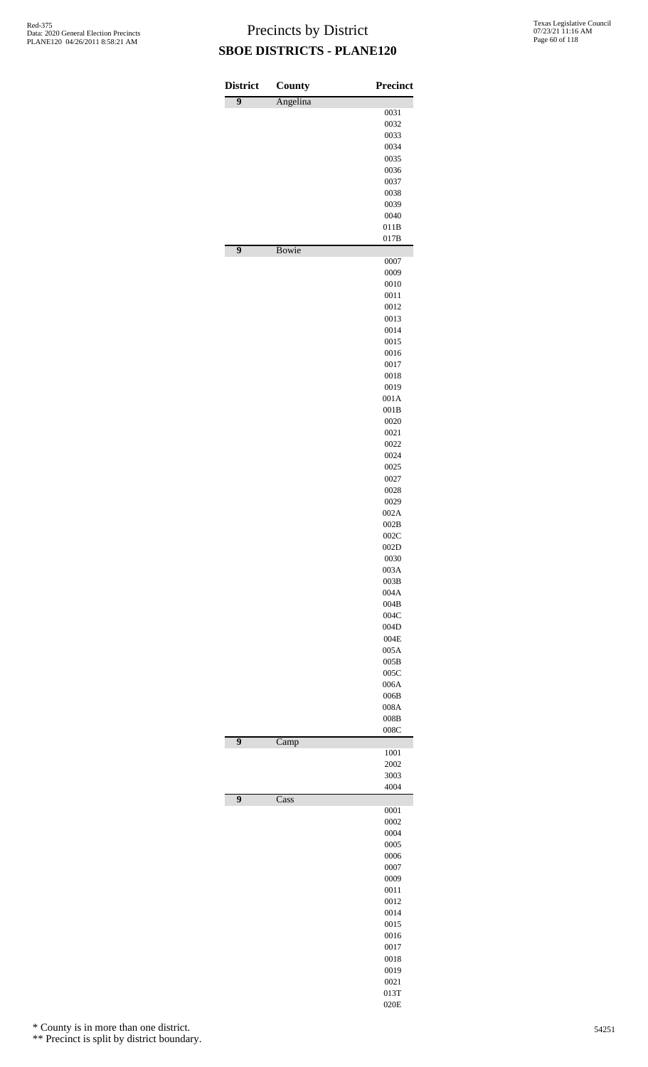| <b>District</b><br>$\overline{9}$ | <b>County</b><br>Angelina  | <b>Precinct</b> |
|-----------------------------------|----------------------------|-----------------|
|                                   |                            | 0031            |
|                                   |                            | 0032            |
|                                   |                            | 0033<br>0034    |
|                                   |                            | 0035            |
|                                   |                            | 0036            |
|                                   |                            | 0037            |
|                                   |                            | 0038            |
|                                   |                            | 0039<br>0040    |
|                                   |                            | 011B            |
| $\overline{9}$                    | <b>Bowie</b>               | 017B            |
|                                   |                            | 0007            |
|                                   |                            | 0009            |
|                                   |                            | 0010<br>0011    |
|                                   |                            | 0012            |
|                                   |                            | 0013            |
|                                   |                            | 0014            |
|                                   |                            | 0015<br>0016    |
|                                   |                            | 0017            |
|                                   |                            | 0018            |
|                                   |                            | 0019            |
|                                   |                            | 001A            |
|                                   |                            | 001B<br>0020    |
|                                   |                            | 0021            |
|                                   |                            | 0022            |
|                                   |                            | 0024            |
|                                   |                            | 0025            |
|                                   |                            | 0027<br>0028    |
|                                   |                            | 0029            |
|                                   |                            | 002A            |
|                                   |                            | 002B            |
|                                   |                            | 002C            |
|                                   |                            | 002D<br>0030    |
|                                   |                            | 003A            |
|                                   |                            | 003B            |
|                                   |                            | 004A<br>004B    |
|                                   |                            | 004C            |
|                                   |                            | 004D            |
|                                   |                            | 004E            |
|                                   |                            | 005A            |
|                                   |                            | 005B<br>005C    |
|                                   |                            | 006A            |
|                                   |                            | 006B            |
|                                   |                            | 008A            |
|                                   |                            | 008B<br>008C    |
| 9                                 | Camp                       |                 |
|                                   |                            | 1001            |
|                                   |                            | 2002<br>3003    |
|                                   |                            | 4004            |
| 9                                 | $\overline{\mathrm{Cass}}$ | 0001            |
|                                   |                            | 0002            |
|                                   |                            | 0004            |
|                                   |                            | 0005            |
|                                   |                            | 0006<br>0007    |
|                                   |                            | 0009            |
|                                   |                            | 0011            |
|                                   |                            | 0012            |
|                                   |                            | 0014            |
|                                   |                            | 0015<br>0016    |
|                                   |                            | 0017            |
|                                   |                            | 0018            |
|                                   |                            | 0019            |
|                                   |                            | 0021            |
|                                   |                            | 013T<br>020E    |
|                                   |                            |                 |

\* County is in more than one district.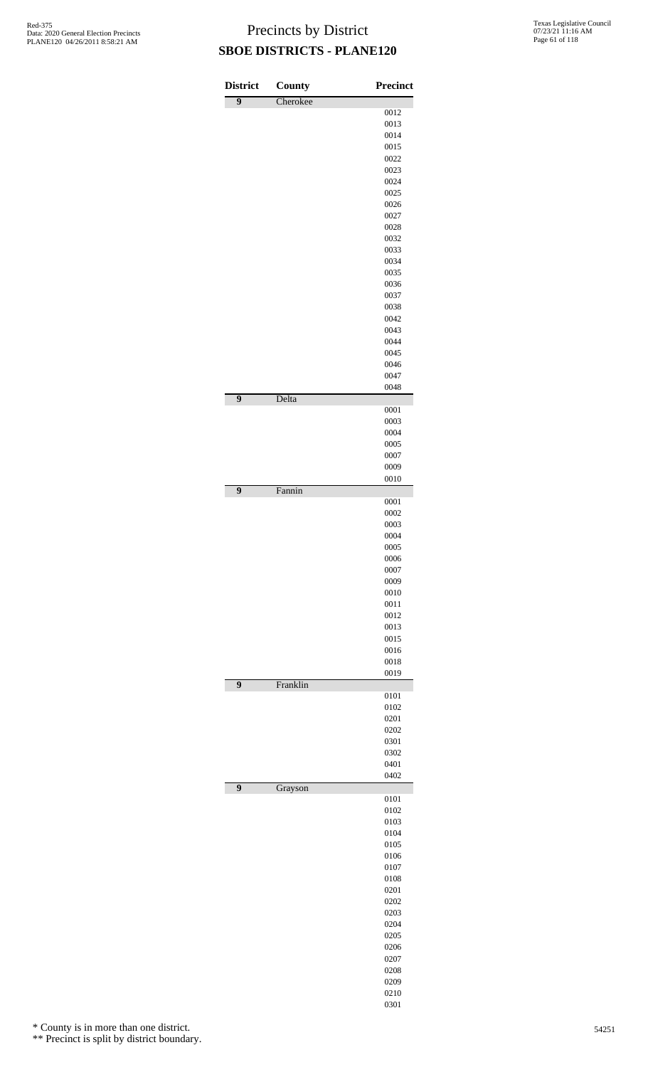| <b>District</b> | <b>County</b> | <b>Precinct</b> |
|-----------------|---------------|-----------------|
| $\overline{9}$  | Cherokee      |                 |
|                 |               | 0012            |
|                 |               | 0013            |
|                 |               | 0014<br>0015    |
|                 |               | 0022            |
|                 |               | 0023            |
|                 |               | 0024            |
|                 |               | 0025            |
|                 |               | 0026            |
|                 |               | 0027            |
|                 |               | 0028<br>0032    |
|                 |               | 0033            |
|                 |               | 0034            |
|                 |               | 0035            |
|                 |               | 0036            |
|                 |               | 0037            |
|                 |               | 0038            |
|                 |               | 0042<br>0043    |
|                 |               | 0044            |
|                 |               | 0045            |
|                 |               | 0046            |
|                 |               | 0047            |
|                 |               | 0048            |
| $\overline{9}$  | Delta         | 0001            |
|                 |               | 0003            |
|                 |               | 0004            |
|                 |               | 0005            |
|                 |               | 0007<br>0009    |
|                 |               | 0010            |
| $\overline{9}$  | Fannin        |                 |
|                 |               | 0001            |
|                 |               | 0002            |
|                 |               | 0003            |
|                 |               | 0004            |
|                 |               | 0005            |
|                 |               | 0006<br>0007    |
|                 |               | 0009            |
|                 |               | 0010            |
|                 |               | 0011            |
|                 |               | 0012            |
|                 |               | 0013            |
|                 |               | 0015            |
|                 |               | 0016<br>0018    |
|                 |               | 0019            |
| $\overline{9}$  | Franklin      |                 |
|                 |               | 0101            |
|                 |               | 0102            |
|                 |               | 0201            |
|                 |               | 0202<br>0301    |
|                 |               | 0302            |
|                 |               | 0401            |
|                 |               | 0402            |
| $\overline{9}$  | Grayson       |                 |
|                 |               | 0101            |
|                 |               | 0102<br>0103    |
|                 |               | 0104            |
|                 |               | 0105            |
|                 |               | 0106            |
|                 |               | 0107            |
|                 |               | 0108            |
|                 |               | 0201            |
|                 |               | 0202            |
|                 |               | 0203            |
|                 |               | 0204<br>0205    |
|                 |               | 0206            |
|                 |               | 0207            |
|                 |               | 0208            |
|                 |               | 0209            |
|                 |               | 0210            |
|                 |               | 0301            |

\* County is in more than one district.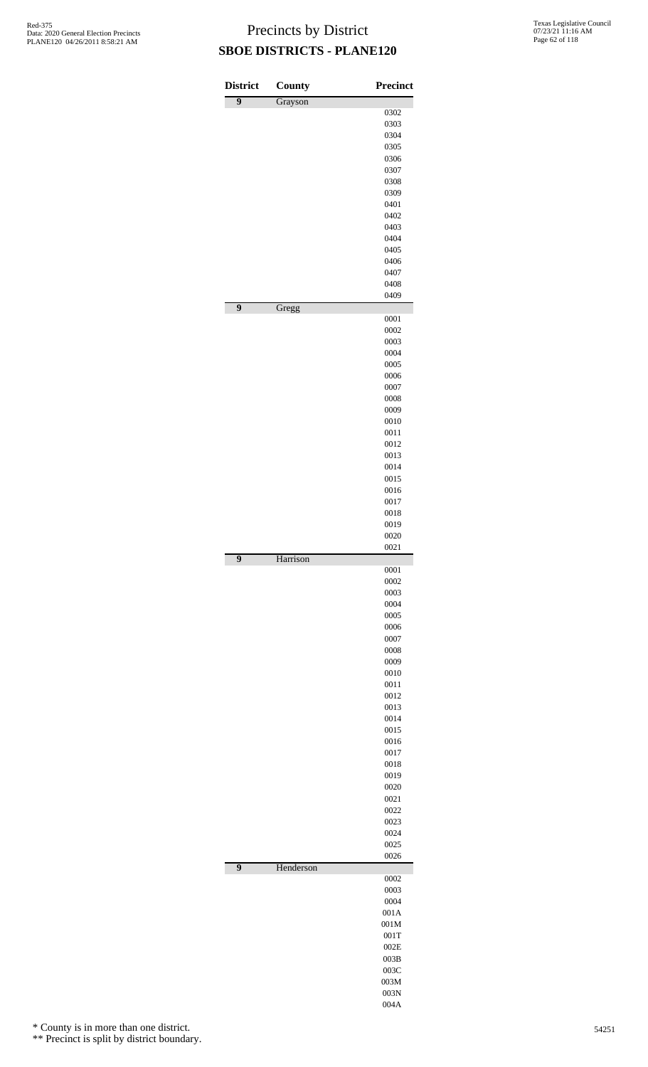| <b>District</b> | County    | <b>Precinct</b> |
|-----------------|-----------|-----------------|
| 9               | Grayson   |                 |
|                 |           | 0302<br>0303    |
|                 |           | 0304            |
|                 |           | 0305            |
|                 |           | 0306            |
|                 |           | 0307            |
|                 |           | 0308            |
|                 |           | 0309            |
|                 |           | 0401            |
|                 |           | 0402<br>0403    |
|                 |           | 0404            |
|                 |           | 0405            |
|                 |           | 0406            |
|                 |           | 0407            |
|                 |           | 0408            |
| 9               |           | 0409            |
|                 | Gregg     | 0001            |
|                 |           | 0002            |
|                 |           | 0003            |
|                 |           | 0004            |
|                 |           | 0005<br>0006    |
|                 |           | 0007            |
|                 |           | 0008            |
|                 |           | 0009            |
|                 |           | 0010            |
|                 |           | 0011            |
|                 |           | 0012            |
|                 |           | 0013            |
|                 |           | 0014<br>0015    |
|                 |           | 0016            |
|                 |           | 0017            |
|                 |           | 0018            |
|                 |           | 0019            |
|                 |           | 0020            |
| 9               | Harrison  | 0021            |
|                 |           | 0001            |
|                 |           | 0002            |
|                 |           | 0003            |
|                 |           | 0004<br>0005    |
|                 |           | 0006            |
|                 |           | 0007            |
|                 |           | 0008            |
|                 |           | 0009            |
|                 |           | 0010            |
|                 |           | 0011            |
|                 |           | 0012            |
|                 |           | 0013<br>0014    |
|                 |           | 0015            |
|                 |           | 0016            |
|                 |           | 0017            |
|                 |           | 0018            |
|                 |           | 0019            |
|                 |           | 0020            |
|                 |           | 0021            |
|                 |           | 0022            |
|                 |           | 0023<br>0024    |
|                 |           | 0025            |
|                 |           | 0026            |
| $\overline{9}$  | Henderson |                 |
|                 |           | 0002<br>0003    |
|                 |           | 0004            |
|                 |           | 001A            |
|                 |           | 001M            |
|                 |           | 001T            |
|                 |           | 002E            |
|                 |           | 003B            |
|                 |           | 003C            |
|                 |           | 003M<br>003N    |
|                 |           |                 |

004A

\* County is in more than one district.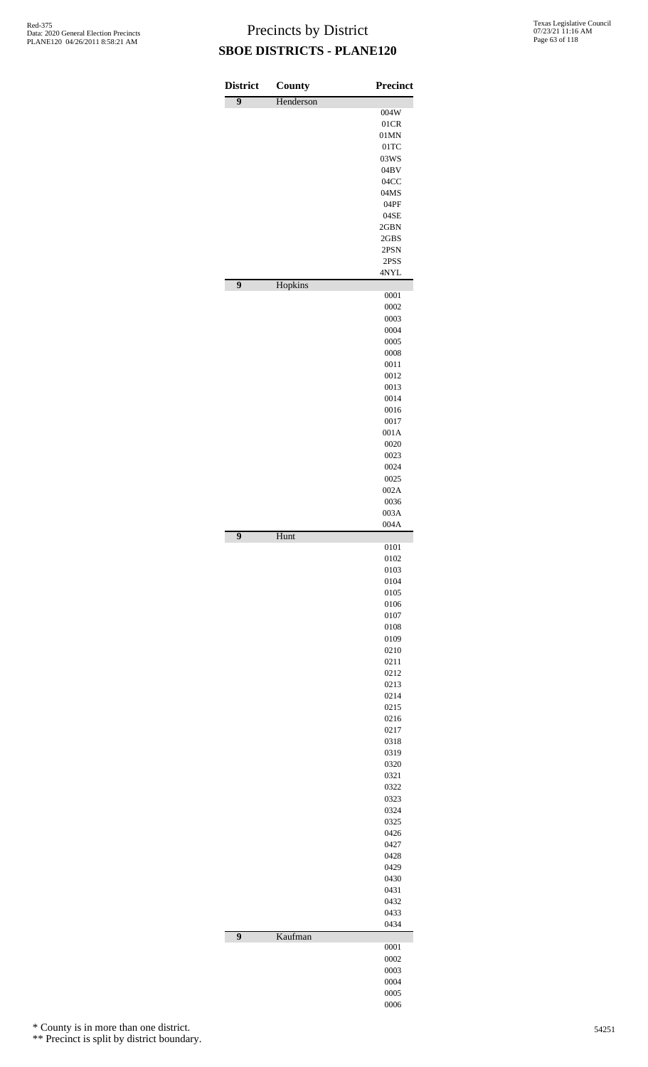| <b>District</b> | <b>County</b> | <b>Precinct</b> |
|-----------------|---------------|-----------------|
| $\overline{9}$  | Henderson     | 004W            |
|                 |               | 01CR            |
|                 |               | 01MN<br>01TC    |
|                 |               | 03WS            |
|                 |               | 04BV            |
|                 |               | 04CC            |
|                 |               | 04MS<br>04PF    |
|                 |               | 04SE            |
|                 |               | 2GBN            |
|                 |               | 2GBS<br>2PSN    |
|                 |               | 2PSS            |
|                 |               | 4NYL            |
| $\overline{9}$  | Hopkins       | 0001            |
|                 |               | 0002            |
|                 |               | 0003<br>0004    |
|                 |               | 0005            |
|                 |               | 0008            |
|                 |               | 0011            |
|                 |               | 0012<br>0013    |
|                 |               | 0014            |
|                 |               | 0016            |
|                 |               | 0017            |
|                 |               | 001A<br>0020    |
|                 |               | 0023            |
|                 |               | 0024            |
|                 |               | 0025<br>002A    |
|                 |               | 0036            |
|                 |               | 003A            |
| $\overline{9}$  | Hunt          | 004A            |
|                 |               | 0101<br>0102    |
|                 |               | 0103            |
|                 |               | 0104            |
|                 |               | 0105            |
|                 |               | 0106<br>0107    |
|                 |               | 0108            |
|                 |               | 0109            |
|                 |               | 0210<br>0211    |
|                 |               | 0212            |
|                 |               | 0213            |
|                 |               | 0214            |
|                 |               | 0215<br>0216    |
|                 |               | 0217            |
|                 |               | 0318            |
|                 |               | 0319<br>0320    |
|                 |               | 0321            |
|                 |               | 0322            |
|                 |               | 0323            |
|                 |               | 0324<br>0325    |
|                 |               | 0426            |
|                 |               | 0427            |
|                 |               | 0428<br>0429    |
|                 |               | 0430            |
|                 |               | 0431            |
|                 |               | 0432            |
|                 |               | 0433<br>0434    |
| $\overline{9}$  | Kaufman       | 0001            |
|                 |               | 0002            |
|                 |               | 0003            |
|                 |               | 0004            |
|                 |               | 0005<br>0006    |
|                 |               |                 |

\* County is in more than one district.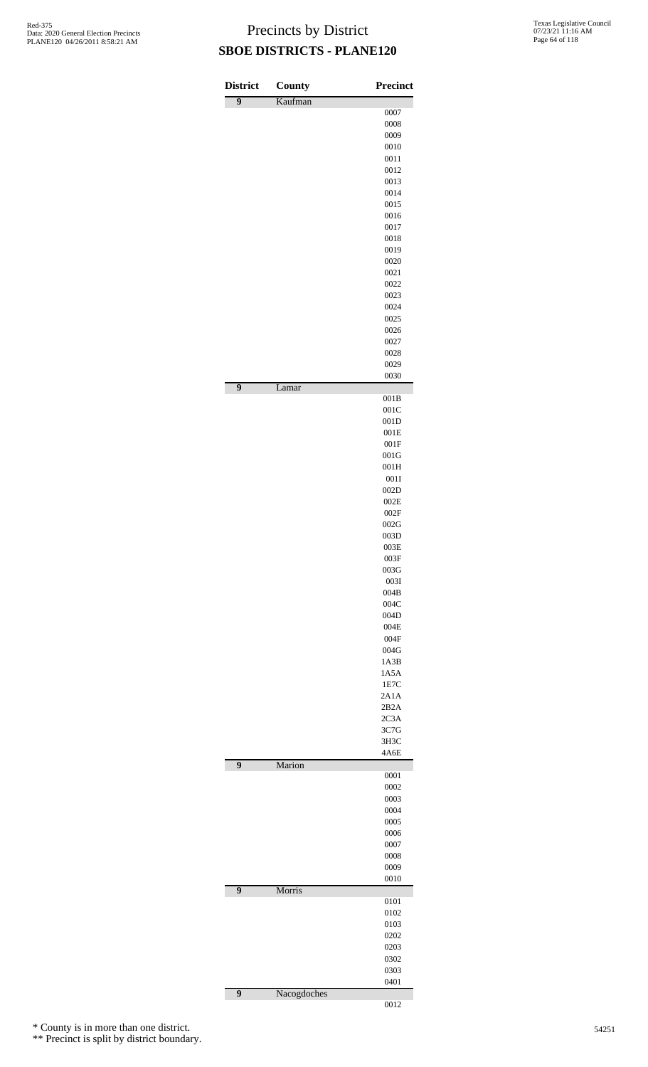| <b>District</b> | <b>County</b> | <b>Precinct</b> |
|-----------------|---------------|-----------------|
| $\overline{9}$  | Kaufman       |                 |
|                 |               | 0007            |
|                 |               | 0008            |
|                 |               | 0009<br>0010    |
|                 |               | 0011            |
|                 |               | 0012            |
|                 |               | 0013            |
|                 |               | 0014            |
|                 |               | 0015            |
|                 |               | 0016            |
|                 |               | 0017            |
|                 |               | 0018            |
|                 |               | 0019            |
|                 |               | 0020            |
|                 |               | 0021            |
|                 |               | 0022<br>0023    |
|                 |               | 0024            |
|                 |               | 0025            |
|                 |               | 0026            |
|                 |               | 0027            |
|                 |               | 0028            |
|                 |               | 0029            |
|                 |               | 0030            |
| $\overline{9}$  | Lamar         | 001B            |
|                 |               | 001C            |
|                 |               | 001D            |
|                 |               | 001E            |
|                 |               | 001F            |
|                 |               | 001G            |
|                 |               | 001H            |
|                 |               | 001I<br>002D    |
|                 |               | 002E            |
|                 |               | $002\mathrm{F}$ |
|                 |               | 002G            |
|                 |               | 003D            |
|                 |               | 003E            |
|                 |               | 003F            |
|                 |               | 003G            |
|                 |               | 0031            |
|                 |               | 004B            |
|                 |               | 004C            |
|                 |               | 004D            |
|                 |               | 004E            |
|                 |               | 004F            |
|                 |               | 004G            |
|                 |               | 1A3B<br>1A5A    |
|                 |               | 1E7C            |
|                 |               | 2A1A            |
|                 |               | 2B2A            |
|                 |               | 2C3A            |
|                 |               | 3C7G            |
|                 |               | 3H3C            |
|                 |               | 4A6E            |
| $\overline{9}$  | Marion        | 0001            |
|                 |               | 0002            |
|                 |               | 0003            |
|                 |               | 0004            |
|                 |               | 0005            |
|                 |               | 0006            |
|                 |               | 0007            |
|                 |               | 0008            |
|                 |               | 0009<br>0010    |
| $\overline{9}$  | Morris        |                 |
|                 |               | 0101<br>0102    |
|                 |               | 0103            |
|                 |               | 0202            |
|                 |               | 0203            |
|                 |               | 0302            |
|                 |               | 0303            |
| $\overline{9}$  | Nacogdoches   | 0401            |
|                 |               | 0012            |

\* County is in more than one district.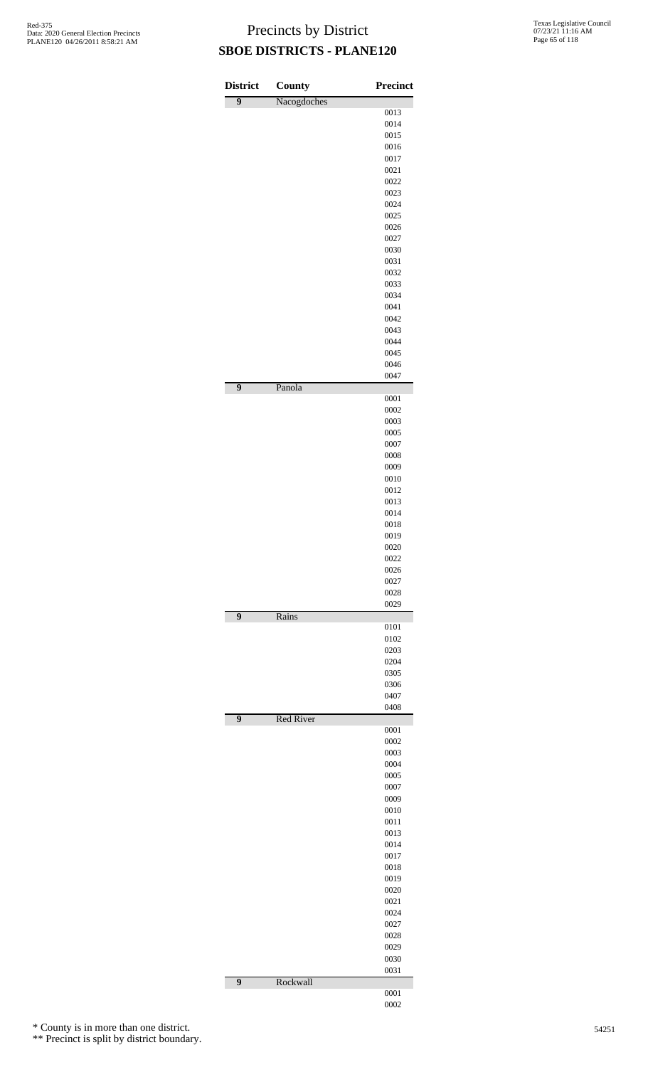| <b>District</b> | <b>County</b>    | <b>Precinct</b> |
|-----------------|------------------|-----------------|
| $\overline{9}$  | Nacogdoches      |                 |
|                 |                  | 0013            |
|                 |                  | 0014            |
|                 |                  | 0015            |
|                 |                  | 0016            |
|                 |                  | 0017            |
|                 |                  | 0021            |
|                 |                  | 0022            |
|                 |                  | 0023            |
|                 |                  | 0024            |
|                 |                  | 0025            |
|                 |                  | 0026            |
|                 |                  | 0027            |
|                 |                  | 0030            |
|                 |                  | 0031            |
|                 |                  | 0032            |
|                 |                  | 0033<br>0034    |
|                 |                  | 0041            |
|                 |                  | 0042            |
|                 |                  | 0043            |
|                 |                  | 0044            |
|                 |                  | 0045            |
|                 |                  | 0046            |
|                 |                  | 0047            |
| $\overline{9}$  | Panola           |                 |
|                 |                  | 0001            |
|                 |                  | 0002            |
|                 |                  | 0003            |
|                 |                  | 0005            |
|                 |                  | 0007            |
|                 |                  | 0008            |
|                 |                  | 0009            |
|                 |                  | 0010            |
|                 |                  | 0012            |
|                 |                  | 0013            |
|                 |                  | 0014            |
|                 |                  | 0018            |
|                 |                  | 0019            |
|                 |                  | 0020            |
|                 |                  | 0022            |
|                 |                  | 0026            |
|                 |                  | 0027            |
|                 |                  | 0028            |
|                 |                  | 0029            |
| $\overline{9}$  | Rains            |                 |
|                 |                  | 0101            |
|                 |                  | 0102            |
|                 |                  | 0203<br>0204    |
|                 |                  |                 |
|                 |                  | 0305<br>0306    |
|                 |                  | 0407            |
|                 |                  | 0408            |
| $\overline{9}$  | <b>Red River</b> |                 |
|                 |                  | 0001            |
|                 |                  | 0002            |
|                 |                  | 0003            |
|                 |                  |                 |
|                 |                  | 0004            |
|                 |                  | 0005            |
|                 |                  | 0007            |
|                 |                  | 0009            |
|                 |                  | 0010            |
|                 |                  | 0011            |
|                 |                  | 0013            |
|                 |                  | 0014            |
|                 |                  | 0017            |
|                 |                  | 0018            |
|                 |                  | 0019            |
|                 |                  | 0020            |
|                 |                  | 0021            |
|                 |                  | 0024            |
|                 |                  | 0027            |
|                 |                  | 0028            |
|                 |                  | 0029            |
|                 |                  | 0030            |
| 9               | Rockwall         | 0031            |

\* County is in more than one district.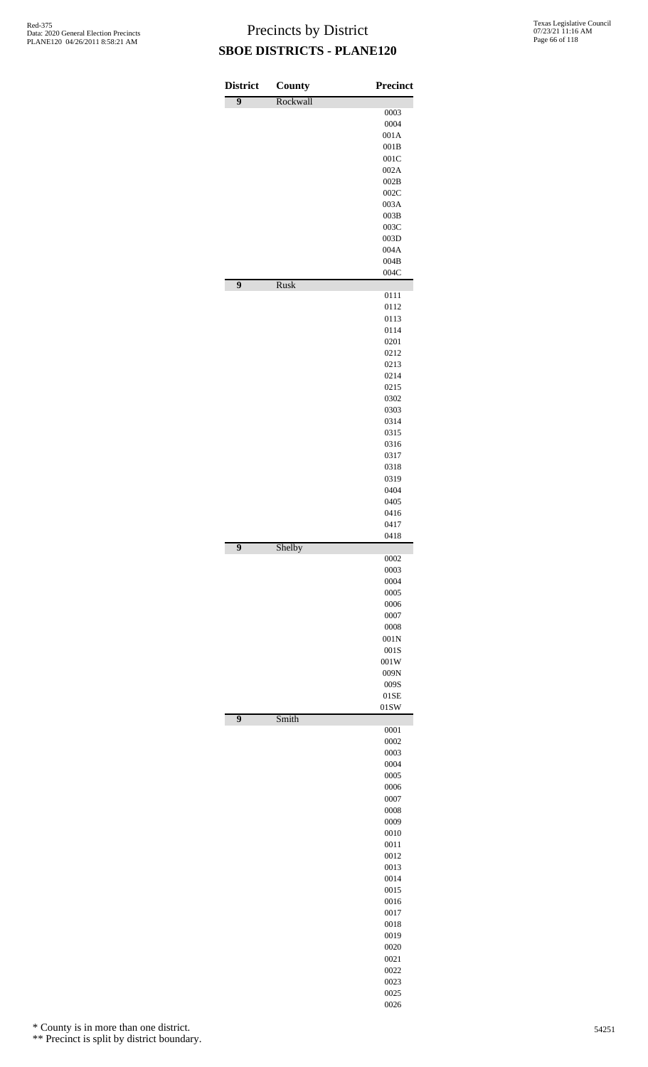| <b>District</b> | County   | <b>Precinct</b> |
|-----------------|----------|-----------------|
| $\overline{9}$  | Rockwall |                 |
|                 |          | 0003<br>0004    |
|                 |          | 001A            |
|                 |          | 001B            |
|                 |          | 001C            |
|                 |          | 002A<br>002B    |
|                 |          | 002C            |
|                 |          | 003A            |
|                 |          | 003B            |
|                 |          | 003C            |
|                 |          | 003D<br>004A    |
|                 |          | 004B            |
| 9               | Rusk     | 004C            |
|                 |          | 0111            |
|                 |          | 0112<br>0113    |
|                 |          | 0114            |
|                 |          | 0201            |
|                 |          | 0212            |
|                 |          | 0213            |
|                 |          | 0214<br>0215    |
|                 |          | 0302            |
|                 |          | 0303            |
|                 |          | 0314            |
|                 |          | 0315            |
|                 |          | 0316<br>0317    |
|                 |          | 0318            |
|                 |          | 0319            |
|                 |          | 0404            |
|                 |          | 0405            |
|                 |          | 0416<br>0417    |
|                 |          | 0418            |
| 9               | Shelby   | 0002            |
|                 |          | 0003            |
|                 |          | 0004<br>0005    |
|                 |          | 0006            |
|                 |          | 0007            |
|                 |          | 0008            |
|                 |          | 001N            |
|                 |          | 001S<br>001W    |
|                 |          | 009N            |
|                 |          | 009S            |
|                 |          | 01SE            |
| $\overline{9}$  | Smith    | 01SW            |
|                 |          | 0001            |
|                 |          | 0002<br>0003    |
|                 |          | 0004            |
|                 |          | 0005            |
|                 |          | 0006            |
|                 |          | 0007            |
|                 |          | 0008<br>0009    |
|                 |          | 0010            |
|                 |          | 0011            |
|                 |          | 0012            |
|                 |          | 0013            |
|                 |          | 0014            |
|                 |          |                 |
|                 |          | 0015<br>0016    |
|                 |          | 0017            |
|                 |          | 0018            |
|                 |          | 0019            |
|                 |          | 0020            |
|                 |          | 0021            |
|                 |          | 0022<br>0023    |

\* County is in more than one district.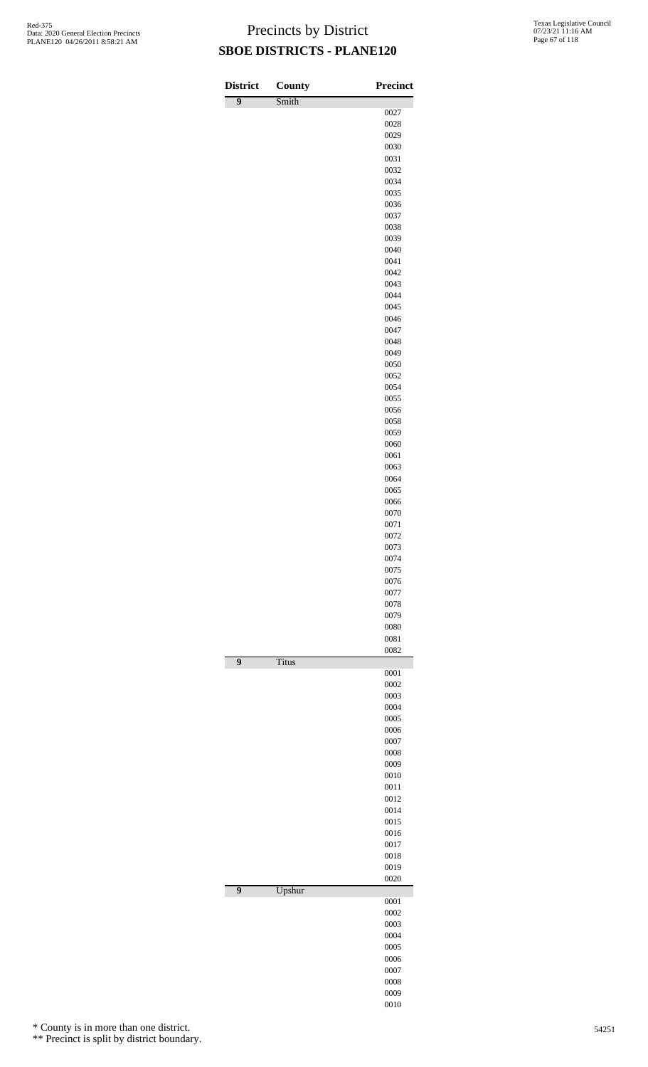| <b>District</b> | <b>County</b> | <b>Precinct</b> |
|-----------------|---------------|-----------------|
| 9               | Smith         |                 |
|                 |               | 0027<br>0028    |
|                 |               | 0029            |
|                 |               | 0030            |
|                 |               | 0031            |
|                 |               | 0032            |
|                 |               | 0034            |
|                 |               | 0035<br>0036    |
|                 |               | 0037            |
|                 |               | 0038            |
|                 |               | 0039            |
|                 |               | 0040            |
|                 |               | 0041<br>0042    |
|                 |               | 0043            |
|                 |               | 0044            |
|                 |               | 0045            |
|                 |               | 0046            |
|                 |               | 0047            |
|                 |               | 0048<br>0049    |
|                 |               | 0050            |
|                 |               | 0052            |
|                 |               | 0054            |
|                 |               | 0055            |
|                 |               | 0056<br>0058    |
|                 |               | 0059            |
|                 |               | 0060            |
|                 |               | 0061            |
|                 |               | 0063            |
|                 |               | 0064<br>0065    |
|                 |               | 0066            |
|                 |               | 0070            |
|                 |               | 0071            |
|                 |               | 0072            |
|                 |               | 0073<br>0074    |
|                 |               | 0075            |
|                 |               | 0076            |
|                 |               | 0077            |
|                 |               | 0078<br>0079    |
|                 |               | 0080            |
|                 |               | 0081            |
|                 |               | 0082            |
| $\overline{9}$  | Titus         | 0001            |
|                 |               | 0002            |
|                 |               | 0003            |
|                 |               | 0004            |
|                 |               | 0005            |
|                 |               | 0006<br>0007    |
|                 |               | 0008            |
|                 |               | 0009            |
|                 |               | 0010            |
|                 |               | 0011            |
|                 |               | 0012<br>0014    |
|                 |               | 0015            |
|                 |               | 0016            |
|                 |               | 0017            |
|                 |               | 0018<br>0019    |
|                 |               | 0020            |
| $\overline{9}$  | Upshur        |                 |
|                 |               | 0001            |
|                 |               | 0002<br>0003    |
|                 |               | 0004            |
|                 |               | 0005            |
|                 |               | 0006            |
|                 |               | 0007<br>0008    |
|                 |               | 0009            |

\* County is in more than one district.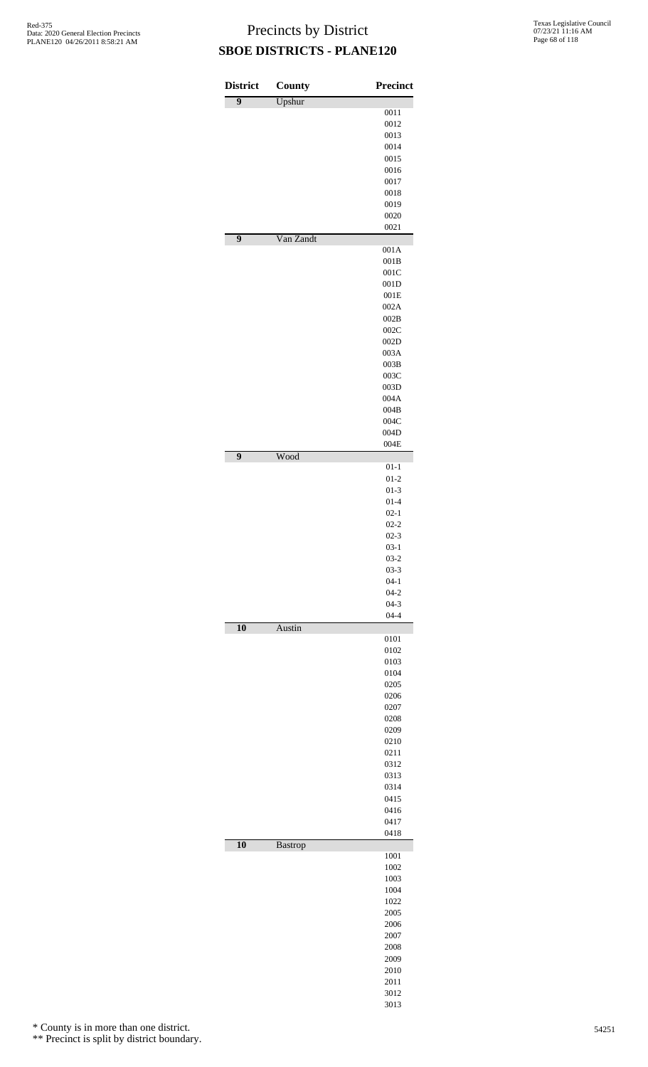| <b>District</b> | County         | <b>Precinct</b>      |
|-----------------|----------------|----------------------|
| $\overline{9}$  | Upshur         |                      |
|                 |                | 0011                 |
|                 |                | 0012                 |
|                 |                | 0013<br>0014         |
|                 |                | 0015                 |
|                 |                | 0016                 |
|                 |                | 0017                 |
|                 |                | 0018                 |
|                 |                | 0019<br>0020         |
|                 |                | 0021                 |
| 9               | Van Zandt      | 001A                 |
|                 |                | 001B                 |
|                 |                | 001C                 |
|                 |                | 001D<br>001E         |
|                 |                | 002A                 |
|                 |                | 002B                 |
|                 |                | 002C                 |
|                 |                | 002D<br>003A         |
|                 |                | 003B                 |
|                 |                | 003C                 |
|                 |                | 003D                 |
|                 |                | 004A                 |
|                 |                | 004B                 |
|                 |                | 004C<br>004D         |
|                 |                | 004E                 |
| $\overline{9}$  | Wood           | $01 - 1$             |
|                 |                | $01 - 2$             |
|                 |                | $01 - 3$             |
|                 |                | $01 - 4$             |
|                 |                | $02 - 1$<br>$02 - 2$ |
|                 |                | $02 - 3$             |
|                 |                | $03 - 1$             |
|                 |                | $03 - 2$             |
|                 |                | $03 - 3$             |
|                 |                | $04-1$<br>$04 - 2$   |
|                 |                | $04 - 3$             |
| 10              |                | $04 - 4$             |
|                 | Austin         | 0101                 |
|                 |                | 0102                 |
|                 |                | 0103<br>0104         |
|                 |                | 0205                 |
|                 |                | 0206                 |
|                 |                | 0207                 |
|                 |                | 0208                 |
|                 |                | 0209<br>0210         |
|                 |                | 0211                 |
|                 |                | 0312                 |
|                 |                | 0313                 |
|                 |                | 0314<br>0415         |
|                 |                | 0416                 |
|                 |                | 0417                 |
| 10              |                | 0418                 |
|                 | <b>Bastrop</b> | 1001                 |
|                 |                | 1002                 |
|                 |                | 1003                 |
|                 |                | 1004<br>1022         |
|                 |                | 2005                 |
|                 |                | 2006                 |
|                 |                | 2007                 |
|                 |                | 2008<br>2009         |
|                 |                | 2010                 |
|                 |                | 2011                 |
|                 |                | 3012                 |

3013

\* County is in more than one district.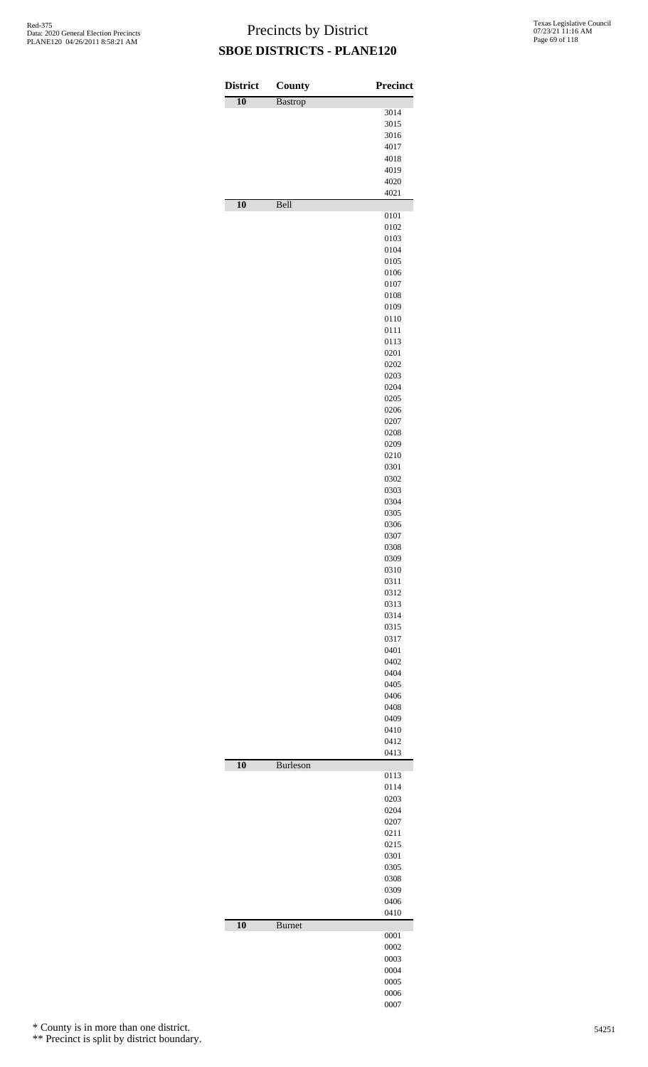| <b>District</b> | County         | <b>Precinct</b> |
|-----------------|----------------|-----------------|
| 10              | <b>Bastrop</b> |                 |
|                 |                | 3014            |
|                 |                | 3015            |
|                 |                | 3016<br>4017    |
|                 |                | 4018            |
|                 |                | 4019            |
|                 |                | 4020            |
|                 |                | 4021            |
| $\overline{10}$ | Bell           |                 |
|                 |                | 0101<br>0102    |
|                 |                | 0103            |
|                 |                | 0104            |
|                 |                | 0105            |
|                 |                | 0106            |
|                 |                | 0107<br>0108    |
|                 |                | 0109            |
|                 |                | 0110            |
|                 |                | 0111            |
|                 |                | 0113            |
|                 |                | 0201            |
|                 |                | 0202<br>0203    |
|                 |                | 0204            |
|                 |                | 0205            |
|                 |                | 0206            |
|                 |                | 0207            |
|                 |                | 0208            |
|                 |                | 0209            |
|                 |                | 0210<br>0301    |
|                 |                | 0302            |
|                 |                | 0303            |
|                 |                | 0304            |
|                 |                | 0305            |
|                 |                | 0306<br>0307    |
|                 |                | 0308            |
|                 |                | 0309            |
|                 |                | 0310            |
|                 |                | 0311            |
|                 |                | 0312<br>0313    |
|                 |                | 0314            |
|                 |                | 0315            |
|                 |                | 0317            |
|                 |                | 0401            |
|                 |                | 0402            |
|                 |                | 0404<br>0405    |
|                 |                | 0406            |
|                 |                | 0408            |
|                 |                | 0409            |
|                 |                | 0410            |
|                 |                | 0412            |
| $\overline{10}$ | Burleson       | 0413            |
|                 |                | 0113            |
|                 |                | 0114            |
|                 |                | 0203            |
|                 |                | 0204            |
|                 |                | 0207<br>0211    |
|                 |                | 0215            |
|                 |                | 0301            |
|                 |                | 0305            |
|                 |                | 0308            |
|                 |                | 0309            |
|                 |                | 0406<br>0410    |
| $\overline{10}$ | <b>Burnet</b>  |                 |
|                 |                | 0001            |
|                 |                | 0002            |
|                 |                | 0003            |
|                 |                | 0004<br>0005    |
|                 |                | 0006            |
|                 |                | 0007            |

\* County is in more than one district.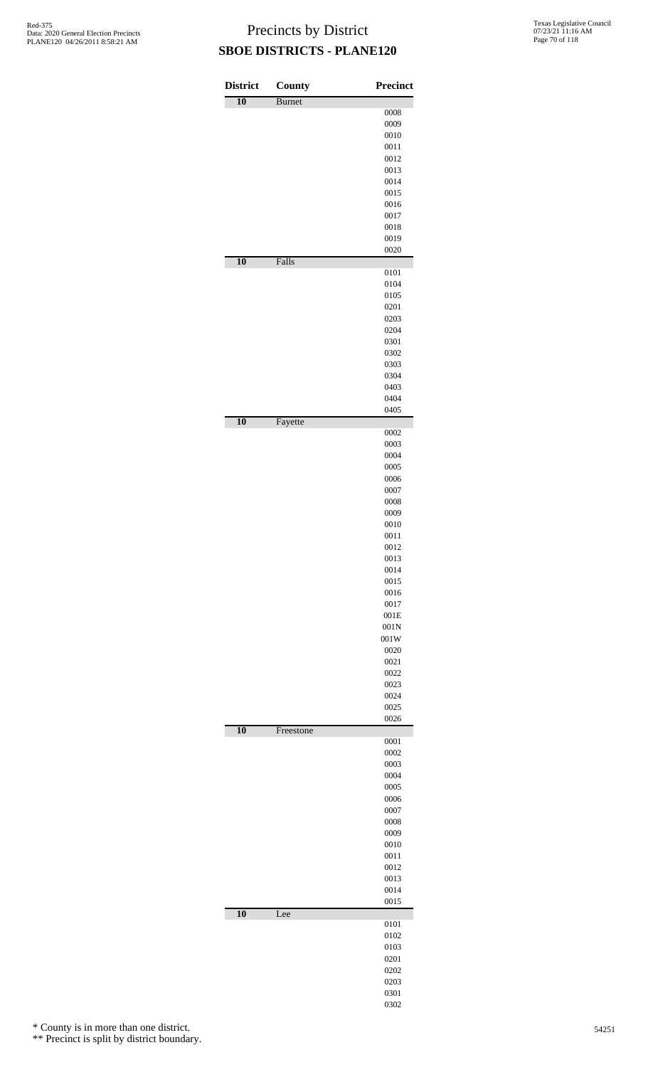| <b>District</b> | <b>County</b> | <b>Precinct</b> |
|-----------------|---------------|-----------------|
| $\overline{10}$ | <b>Burnet</b> |                 |
|                 |               | 0008            |
|                 |               | 0009            |
|                 |               | 0010            |
|                 |               | 0011            |
|                 |               | 0012            |
|                 |               | 0013            |
|                 |               | 0014            |
|                 |               | 0015            |
|                 |               | 0016            |
|                 |               | 0017<br>0018    |
|                 |               | 0019            |
|                 |               | 0020            |
| $\overline{10}$ | Falls         |                 |
|                 |               | 0101            |
|                 |               | 0104            |
|                 |               | 0105            |
|                 |               | 0201            |
|                 |               | 0203            |
|                 |               | 0204            |
|                 |               | 0301            |
|                 |               | 0302            |
|                 |               | 0303            |
|                 |               | 0304<br>0403    |
|                 |               | 0404            |
|                 |               | 0405            |
| $\overline{10}$ | Fayette       |                 |
|                 |               | 0002            |
|                 |               | 0003            |
|                 |               | 0004            |
|                 |               | 0005            |
|                 |               | 0006            |
|                 |               | 0007            |
|                 |               | 0008            |
|                 |               | 0009<br>0010    |
|                 |               | 0011            |
|                 |               | 0012            |
|                 |               | 0013            |
|                 |               | 0014            |
|                 |               | 0015            |
|                 |               | 0016            |
|                 |               | 0017            |
|                 |               | 001E            |
|                 |               | 001N            |
|                 |               | 001W            |
|                 |               | 0020            |
|                 |               | 0021            |
|                 |               | 0022            |
|                 |               | 0023            |
|                 |               | 0024            |
|                 |               | 0025<br>0026    |
| 10              | Freestone     |                 |
|                 |               | 0001            |
|                 |               | 0002            |
|                 |               | 0003            |
|                 |               | 0004            |
|                 |               | 0005            |
|                 |               | 0006            |
|                 |               | 0007            |
|                 |               | 0008            |
|                 |               | 0009            |
|                 |               | 0010<br>0011    |
|                 |               | 0012            |
|                 |               | 0013            |
|                 |               | 0014            |
|                 |               | 0015            |
| $\overline{10}$ | Lee           |                 |
|                 |               | 0101            |
|                 |               | 0102            |
|                 |               | 0103            |
|                 |               | 0201            |
|                 |               | 0202            |
|                 |               | 0203            |
|                 |               | 0301            |
|                 |               | 0302            |

\* County is in more than one district.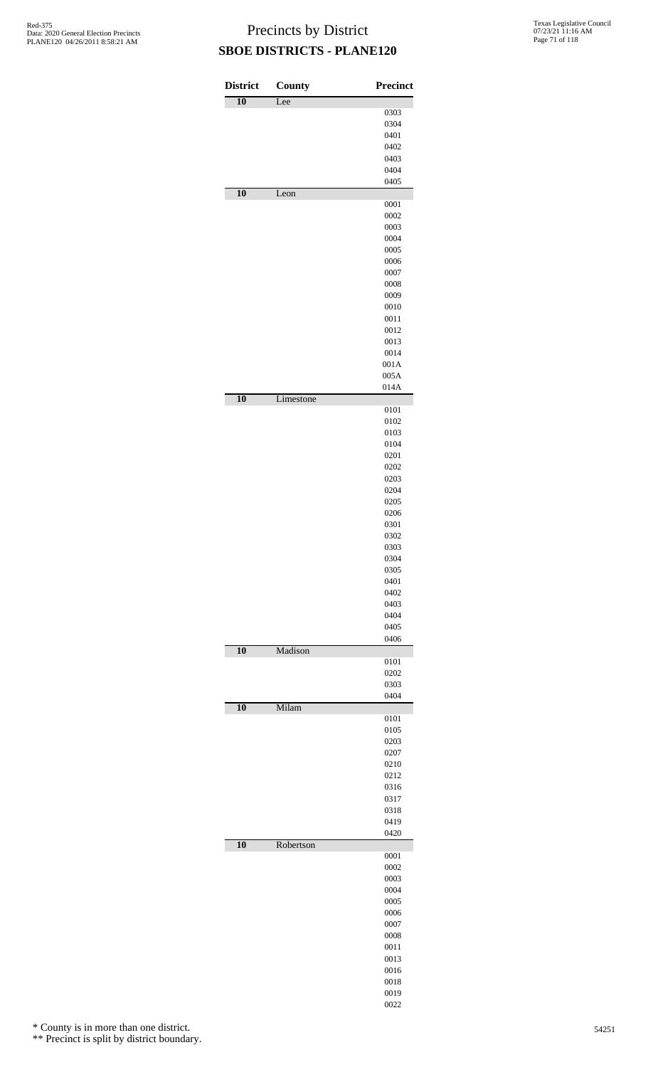| <b>District</b> | <b>County</b> | <b>Precinct</b> |
|-----------------|---------------|-----------------|
| $\overline{10}$ | Lee           |                 |
|                 |               | 0303            |
|                 |               | 0304<br>0401    |
|                 |               | 0402            |
|                 |               | 0403            |
|                 |               | 0404            |
|                 |               | 0405            |
| 10              | Leon          | 0001            |
|                 |               | 0002            |
|                 |               | 0003            |
|                 |               | 0004<br>0005    |
|                 |               | 0006            |
|                 |               | 0007            |
|                 |               | 0008            |
|                 |               | 0009<br>0010    |
|                 |               | 0011            |
|                 |               | 0012            |
|                 |               | 0013            |
|                 |               | 0014            |
|                 |               | 001A            |
|                 |               | 005A<br>014A    |
| 10              | Limestone     |                 |
|                 |               | 0101            |
|                 |               | 0102            |
|                 |               | 0103<br>0104    |
|                 |               | 0201            |
|                 |               | 0202            |
|                 |               | 0203            |
|                 |               | 0204            |
|                 |               | 0205<br>0206    |
|                 |               | 0301            |
|                 |               | 0302            |
|                 |               | 0303            |
|                 |               | 0304<br>0305    |
|                 |               | 0401            |
|                 |               | 0402            |
|                 |               | 0403            |
|                 |               | 0404<br>0405    |
|                 |               | 0406            |
| 10              | Madison       |                 |
|                 |               | 0101            |
|                 |               | 0202<br>0303    |
|                 |               | 0404            |
| 10              | Milam         |                 |
|                 |               | 0101            |
|                 |               | 0105            |
|                 |               | 0203<br>0207    |
|                 |               | 0210            |
|                 |               | 0212            |
|                 |               | 0316            |
|                 |               | 0317<br>0318    |
|                 |               | 0419            |
|                 |               | 0420            |
| 10              | Robertson     |                 |
|                 |               | 0001<br>0002    |
|                 |               | 0003            |
|                 |               | 0004            |
|                 |               | 0005            |
|                 |               | 0006            |
|                 |               | 0007            |
|                 |               | 0008<br>0011    |
|                 |               | 0013            |
|                 |               | 0016            |
|                 |               | 0018            |
|                 |               | 0019            |
|                 |               | 0022            |

\* County is in more than one district.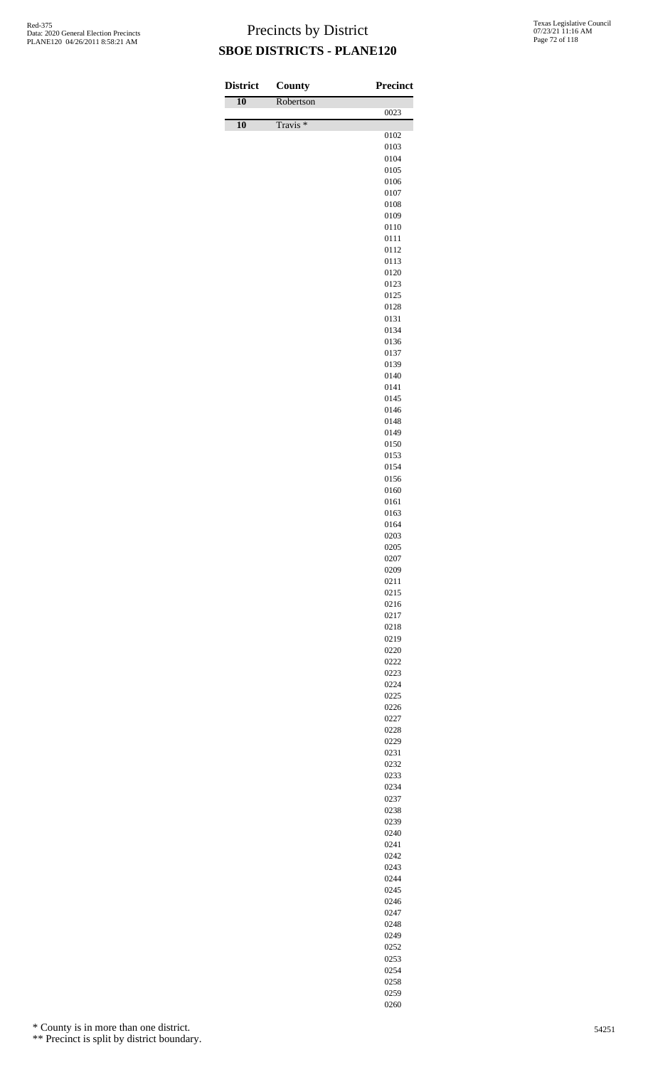| <b>District</b> | <b>County</b>       | Precinct     |
|-----------------|---------------------|--------------|
| $\overline{10}$ | Robertson           | 0023         |
| 10              | Travis <sup>*</sup> |              |
|                 |                     | 0102<br>0103 |
|                 |                     | 0104         |
|                 |                     | 0105         |
|                 |                     | 0106<br>0107 |
|                 |                     | 0108         |
|                 |                     | 0109         |
|                 |                     | 0110         |
|                 |                     | 0111<br>0112 |
|                 |                     | 0113         |
|                 |                     | 0120         |
|                 |                     | 0123<br>0125 |
|                 |                     | 0128         |
|                 |                     | 0131         |
|                 |                     | 0134         |
|                 |                     | 0136<br>0137 |
|                 |                     | 0139         |
|                 |                     | 0140         |
|                 |                     | 0141         |
|                 |                     | 0145<br>0146 |
|                 |                     | 0148         |
|                 |                     | 0149         |
|                 |                     | 0150         |
|                 |                     | 0153<br>0154 |
|                 |                     | 0156         |
|                 |                     | 0160         |
|                 |                     | 0161<br>0163 |
|                 |                     | 0164         |
|                 |                     | 0203         |
|                 |                     | 0205<br>0207 |
|                 |                     | 0209         |
|                 |                     | 0211         |
|                 |                     | 0215         |
|                 |                     | 0216<br>0217 |
|                 |                     | 0218         |
|                 |                     | 0219         |
|                 |                     | 0220         |
|                 |                     | 0222<br>0223 |
|                 |                     | 0224         |
|                 |                     | 0225         |
|                 |                     | 0226<br>0227 |
|                 |                     | 0228         |
|                 |                     | 0229         |
|                 |                     | 0231<br>0232 |
|                 |                     | 0233         |
|                 |                     | 0234         |
|                 |                     | 0237         |
|                 |                     | 0238<br>0239 |
|                 |                     | 0240         |
|                 |                     | 0241         |
|                 |                     | 0242<br>0243 |
|                 |                     | 0244         |
|                 |                     | 0245         |
|                 |                     | 0246         |
|                 |                     | 0247<br>0248 |
|                 |                     | 0249         |
|                 |                     | 0252         |
|                 |                     | 0253         |

\* County is in more than one district.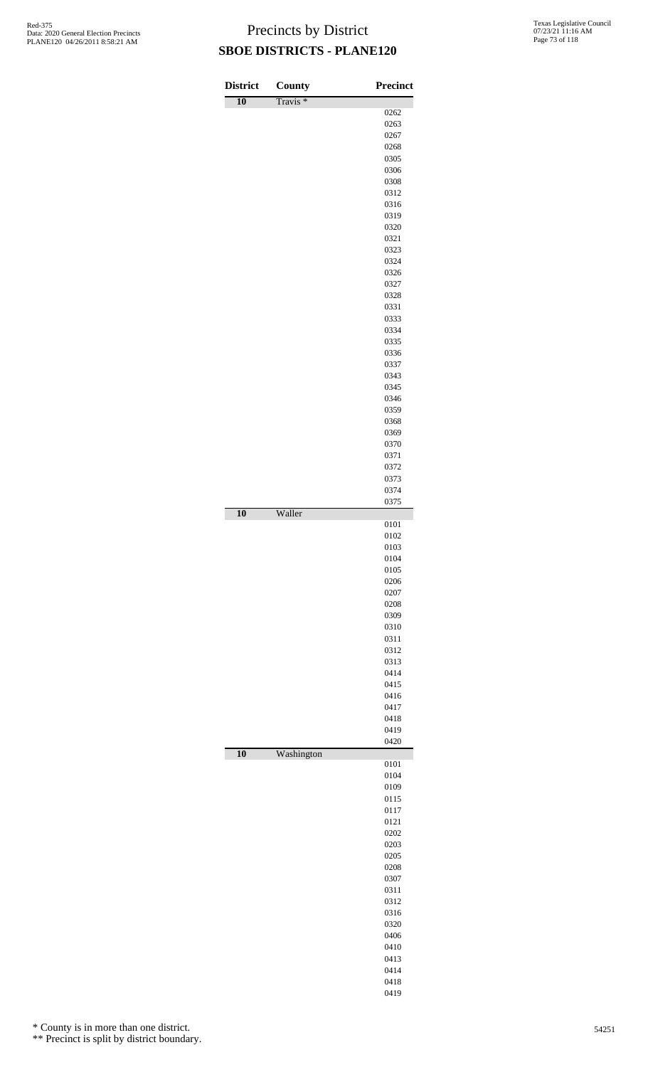| <b>District</b> | County              | Precinct     |
|-----------------|---------------------|--------------|
| $\overline{10}$ | Travis <sup>*</sup> |              |
|                 |                     | 0262         |
|                 |                     | 0263         |
|                 |                     | 0267         |
|                 |                     | 0268<br>0305 |
|                 |                     | 0306         |
|                 |                     | 0308         |
|                 |                     | 0312         |
|                 |                     | 0316         |
|                 |                     | 0319         |
|                 |                     | 0320         |
|                 |                     | 0321         |
|                 |                     | 0323<br>0324 |
|                 |                     | 0326         |
|                 |                     | 0327         |
|                 |                     | 0328         |
|                 |                     | 0331         |
|                 |                     | 0333         |
|                 |                     | 0334         |
|                 |                     | 0335         |
|                 |                     | 0336<br>0337 |
|                 |                     | 0343         |
|                 |                     | 0345         |
|                 |                     | 0346         |
|                 |                     | 0359         |
|                 |                     | 0368         |
|                 |                     | 0369         |
|                 |                     | 0370         |
|                 |                     | 0371         |
|                 |                     | 0372<br>0373 |
|                 |                     | 0374         |
|                 |                     | 0375         |
| 10              | Waller              | 0101         |
|                 |                     | 0102         |
|                 |                     | 0103         |
|                 |                     | 0104         |
|                 |                     | 0105         |
|                 |                     | 0206         |
|                 |                     | 0207         |
|                 |                     | 0208<br>0309 |
|                 |                     | 0310         |
|                 |                     | 0311         |
|                 |                     | 0312         |
|                 |                     | 0313         |
|                 |                     | 0414         |
|                 |                     | 0415         |
|                 |                     | 0416         |
|                 |                     | 0417<br>0418 |
|                 |                     | 0419         |
|                 |                     | 0420         |
| $\overline{10}$ | Washington          | 0101         |
|                 |                     | 0104         |
|                 |                     | 0109         |
|                 |                     | 0115         |
|                 |                     | 0117         |
|                 |                     | 0121         |
|                 |                     | 0202         |
|                 |                     | 0203<br>0205 |
|                 |                     | 0208         |
|                 |                     | 0307         |
|                 |                     | 0311         |
|                 |                     | 0312         |
|                 |                     | 0316         |
|                 |                     | 0320         |
|                 |                     | 0406         |
|                 |                     | 0410         |
|                 |                     | 0413<br>0414 |
|                 |                     | 0418         |
|                 |                     | 0419         |

\* County is in more than one district.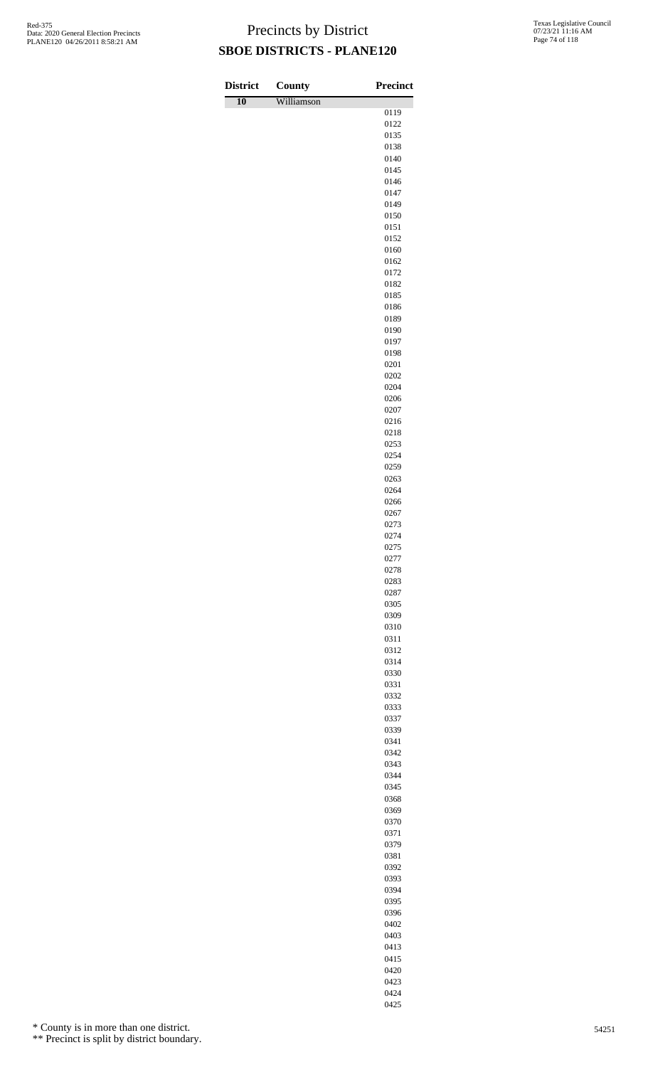| <b>District</b> | <b>County</b> | <b>Precinct</b> |
|-----------------|---------------|-----------------|
| $\overline{10}$ | Williamson    |                 |
|                 |               | 0119<br>0122    |
|                 |               | 0135            |
|                 |               | 0138            |
|                 |               | 0140            |
|                 |               | 0145<br>0146    |
|                 |               | 0147            |
|                 |               | 0149            |
|                 |               | 0150            |
|                 |               | 0151<br>0152    |
|                 |               | 0160            |
|                 |               | 0162            |
|                 |               | 0172            |
|                 |               | 0182            |
|                 |               | 0185<br>0186    |
|                 |               | 0189            |
|                 |               | 0190            |
|                 |               | 0197            |
|                 |               | 0198<br>0201    |
|                 |               | 0202            |
|                 |               | 0204            |
|                 |               | 0206            |
|                 |               | 0207<br>0216    |
|                 |               | 0218            |
|                 |               | 0253            |
|                 |               | 0254            |
|                 |               | 0259            |
|                 |               | 0263<br>0264    |
|                 |               | 0266            |
|                 |               | 0267            |
|                 |               | 0273            |
|                 |               | 0274<br>0275    |
|                 |               | 0277            |
|                 |               | 0278            |
|                 |               | 0283            |
|                 |               | 0287<br>0305    |
|                 |               | 0309            |
|                 |               | 0310            |
|                 |               | 0311            |
|                 |               | 0312<br>0314    |
|                 |               | 0330            |
|                 |               | 0331            |
|                 |               | 0332            |
|                 |               | 0333<br>0337    |
|                 |               | 0339            |
|                 |               | 0341            |
|                 |               | 0342            |
|                 |               | 0343            |
|                 |               | 0344<br>0345    |
|                 |               | 0368            |
|                 |               | 0369            |
|                 |               | 0370            |
|                 |               | 0371<br>0379    |
|                 |               | 0381            |
|                 |               | 0392            |
|                 |               | 0393            |
|                 |               | 0394            |
|                 |               | 0395<br>0396    |
|                 |               | 0402            |

\* County is in more than one district.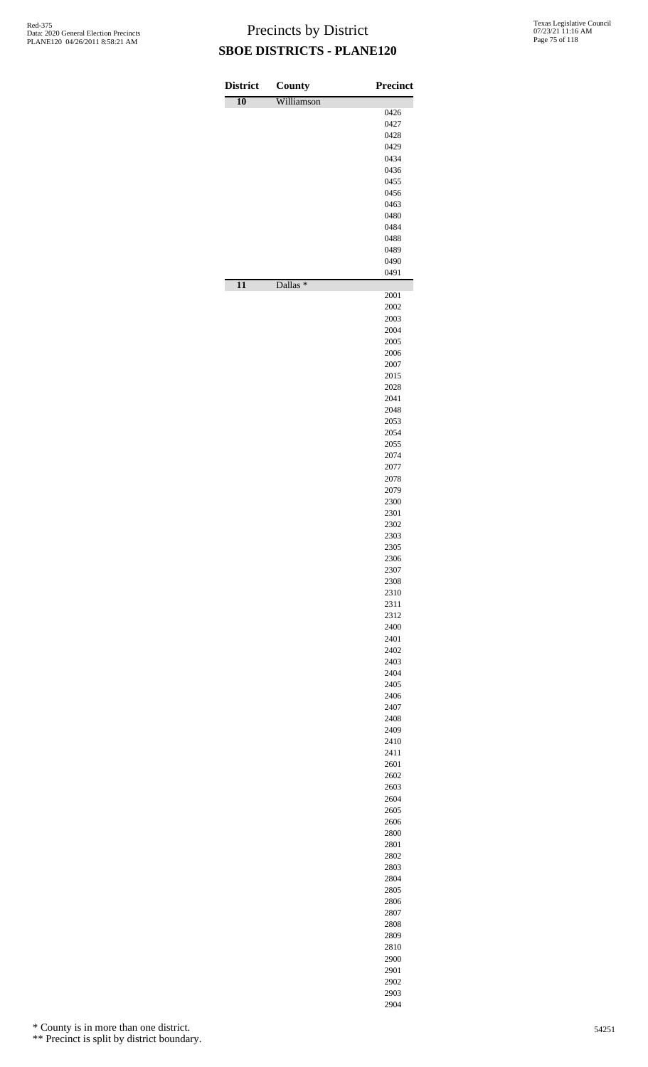| <b>District</b> | County              | <b>Precinct</b> |
|-----------------|---------------------|-----------------|
| $\overline{10}$ | Williamson          |                 |
|                 |                     | 0426<br>0427    |
|                 |                     | 0428            |
|                 |                     | 0429            |
|                 |                     | 0434            |
|                 |                     | 0436            |
|                 |                     | 0455<br>0456    |
|                 |                     | 0463            |
|                 |                     | 0480            |
|                 |                     | 0484            |
|                 |                     | 0488<br>0489    |
|                 |                     | 0490            |
|                 |                     | 0491            |
| $\overline{11}$ | Dallas <sup>*</sup> |                 |
|                 |                     | 2001            |
|                 |                     | 2002<br>2003    |
|                 |                     | 2004            |
|                 |                     | 2005            |
|                 |                     | 2006            |
|                 |                     | 2007<br>2015    |
|                 |                     | 2028            |
|                 |                     | 2041            |
|                 |                     | 2048            |
|                 |                     | 2053            |
|                 |                     | 2054<br>2055    |
|                 |                     | 2074            |
|                 |                     | 2077            |
|                 |                     | 2078            |
|                 |                     | 2079<br>2300    |
|                 |                     | 2301            |
|                 |                     | 2302            |
|                 |                     | 2303            |
|                 |                     | 2305<br>2306    |
|                 |                     | 2307            |
|                 |                     | 2308            |
|                 |                     | 2310            |
|                 |                     | 2311            |
|                 |                     | 2312<br>2400    |
|                 |                     | 2401            |
|                 |                     | 2402            |
|                 |                     | 2403            |
|                 |                     | 2404<br>2405    |
|                 |                     | 2406            |
|                 |                     | 2407            |
|                 |                     | 2408            |
|                 |                     | 2409            |
|                 |                     | 2410<br>2411    |
|                 |                     | 2601            |
|                 |                     | 2602            |
|                 |                     | 2603            |
|                 |                     | 2604<br>2605    |
|                 |                     | 2606            |
|                 |                     | 2800            |
|                 |                     | 2801            |
|                 |                     | 2802<br>2803    |
|                 |                     | 2804            |
|                 |                     | 2805            |
|                 |                     | 2806            |
|                 |                     | 2807<br>2808    |
|                 |                     | 2809            |
|                 |                     | 2810            |
|                 |                     | 2900            |
|                 |                     | 2901            |
|                 |                     | 2902            |

 

\* County is in more than one district.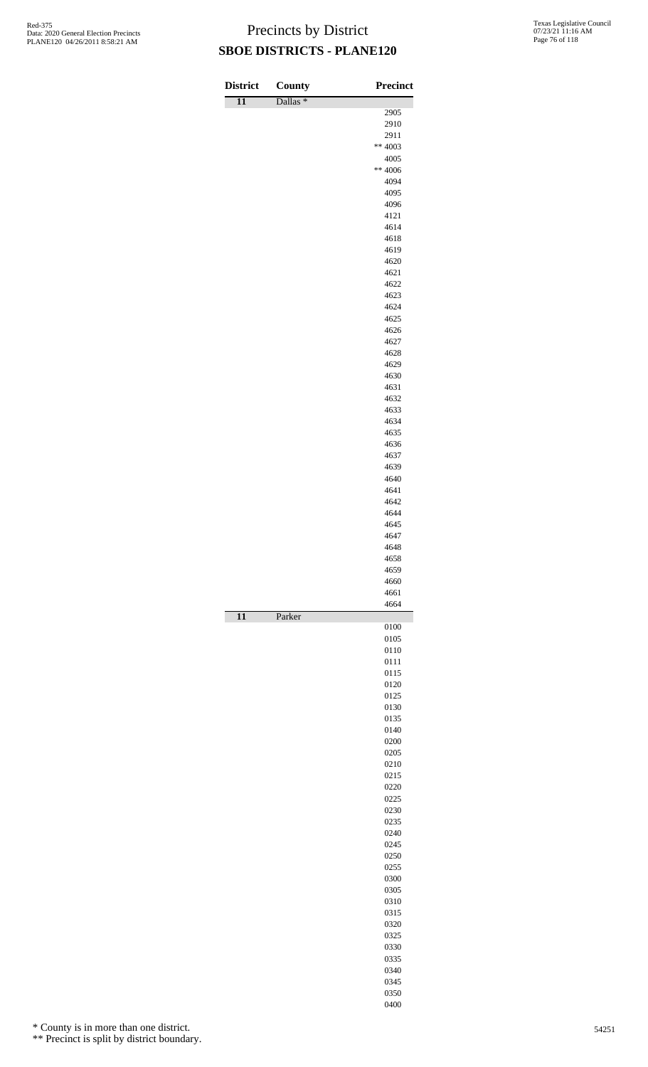| <b>District</b> | County              | <b>Precinct</b> |
|-----------------|---------------------|-----------------|
| $\overline{11}$ | Dallas <sup>*</sup> |                 |
|                 |                     | 2905            |
|                 |                     | 2910            |
|                 |                     | 2911            |
|                 |                     | $** 4003$       |
|                 |                     | 4005            |
|                 |                     | $** 4006$       |
|                 |                     | 4094<br>4095    |
|                 |                     | 4096            |
|                 |                     | 4121            |
|                 |                     | 4614            |
|                 |                     | 4618            |
|                 |                     | 4619            |
|                 |                     | 4620            |
|                 |                     | 4621            |
|                 |                     | 4622            |
|                 |                     | 4623<br>4624    |
|                 |                     | 4625            |
|                 |                     | 4626            |
|                 |                     | 4627            |
|                 |                     | 4628            |
|                 |                     | 4629            |
|                 |                     | 4630            |
|                 |                     | 4631            |
|                 |                     | 4632            |
|                 |                     | 4633<br>4634    |
|                 |                     | 4635            |
|                 |                     | 4636            |
|                 |                     | 4637            |
|                 |                     | 4639            |
|                 |                     | 4640            |
|                 |                     | 4641            |
|                 |                     | 4642            |
|                 |                     | 4644<br>4645    |
|                 |                     | 4647            |
|                 |                     | 4648            |
|                 |                     | 4658            |
|                 |                     | 4659            |
|                 |                     | 4660            |
|                 |                     | 4661<br>4664    |
| $\overline{11}$ | Parker              | 0100            |
|                 |                     | 0105            |
|                 |                     | 0110            |
|                 |                     | 0111            |
|                 |                     | 0115<br>0120    |
|                 |                     | 0125            |
|                 |                     | 0130            |
|                 |                     | 0135            |
|                 |                     | 0140            |
|                 |                     | 0200            |
|                 |                     | 0205            |
|                 |                     | 0210<br>0215    |
|                 |                     | 0220            |
|                 |                     | 0225            |
|                 |                     | 0230            |
|                 |                     | 0235            |
|                 |                     | 0240            |
|                 |                     | 0245            |
|                 |                     | 0250            |
|                 |                     | 0255<br>0300    |
|                 |                     | 0305            |
|                 |                     | 0310            |
|                 |                     | 0315            |
|                 |                     | 0320            |
|                 |                     | 0325            |
|                 |                     | 0330            |
|                 |                     | 0335            |
|                 |                     | 0340<br>0345    |
|                 |                     | 0350            |
|                 |                     | 0400            |

\* County is in more than one district.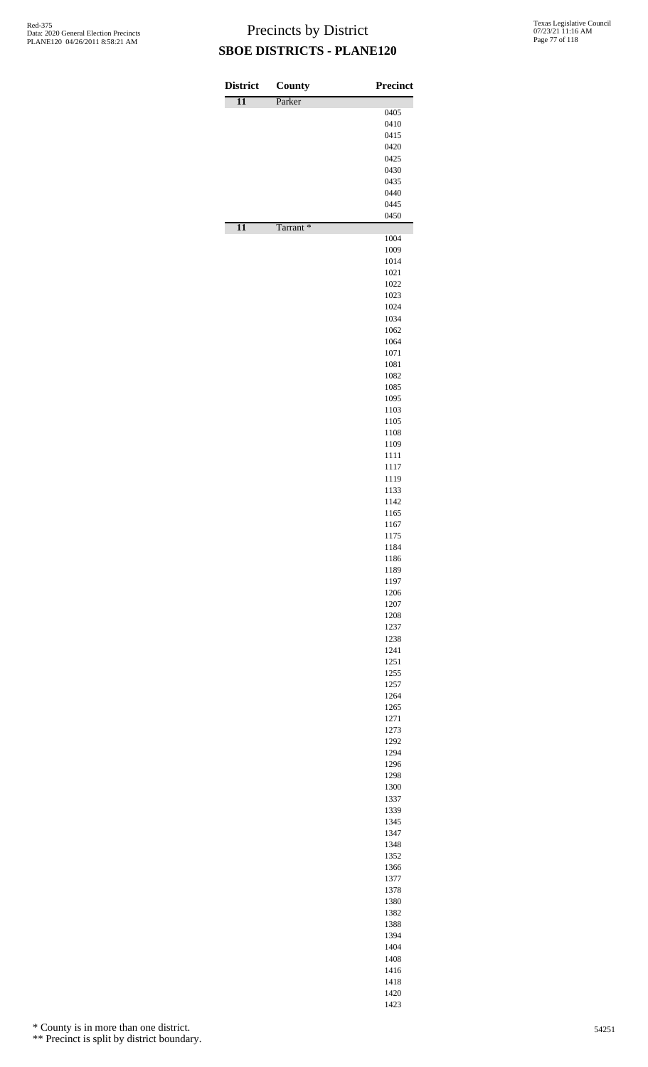| <b>District</b> | County               | <b>Precinct</b> |
|-----------------|----------------------|-----------------|
| $\overline{11}$ | Parker               |                 |
|                 |                      | 0405<br>0410    |
|                 |                      | 0415            |
|                 |                      | 0420            |
|                 |                      | 0425            |
|                 |                      | 0430<br>0435    |
|                 |                      | 0440            |
|                 |                      | 0445            |
|                 |                      | 0450            |
| $\overline{11}$ | Tarrant <sup>*</sup> |                 |
|                 |                      | 1004<br>1009    |
|                 |                      | 1014            |
|                 |                      | 1021            |
|                 |                      | 1022            |
|                 |                      | 1023<br>1024    |
|                 |                      | 1034            |
|                 |                      | 1062            |
|                 |                      | 1064            |
|                 |                      | 1071<br>1081    |
|                 |                      | 1082            |
|                 |                      | 1085            |
|                 |                      | 1095            |
|                 |                      | 1103            |
|                 |                      | 1105<br>1108    |
|                 |                      | 1109            |
|                 |                      | 1111            |
|                 |                      | 1117            |
|                 |                      | 1119<br>1133    |
|                 |                      | 1142            |
|                 |                      | 1165            |
|                 |                      | 1167            |
|                 |                      | 1175            |
|                 |                      | 1184<br>1186    |
|                 |                      | 1189            |
|                 |                      | 1197            |
|                 |                      | 1206            |
|                 |                      | 1207<br>1208    |
|                 |                      | 1237            |
|                 |                      | 1238            |
|                 |                      | 1241            |
|                 |                      | 1251<br>1255    |
|                 |                      | 1257            |
|                 |                      | 1264            |
|                 |                      | 1265            |
|                 |                      | 1271<br>1273    |
|                 |                      | 1292            |
|                 |                      | 1294            |
|                 |                      | 1296            |
|                 |                      | 1298<br>1300    |
|                 |                      | 1337            |
|                 |                      | 1339            |
|                 |                      | 1345            |
|                 |                      | 1347<br>1348    |
|                 |                      | 1352            |
|                 |                      | 1366            |
|                 |                      | 1377            |
|                 |                      | 1378            |
|                 |                      | 1380<br>1382    |
|                 |                      | 1388            |
|                 |                      | 1394            |
|                 |                      | 1404            |
|                 |                      | 1408<br>1416    |
|                 |                      |                 |

 

\* County is in more than one district.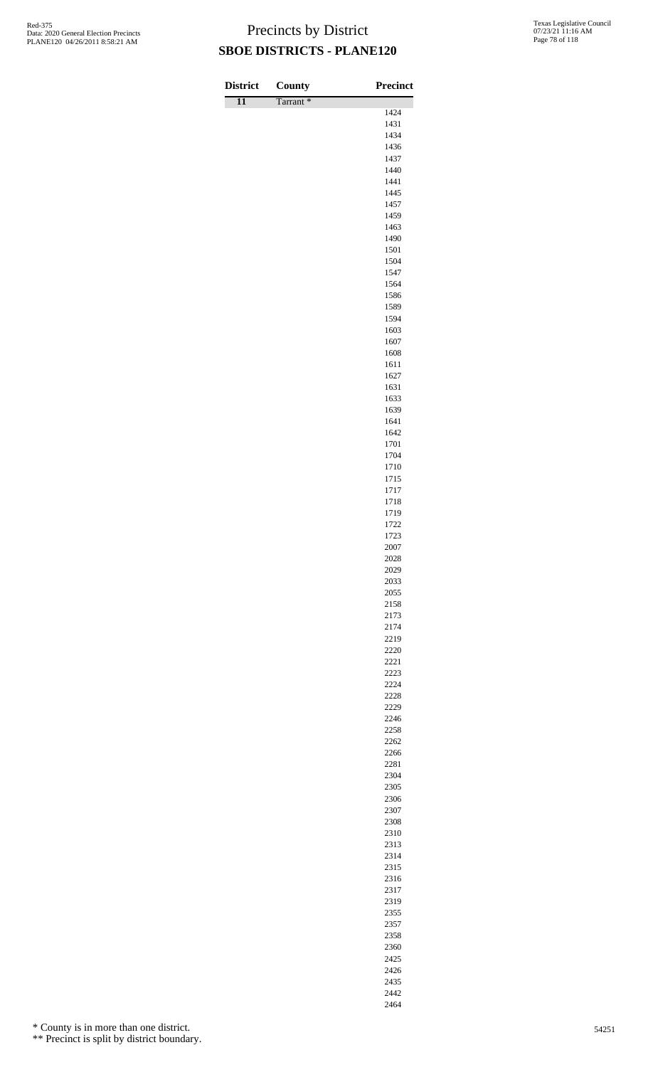| <b>District</b> | County   | <b>Precinct</b> |
|-----------------|----------|-----------------|
| $\overline{11}$ | Tarrant* |                 |
|                 |          | 1424            |
|                 |          | 1431<br>1434    |
|                 |          | 1436            |
|                 |          | 1437            |
|                 |          | 1440            |
|                 |          | 1441            |
|                 |          | 1445<br>1457    |
|                 |          | 1459            |
|                 |          | 1463            |
|                 |          | 1490            |
|                 |          | 1501            |
|                 |          | 1504            |
|                 |          | 1547            |
|                 |          | 1564<br>1586    |
|                 |          | 1589            |
|                 |          | 1594            |
|                 |          | 1603            |
|                 |          | 1607            |
|                 |          | 1608            |
|                 |          | 1611<br>1627    |
|                 |          | 1631            |
|                 |          | 1633            |
|                 |          | 1639            |
|                 |          | 1641            |
|                 |          | 1642            |
|                 |          | 1701<br>1704    |
|                 |          | 1710            |
|                 |          | 1715            |
|                 |          | 1717            |
|                 |          | 1718            |
|                 |          | 1719            |
|                 |          | 1722<br>1723    |
|                 |          | 2007            |
|                 |          | 2028            |
|                 |          | 2029            |
|                 |          | 2033            |
|                 |          | 2055            |
|                 |          | 2158<br>2173    |
|                 |          | 2174            |
|                 |          | 2219            |
|                 |          | 2220            |
|                 |          | 2221            |
|                 |          | 2223            |
|                 |          | 2224<br>2228    |
|                 |          | 2229            |
|                 |          | 2246            |
|                 |          | 2258            |
|                 |          | 2262            |
|                 |          | 2266            |
|                 |          | 2281<br>2304    |
|                 |          | 2305            |
|                 |          | 2306            |
|                 |          | 2307            |
|                 |          | 2308            |
|                 |          | 2310            |
|                 |          | 2313            |
|                 |          | 2314            |
|                 |          | 2315<br>2316    |
|                 |          | 2317            |
|                 |          | 2319            |
|                 |          | 2355            |

\* County is in more than one district.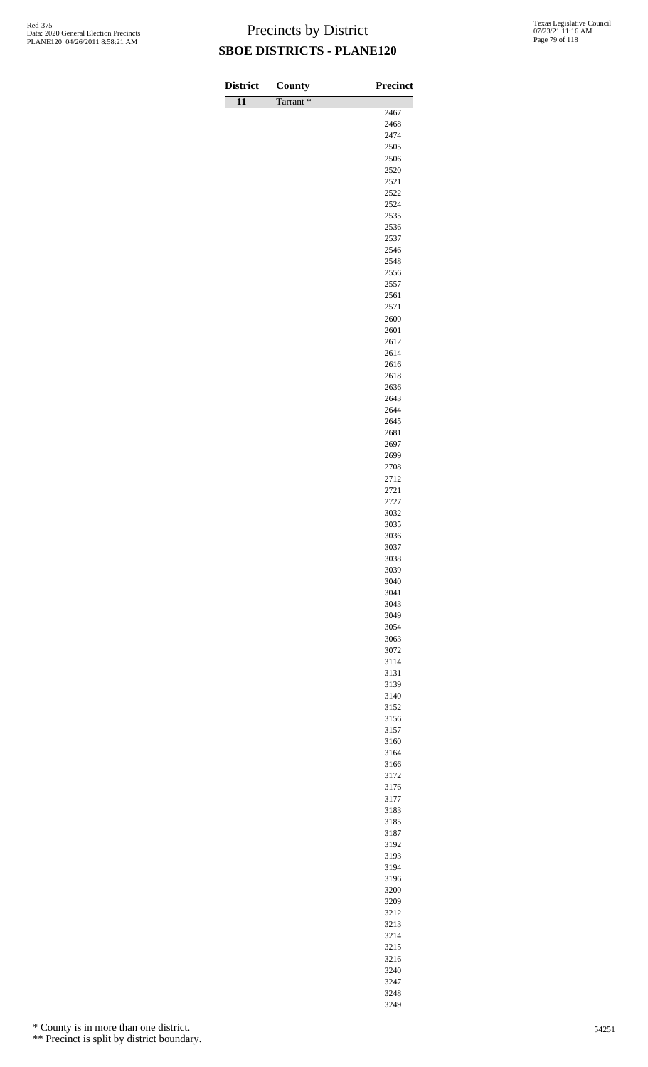| <b>District</b> | County   | <b>Precinct</b> |
|-----------------|----------|-----------------|
| $\overline{11}$ | Tarrant* | 2467            |
|                 |          | 2468            |
|                 |          | 2474            |
|                 |          | 2505            |
|                 |          | 2506<br>2520    |
|                 |          | 2521            |
|                 |          | 2522            |
|                 |          | 2524            |
|                 |          | 2535            |
|                 |          | 2536<br>2537    |
|                 |          | 2546            |
|                 |          | 2548            |
|                 |          | 2556            |
|                 |          | 2557            |
|                 |          | 2561<br>2571    |
|                 |          | 2600            |
|                 |          | 2601            |
|                 |          | 2612            |
|                 |          | 2614            |
|                 |          | 2616<br>2618    |
|                 |          | 2636            |
|                 |          | 2643            |
|                 |          | 2644            |
|                 |          | 2645            |
|                 |          | 2681<br>2697    |
|                 |          | 2699            |
|                 |          | 2708            |
|                 |          | 2712            |
|                 |          | 2721            |
|                 |          | 2727<br>3032    |
|                 |          | 3035            |
|                 |          | 3036            |
|                 |          | 3037            |
|                 |          | 3038            |
|                 |          | 3039<br>3040    |
|                 |          | 3041            |
|                 |          | 3043            |
|                 |          | 3049            |
|                 |          | 3054<br>3063    |
|                 |          | 3072            |
|                 |          | 3114            |
|                 |          | 3131            |
|                 |          | 3139            |
|                 |          | 3140<br>3152    |
|                 |          | 3156            |
|                 |          | 3157            |
|                 |          | 3160            |
|                 |          | 3164            |
|                 |          | 3166<br>3172    |
|                 |          | 3176            |
|                 |          | 3177            |
|                 |          | 3183            |
|                 |          | 3185            |
|                 |          | 3187<br>3192    |
|                 |          | 3193            |
|                 |          | 3194            |
|                 |          | 3196            |
|                 |          | 3200            |
|                 |          | 3209            |
|                 |          | 3212<br>3213    |
|                 |          | 3214            |

\* County is in more than one district.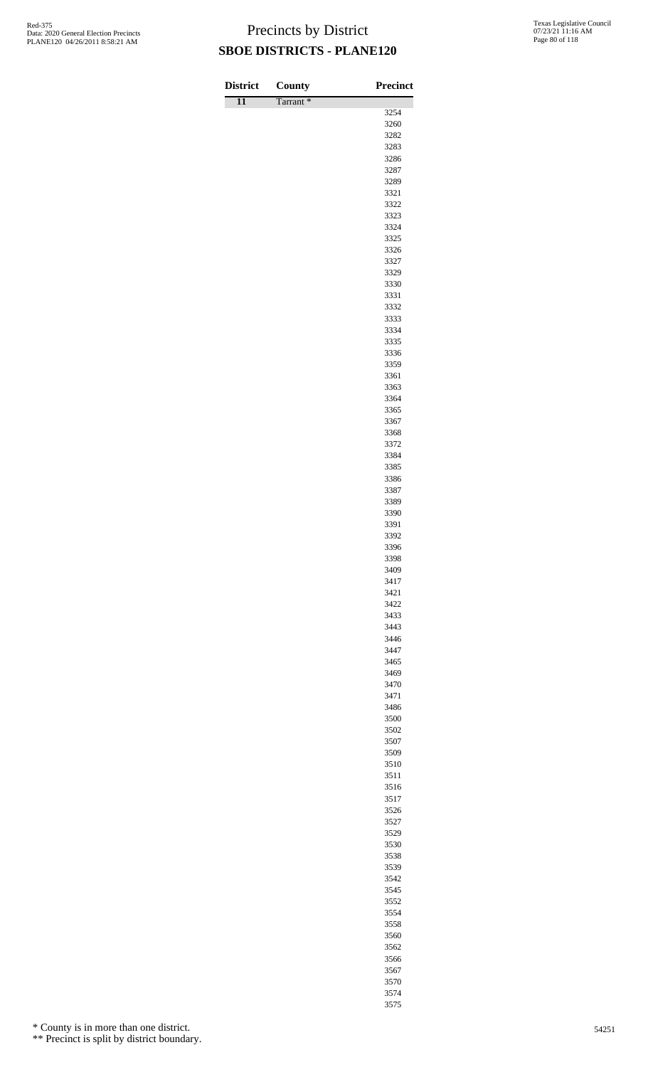| <b>District</b> | County   | <b>Precinct</b> |
|-----------------|----------|-----------------|
| $\overline{11}$ | Tarrant* |                 |
|                 |          | 3254<br>3260    |
|                 |          | 3282            |
|                 |          | 3283            |
|                 |          | 3286            |
|                 |          | 3287            |
|                 |          | 3289            |
|                 |          | 3321            |
|                 |          | 3322<br>3323    |
|                 |          | 3324            |
|                 |          | 3325            |
|                 |          | 3326            |
|                 |          | 3327            |
|                 |          | 3329            |
|                 |          | 3330            |
|                 |          | 3331<br>3332    |
|                 |          | 3333            |
|                 |          | 3334            |
|                 |          | 3335            |
|                 |          | 3336            |
|                 |          | 3359            |
|                 |          | 3361            |
|                 |          | 3363            |
|                 |          | 3364<br>3365    |
|                 |          | 3367            |
|                 |          | 3368            |
|                 |          | 3372            |
|                 |          | 3384            |
|                 |          | 3385            |
|                 |          | 3386            |
|                 |          | 3387            |
|                 |          | 3389            |
|                 |          | 3390<br>3391    |
|                 |          | 3392            |
|                 |          | 3396            |
|                 |          | 3398            |
|                 |          | 3409            |
|                 |          | 3417            |
|                 |          | 3421            |
|                 |          | 3422            |
|                 |          | 3433<br>3443    |
|                 |          | 3446            |
|                 |          | 3447            |
|                 |          | 3465            |
|                 |          | 3469            |
|                 |          | 3470            |
|                 |          | 3471            |
|                 |          | 3486            |
|                 |          | 3500<br>3502    |
|                 |          | 3507            |
|                 |          | 3509            |
|                 |          | 3510            |
|                 |          | 3511            |
|                 |          | 3516            |
|                 |          | 3517            |
|                 |          | 3526            |
|                 |          | 3527            |
|                 |          | 3529<br>3530    |
|                 |          | 3538            |
|                 |          | 3539            |
|                 |          | 3542            |
|                 |          | 3545            |
|                 |          | 3552            |
|                 |          | 3554            |
|                 |          | 3558            |
|                 |          | 3560            |
|                 |          | 3562            |

\* County is in more than one district.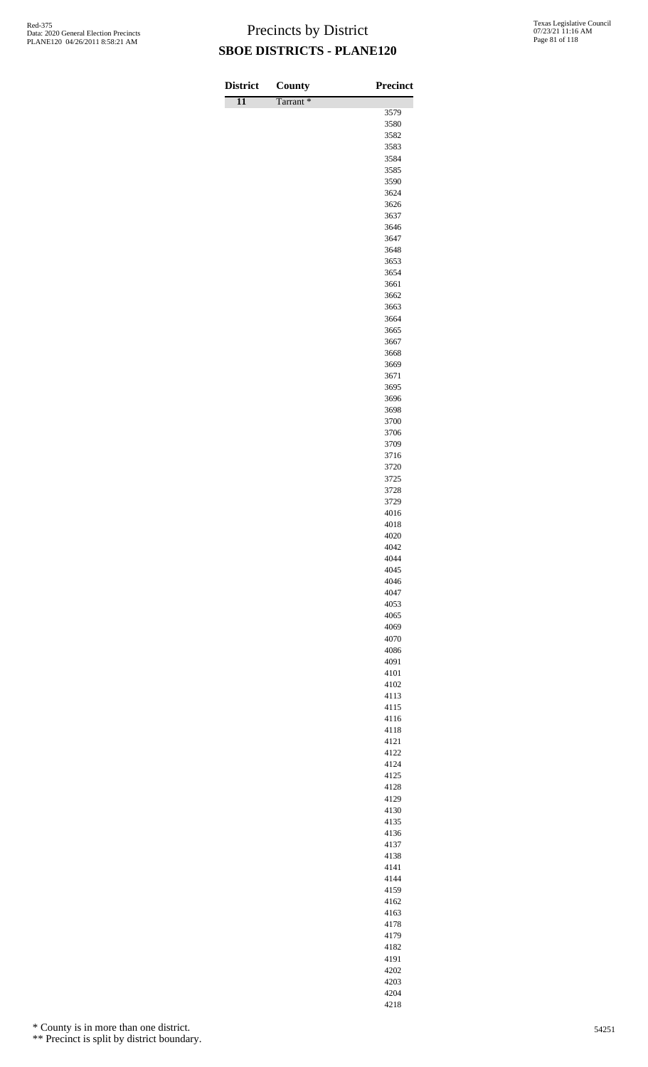| <b>District</b> | County               | Precinct     |
|-----------------|----------------------|--------------|
| $\overline{11}$ | Tarrant <sup>*</sup> | 3579         |
|                 |                      | 3580         |
|                 |                      | 3582         |
|                 |                      | 3583         |
|                 |                      | 3584<br>3585 |
|                 |                      | 3590         |
|                 |                      | 3624         |
|                 |                      | 3626         |
|                 |                      | 3637         |
|                 |                      | 3646<br>3647 |
|                 |                      | 3648         |
|                 |                      | 3653         |
|                 |                      | 3654         |
|                 |                      | 3661<br>3662 |
|                 |                      | 3663         |
|                 |                      | 3664         |
|                 |                      | 3665         |
|                 |                      | 3667         |
|                 |                      | 3668<br>3669 |
|                 |                      | 3671         |
|                 |                      | 3695         |
|                 |                      | 3696         |
|                 |                      | 3698         |
|                 |                      | 3700<br>3706 |
|                 |                      | 3709         |
|                 |                      | 3716         |
|                 |                      | 3720         |
|                 |                      | 3725<br>3728 |
|                 |                      | 3729         |
|                 |                      | 4016         |
|                 |                      | 4018         |
|                 |                      | 4020         |
|                 |                      | 4042<br>4044 |
|                 |                      | 4045         |
|                 |                      | 4046         |
|                 |                      | 4047         |
|                 |                      | 4053<br>4065 |
|                 |                      | 4069         |
|                 |                      | 4070         |
|                 |                      | 4086         |
|                 |                      | 4091         |
|                 |                      | 4101<br>4102 |
|                 |                      | 4113         |
|                 |                      | 4115         |
|                 |                      | 4116         |
|                 |                      | 4118         |
|                 |                      | 4121<br>4122 |
|                 |                      | 4124         |
|                 |                      | 4125         |
|                 |                      | 4128         |
|                 |                      | 4129<br>4130 |
|                 |                      | 4135         |
|                 |                      | 4136         |
|                 |                      | 4137         |
|                 |                      | 4138         |
|                 |                      | 4141<br>4144 |
|                 |                      | 4159         |
|                 |                      | 4162         |
|                 |                      | 4163         |
|                 |                      | 4178         |
|                 |                      | 4179<br>4182 |
|                 |                      |              |

\* County is in more than one district.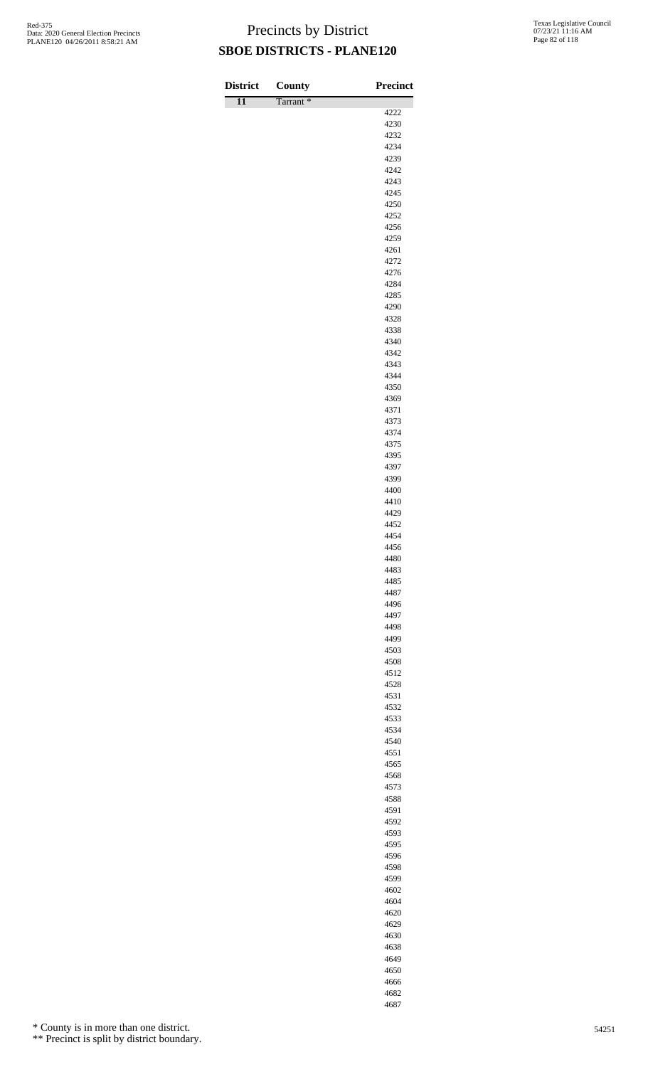| <b>District</b> | County   | Precinct     |
|-----------------|----------|--------------|
| $\overline{11}$ | Tarrant* |              |
|                 |          | 4222<br>4230 |
|                 |          | 4232         |
|                 |          | 4234         |
|                 |          | 4239         |
|                 |          | 4242         |
|                 |          | 4243         |
|                 |          | 4245<br>4250 |
|                 |          | 4252         |
|                 |          | 4256         |
|                 |          | 4259         |
|                 |          | 4261         |
|                 |          | 4272         |
|                 |          | 4276         |
|                 |          | 4284<br>4285 |
|                 |          | 4290         |
|                 |          | 4328         |
|                 |          | 4338         |
|                 |          | 4340         |
|                 |          | 4342         |
|                 |          | 4343         |
|                 |          | 4344<br>4350 |
|                 |          | 4369         |
|                 |          | 4371         |
|                 |          | 4373         |
|                 |          | 4374         |
|                 |          | 4375         |
|                 |          | 4395         |
|                 |          | 4397<br>4399 |
|                 |          | 4400         |
|                 |          | 4410         |
|                 |          | 4429         |
|                 |          | 4452         |
|                 |          | 4454         |
|                 |          | 4456         |
|                 |          | 4480<br>4483 |
|                 |          | 4485         |
|                 |          | 4487         |
|                 |          | 4496         |
|                 |          | 4497         |
|                 |          | 4498         |
|                 |          | 4499         |
|                 |          | 4503<br>4508 |
|                 |          | 4512         |
|                 |          | 4528         |
|                 |          | 4531         |
|                 |          | 4532         |
|                 |          | 4533         |
|                 |          | 4534         |
|                 |          | 4540<br>4551 |
|                 |          | 4565         |
|                 |          | 4568         |
|                 |          | 4573         |
|                 |          | 4588         |
|                 |          | 4591         |
|                 |          | 4592         |
|                 |          | 4593         |
|                 |          | 4595<br>4596 |
|                 |          | 4598         |
|                 |          | 4599         |
|                 |          | 4602         |
|                 |          |              |
|                 |          | 4604         |
|                 |          | 4620<br>4629 |

\* County is in more than one district.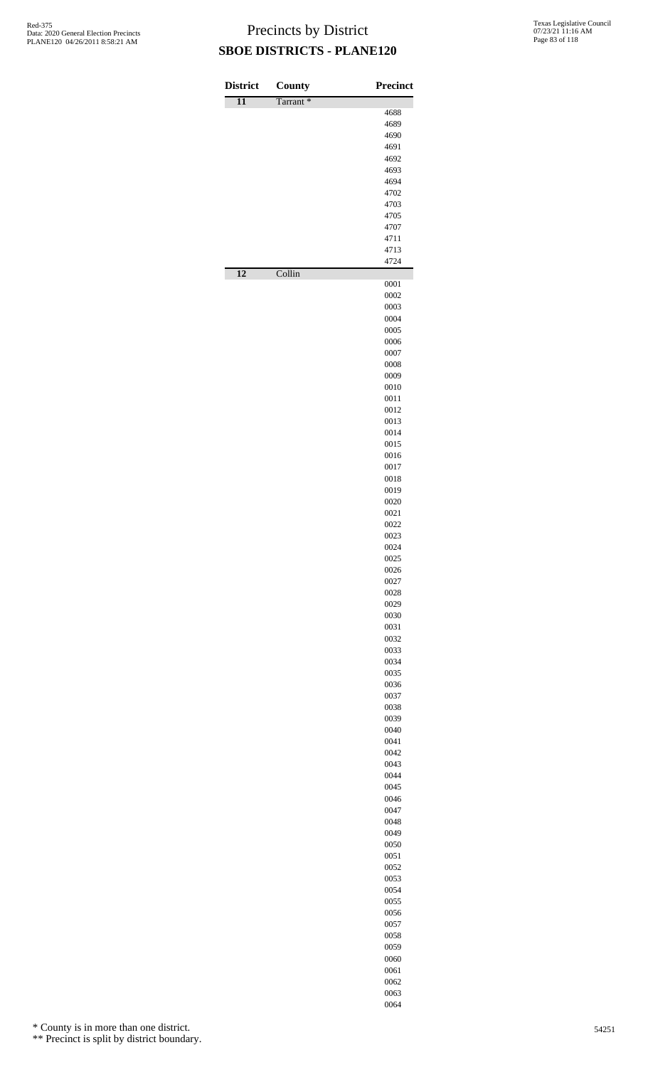| <b>District</b> | County   | <b>Precinct</b> |
|-----------------|----------|-----------------|
| $\overline{11}$ | Tarrant* |                 |
|                 |          | 4688<br>4689    |
|                 |          | 4690            |
|                 |          | 4691            |
|                 |          | 4692            |
|                 |          | 4693<br>4694    |
|                 |          | 4702            |
|                 |          | 4703            |
|                 |          | 4705            |
|                 |          | 4707            |
|                 |          | 4711<br>4713    |
| $\overline{12}$ |          | 4724            |
|                 | Collin   | 0001            |
|                 |          | 0002            |
|                 |          | 0003<br>0004    |
|                 |          | 0005            |
|                 |          | 0006            |
|                 |          | 0007            |
|                 |          | 0008<br>0009    |
|                 |          | 0010            |
|                 |          | 0011            |
|                 |          | 0012            |
|                 |          | 0013<br>0014    |
|                 |          | 0015            |
|                 |          | 0016            |
|                 |          | 0017            |
|                 |          | 0018            |
|                 |          | 0019<br>0020    |
|                 |          | 0021            |
|                 |          | 0022            |
|                 |          | 0023            |
|                 |          | 0024<br>0025    |
|                 |          | 0026            |
|                 |          | 0027            |
|                 |          | 0028            |
|                 |          | 0029<br>0030    |
|                 |          | 0031            |
|                 |          | 0032            |
|                 |          | 0033            |
|                 |          | 0034<br>0035    |
|                 |          | 0036            |
|                 |          | 0037            |
|                 |          | 0038            |
|                 |          | 0039            |
|                 |          | 0040<br>0041    |
|                 |          | 0042            |
|                 |          | 0043            |
|                 |          | 0044<br>0045    |
|                 |          | 0046            |
|                 |          | 0047            |
|                 |          | 0048            |
|                 |          | 0049            |
|                 |          | 0050<br>0051    |
|                 |          | 0052            |
|                 |          | 0053            |
|                 |          | 0054            |
|                 |          | 0055<br>0056    |
|                 |          | 0057            |
|                 |          | 0058            |
|                 |          | 0059            |
|                 |          | 0060<br>0061    |
|                 |          | 0062            |
|                 |          | 0063            |

\* County is in more than one district.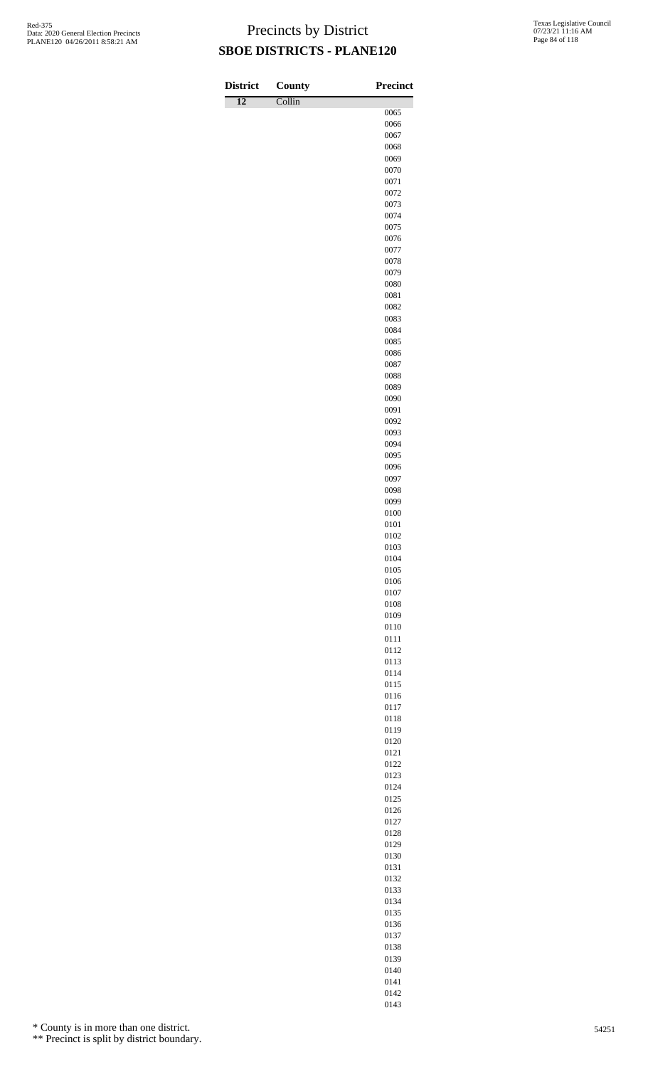| <b>District</b> | County | <b>Precinct</b> |
|-----------------|--------|-----------------|
| $\overline{12}$ | Collin |                 |
|                 |        | 0065<br>0066    |
|                 |        | 0067            |
|                 |        | 0068            |
|                 |        | 0069            |
|                 |        | 0070            |
|                 |        | 0071            |
|                 |        | 0072<br>0073    |
|                 |        | 0074            |
|                 |        | 0075            |
|                 |        | 0076            |
|                 |        | 0077            |
|                 |        | 0078            |
|                 |        | 0079            |
|                 |        | 0080<br>0081    |
|                 |        | 0082            |
|                 |        | 0083            |
|                 |        | 0084            |
|                 |        | 0085            |
|                 |        | 0086            |
|                 |        | 0087            |
|                 |        | 0088<br>0089    |
|                 |        | 0090            |
|                 |        | 0091            |
|                 |        | 0092            |
|                 |        | 0093            |
|                 |        | 0094            |
|                 |        | 0095            |
|                 |        | 0096<br>0097    |
|                 |        | 0098            |
|                 |        | 0099            |
|                 |        | 0100            |
|                 |        | 0101            |
|                 |        | 0102            |
|                 |        | 0103            |
|                 |        | 0104<br>0105    |
|                 |        | 0106            |
|                 |        | 0107            |
|                 |        | 0108            |
|                 |        | 0109            |
|                 |        | 0110            |
|                 |        | 0111            |
|                 |        | 0112<br>0113    |
|                 |        | 0114            |
|                 |        | 0115            |
|                 |        | 0116            |
|                 |        | 0117            |
|                 |        | 0118            |
|                 |        | 0119            |
|                 |        | 0120<br>0121    |
|                 |        | 0122            |
|                 |        | 0123            |
|                 |        | 0124            |
|                 |        | 0125            |
|                 |        | 0126            |
|                 |        | 0127            |
|                 |        | 0128            |
|                 |        | 0129<br>0130    |
|                 |        | 0131            |
|                 |        | 0132            |
|                 |        | 0133            |
|                 |        | 0134            |
|                 |        | 0135            |
|                 |        | 0136            |
|                 |        | 0137<br>0138    |
|                 |        |                 |

\* County is in more than one district.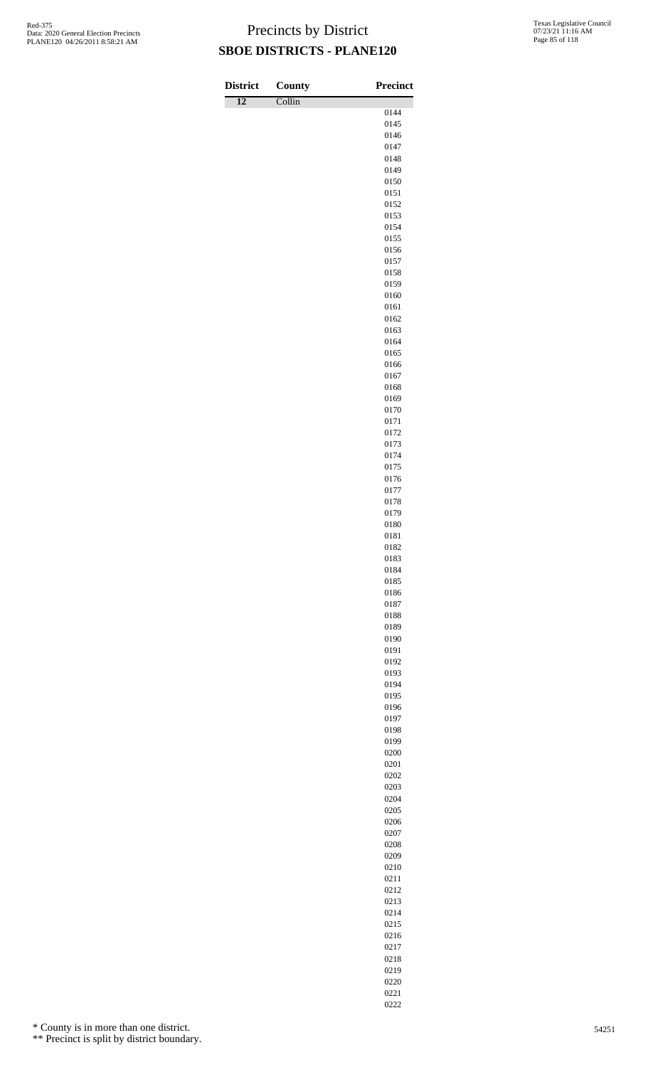Γ

| <b>District</b> | County | <b>Precinct</b> |
|-----------------|--------|-----------------|
| $\overline{12}$ | Collin | 0144            |
|                 |        | 0145            |
|                 |        | 0146            |
|                 |        | 0147            |
|                 |        | 0148            |
|                 |        | 0149<br>0150    |
|                 |        | 0151            |
|                 |        | 0152            |
|                 |        | 0153            |
|                 |        | 0154<br>0155    |
|                 |        | 0156            |
|                 |        | 0157            |
|                 |        | 0158            |
|                 |        | 0159<br>0160    |
|                 |        | 0161            |
|                 |        | 0162            |
|                 |        | 0163            |
|                 |        | 0164            |
|                 |        | 0165<br>0166    |
|                 |        | 0167            |
|                 |        | 0168            |
|                 |        | 0169            |
|                 |        | 0170<br>0171    |
|                 |        | 0172            |
|                 |        | 0173            |
|                 |        | 0174            |
|                 |        | 0175            |
|                 |        | 0176<br>0177    |
|                 |        | 0178            |
|                 |        | 0179            |
|                 |        | 0180            |
|                 |        | 0181            |
|                 |        | 0182<br>0183    |
|                 |        | 0184            |
|                 |        | 0185            |
|                 |        | 0186            |
|                 |        | 0187<br>0188    |
|                 |        | 0189            |
|                 |        | 0190            |
|                 |        | 0191            |
|                 |        | 0192            |
|                 |        | 0193<br>0194    |
|                 |        | 0195            |
|                 |        | 0196            |
|                 |        | 0197            |
|                 |        | 0198<br>0199    |
|                 |        | 0200            |
|                 |        | 0201            |
|                 |        | 0202            |
|                 |        | 0203            |
|                 |        | 0204<br>0205    |
|                 |        | 0206            |
|                 |        | 0207            |
|                 |        | 0208            |
|                 |        | 0209            |
|                 |        | 0210<br>0211    |
|                 |        | 0212            |
|                 |        | 0213            |
|                 |        | 0214            |
|                 |        | 0215<br>0216    |
|                 |        | 0217            |

\* County is in more than one district.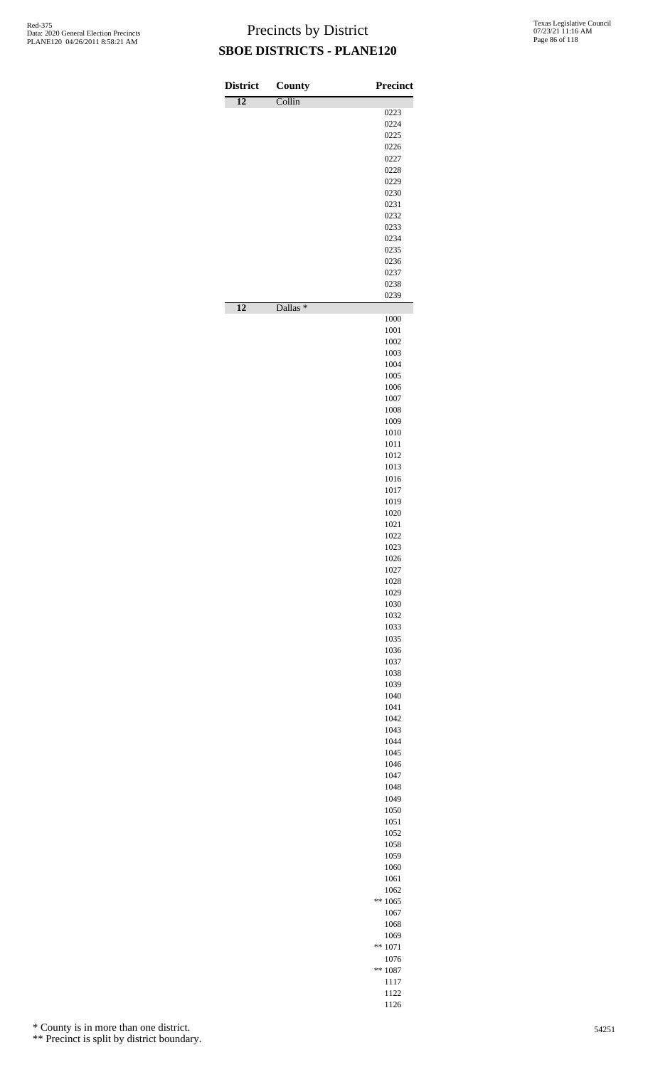| <b>District</b> | County              | Precinct          |
|-----------------|---------------------|-------------------|
| $\overline{12}$ | Collin              | 0223              |
|                 |                     | 0224              |
|                 |                     | 0225              |
|                 |                     | 0226<br>0227      |
|                 |                     | 0228              |
|                 |                     | 0229              |
|                 |                     | 0230              |
|                 |                     | 0231<br>0232      |
|                 |                     | 0233              |
|                 |                     | 0234              |
|                 |                     | 0235              |
|                 |                     | 0236              |
|                 |                     | 0237<br>0238      |
|                 |                     | 0239              |
| $\overline{12}$ | Dallas <sup>*</sup> | 1000              |
|                 |                     | 1001              |
|                 |                     | 1002              |
|                 |                     | 1003              |
|                 |                     | 1004              |
|                 |                     | 1005<br>1006      |
|                 |                     | 1007              |
|                 |                     | 1008              |
|                 |                     | 1009              |
|                 |                     | 1010<br>1011      |
|                 |                     | 1012              |
|                 |                     | 1013              |
|                 |                     | 1016              |
|                 |                     | 1017<br>1019      |
|                 |                     | 1020              |
|                 |                     | 1021              |
|                 |                     | 1022              |
|                 |                     | 1023              |
|                 |                     | 1026<br>1027      |
|                 |                     | 1028              |
|                 |                     | 1029              |
|                 |                     | 1030              |
|                 |                     | 1032<br>1033      |
|                 |                     | 1035              |
|                 |                     | 1036              |
|                 |                     | 1037              |
|                 |                     | 1038              |
|                 |                     | 1039<br>1040      |
|                 |                     | 1041              |
|                 |                     | 1042              |
|                 |                     | 1043              |
|                 |                     | 1044              |
|                 |                     | 1045<br>1046      |
|                 |                     | 1047              |
|                 |                     | 1048              |
|                 |                     | 1049              |
|                 |                     | 1050<br>1051      |
|                 |                     | 1052              |
|                 |                     | 1058              |
|                 |                     | 1059              |
|                 |                     | 1060              |
|                 |                     | 1061<br>1062      |
|                 |                     | $** 1065$         |
|                 |                     | 1067              |
|                 |                     | 1068              |
|                 |                     | 1069              |
|                 |                     | $** 1071$<br>1076 |
|                 |                     | $** 1087$         |
|                 |                     | 1117              |
|                 |                     | 1122              |

\* County is in more than one district.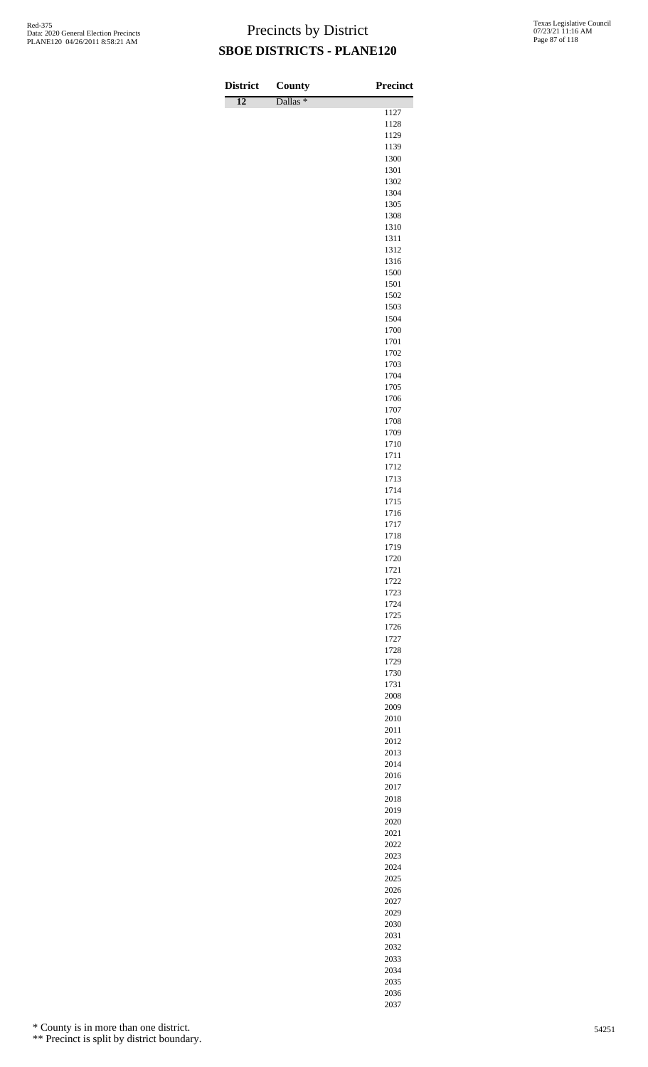| <b>District</b> | County              | <b>Precinct</b> |
|-----------------|---------------------|-----------------|
| $\overline{12}$ | Dallas <sup>*</sup> |                 |
|                 |                     | 1127<br>1128    |
|                 |                     | 1129            |
|                 |                     | 1139            |
|                 |                     | 1300            |
|                 |                     | 1301<br>1302    |
|                 |                     | 1304            |
|                 |                     | 1305            |
|                 |                     | 1308            |
|                 |                     | 1310            |
|                 |                     | 1311<br>1312    |
|                 |                     | 1316            |
|                 |                     | 1500            |
|                 |                     | 1501            |
|                 |                     | 1502            |
|                 |                     | 1503<br>1504    |
|                 |                     | 1700            |
|                 |                     | 1701            |
|                 |                     | 1702            |
|                 |                     | 1703            |
|                 |                     | 1704<br>1705    |
|                 |                     | 1706            |
|                 |                     | 1707            |
|                 |                     | 1708            |
|                 |                     | 1709            |
|                 |                     | 1710<br>1711    |
|                 |                     | 1712            |
|                 |                     | 1713            |
|                 |                     | 1714            |
|                 |                     | 1715            |
|                 |                     | 1716<br>1717    |
|                 |                     | 1718            |
|                 |                     | 1719            |
|                 |                     | 1720            |
|                 |                     | 1721<br>1722    |
|                 |                     | 1723            |
|                 |                     | 1724            |
|                 |                     | 1725            |
|                 |                     | 1726            |
|                 |                     | 1727<br>1728    |
|                 |                     | 1729            |
|                 |                     | 1730            |
|                 |                     | 1731            |
|                 |                     | 2008            |
|                 |                     | 2009<br>2010    |
|                 |                     | 2011            |
|                 |                     | 2012            |
|                 |                     | 2013            |
|                 |                     | 2014            |
|                 |                     | 2016<br>2017    |
|                 |                     | 2018            |
|                 |                     | 2019            |
|                 |                     | 2020            |
|                 |                     | 2021            |
|                 |                     | 2022<br>2023    |
|                 |                     | 2024            |
|                 |                     | 2025            |
|                 |                     | 2026            |
|                 |                     | 2027            |
|                 |                     | 2029            |

\* County is in more than one district.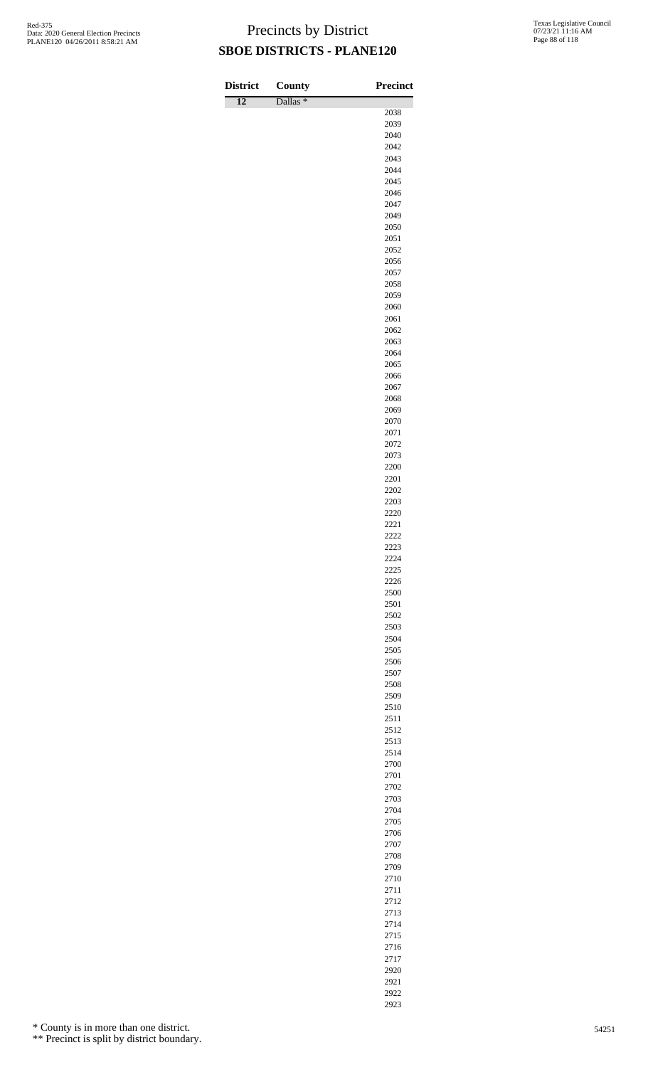| <b>District</b> | County              | <b>Precinct</b> |
|-----------------|---------------------|-----------------|
| $\overline{12}$ | Dallas <sup>*</sup> | 2038            |
|                 |                     | 2039            |
|                 |                     | 2040            |
|                 |                     | 2042            |
|                 |                     | 2043<br>2044    |
|                 |                     | 2045            |
|                 |                     | 2046            |
|                 |                     | 2047            |
|                 |                     | 2049            |
|                 |                     | 2050<br>2051    |
|                 |                     | 2052            |
|                 |                     | 2056            |
|                 |                     | 2057            |
|                 |                     | 2058            |
|                 |                     | 2059<br>2060    |
|                 |                     | 2061            |
|                 |                     | 2062            |
|                 |                     | 2063            |
|                 |                     | 2064            |
|                 |                     | 2065<br>2066    |
|                 |                     | 2067            |
|                 |                     | 2068            |
|                 |                     | 2069            |
|                 |                     | 2070            |
|                 |                     | 2071<br>2072    |
|                 |                     | 2073            |
|                 |                     | 2200            |
|                 |                     | 2201            |
|                 |                     | 2202            |
|                 |                     | 2203<br>2220    |
|                 |                     | 2221            |
|                 |                     | 2222            |
|                 |                     | 2223            |
|                 |                     | 2224<br>2225    |
|                 |                     | 2226            |
|                 |                     | 2500            |
|                 |                     | 2501            |
|                 |                     | 2502            |
|                 |                     | 2503<br>2504    |
|                 |                     | 2505            |
|                 |                     | 2506            |
|                 |                     | 2507            |
|                 |                     | 2508            |
|                 |                     | 2509<br>2510    |
|                 |                     | 2511            |
|                 |                     | 2512            |
|                 |                     | 2513            |
|                 |                     | 2514            |
|                 |                     | 2700<br>2701    |
|                 |                     | 2702            |
|                 |                     | 2703            |
|                 |                     | 2704            |
|                 |                     | 2705            |
|                 |                     | 2706<br>2707    |
|                 |                     | 2708            |
|                 |                     | 2709            |
|                 |                     | 2710            |
|                 |                     | 2711            |
|                 |                     | 2712<br>2713    |
|                 |                     | 2714            |
|                 |                     | 2715            |

\* County is in more than one district.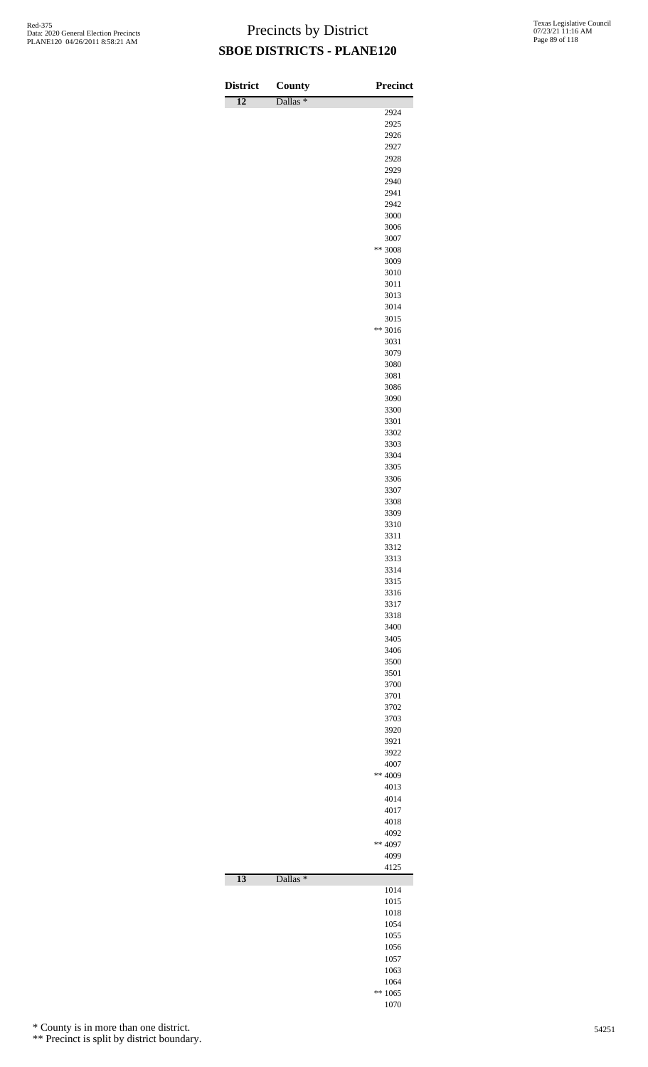| <b>District</b> | County              | <b>Precinct</b> |
|-----------------|---------------------|-----------------|
| $\overline{12}$ | Dallas <sup>*</sup> |                 |
|                 |                     | 2924            |
|                 |                     | 2925<br>2926    |
|                 |                     | 2927            |
|                 |                     | 2928            |
|                 |                     | 2929<br>2940    |
|                 |                     | 2941            |
|                 |                     | 2942            |
|                 |                     | 3000            |
|                 |                     | 3006<br>3007    |
|                 |                     | ** 3008         |
|                 |                     | 3009            |
|                 |                     | 3010<br>3011    |
|                 |                     | 3013            |
|                 |                     | 3014            |
|                 |                     | 3015<br>** 3016 |
|                 |                     | 3031            |
|                 |                     | 3079            |
|                 |                     | 3080            |
|                 |                     | 3081<br>3086    |
|                 |                     | 3090            |
|                 |                     | 3300            |
|                 |                     | 3301<br>3302    |
|                 |                     | 3303            |
|                 |                     | 3304            |
|                 |                     | 3305            |
|                 |                     | 3306<br>3307    |
|                 |                     | 3308            |
|                 |                     | 3309            |
|                 |                     | 3310<br>3311    |
|                 |                     | 3312            |
|                 |                     | 3313            |
|                 |                     | 3314<br>3315    |
|                 |                     | 3316            |
|                 |                     | 3317            |
|                 |                     | 3318<br>3400    |
|                 |                     | 3405            |
|                 |                     | 3406            |
|                 |                     | 3500            |
|                 |                     | 3501<br>3700    |
|                 |                     | 3701            |
|                 |                     | 3702            |
|                 |                     | 3703<br>3920    |
|                 |                     | 3921            |
|                 |                     | 3922            |
|                 |                     | 4007<br>** 4009 |
|                 |                     | 4013            |
|                 |                     | 4014            |
|                 |                     | 4017<br>4018    |
|                 |                     | 4092            |
|                 |                     | ** 4097         |
|                 |                     | 4099            |
| $\overline{13}$ | Dallas <sup>*</sup> | 4125            |
|                 |                     | 1014            |
|                 |                     | 1015            |
|                 |                     | 1018<br>1054    |
|                 |                     | 1055            |
|                 |                     | 1056            |
|                 |                     | 1057<br>1063    |
|                 |                     | 1064            |
|                 |                     | $** 1065$       |
|                 |                     | 1070            |

\* County is in more than one district.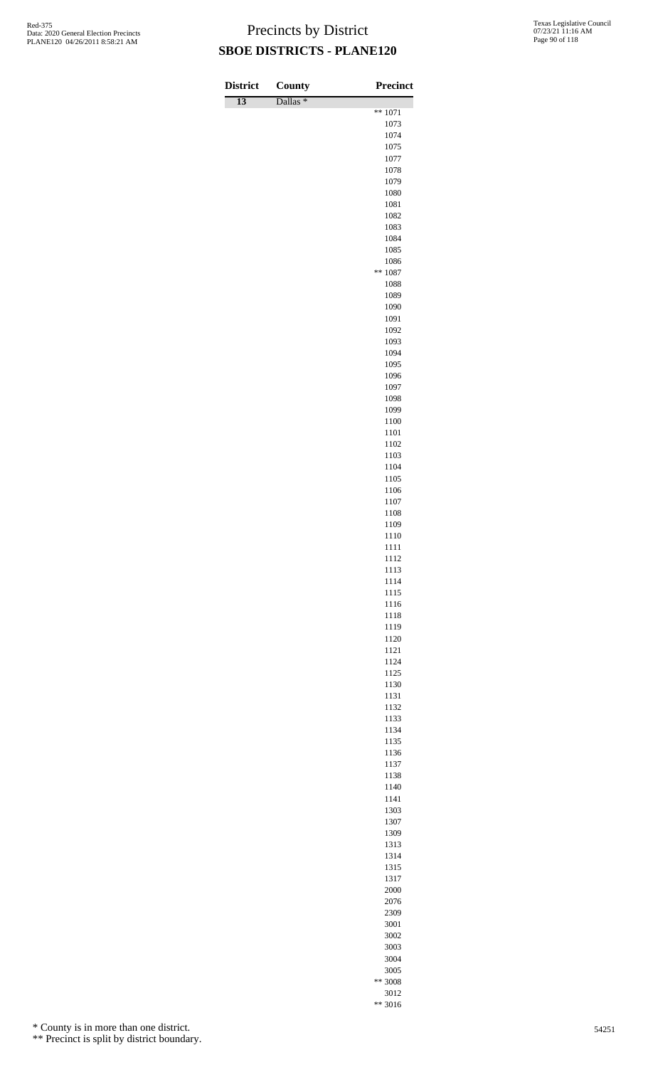| <b>District</b> | County              | <b>Precinct</b>   |
|-----------------|---------------------|-------------------|
| $\overline{13}$ | Dallas <sup>*</sup> | $** 1071$         |
|                 |                     | 1073              |
|                 |                     | 1074              |
|                 |                     | 1075<br>1077      |
|                 |                     | 1078              |
|                 |                     | 1079              |
|                 |                     | 1080              |
|                 |                     | 1081<br>1082      |
|                 |                     | 1083              |
|                 |                     | 1084              |
|                 |                     | 1085              |
|                 |                     | 1086<br>$** 1087$ |
|                 |                     | 1088              |
|                 |                     | 1089              |
|                 |                     | 1090              |
|                 |                     | 1091<br>1092      |
|                 |                     | 1093              |
|                 |                     | 1094              |
|                 |                     | 1095              |
|                 |                     | 1096<br>1097      |
|                 |                     | 1098              |
|                 |                     | 1099              |
|                 |                     | 1100              |
|                 |                     | 1101<br>1102      |
|                 |                     | 1103              |
|                 |                     | 1104              |
|                 |                     | 1105              |
|                 |                     | 1106<br>1107      |
|                 |                     | 1108              |
|                 |                     | 1109              |
|                 |                     | 1110              |
|                 |                     | 1111<br>1112      |
|                 |                     | 1113              |
|                 |                     | 1114              |
|                 |                     | 1115              |
|                 |                     | 1116<br>1118      |
|                 |                     | 1119              |
|                 |                     | 1120              |
|                 |                     | 1121              |
|                 |                     | 1124<br>1125      |
|                 |                     | 1130              |
|                 |                     | 1131              |
|                 |                     | 1132              |
|                 |                     | 1133<br>1134      |
|                 |                     | 1135              |
|                 |                     | 1136              |
|                 |                     | 1137              |
|                 |                     | 1138<br>1140      |
|                 |                     | 1141              |
|                 |                     | 1303              |
|                 |                     | 1307              |
|                 |                     | 1309<br>1313      |
|                 |                     | 1314              |
|                 |                     | 1315              |
|                 |                     | 1317              |
|                 |                     | 2000<br>2076      |
|                 |                     | 2309              |
|                 |                     | 3001              |
|                 |                     | 3002              |
|                 |                     | 3003              |
|                 |                     | 3004<br>3005      |
|                 |                     |                   |

\*\* 3008 \*\* 3016

\* County is in more than one district.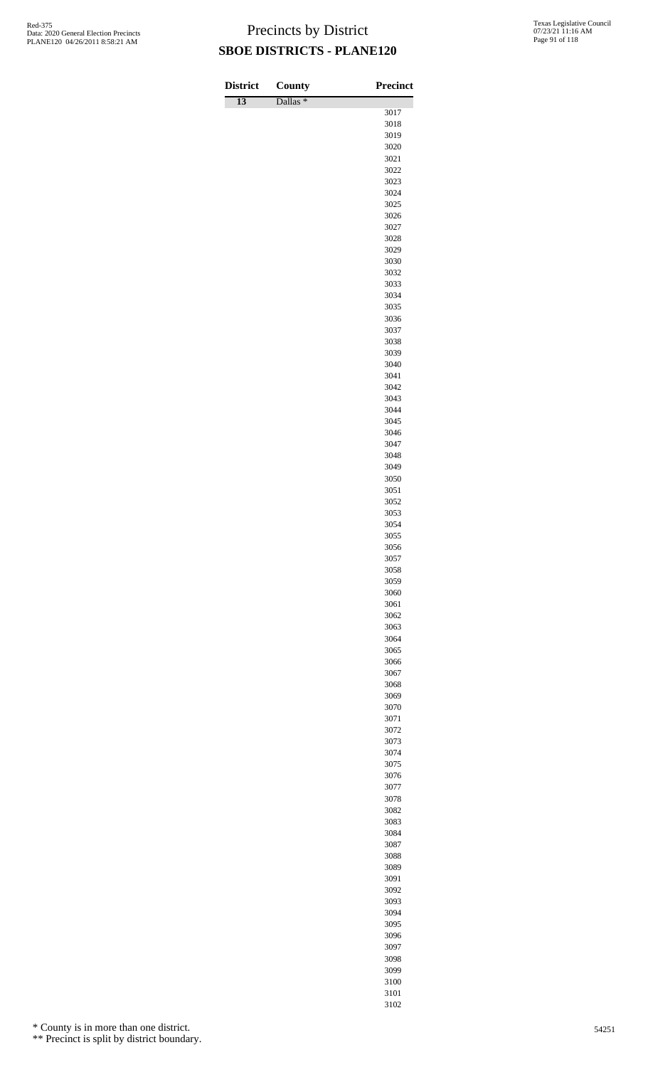| <b>District</b> | County              | Precinct     |
|-----------------|---------------------|--------------|
| $\overline{13}$ | Dallas <sup>*</sup> |              |
|                 |                     | 3017         |
|                 |                     | 3018         |
|                 |                     | 3019<br>3020 |
|                 |                     | 3021         |
|                 |                     | 3022         |
|                 |                     | 3023         |
|                 |                     | 3024<br>3025 |
|                 |                     | 3026         |
|                 |                     | 3027         |
|                 |                     | 3028         |
|                 |                     | 3029         |
|                 |                     | 3030<br>3032 |
|                 |                     | 3033         |
|                 |                     | 3034         |
|                 |                     | 3035         |
|                 |                     | 3036<br>3037 |
|                 |                     | 3038         |
|                 |                     | 3039         |
|                 |                     | 3040         |
|                 |                     | 3041         |
|                 |                     | 3042<br>3043 |
|                 |                     | 3044         |
|                 |                     | 3045         |
|                 |                     | 3046         |
|                 |                     | 3047         |
|                 |                     | 3048<br>3049 |
|                 |                     | 3050         |
|                 |                     | 3051         |
|                 |                     | 3052         |
|                 |                     | 3053<br>3054 |
|                 |                     | 3055         |
|                 |                     | 3056         |
|                 |                     | 3057         |
|                 |                     | 3058<br>3059 |
|                 |                     | 3060         |
|                 |                     | 3061         |
|                 |                     | 3062         |
|                 |                     | 3063         |
|                 |                     | 3064<br>3065 |
|                 |                     | 3066         |
|                 |                     | 3067         |
|                 |                     | 3068         |
|                 |                     | 3069<br>3070 |
|                 |                     | 3071         |
|                 |                     | 3072         |
|                 |                     | 3073         |
|                 |                     | 3074         |
|                 |                     | 3075<br>3076 |
|                 |                     | 3077         |
|                 |                     | 3078         |
|                 |                     | 3082         |
|                 |                     | 3083         |
|                 |                     | 3084<br>3087 |
|                 |                     | 3088         |
|                 |                     | 3089         |
|                 |                     | 3091         |
|                 |                     | 3092         |
|                 |                     | 3093<br>3094 |
|                 |                     | 3095         |
|                 |                     | 3096         |
|                 |                     | 3097         |

\* County is in more than one district.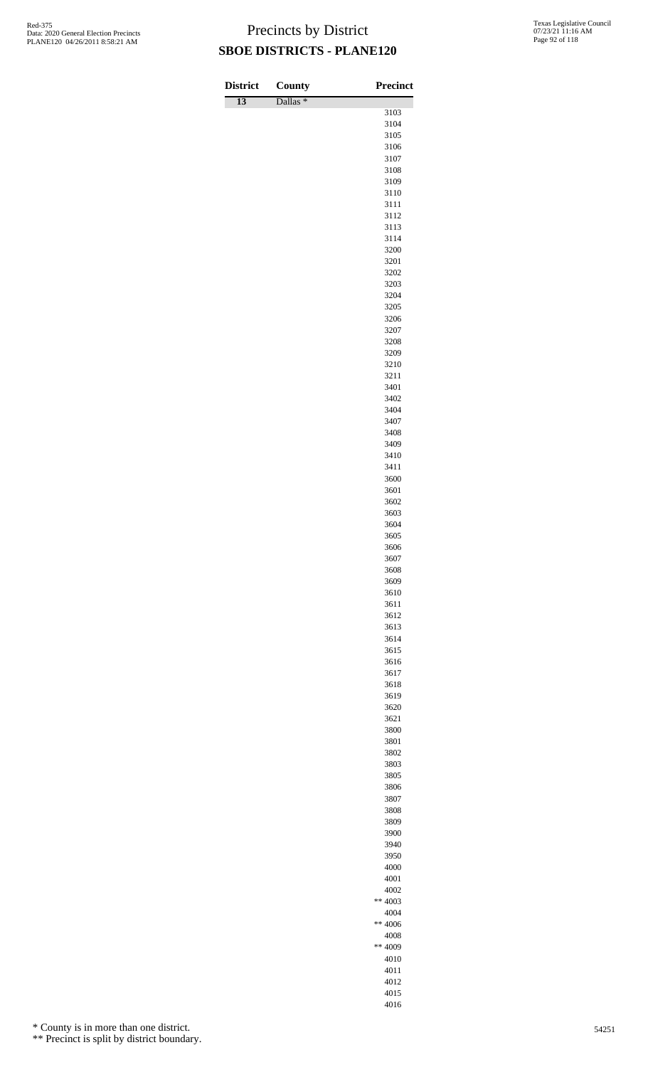| <b>District</b> | County              | <b>Precinct</b> |
|-----------------|---------------------|-----------------|
| $\overline{13}$ | Dallas <sup>*</sup> | 3103            |
|                 |                     | 3104            |
|                 |                     | 3105            |
|                 |                     | 3106<br>3107    |
|                 |                     | 3108            |
|                 |                     | 3109            |
|                 |                     | 3110            |
|                 |                     | 3111            |
|                 |                     | 3112<br>3113    |
|                 |                     | 3114            |
|                 |                     | 3200            |
|                 |                     | 3201            |
|                 |                     | 3202<br>3203    |
|                 |                     | 3204            |
|                 |                     | 3205            |
|                 |                     | 3206            |
|                 |                     | 3207            |
|                 |                     | 3208<br>3209    |
|                 |                     | 3210            |
|                 |                     | 3211            |
|                 |                     | 3401            |
|                 |                     | 3402<br>3404    |
|                 |                     | 3407            |
|                 |                     | 3408            |
|                 |                     | 3409            |
|                 |                     | 3410<br>3411    |
|                 |                     | 3600            |
|                 |                     | 3601            |
|                 |                     | 3602            |
|                 |                     | 3603<br>3604    |
|                 |                     | 3605            |
|                 |                     | 3606            |
|                 |                     | 3607            |
|                 |                     | 3608<br>3609    |
|                 |                     | 3610            |
|                 |                     | 3611            |
|                 |                     | 3612            |
|                 |                     | 3613<br>3614    |
|                 |                     | 3615            |
|                 |                     | 3616            |
|                 |                     | 3617            |
|                 |                     | 3618<br>3619    |
|                 |                     | 3620            |
|                 |                     | 3621            |
|                 |                     | 3800            |
|                 |                     | 3801            |
|                 |                     | 3802<br>3803    |
|                 |                     | 3805            |
|                 |                     | 3806            |
|                 |                     | 3807            |
|                 |                     | 3808<br>3809    |
|                 |                     | 3900            |
|                 |                     | 3940            |
|                 |                     | 3950            |
|                 |                     | 4000            |
|                 |                     | 4001<br>4002    |
|                 |                     | ** 4003         |
|                 |                     | 4004            |
|                 |                     | ** 4006         |
|                 |                     | 4008            |

\* County is in more than one district.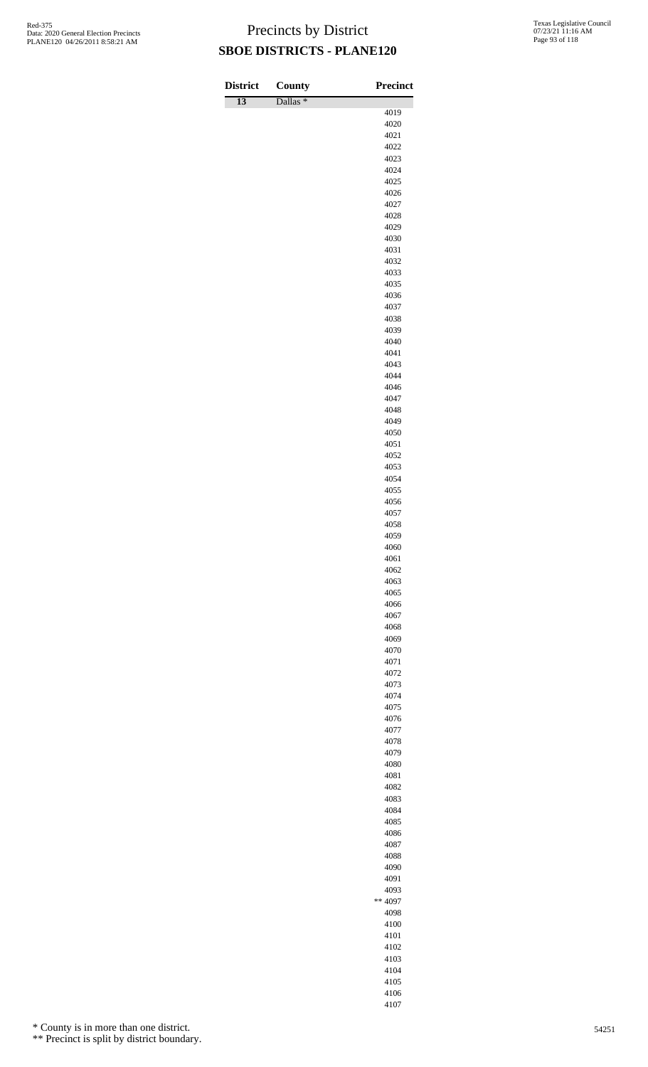| <b>District</b> | <b>County</b>       | Precinct     |
|-----------------|---------------------|--------------|
| $\overline{13}$ | Dallas <sup>*</sup> | 4019         |
|                 |                     | 4020         |
|                 |                     | 4021         |
|                 |                     | 4022         |
|                 |                     | 4023         |
|                 |                     | 4024<br>4025 |
|                 |                     | 4026         |
|                 |                     | 4027         |
|                 |                     | 4028         |
|                 |                     | 4029         |
|                 |                     | 4030         |
|                 |                     | 4031<br>4032 |
|                 |                     | 4033         |
|                 |                     | 4035         |
|                 |                     | 4036         |
|                 |                     | 4037         |
|                 |                     | 4038         |
|                 |                     | 4039         |
|                 |                     | 4040<br>4041 |
|                 |                     | 4043         |
|                 |                     | 4044         |
|                 |                     | 4046         |
|                 |                     | 4047         |
|                 |                     | 4048         |
|                 |                     | 4049         |
|                 |                     | 4050<br>4051 |
|                 |                     | 4052         |
|                 |                     | 4053         |
|                 |                     | 4054         |
|                 |                     | 4055         |
|                 |                     | 4056         |
|                 |                     | 4057<br>4058 |
|                 |                     | 4059         |
|                 |                     | 4060         |
|                 |                     | 4061         |
|                 |                     | 4062         |
|                 |                     | 4063         |
|                 |                     | 4065<br>4066 |
|                 |                     | 4067         |
|                 |                     | 4068         |
|                 |                     | 4069         |
|                 |                     | 4070         |
|                 |                     | 4071         |
|                 |                     | 4072<br>4073 |
|                 |                     | 4074         |
|                 |                     | 4075         |
|                 |                     | 4076         |
|                 |                     | 4077         |
|                 |                     | 4078         |
|                 |                     | 4079<br>4080 |
|                 |                     | 4081         |
|                 |                     | 4082         |
|                 |                     | 4083         |
|                 |                     | 4084         |
|                 |                     | 4085         |
|                 |                     | 4086         |
|                 |                     | 4087<br>4088 |
|                 |                     | 4090         |
|                 |                     | 4091         |
|                 |                     | 4093         |
|                 |                     | $** 4097$    |
|                 |                     | 4098         |
|                 |                     | 4100         |
|                 |                     | 4101<br>4102 |
|                 |                     | 4103         |
|                 |                     | 4104         |

 

\* County is in more than one district.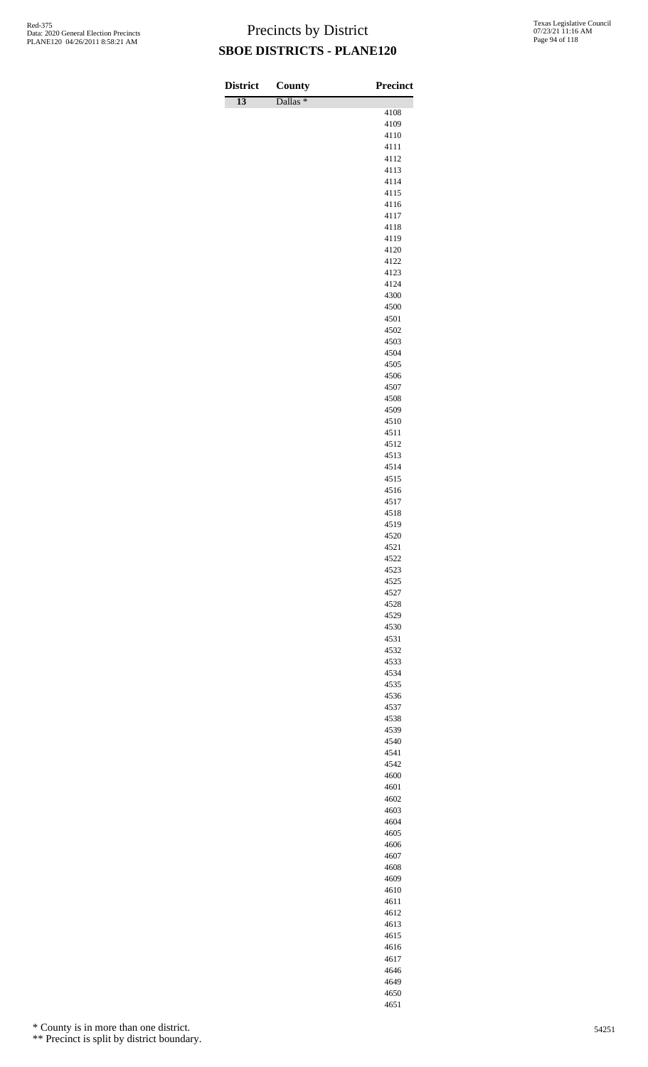| <b>District</b> | County              | <b>Precinct</b> |
|-----------------|---------------------|-----------------|
| $\overline{13}$ | Dallas <sup>*</sup> | 4108            |
|                 |                     | 4109            |
|                 |                     | 4110<br>4111    |
|                 |                     | 4112            |
|                 |                     | 4113            |
|                 |                     | 4114            |
|                 |                     | 4115<br>4116    |
|                 |                     | 4117            |
|                 |                     | 4118            |
|                 |                     | 4119<br>4120    |
|                 |                     | 4122            |
|                 |                     | 4123            |
|                 |                     | 4124            |
|                 |                     | 4300<br>4500    |
|                 |                     | 4501            |
|                 |                     | 4502            |
|                 |                     | 4503<br>4504    |
|                 |                     | 4505            |
|                 |                     | 4506            |
|                 |                     | 4507            |
|                 |                     | 4508<br>4509    |
|                 |                     | 4510            |
|                 |                     | 4511            |
|                 |                     | 4512            |
|                 |                     | 4513<br>4514    |
|                 |                     | 4515            |
|                 |                     | 4516            |
|                 |                     | 4517            |
|                 |                     | 4518<br>4519    |
|                 |                     | 4520            |
|                 |                     | 4521            |
|                 |                     | 4522<br>4523    |
|                 |                     | 4525            |
|                 |                     | 4527            |
|                 |                     | 4528            |
|                 |                     | 4529<br>4530    |
|                 |                     | 4531            |
|                 |                     | 4532            |
|                 |                     | 4533            |
|                 |                     | 4534<br>4535    |
|                 |                     | 4536            |
|                 |                     | 4537            |
|                 |                     | 4538<br>4539    |
|                 |                     | 4540            |
|                 |                     | 4541            |
|                 |                     | 4542            |
|                 |                     | 4600<br>4601    |
|                 |                     | 4602            |
|                 |                     | 4603            |
|                 |                     | 4604<br>4605    |
|                 |                     | 4606            |
|                 |                     | 4607            |
|                 |                     | 4608            |
|                 |                     | 4609<br>4610    |
|                 |                     | 4611            |
|                 |                     | 4612            |
|                 |                     | 4613            |

\* County is in more than one district.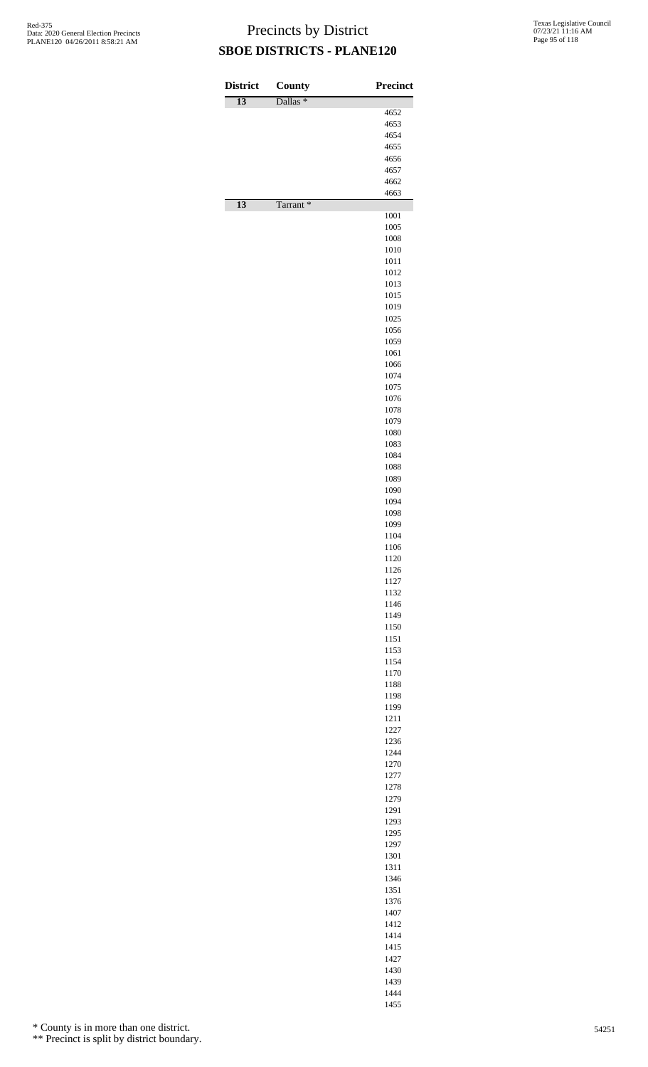| <b>District</b> | County<br>Dallas <sup>*</sup> | Precinct     |
|-----------------|-------------------------------|--------------|
| $\overline{13}$ |                               | 4652         |
|                 |                               | 4653         |
|                 |                               | 4654<br>4655 |
|                 |                               | 4656         |
|                 |                               | 4657         |
|                 |                               | 4662         |
| $\overline{13}$ | Tarrant*                      | 4663         |
|                 |                               | 1001         |
|                 |                               | 1005<br>1008 |
|                 |                               | 1010         |
|                 |                               | 1011         |
|                 |                               | 1012<br>1013 |
|                 |                               | 1015         |
|                 |                               | 1019         |
|                 |                               | 1025<br>1056 |
|                 |                               | 1059         |
|                 |                               | 1061         |
|                 |                               | 1066<br>1074 |
|                 |                               | 1075         |
|                 |                               | 1076         |
|                 |                               | 1078         |
|                 |                               | 1079<br>1080 |
|                 |                               | 1083         |
|                 |                               | 1084         |
|                 |                               | 1088<br>1089 |
|                 |                               | 1090         |
|                 |                               | 1094         |
|                 |                               | 1098<br>1099 |
|                 |                               | 1104         |
|                 |                               | 1106         |
|                 |                               | 1120<br>1126 |
|                 |                               | 1127         |
|                 |                               | 1132         |
|                 |                               | 1146<br>1149 |
|                 |                               | 1150         |
|                 |                               | 1151         |
|                 |                               | 1153<br>1154 |
|                 |                               | 1170         |
|                 |                               | 1188         |
|                 |                               | 1198<br>1199 |
|                 |                               | 1211         |
|                 |                               | 1227         |
|                 |                               | 1236<br>1244 |
|                 |                               | 1270         |
|                 |                               | 1277         |
|                 |                               | 1278<br>1279 |
|                 |                               | 1291         |
|                 |                               | 1293         |
|                 |                               | 1295<br>1297 |
|                 |                               | 1301         |
|                 |                               | 1311         |
|                 |                               | 1346<br>1351 |
|                 |                               | 1376         |
|                 |                               | 1407<br>1412 |
|                 |                               | 1414         |
|                 |                               | 1415         |
|                 |                               | 1427         |
|                 |                               | 1430<br>1439 |

 

\* County is in more than one district.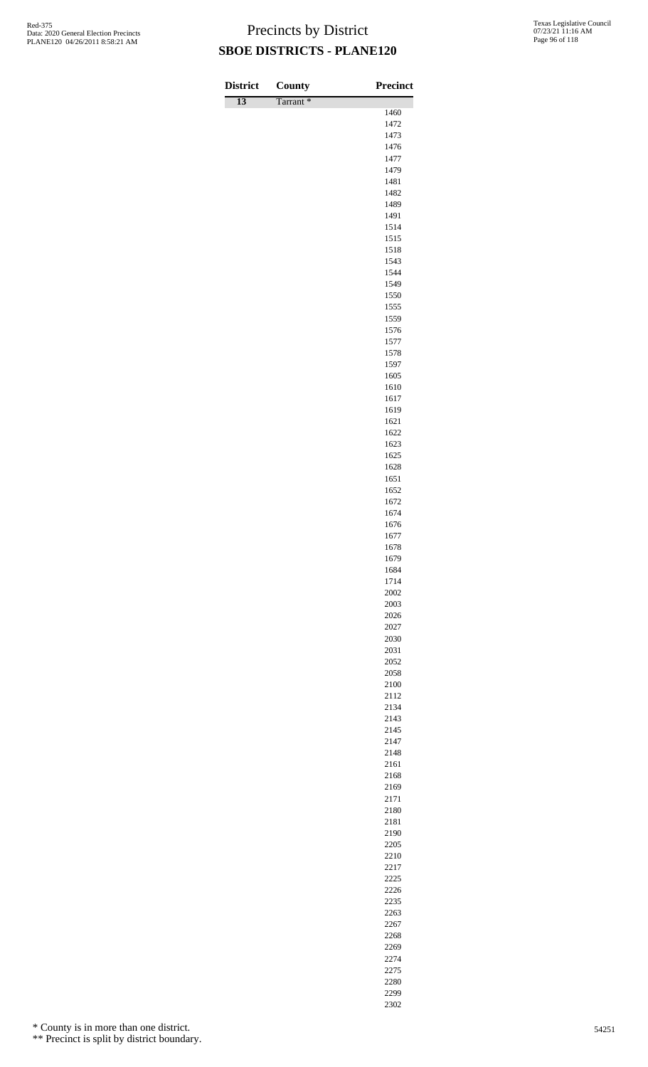| <b>District</b> | <b>County</b> | <b>Precinct</b> |
|-----------------|---------------|-----------------|
| $\overline{13}$ | Tarrant*      |                 |
|                 |               | 1460<br>1472    |
|                 |               | 1473            |
|                 |               | 1476            |
|                 |               | 1477            |
|                 |               | 1479<br>1481    |
|                 |               | 1482            |
|                 |               | 1489            |
|                 |               | 1491            |
|                 |               | 1514<br>1515    |
|                 |               | 1518            |
|                 |               | 1543            |
|                 |               | 1544            |
|                 |               | 1549<br>1550    |
|                 |               | 1555            |
|                 |               | 1559            |
|                 |               | 1576            |
|                 |               | 1577<br>1578    |
|                 |               | 1597            |
|                 |               | 1605            |
|                 |               | 1610            |
|                 |               | 1617<br>1619    |
|                 |               | 1621            |
|                 |               | 1622            |
|                 |               | 1623            |
|                 |               | 1625<br>1628    |
|                 |               | 1651            |
|                 |               | 1652            |
|                 |               | 1672            |
|                 |               | 1674<br>1676    |
|                 |               | 1677            |
|                 |               | 1678            |
|                 |               | 1679            |
|                 |               | 1684<br>1714    |
|                 |               | 2002            |
|                 |               | 2003            |
|                 |               | 2026            |
|                 |               | 2027<br>2030    |
|                 |               | 2031            |
|                 |               | 2052            |
|                 |               | 2058            |
|                 |               | 2100<br>2112    |
|                 |               | 2134            |
|                 |               | 2143            |
|                 |               | 2145            |
|                 |               | 2147<br>2148    |
|                 |               | 2161            |
|                 |               | 2168            |
|                 |               | 2169            |
|                 |               | 2171<br>2180    |
|                 |               | 2181            |
|                 |               | 2190            |
|                 |               | 2205            |
|                 |               | 2210<br>2217    |
|                 |               | 2225            |
|                 |               | 2226            |
|                 |               | 2235            |
|                 |               | 2263<br>2267    |
|                 |               |                 |

\* County is in more than one district.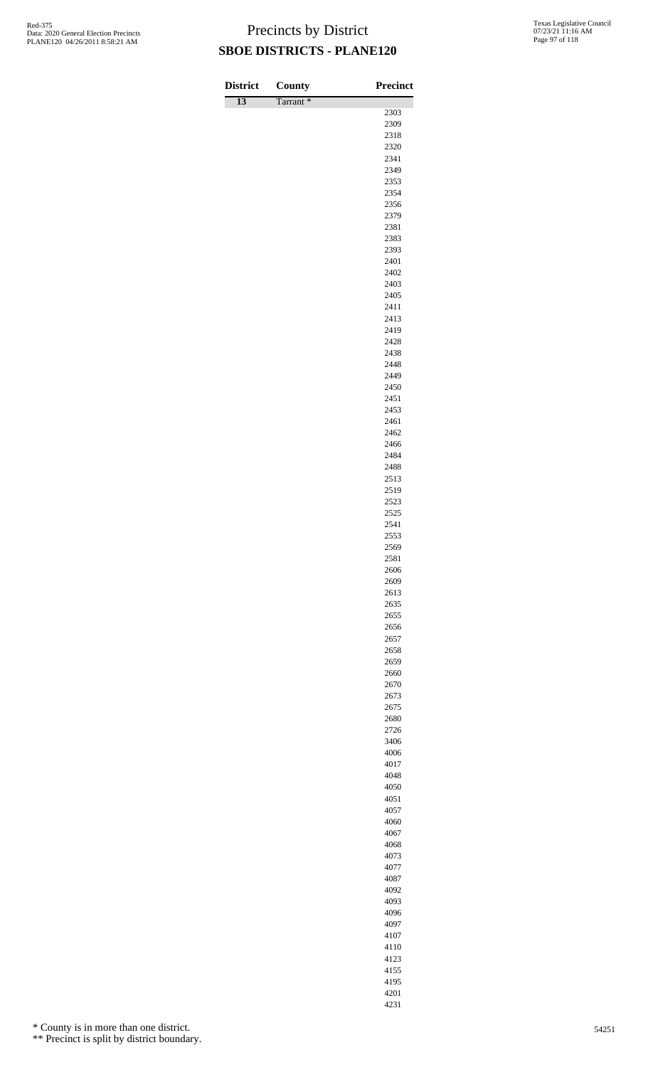| <b>District</b> | County               | <b>Precinct</b> |
|-----------------|----------------------|-----------------|
| $\overline{13}$ | Tarrant <sup>*</sup> |                 |
|                 |                      | 2303<br>2309    |
|                 |                      | 2318            |
|                 |                      | 2320            |
|                 |                      | 2341            |
|                 |                      | 2349            |
|                 |                      | 2353<br>2354    |
|                 |                      | 2356            |
|                 |                      | 2379            |
|                 |                      | 2381            |
|                 |                      | 2383            |
|                 |                      | 2393<br>2401    |
|                 |                      | 2402            |
|                 |                      | 2403            |
|                 |                      | 2405            |
|                 |                      | 2411            |
|                 |                      | 2413<br>2419    |
|                 |                      | 2428            |
|                 |                      | 2438            |
|                 |                      | 2448            |
|                 |                      | 2449            |
|                 |                      | 2450<br>2451    |
|                 |                      | 2453            |
|                 |                      | 2461            |
|                 |                      | 2462            |
|                 |                      | 2466            |
|                 |                      | 2484<br>2488    |
|                 |                      | 2513            |
|                 |                      | 2519            |
|                 |                      | 2523            |
|                 |                      | 2525<br>2541    |
|                 |                      | 2553            |
|                 |                      | 2569            |
|                 |                      | 2581            |
|                 |                      | 2606            |
|                 |                      | 2609<br>2613    |
|                 |                      | 2635            |
|                 |                      | 2655            |
|                 |                      | 2656            |
|                 |                      | 2657            |
|                 |                      | 2658            |
|                 |                      | 2659<br>2660    |
|                 |                      | 2670            |
|                 |                      | 2673            |
|                 |                      | 2675            |
|                 |                      | 2680            |
|                 |                      | 2726<br>3406    |
|                 |                      | 4006            |
|                 |                      | 4017            |
|                 |                      | 4048            |
|                 |                      | 4050            |
|                 |                      | 4051<br>4057    |
|                 |                      | 4060            |
|                 |                      | 4067            |
|                 |                      | 4068            |
|                 |                      | 4073            |
|                 |                      | 4077<br>4087    |
|                 |                      | 4092            |
|                 |                      | 4093            |
|                 |                      | 4096            |
|                 |                      | 4097            |

\* County is in more than one district.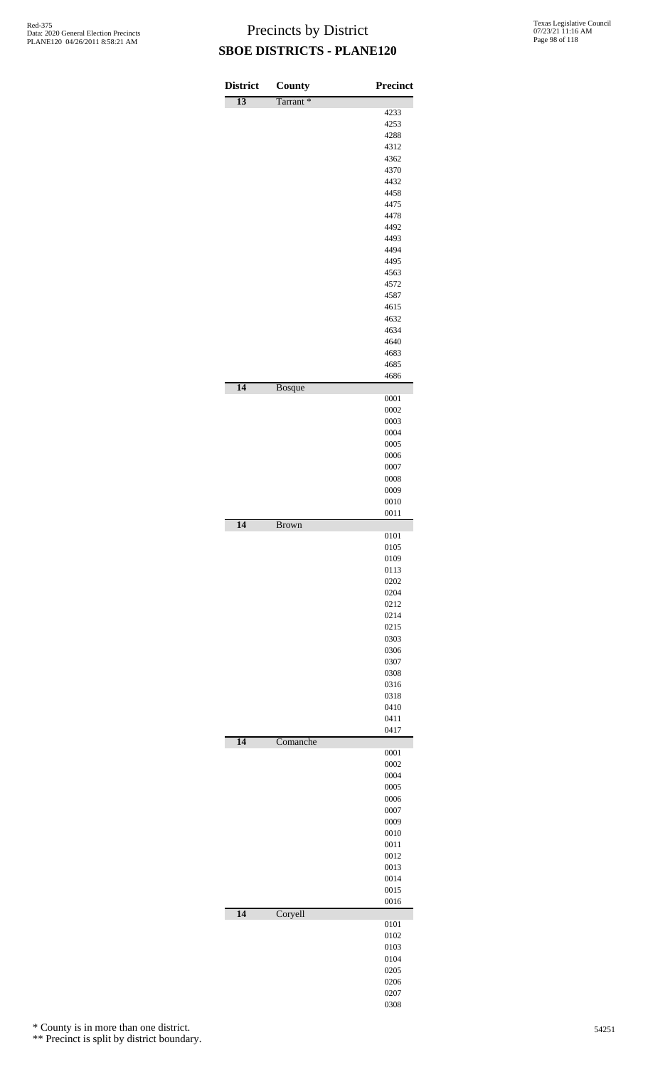| <b>District</b> | <b>County</b>        | <b>Precinct</b> |
|-----------------|----------------------|-----------------|
| $\overline{13}$ | Tarrant <sup>*</sup> |                 |
|                 |                      | 4233            |
|                 |                      | 4253<br>4288    |
|                 |                      | 4312            |
|                 |                      | 4362            |
|                 |                      | 4370            |
|                 |                      | 4432            |
|                 |                      | 4458<br>4475    |
|                 |                      | 4478            |
|                 |                      | 4492            |
|                 |                      | 4493            |
|                 |                      | 4494            |
|                 |                      | 4495<br>4563    |
|                 |                      | 4572            |
|                 |                      | 4587            |
|                 |                      | 4615            |
|                 |                      | 4632            |
|                 |                      | 4634<br>4640    |
|                 |                      | 4683            |
|                 |                      | 4685            |
|                 |                      | 4686            |
| 14              | <b>Bosque</b>        |                 |
|                 |                      | 0001<br>0002    |
|                 |                      | 0003            |
|                 |                      | 0004            |
|                 |                      | 0005            |
|                 |                      | 0006            |
|                 |                      | 0007            |
|                 |                      | 0008            |
|                 |                      | 0009<br>0010    |
|                 |                      | 0011            |
| $\overline{14}$ | <b>Brown</b>         |                 |
|                 |                      | 0101            |
|                 |                      | 0105<br>0109    |
|                 |                      | 0113            |
|                 |                      | 0202            |
|                 |                      | 0204            |
|                 |                      | 0212            |
|                 |                      | 0214<br>0215    |
|                 |                      | 0303            |
|                 |                      | 0306            |
|                 |                      | 0307            |
|                 |                      | 0308            |
|                 |                      | 0316<br>0318    |
|                 |                      | 0410            |
|                 |                      | 0411            |
|                 |                      | 0417            |
| 14              | Comanche             | 0001            |
|                 |                      | 0002            |
|                 |                      | 0004            |
|                 |                      | 0005            |
|                 |                      | 0006            |
|                 |                      | 0007            |
|                 |                      | 0009<br>0010    |
|                 |                      | 0011            |
|                 |                      | 0012            |
|                 |                      | 0013            |
|                 |                      | 0014            |
|                 |                      | 0015<br>0016    |
| 14              | Coryell              |                 |
|                 |                      | 0101            |
|                 |                      | 0102            |
|                 |                      | 0103<br>0104    |
|                 |                      | 0205            |
|                 |                      | 0206            |
|                 |                      | 0207            |
|                 |                      | 0308            |

\* County is in more than one district.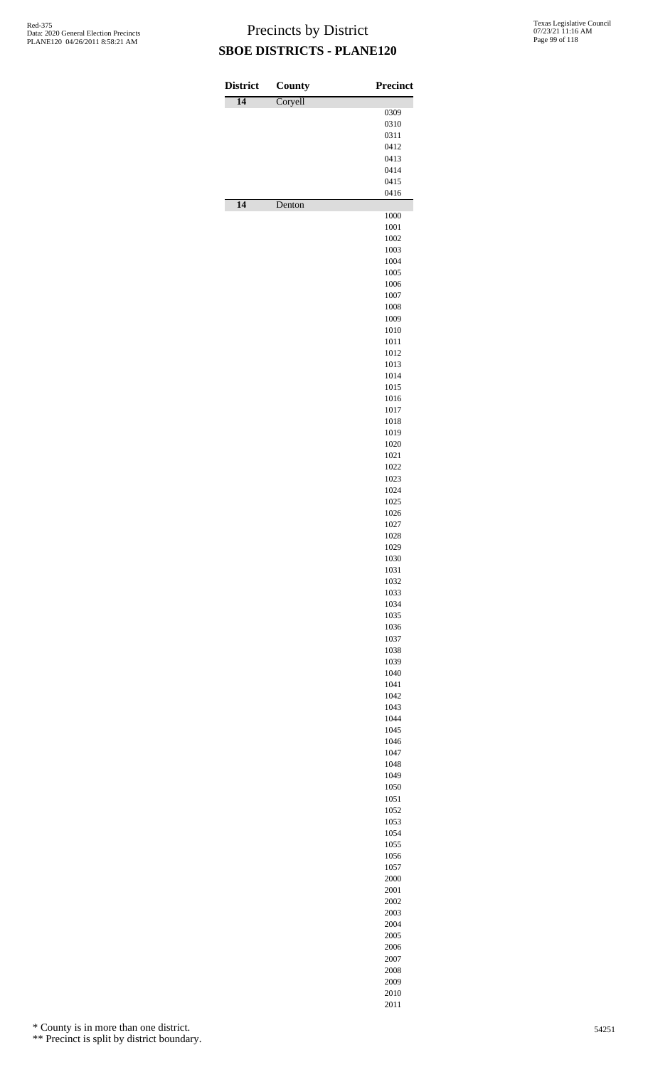| <b>District</b> | County  | <b>Precinct</b> |
|-----------------|---------|-----------------|
| $\overline{14}$ | Coryell | 0309            |
|                 |         | 0310            |
|                 |         | 0311            |
|                 |         | 0412<br>0413    |
|                 |         | 0414            |
|                 |         | 0415            |
| $\overline{14}$ | Denton  | 0416            |
|                 |         | 1000            |
|                 |         | 1001            |
|                 |         | 1002<br>1003    |
|                 |         | 1004            |
|                 |         | 1005            |
|                 |         | 1006<br>1007    |
|                 |         | 1008            |
|                 |         | 1009            |
|                 |         | 1010            |
|                 |         | 1011<br>1012    |
|                 |         | 1013            |
|                 |         | 1014            |
|                 |         | 1015            |
|                 |         | 1016<br>1017    |
|                 |         | 1018            |
|                 |         | 1019            |
|                 |         | 1020<br>1021    |
|                 |         | 1022            |
|                 |         | 1023            |
|                 |         | 1024            |
|                 |         | 1025<br>1026    |
|                 |         | 1027            |
|                 |         | 1028            |
|                 |         | 1029<br>1030    |
|                 |         | 1031            |
|                 |         | 1032            |
|                 |         | 1033            |
|                 |         | 1034<br>1035    |
|                 |         | 1036            |
|                 |         | 1037            |
|                 |         | 1038<br>1039    |
|                 |         | 1040            |
|                 |         | 1041            |
|                 |         | 1042<br>1043    |
|                 |         | 1044            |
|                 |         | 1045            |
|                 |         | 1046            |
|                 |         | 1047<br>1048    |
|                 |         | 1049            |
|                 |         | 1050            |
|                 |         | 1051<br>1052    |
|                 |         | 1053            |
|                 |         | 1054            |
|                 |         | 1055            |
|                 |         | 1056<br>1057    |
|                 |         | 2000            |
|                 |         | 2001            |
|                 |         | 2002            |
|                 |         | 2003<br>2004    |
|                 |         | 2005            |
|                 |         | 2006            |
|                 |         | 2007            |
|                 |         | 2008<br>2009    |

 

\* County is in more than one district.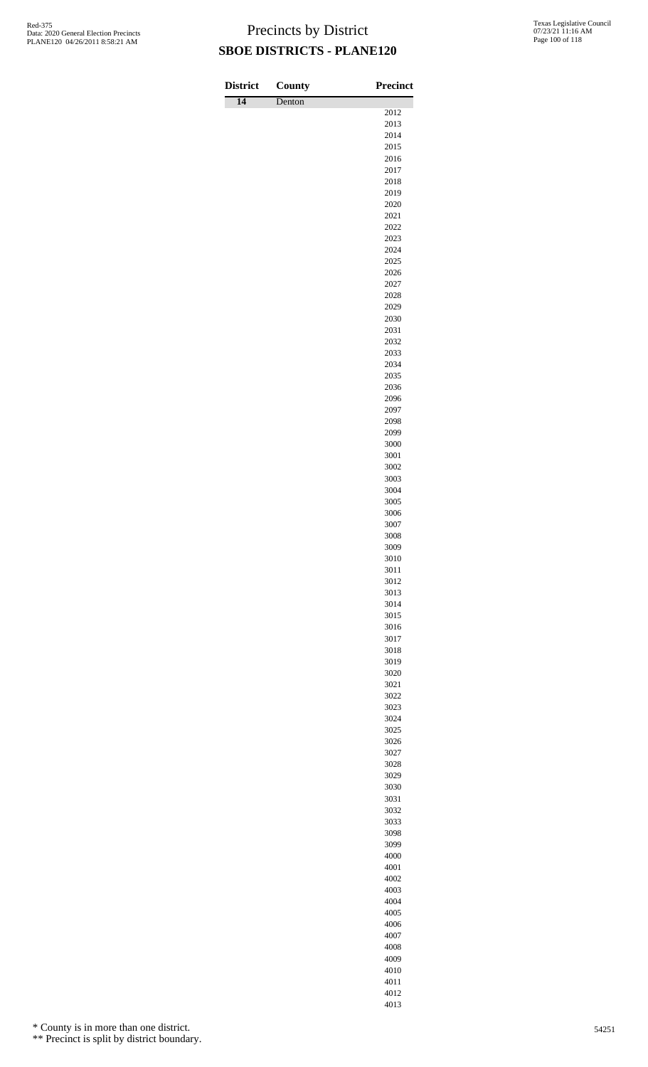| <b>District</b> | County | <b>Precinct</b> |
|-----------------|--------|-----------------|
| $\overline{14}$ | Denton |                 |
|                 |        | 2012<br>2013    |
|                 |        | 2014            |
|                 |        | 2015            |
|                 |        | 2016            |
|                 |        | 2017            |
|                 |        | 2018<br>2019    |
|                 |        | 2020            |
|                 |        | 2021            |
|                 |        | 2022            |
|                 |        | 2023<br>2024    |
|                 |        | 2025            |
|                 |        | 2026            |
|                 |        | 2027            |
|                 |        | 2028            |
|                 |        | 2029<br>2030    |
|                 |        | 2031            |
|                 |        | 2032            |
|                 |        | 2033            |
|                 |        | 2034<br>2035    |
|                 |        | 2036            |
|                 |        | 2096            |
|                 |        | 2097            |
|                 |        | 2098            |
|                 |        | 2099<br>3000    |
|                 |        | 3001            |
|                 |        | 3002            |
|                 |        | 3003            |
|                 |        | 3004<br>3005    |
|                 |        | 3006            |
|                 |        | 3007            |
|                 |        | 3008            |
|                 |        | 3009            |
|                 |        | 3010<br>3011    |
|                 |        | 3012            |
|                 |        | 3013            |
|                 |        | 3014            |
|                 |        | 3015<br>3016    |
|                 |        | 3017            |
|                 |        | 3018            |
|                 |        | 3019            |
|                 |        | 3020            |
|                 |        | 3021<br>3022    |
|                 |        | 3023            |
|                 |        | 3024            |
|                 |        | 3025            |
|                 |        | 3026<br>3027    |
|                 |        | 3028            |
|                 |        | 3029            |
|                 |        | 3030            |
|                 |        | 3031            |
|                 |        | 3032<br>3033    |
|                 |        | 3098            |
|                 |        | 3099            |
|                 |        | 4000            |
|                 |        | 4001            |
|                 |        | 4002<br>4003    |
|                 |        | 4004            |
|                 |        | 4005            |
|                 |        | 4006            |
|                 |        | 4007<br>4008    |
|                 |        |                 |

\* County is in more than one district.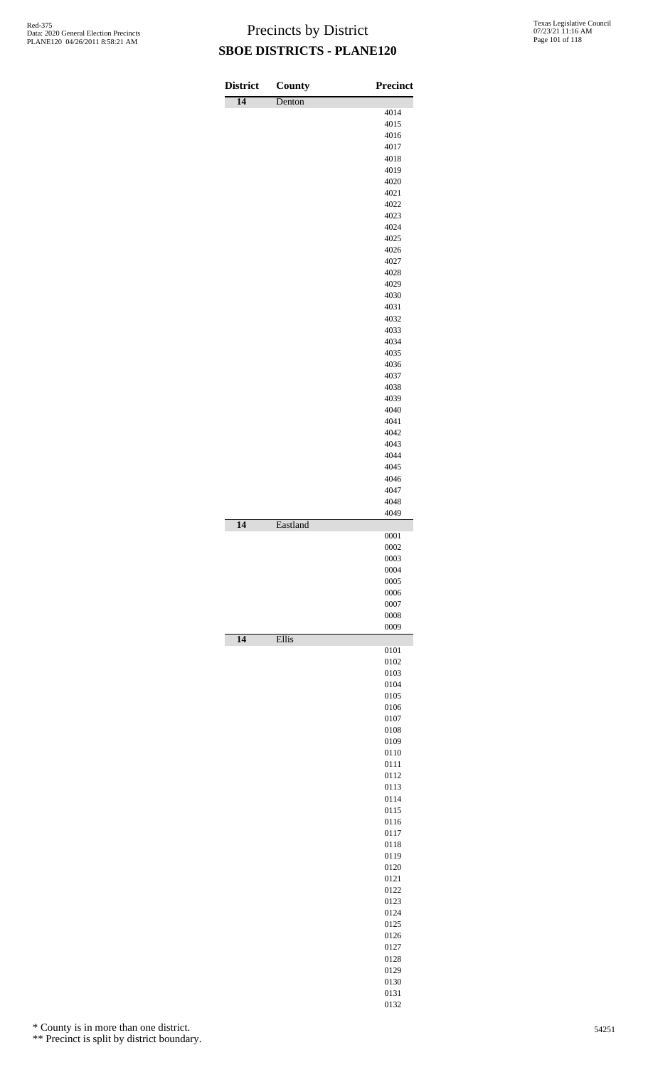| <b>District</b> | County   | <b>Precinct</b> |
|-----------------|----------|-----------------|
| $\overline{14}$ | Denton   |                 |
|                 |          | 4014<br>4015    |
|                 |          | 4016            |
|                 |          | 4017            |
|                 |          | 4018            |
|                 |          | 4019<br>4020    |
|                 |          | 4021            |
|                 |          | 4022            |
|                 |          | 4023            |
|                 |          | 4024            |
|                 |          | 4025<br>4026    |
|                 |          | 4027            |
|                 |          | 4028            |
|                 |          | 4029            |
|                 |          | 4030            |
|                 |          | 4031            |
|                 |          | 4032            |
|                 |          | 4033<br>4034    |
|                 |          | 4035            |
|                 |          | 4036            |
|                 |          | 4037            |
|                 |          | 4038            |
|                 |          | 4039            |
|                 |          | 4040<br>4041    |
|                 |          | 4042            |
|                 |          | 4043            |
|                 |          | 4044            |
|                 |          | 4045            |
|                 |          | 4046            |
|                 |          | 4047            |
|                 |          | 4048<br>4049    |
| $\overline{14}$ | Eastland |                 |
|                 |          | 0001            |
|                 |          | 0002            |
|                 |          | 0003            |
|                 |          | 0004<br>0005    |
|                 |          | 0006            |
|                 |          | 0007            |
|                 |          | 0008            |
|                 |          | 0009            |
| $\overline{14}$ | Ellis    | 0101            |
|                 |          | 0102            |
|                 |          | 0103            |
|                 |          | 0104            |
|                 |          | 0105            |
|                 |          | 0106<br>0107    |
|                 |          | 0108            |
|                 |          | 0109            |
|                 |          | 0110            |
|                 |          | 0111            |
|                 |          | 0112            |
|                 |          | 0113<br>0114    |
|                 |          | 0115            |
|                 |          | 0116            |
|                 |          | 0117            |
|                 |          | 0118            |
|                 |          | 0119<br>0120    |
|                 |          | 0121            |
|                 |          | 0122            |
|                 |          | 0123            |
|                 |          | 0124            |
|                 |          | 0125            |
|                 |          | 0126<br>0127    |
|                 |          | 0128            |
|                 |          | 0129            |
|                 |          | 0130            |
|                 |          | 0131            |

\* County is in more than one district.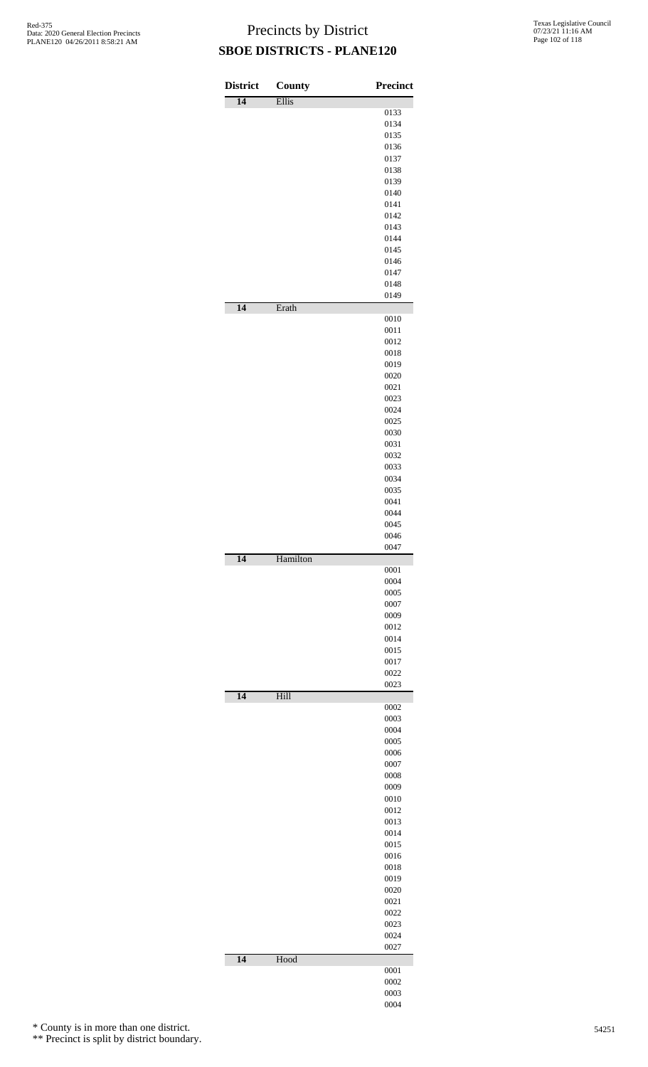| <b>District</b> | County   | <b>Precinct</b> |
|-----------------|----------|-----------------|
| $\overline{14}$ | Ellis    |                 |
|                 |          | 0133            |
|                 |          | 0134            |
|                 |          | 0135            |
|                 |          | 0136            |
|                 |          | 0137            |
|                 |          | 0138            |
|                 |          | 0139            |
|                 |          | 0140            |
|                 |          | 0141            |
|                 |          | 0142            |
|                 |          | 0143            |
|                 |          | 0144            |
|                 |          | 0145            |
|                 |          | 0146            |
|                 |          | 0147            |
|                 |          | 0148            |
| $\overline{14}$ | Erath    | 0149            |
|                 |          | 0010            |
|                 |          | 0011            |
|                 |          | 0012            |
|                 |          | 0018            |
|                 |          | 0019            |
|                 |          | 0020            |
|                 |          | 0021            |
|                 |          | 0023            |
|                 |          | 0024            |
|                 |          | 0025            |
|                 |          | 0030            |
|                 |          | 0031            |
|                 |          | 0032            |
|                 |          | 0033            |
|                 |          | 0034            |
|                 |          | 0035            |
|                 |          | 0041            |
|                 |          | 0044            |
|                 |          | 0045            |
|                 |          | 0046<br>0047    |
| 14              | Hamilton |                 |
|                 |          | 0001            |
|                 |          | 0004            |
|                 |          | 0005<br>0007    |
|                 |          | 0009            |
|                 |          | 0012            |
|                 |          | 0014            |
|                 |          | 0015            |
|                 |          | 0017            |
|                 |          | 0022            |
|                 |          | 0023            |
| 14              | Hill     |                 |
|                 |          | 0002<br>0003    |
|                 |          | 0004            |
|                 |          | 0005            |
|                 |          | 0006            |
|                 |          | 0007            |
|                 |          | 0008            |
|                 |          | 0009            |
|                 |          | 0010            |
|                 |          | 0012            |
|                 |          | 0013            |
|                 |          | 0014            |
|                 |          | 0015            |
|                 |          | 0016            |
|                 |          | 0018            |
|                 |          | 0019            |
|                 |          | 0020            |
|                 |          | 0021            |
|                 |          | 0022            |
|                 |          | 0023            |
|                 |          | 0024            |
|                 |          | 0027            |
| 14              | Hood     |                 |
|                 |          | 0001            |
|                 |          | 0002            |
|                 |          | 0003            |
|                 |          | 0004            |

\* County is in more than one district.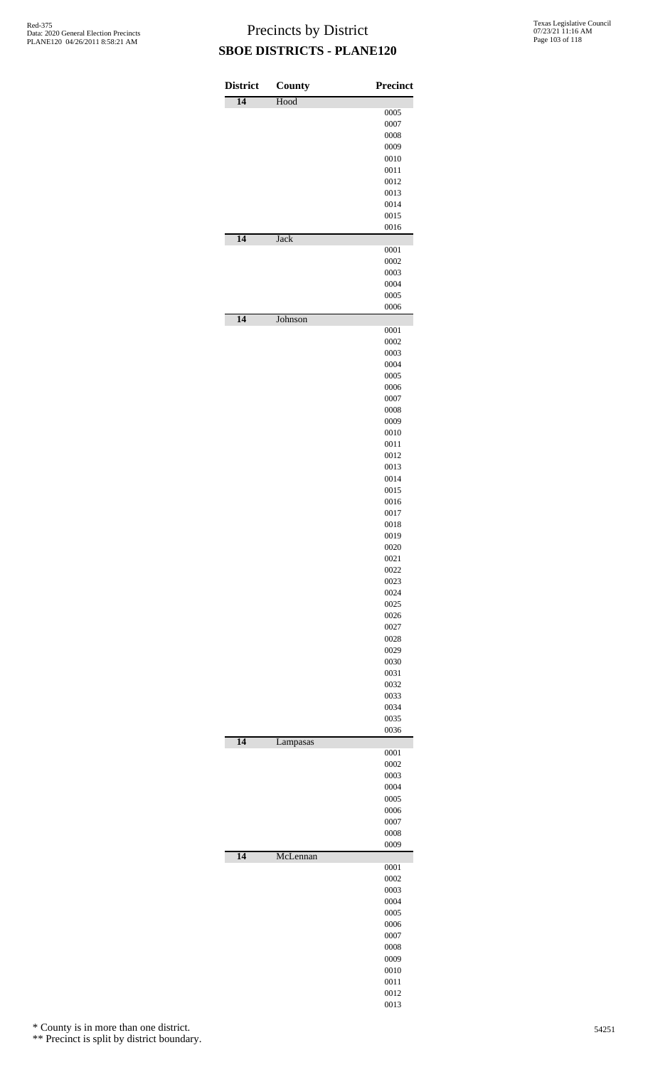| <b>District</b> | <b>County</b> | <b>Precinct</b> |
|-----------------|---------------|-----------------|
| $\overline{14}$ | Hood          |                 |
|                 |               | 0005            |
|                 |               | 0007            |
|                 |               | 0008            |
|                 |               | 0009            |
|                 |               | 0010            |
|                 |               | 0011            |
|                 |               | 0012            |
|                 |               | 0013            |
|                 |               | 0014            |
|                 |               | 0015            |
|                 |               | 0016            |
| 14              | <b>Jack</b>   |                 |
|                 |               | 0001            |
|                 |               | 0002            |
|                 |               | 0003            |
|                 |               | 0004            |
|                 |               | 0005            |
|                 |               | 0006            |
| 14              | Johnson       | 0001            |
|                 |               | 0002            |
|                 |               |                 |
|                 |               | 0003            |
|                 |               | 0004<br>0005    |
|                 |               | 0006            |
|                 |               | 0007            |
|                 |               | 0008            |
|                 |               | 0009            |
|                 |               | 0010            |
|                 |               | 0011            |
|                 |               | 0012            |
|                 |               | 0013            |
|                 |               | 0014            |
|                 |               | 0015            |
|                 |               | 0016            |
|                 |               | 0017            |
|                 |               | 0018            |
|                 |               | 0019            |
|                 |               | 0020            |
|                 |               | 0021            |
|                 |               | 0022            |
|                 |               | 0023            |
|                 |               | 0024            |
|                 |               | 0025            |
|                 |               | 0026            |
|                 |               | 0027            |
|                 |               | 0028            |
|                 |               | 0029            |
|                 |               | 0030            |
|                 |               | 0031            |
|                 |               | 0032            |
|                 |               | 0033            |
|                 |               | 0034            |
|                 |               | 0035            |
|                 |               | 0036            |
| $\overline{14}$ | Lampasas      |                 |
|                 |               | 0001            |
|                 |               | 0002            |
|                 |               | 0003            |
|                 |               | 0004            |
|                 |               | 0005            |
|                 |               | 0006            |
|                 |               | 0007<br>0008    |
|                 |               | 0009            |
| $\overline{14}$ | McLennan      |                 |
|                 |               | 0001            |
|                 |               | 0002            |
|                 |               | 0003            |
|                 |               | 0004            |
|                 |               | 0005            |
|                 |               | 0006            |
|                 |               | 0007            |
|                 |               | 0008            |
|                 |               | 0009            |
|                 |               | 0010            |
|                 |               | 0011            |
|                 |               | 0012            |
|                 |               | 0013            |

\* County is in more than one district.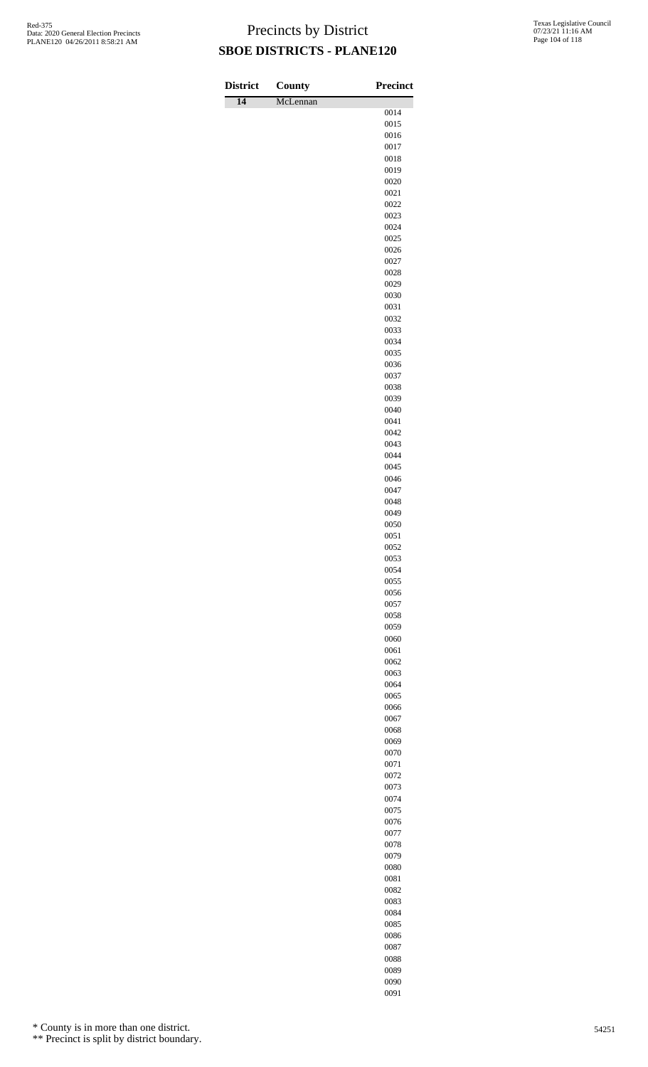| <b>District</b> | <b>County</b> | <b>Precinct</b> |
|-----------------|---------------|-----------------|
| $\overline{14}$ | McLennan      |                 |
|                 |               | 0014<br>0015    |
|                 |               | 0016            |
|                 |               | 0017            |
|                 |               | 0018            |
|                 |               | 0019<br>0020    |
|                 |               | 0021            |
|                 |               | 0022            |
|                 |               | 0023            |
|                 |               | 0024            |
|                 |               | 0025<br>0026    |
|                 |               | 0027            |
|                 |               | 0028            |
|                 |               | 0029            |
|                 |               | 0030            |
|                 |               | 0031<br>0032    |
|                 |               | 0033            |
|                 |               | 0034            |
|                 |               | 0035            |
|                 |               | 0036            |
|                 |               | 0037<br>0038    |
|                 |               | 0039            |
|                 |               | 0040            |
|                 |               | 0041            |
|                 |               | 0042            |
|                 |               | 0043<br>0044    |
|                 |               | 0045            |
|                 |               | 0046            |
|                 |               | 0047            |
|                 |               | 0048<br>0049    |
|                 |               | 0050            |
|                 |               | 0051            |
|                 |               | 0052            |
|                 |               | 0053            |
|                 |               | 0054<br>0055    |
|                 |               | 0056            |
|                 |               | 0057            |
|                 |               | 0058            |
|                 |               | 0059            |
|                 |               | 0060<br>0061    |
|                 |               | 0062            |
|                 |               | 0063            |
|                 |               | 0064            |
|                 |               | 0065            |
|                 |               | 0066<br>0067    |
|                 |               | 0068            |
|                 |               | 0069            |
|                 |               | 0070            |
|                 |               | 0071            |
|                 |               | 0072<br>0073    |
|                 |               | 0074            |
|                 |               | 0075            |
|                 |               | 0076            |
|                 |               | 0077            |
|                 |               | 0078<br>0079    |
|                 |               | 0080            |
|                 |               | 0081            |
|                 |               | 0082            |
|                 |               | 0083            |
|                 |               | 0084<br>0085    |
|                 |               | 0086            |

\* County is in more than one district.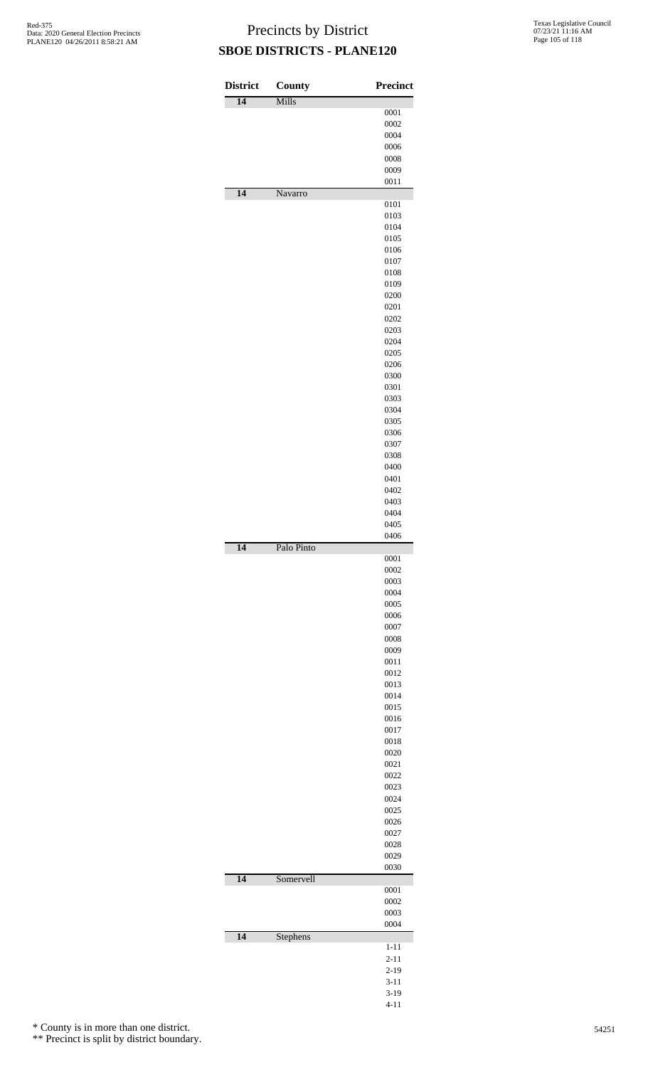| <b>District</b> | County     | <b>Precinct</b> |
|-----------------|------------|-----------------|
| 14              | Mills      |                 |
|                 |            | 0001<br>0002    |
|                 |            | 0004            |
|                 |            | 0006            |
|                 |            | 0008            |
|                 |            | 0009            |
|                 |            | 0011            |
| $\overline{14}$ | Navarro    | 0101            |
|                 |            | 0103            |
|                 |            | 0104            |
|                 |            | 0105            |
|                 |            | 0106            |
|                 |            | 0107            |
|                 |            | 0108<br>0109    |
|                 |            | 0200            |
|                 |            | 0201            |
|                 |            | 0202            |
|                 |            | 0203            |
|                 |            | 0204            |
|                 |            | 0205<br>0206    |
|                 |            | 0300            |
|                 |            | 0301            |
|                 |            | 0303            |
|                 |            | 0304            |
|                 |            | 0305            |
|                 |            | 0306            |
|                 |            | 0307<br>0308    |
|                 |            | 0400            |
|                 |            | 0401            |
|                 |            | 0402            |
|                 |            | 0403            |
|                 |            | 0404<br>0405    |
|                 |            | 0406            |
| 14              | Palo Pinto |                 |
|                 |            | 0001            |
|                 |            | 0002<br>0003    |
|                 |            | 0004            |
|                 |            | 0005            |
|                 |            | 0006            |
|                 |            | 0007            |
|                 |            | 0008            |
|                 |            | 0009<br>0011    |
|                 |            | 0012            |
|                 |            | 0013            |
|                 |            | 0014            |
|                 |            | 0015            |
|                 |            | 0016<br>0017    |
|                 |            | 0018            |
|                 |            | 0020            |
|                 |            | 0021            |
|                 |            | 0022            |
|                 |            | 0023            |
|                 |            | 0024<br>0025    |
|                 |            | 0026            |
|                 |            | 0027            |
|                 |            | 0028            |
|                 |            | 0029            |
| 14              | Somervell  | 0030            |
|                 |            | 0001            |
|                 |            | 0002            |
|                 |            | 0003            |
|                 |            | 0004            |
| $\overline{14}$ | Stephens   | $1 - 11$        |
|                 |            | $2 - 11$        |
|                 |            | $2 - 19$        |
|                 |            | $3 - 11$        |
|                 |            | $3-19$          |

4-11

\* County is in more than one district.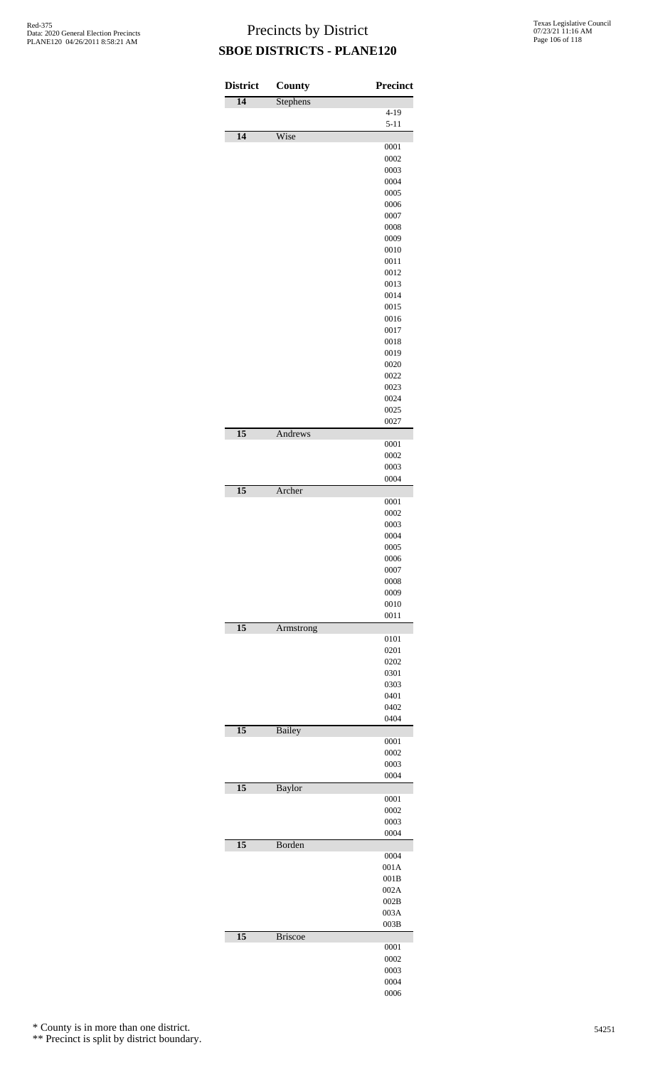| <b>District</b> | County         | Precinct             |
|-----------------|----------------|----------------------|
| $\overline{14}$ | Stephens       |                      |
|                 |                | $4 - 19$<br>$5 - 11$ |
| 14              | Wise           |                      |
|                 |                | 0001                 |
|                 |                | 0002<br>0003         |
|                 |                | 0004                 |
|                 |                | 0005                 |
|                 |                | 0006                 |
|                 |                | 0007                 |
|                 |                | 0008                 |
|                 |                | 0009                 |
|                 |                | 0010<br>0011         |
|                 |                | 0012                 |
|                 |                | 0013                 |
|                 |                | 0014                 |
|                 |                | 0015                 |
|                 |                | 0016                 |
|                 |                | 0017                 |
|                 |                | 0018                 |
|                 |                | 0019                 |
|                 |                | 0020                 |
|                 |                | 0022<br>0023         |
|                 |                | 0024                 |
|                 |                | 0025                 |
|                 |                | 0027                 |
| $\overline{15}$ | Andrews        |                      |
|                 |                | 0001                 |
|                 |                | 0002                 |
|                 |                | 0003<br>0004         |
| $\overline{15}$ | Archer         |                      |
|                 |                | 0001                 |
|                 |                | 0002                 |
|                 |                | 0003                 |
|                 |                | 0004                 |
|                 |                | 0005                 |
|                 |                | 0006                 |
|                 |                | 0007<br>0008         |
|                 |                | 0009                 |
|                 |                | 0010                 |
|                 |                | 0011                 |
| $\overline{15}$ | Armstrong      |                      |
|                 |                | 0101                 |
|                 |                | 0201                 |
|                 |                | 0202<br>0301         |
|                 |                | 0303                 |
|                 |                | 0401                 |
|                 |                | 0402                 |
|                 |                | 0404                 |
| 15              | <b>Bailey</b>  |                      |
|                 |                | 0001<br>0002         |
|                 |                | 0003                 |
|                 |                | 0004                 |
| 15              | <b>Baylor</b>  |                      |
|                 |                | 0001                 |
|                 |                | 0002                 |
|                 |                | 0003                 |
| $\overline{15}$ | Borden         | 0004                 |
|                 |                | 0004                 |
|                 |                | 001A                 |
|                 |                | 001B                 |
|                 |                | 002A                 |
|                 |                | 002B                 |
|                 |                | 003A                 |
|                 |                | 003B                 |
| $\overline{15}$ | <b>Briscoe</b> | 0001                 |
|                 |                | 0002                 |
|                 |                | 0003                 |
|                 |                | 0004                 |
|                 |                | 0006                 |

\* County is in more than one district.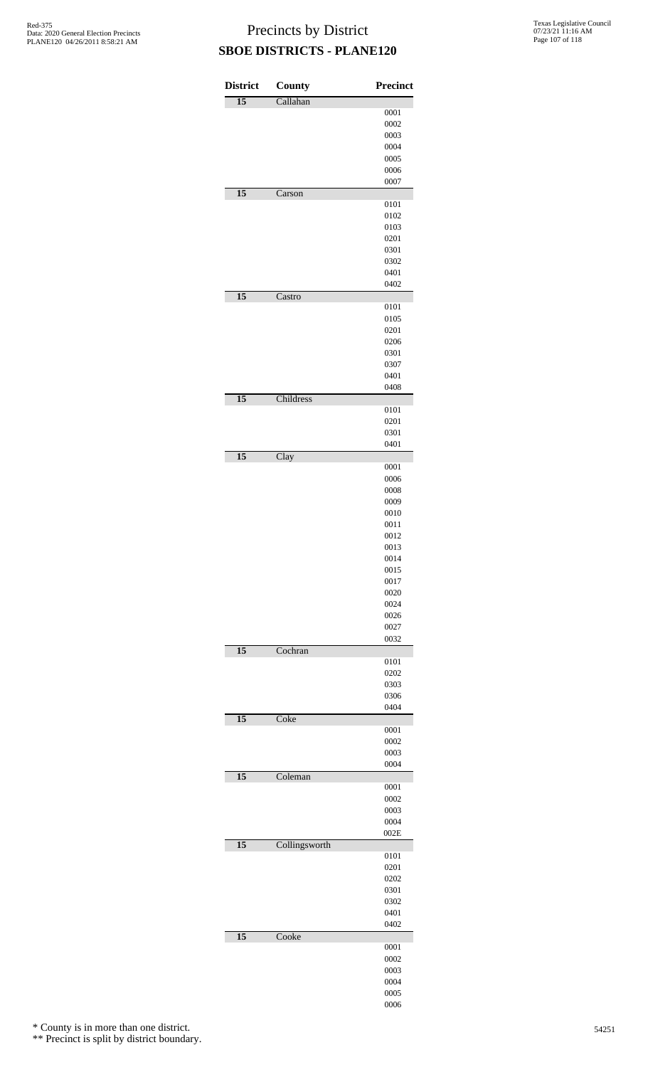| <b>District</b> | County        | Precinct     |
|-----------------|---------------|--------------|
| $\overline{15}$ | Callahan      |              |
|                 |               | 0001         |
|                 |               | 0002         |
|                 |               | 0003         |
|                 |               | 0004<br>0005 |
|                 |               | 0006         |
|                 |               | 0007         |
| $\overline{15}$ | Carson        |              |
|                 |               | 0101         |
|                 |               | 0102         |
|                 |               | 0103         |
|                 |               | 0201<br>0301 |
|                 |               | 0302         |
|                 |               | 0401         |
|                 |               | 0402         |
| $\overline{15}$ | Castro        |              |
|                 |               | 0101         |
|                 |               | 0105         |
|                 |               | 0201         |
|                 |               | 0206<br>0301 |
|                 |               | 0307         |
|                 |               | 0401         |
|                 |               | 0408         |
| $\overline{15}$ | Childress     |              |
|                 |               | 0101         |
|                 |               | 0201         |
|                 |               | 0301         |
| $\overline{15}$ | Clay          | 0401         |
|                 |               | 0001         |
|                 |               | 0006         |
|                 |               | 0008         |
|                 |               | 0009         |
|                 |               | 0010         |
|                 |               | 0011         |
|                 |               | 0012<br>0013 |
|                 |               | 0014         |
|                 |               | 0015         |
|                 |               | 0017         |
|                 |               | 0020         |
|                 |               | 0024         |
|                 |               | 0026         |
|                 |               | 0027<br>0032 |
| $\overline{15}$ | Cochran       |              |
|                 |               | 0101         |
|                 |               | 0202         |
|                 |               | 0303         |
|                 |               | 0306         |
|                 |               | 0404         |
| $\overline{15}$ | Coke          |              |
|                 |               | 0001<br>0002 |
|                 |               | 0003         |
|                 |               | 0004         |
| $\overline{15}$ | Coleman       |              |
|                 |               | 0001         |
|                 |               | 0002         |
|                 |               | 0003         |
|                 |               | 0004<br>002E |
| $\overline{15}$ | Collingsworth |              |
|                 |               | 0101         |
|                 |               | 0201         |
|                 |               | 0202         |
|                 |               | 0301         |
|                 |               | 0302         |
|                 |               | 0401         |
|                 |               | 0402         |
| $\overline{15}$ | Cooke         | 0001         |
|                 |               | 0002         |
|                 |               | 0003         |
|                 |               | 0004         |
|                 |               | 0005         |
|                 |               | 0006         |

\* County is in more than one district.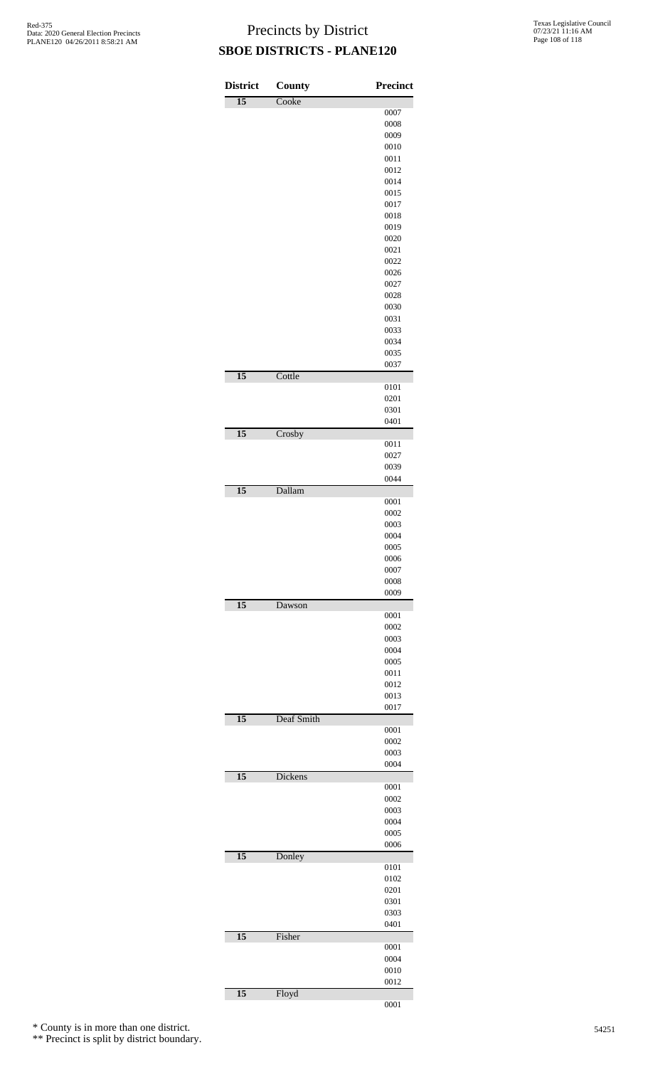| <b>District</b> | <b>County</b> | <b>Precinct</b> |
|-----------------|---------------|-----------------|
| $\overline{15}$ | Cooke         |                 |
|                 |               | 0007            |
|                 |               | 0008            |
|                 |               | 0009            |
|                 |               | 0010            |
|                 |               | 0011            |
|                 |               | 0012<br>0014    |
|                 |               | 0015            |
|                 |               | 0017            |
|                 |               | 0018            |
|                 |               | 0019            |
|                 |               | 0020            |
|                 |               | 0021            |
|                 |               | 0022            |
|                 |               | 0026            |
|                 |               | 0027            |
|                 |               | 0028            |
|                 |               | 0030            |
|                 |               | 0031<br>0033    |
|                 |               | 0034            |
|                 |               | 0035            |
|                 |               | 0037            |
| $\overline{15}$ | Cottle        |                 |
|                 |               | 0101            |
|                 |               | 0201            |
|                 |               | 0301            |
|                 |               | 0401            |
| $\overline{15}$ | Crosby        |                 |
|                 |               | 0011            |
|                 |               | 0027            |
|                 |               | 0039<br>0044    |
| $\overline{15}$ | Dallam        |                 |
|                 |               | 0001            |
|                 |               | 0002            |
|                 |               | 0003            |
|                 |               | 0004            |
|                 |               | 0005            |
|                 |               | 0006            |
|                 |               | 0007            |
|                 |               | 0008            |
|                 |               | 0009            |
| $\overline{15}$ | Dawson        | 0001            |
|                 |               | 0002            |
|                 |               | 0003            |
|                 |               | 0004            |
|                 |               | 0005            |
|                 |               | 0011            |
|                 |               | 0012            |
|                 |               | 0013            |
|                 |               | 0017            |
| $\overline{15}$ | Deaf Smith    |                 |
|                 |               | 0001<br>0002    |
|                 |               | 0003            |
|                 |               | 0004            |
| $\overline{15}$ | Dickens       |                 |
|                 |               | 0001            |
|                 |               | 0002            |
|                 |               | 0003            |
|                 |               | 0004            |
|                 |               | 0005            |
|                 |               | 0006            |
| $\overline{15}$ | Donley        |                 |
|                 |               | 0101<br>0102    |
|                 |               | 0201            |
|                 |               | 0301            |
|                 |               | 0303            |
|                 |               | 0401            |
| $\overline{15}$ | Fisher        |                 |
|                 |               | 0001            |
|                 |               | 0004            |
|                 |               | 0010            |
|                 |               | 0012            |
| $\overline{15}$ | Floyd         |                 |
|                 |               | 0001            |

\* County is in more than one district.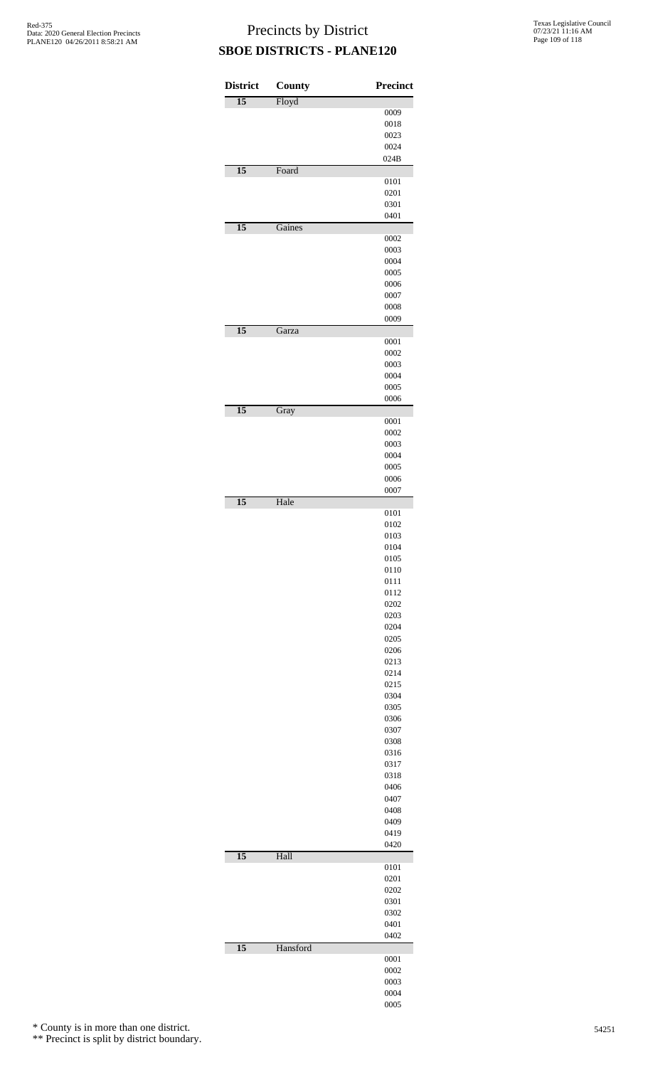| <b>District</b> | <b>County</b> | Precinct     |
|-----------------|---------------|--------------|
| $\overline{15}$ | Floyd         |              |
|                 |               | 0009         |
|                 |               | 0018<br>0023 |
|                 |               | 0024         |
|                 |               | 024B         |
| $\overline{15}$ | Foard         |              |
|                 |               | 0101<br>0201 |
|                 |               | 0301         |
|                 |               | 0401         |
| $\overline{15}$ | Gaines        |              |
|                 |               | 0002<br>0003 |
|                 |               | 0004         |
|                 |               | 0005         |
|                 |               | 0006         |
|                 |               | 0007<br>0008 |
|                 |               | 0009         |
| $\overline{15}$ | Garza         |              |
|                 |               | 0001         |
|                 |               | 0002<br>0003 |
|                 |               | 0004         |
|                 |               | 0005         |
|                 |               | 0006         |
| $\overline{15}$ | Gray          |              |
|                 |               | 0001<br>0002 |
|                 |               | 0003         |
|                 |               | 0004         |
|                 |               | 0005         |
|                 |               | 0006<br>0007 |
| $\overline{15}$ | Hale          |              |
|                 |               | 0101         |
|                 |               | 0102         |
|                 |               | 0103<br>0104 |
|                 |               | 0105         |
|                 |               | 0110         |
|                 |               | 0111         |
|                 |               | 0112<br>0202 |
|                 |               | 0203         |
|                 |               | 0204         |
|                 |               | 0205         |
|                 |               | 0206<br>0213 |
|                 |               | 0214         |
|                 |               | 0215         |
|                 |               | 0304         |
|                 |               | 0305         |
|                 |               | 0306<br>0307 |
|                 |               | 0308         |
|                 |               | 0316         |
|                 |               | 0317<br>0318 |
|                 |               | 0406         |
|                 |               | 0407         |
|                 |               | 0408         |
|                 |               | 0409         |
|                 |               | 0419<br>0420 |
| $\overline{15}$ | Hall          |              |
|                 |               | 0101         |
|                 |               | 0201<br>0202 |
|                 |               | 0301         |
|                 |               | 0302         |
|                 |               | 0401         |
| $\overline{15}$ | Hansford      | 0402         |
|                 |               | 0001         |
|                 |               | 0002         |
|                 |               | 0003         |
|                 |               | 0004         |
|                 |               | 0005         |

\* County is in more than one district.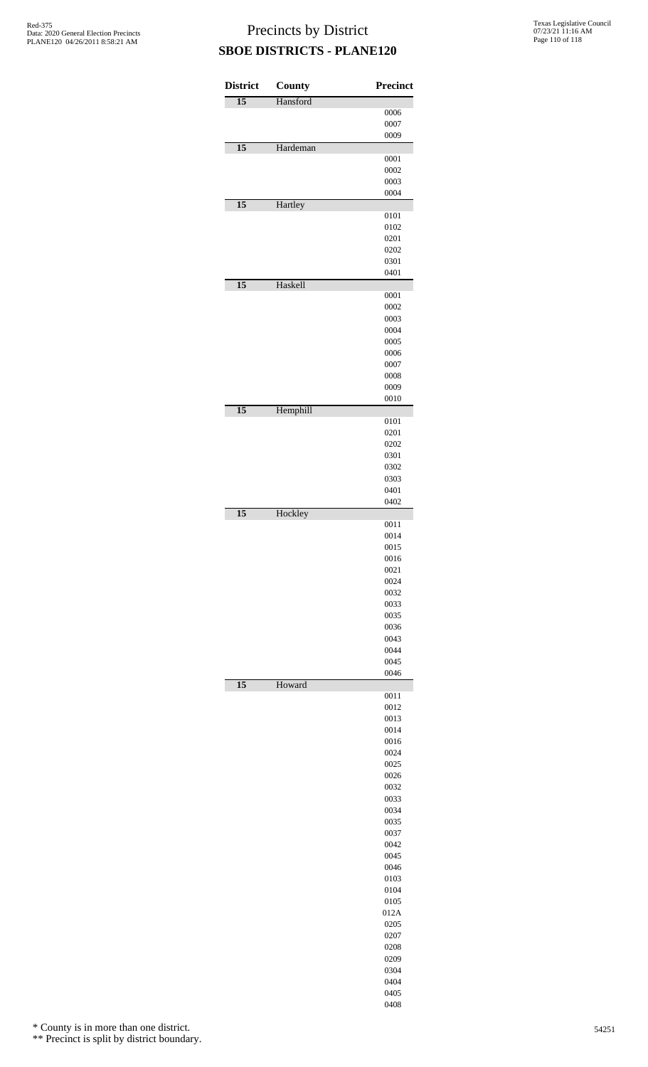| <b>District</b> | County   | Precinct     |
|-----------------|----------|--------------|
| $\overline{15}$ | Hansford |              |
|                 |          | 0006<br>0007 |
|                 |          | 0009         |
| $\overline{15}$ | Hardeman |              |
|                 |          | 0001<br>0002 |
|                 |          | 0003         |
|                 |          | 0004         |
| $\overline{15}$ | Hartley  | 0101         |
|                 |          | 0102         |
|                 |          | 0201         |
|                 |          | 0202<br>0301 |
|                 |          | 0401         |
| $\overline{15}$ | Haskell  |              |
|                 |          | 0001<br>0002 |
|                 |          | 0003         |
|                 |          | 0004         |
|                 |          | 0005         |
|                 |          | 0006<br>0007 |
|                 |          | 0008         |
|                 |          | 0009         |
| $\overline{15}$ | Hemphill | 0010         |
|                 |          | 0101         |
|                 |          | 0201         |
|                 |          | 0202<br>0301 |
|                 |          | 0302         |
|                 |          | 0303         |
|                 |          | 0401<br>0402 |
| $\overline{15}$ | Hockley  |              |
|                 |          | 0011         |
|                 |          | 0014<br>0015 |
|                 |          | 0016         |
|                 |          | 0021         |
|                 |          | 0024<br>0032 |
|                 |          | 0033         |
|                 |          | 0035         |
|                 |          | 0036<br>0043 |
|                 |          | 0044         |
|                 |          | 0045         |
| $\overline{15}$ |          | 0046         |
|                 | Howard   | 0011         |
|                 |          | 0012         |
|                 |          | 0013<br>0014 |
|                 |          | 0016         |
|                 |          | 0024         |
|                 |          | 0025<br>0026 |
|                 |          | 0032         |
|                 |          | 0033         |
|                 |          | 0034<br>0035 |
|                 |          | 0037         |
|                 |          | 0042         |
|                 |          | 0045<br>0046 |
|                 |          | 0103         |
|                 |          | 0104         |
|                 |          | 0105         |
|                 |          | 012A<br>0205 |
|                 |          | 0207         |
|                 |          | 0208         |
|                 |          | 0209<br>0304 |
|                 |          | 0404         |
|                 |          | 0405         |
|                 |          | 0408         |

\* County is in more than one district.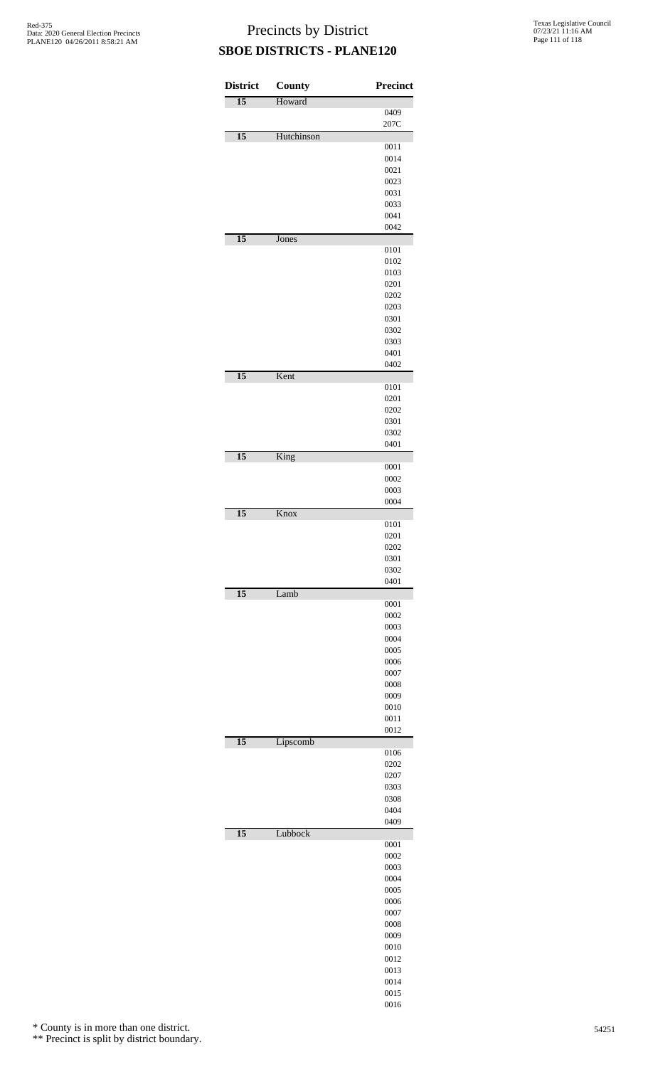| <b>District</b> | <b>County</b> | <b>Precinct</b> |
|-----------------|---------------|-----------------|
| $\overline{15}$ | Howard        |                 |
|                 |               | 0409<br>207C    |
| $\overline{15}$ | Hutchinson    |                 |
|                 |               | 0011<br>0014    |
|                 |               | 0021            |
|                 |               | 0023            |
|                 |               | 0031            |
|                 |               | 0033            |
|                 |               | 0041            |
|                 |               | 0042            |
| $\overline{15}$ | Jones         | 0101            |
|                 |               | 0102            |
|                 |               | 0103            |
|                 |               | 0201            |
|                 |               | 0202            |
|                 |               | 0203<br>0301    |
|                 |               | 0302            |
|                 |               | 0303            |
|                 |               | 0401            |
|                 |               | 0402            |
| $\overline{15}$ | Kent          |                 |
|                 |               | 0101<br>0201    |
|                 |               | 0202            |
|                 |               | 0301            |
|                 |               | 0302            |
|                 |               | 0401            |
| $\overline{15}$ | King          |                 |
|                 |               | 0001<br>0002    |
|                 |               | 0003            |
|                 |               | 0004            |
| $\overline{15}$ | Knox          |                 |
|                 |               | 0101            |
|                 |               | 0201            |
|                 |               | 0202<br>0301    |
|                 |               | 0302            |
|                 |               | 0401            |
| $\overline{15}$ | Lamb          |                 |
|                 |               | 0001<br>0002    |
|                 |               | 0003            |
|                 |               | 0004            |
|                 |               | 0005            |
|                 |               | 0006            |
|                 |               | 0007            |
|                 |               | 0008            |
|                 |               | 0009<br>0010    |
|                 |               | 0011            |
|                 |               | 0012            |
| $\overline{15}$ | Lipscomb      |                 |
|                 |               | 0106            |
|                 |               | 0202<br>0207    |
|                 |               | 0303            |
|                 |               | 0308            |
|                 |               | 0404            |
|                 |               | 0409            |
| $\overline{15}$ | Lubbock       |                 |
|                 |               | 0001<br>0002    |
|                 |               | 0003            |
|                 |               | 0004            |
|                 |               | 0005            |
|                 |               | 0006            |
|                 |               | 0007            |
|                 |               | 0008            |
|                 |               | 0009<br>0010    |
|                 |               | 0012            |
|                 |               | 0013            |
|                 |               | 0014            |
|                 |               | 0015            |
|                 |               | 0016            |

\* County is in more than one district.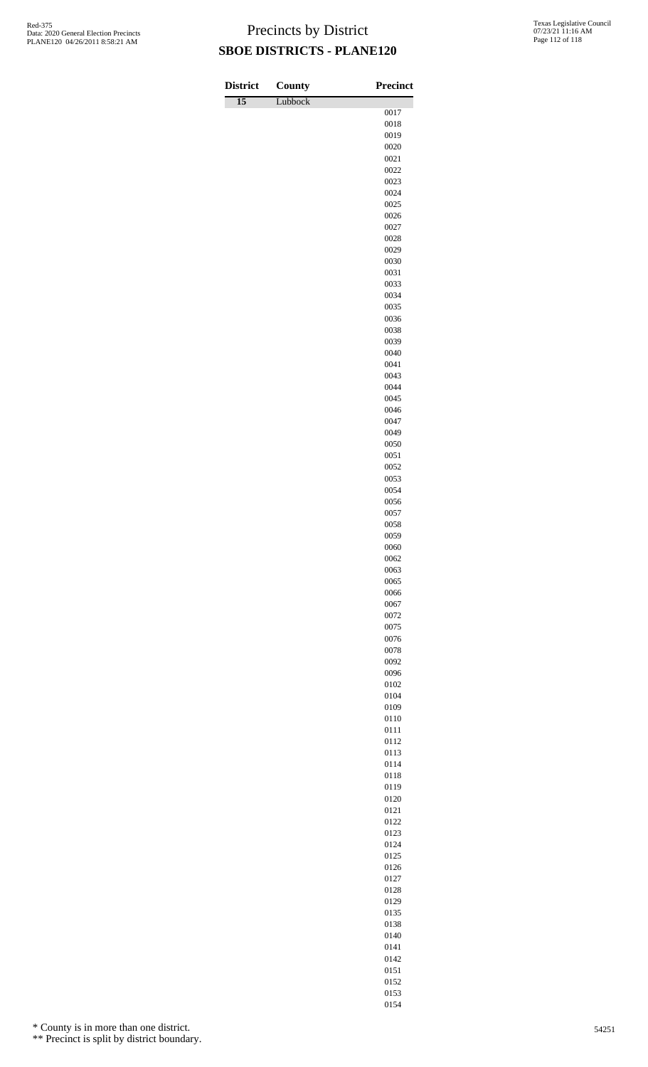| <b>District</b> | <b>County</b> | <b>Precinct</b> |
|-----------------|---------------|-----------------|
| $\overline{15}$ | Lubbock       | 0017            |
|                 |               | 0018            |
|                 |               | 0019            |
|                 |               | 0020            |
|                 |               | 0021<br>0022    |
|                 |               | 0023            |
|                 |               | 0024            |
|                 |               | 0025            |
|                 |               | 0026            |
|                 |               | 0027<br>0028    |
|                 |               | 0029            |
|                 |               | 0030            |
|                 |               | 0031            |
|                 |               | 0033<br>0034    |
|                 |               | 0035            |
|                 |               | 0036            |
|                 |               | 0038            |
|                 |               | 0039            |
|                 |               | 0040<br>0041    |
|                 |               | 0043            |
|                 |               | 0044            |
|                 |               | 0045            |
|                 |               | 0046            |
|                 |               | 0047<br>0049    |
|                 |               | 0050            |
|                 |               | 0051            |
|                 |               | 0052            |
|                 |               | 0053            |
|                 |               | 0054<br>0056    |
|                 |               | 0057            |
|                 |               | 0058            |
|                 |               | 0059            |
|                 |               | 0060<br>0062    |
|                 |               | 0063            |
|                 |               | 0065            |
|                 |               | 0066            |
|                 |               | 0067            |
|                 |               | 0072<br>0075    |
|                 |               | 0076            |
|                 |               | 0078            |
|                 |               | 0092            |
|                 |               | 0096            |
|                 |               | 0102<br>0104    |
|                 |               | 0109            |
|                 |               | 0110            |
|                 |               | 0111            |
|                 |               | 0112            |
|                 |               | 0113<br>0114    |
|                 |               | 0118            |
|                 |               | 0119            |
|                 |               | 0120            |
|                 |               | 0121<br>0122    |
|                 |               | 0123            |
|                 |               | 0124            |
|                 |               | 0125            |
|                 |               | 0126            |
|                 |               | 0127            |
|                 |               | 0128<br>0129    |
|                 |               | 0135            |
|                 |               | 0138            |
|                 |               | 0140            |

\* County is in more than one district.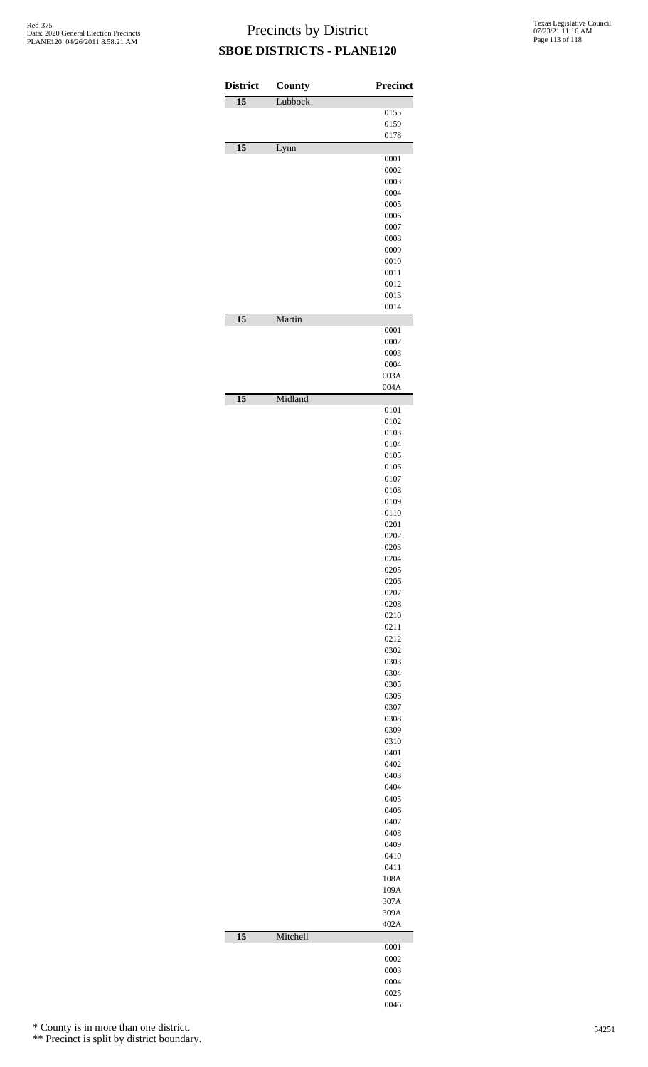| <b>District</b> | County   | <b>Precinct</b> |
|-----------------|----------|-----------------|
| $\overline{15}$ | Lubbock  |                 |
|                 |          | 0155<br>0159    |
|                 |          | 0178            |
| $\overline{15}$ | Lynn     |                 |
|                 |          | 0001            |
|                 |          | 0002<br>0003    |
|                 |          | 0004            |
|                 |          | 0005            |
|                 |          | 0006            |
|                 |          | 0007<br>0008    |
|                 |          | 0009            |
|                 |          | 0010            |
|                 |          | 0011            |
|                 |          | 0012<br>0013    |
|                 |          | 0014            |
| $\overline{15}$ | Martin   |                 |
|                 |          | 0001            |
|                 |          | 0002<br>0003    |
|                 |          | 0004            |
|                 |          | 003A            |
|                 |          | 004A            |
| $\overline{15}$ | Midland  | 0101            |
|                 |          | 0102            |
|                 |          | 0103            |
|                 |          | 0104            |
|                 |          | 0105            |
|                 |          | 0106<br>0107    |
|                 |          | 0108            |
|                 |          | 0109            |
|                 |          | 0110            |
|                 |          | 0201<br>0202    |
|                 |          | 0203            |
|                 |          | 0204            |
|                 |          | 0205            |
|                 |          | 0206<br>0207    |
|                 |          | 0208            |
|                 |          | 0210            |
|                 |          | 0211<br>0212    |
|                 |          | 0302            |
|                 |          | 0303            |
|                 |          | 0304            |
|                 |          | 0305            |
|                 |          | 0306<br>0307    |
|                 |          | 0308            |
|                 |          | 0309            |
|                 |          | 0310            |
|                 |          | 0401<br>0402    |
|                 |          | 0403            |
|                 |          | 0404            |
|                 |          | 0405            |
|                 |          | 0406<br>0407    |
|                 |          | 0408            |
|                 |          | 0409            |
|                 |          | 0410            |
|                 |          | 0411<br>108A    |
|                 |          | 109A            |
|                 |          | 307A            |
|                 |          | 309A            |
|                 |          | 402A            |
| $\overline{15}$ | Mitchell | 0001            |
|                 |          | 0002            |
|                 |          | 0003            |
|                 |          | 0004            |
|                 |          | 0025<br>0046    |

\* County is in more than one district.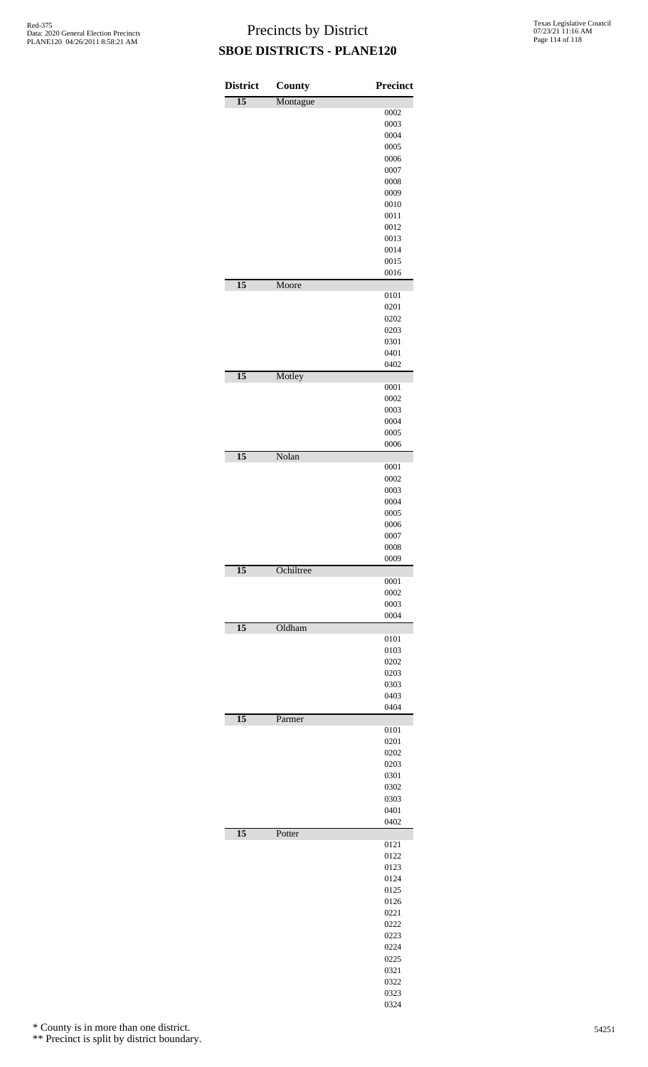| <b>District</b> | County    | <b>Precinct</b> |
|-----------------|-----------|-----------------|
| $\overline{15}$ | Montague  |                 |
|                 |           | 0002            |
|                 |           | 0003            |
|                 |           | 0004<br>0005    |
|                 |           | 0006            |
|                 |           | 0007            |
|                 |           | 0008            |
|                 |           | 0009            |
|                 |           | 0010            |
|                 |           | 0011            |
|                 |           | 0012            |
|                 |           | 0013            |
|                 |           | 0014<br>0015    |
|                 |           | 0016            |
| $\overline{15}$ | Moore     |                 |
|                 |           | 0101            |
|                 |           | 0201            |
|                 |           | 0202<br>0203    |
|                 |           | 0301            |
|                 |           | 0401            |
|                 |           | 0402            |
| $\overline{15}$ | Motley    |                 |
|                 |           | 0001            |
|                 |           | 0002<br>0003    |
|                 |           | 0004            |
|                 |           | 0005            |
|                 |           | 0006            |
| $\overline{15}$ | Nolan     |                 |
|                 |           | 0001<br>0002    |
|                 |           | 0003            |
|                 |           | 0004            |
|                 |           | 0005            |
|                 |           | 0006            |
|                 |           | 0007            |
|                 |           | 0008            |
|                 |           | 0009            |
| $\overline{15}$ | Ochiltree | 0001            |
|                 |           | 0002            |
|                 |           | 0003            |
|                 |           | 0004            |
| $\overline{15}$ | Oldham    |                 |
|                 |           | 0101            |
|                 |           | 0103<br>0202    |
|                 |           | 0203            |
|                 |           | 0303            |
|                 |           | 0403            |
|                 |           | 0404            |
| $\overline{15}$ | Parmer    |                 |
|                 |           | 0101<br>0201    |
|                 |           | 0202            |
|                 |           | 0203            |
|                 |           | 0301            |
|                 |           | 0302            |
|                 |           | 0303            |
|                 |           | 0401            |
| $\overline{15}$ |           | 0402            |
|                 | Potter    | 0121            |
|                 |           | 0122            |
|                 |           | 0123            |
|                 |           | 0124            |
|                 |           | 0125            |
|                 |           | 0126            |
|                 |           | 0221            |
|                 |           | 0222            |
|                 |           | 0223<br>0224    |
|                 |           | 0225            |
|                 |           | 0321            |
|                 |           | 0322            |
|                 |           | 0323            |
|                 |           | 0324            |

\* County is in more than one district.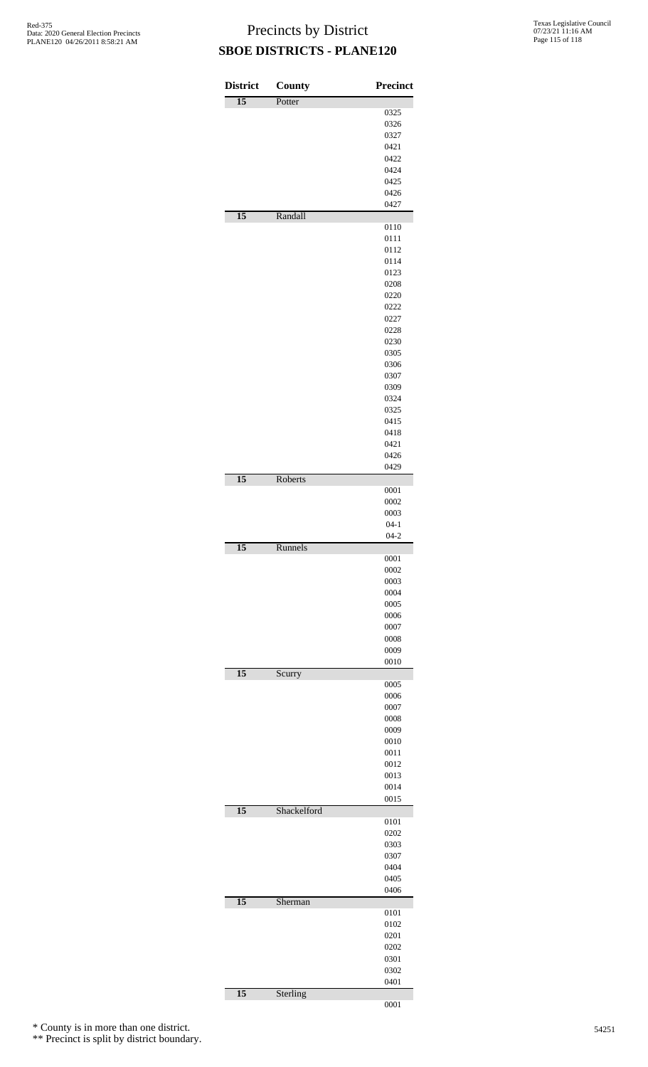| <b>District</b> | <b>County</b> | <b>Precinct</b> |
|-----------------|---------------|-----------------|
| $\overline{15}$ | Potter        |                 |
|                 |               | 0325            |
|                 |               | 0326            |
|                 |               | 0327            |
|                 |               | 0421            |
|                 |               | 0422            |
|                 |               | 0424            |
|                 |               | 0425            |
|                 |               | 0426            |
|                 |               | 0427            |
| $\overline{15}$ | Randall       |                 |
|                 |               | 0110            |
|                 |               | 0111            |
|                 |               | 0112            |
|                 |               | 0114            |
|                 |               | 0123            |
|                 |               | 0208            |
|                 |               | 0220            |
|                 |               | 0222            |
|                 |               | 0227            |
|                 |               | 0228            |
|                 |               | 0230            |
|                 |               | 0305            |
|                 |               | 0306            |
|                 |               | 0307            |
|                 |               | 0309            |
|                 |               | 0324            |
|                 |               | 0325            |
|                 |               | 0415            |
|                 |               | 0418            |
|                 |               | 0421            |
|                 |               | 0426            |
|                 |               | 0429            |
| $\overline{15}$ | Roberts       |                 |
|                 |               | 0001            |
|                 |               | 0002<br>0003    |
|                 |               | $04 - 1$        |
|                 |               | $04 - 2$        |
| 15              | Runnels       |                 |
|                 |               | 0001            |
|                 |               | 0002            |
|                 |               | 0003            |
|                 |               | 0004            |
|                 |               | 0005            |
|                 |               | 0006            |
|                 |               | 0007            |
|                 |               | 0008            |
|                 |               | 0009            |
|                 |               | 0010            |
| $\overline{15}$ | Scurry        |                 |
|                 |               | 0005            |
|                 |               | 0006            |
|                 |               | 0007            |
|                 |               | 0008            |
|                 |               | 0009            |
|                 |               | 0010            |
|                 |               | 0011            |
|                 |               | 0012            |
|                 |               | 0013            |
|                 |               | 0014            |
|                 |               | 0015            |
| $\overline{15}$ | Shackelford   |                 |
|                 |               | 0101            |
|                 |               | 0202            |
|                 |               | 0303            |
|                 |               | 0307            |
|                 |               | 0404            |
|                 |               | 0405            |
|                 |               | 0406            |
| $\overline{15}$ | Sherman       |                 |
|                 |               | 0101            |
|                 |               | 0102            |
|                 |               | 0201            |
|                 |               | 0202            |
|                 |               | 0301            |
|                 |               | 0302            |
| $\overline{15}$ |               | 0401            |
|                 | Sterling      | 0001            |

\* County is in more than one district.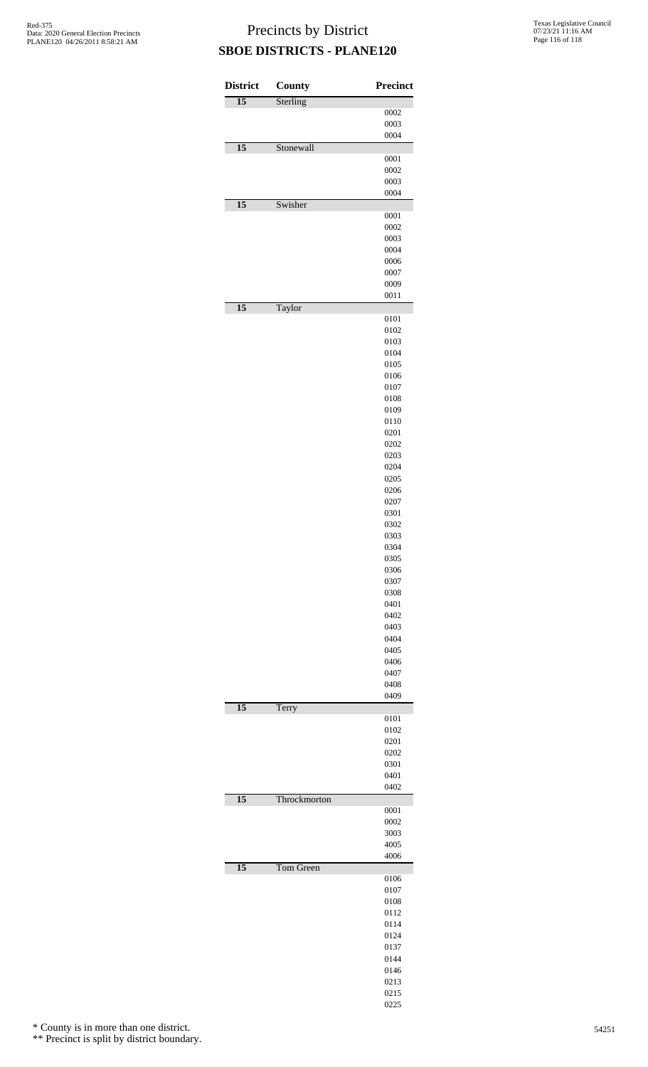| <b>District</b> | County       | <b>Precinct</b> |
|-----------------|--------------|-----------------|
| $\overline{15}$ | Sterling     |                 |
|                 |              | 0002            |
|                 |              | 0003<br>0004    |
| $\overline{15}$ | Stonewall    |                 |
|                 |              | 0001            |
|                 |              | 0002            |
|                 |              | 0003            |
| $\overline{15}$ | Swisher      | 0004            |
|                 |              | 0001            |
|                 |              | 0002            |
|                 |              | 0003            |
|                 |              | 0004            |
|                 |              | 0006            |
|                 |              | 0007<br>0009    |
|                 |              | 0011            |
| $\overline{15}$ | Taylor       |                 |
|                 |              | 0101            |
|                 |              | 0102            |
|                 |              | 0103            |
|                 |              | 0104<br>0105    |
|                 |              | 0106            |
|                 |              | 0107            |
|                 |              | 0108            |
|                 |              | 0109            |
|                 |              | 0110            |
|                 |              | 0201            |
|                 |              | 0202<br>0203    |
|                 |              | 0204            |
|                 |              | 0205            |
|                 |              | 0206            |
|                 |              | 0207            |
|                 |              | 0301            |
|                 |              | 0302            |
|                 |              | 0303<br>0304    |
|                 |              | 0305            |
|                 |              | 0306            |
|                 |              | 0307            |
|                 |              | 0308            |
|                 |              | 0401            |
|                 |              | 0402<br>0403    |
|                 |              | 0404            |
|                 |              | 0405            |
|                 |              | 0406            |
|                 |              | 0407            |
|                 |              | 0408            |
| $\overline{15}$ | Terry        | 0409            |
|                 |              | 0101            |
|                 |              | 0102            |
|                 |              | 0201            |
|                 |              | 0202            |
|                 |              | 0301<br>0401    |
|                 |              | 0402            |
| $\overline{15}$ | Throckmorton |                 |
|                 |              | 0001            |
|                 |              | 0002            |
|                 |              | 3003<br>4005    |
|                 |              | 4006            |
| $\overline{15}$ | Tom Green    |                 |
|                 |              | 0106            |
|                 |              | 0107            |
|                 |              | 0108            |
|                 |              | 0112<br>0114    |
|                 |              | 0124            |
|                 |              | 0137            |
|                 |              | 0144            |
|                 |              | 0146            |
|                 |              | 0213            |
|                 |              | 0215            |

\* County is in more than one district.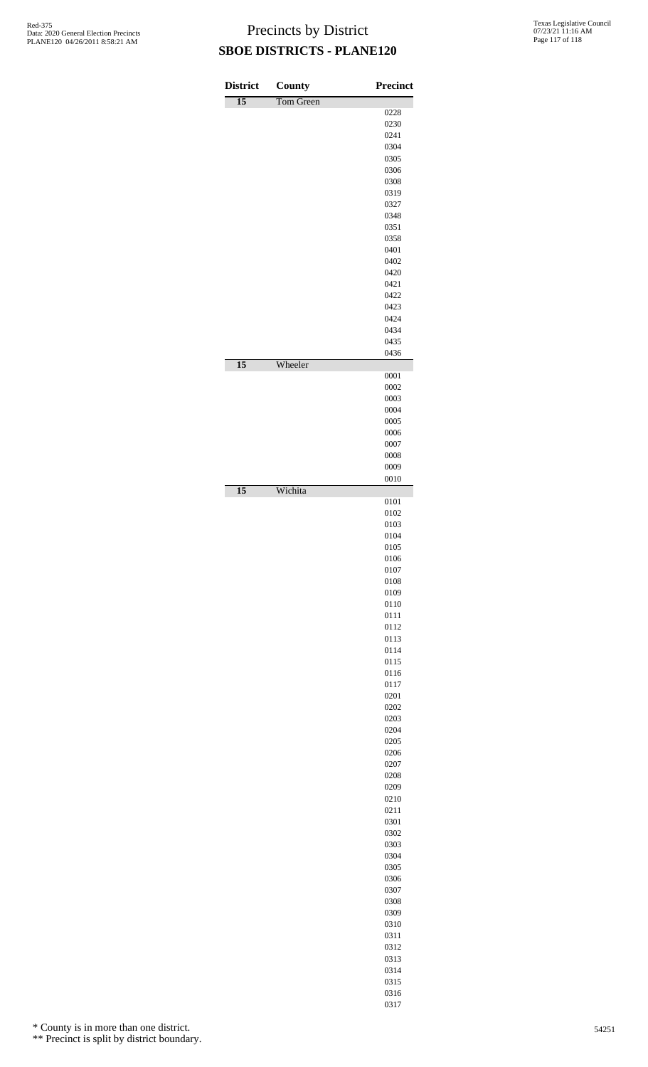| <b>District</b><br>$\overline{15}$ | County<br>Tom Green | <b>Precinct</b> |
|------------------------------------|---------------------|-----------------|
|                                    |                     | 0228            |
|                                    |                     | 0230            |
|                                    |                     | 0241<br>0304    |
|                                    |                     | 0305            |
|                                    |                     | 0306            |
|                                    |                     | 0308            |
|                                    |                     | 0319            |
|                                    |                     | 0327<br>0348    |
|                                    |                     | 0351            |
|                                    |                     | 0358            |
|                                    |                     | 0401            |
|                                    |                     | 0402            |
|                                    |                     | 0420<br>0421    |
|                                    |                     | 0422            |
|                                    |                     | 0423            |
|                                    |                     | 0424            |
|                                    |                     | 0434            |
|                                    |                     | 0435<br>0436    |
| $\overline{15}$                    | Wheeler             |                 |
|                                    |                     | 0001            |
|                                    |                     | 0002<br>0003    |
|                                    |                     | 0004            |
|                                    |                     | 0005            |
|                                    |                     | 0006            |
|                                    |                     | 0007            |
|                                    |                     | 0008<br>0009    |
|                                    |                     | 0010            |
| $\overline{15}$                    | Wichita             |                 |
|                                    |                     | 0101<br>0102    |
|                                    |                     | 0103            |
|                                    |                     | 0104            |
|                                    |                     | 0105            |
|                                    |                     | 0106            |
|                                    |                     | 0107<br>0108    |
|                                    |                     | 0109            |
|                                    |                     | 0110            |
|                                    |                     | 0111            |
|                                    |                     | 0112            |
|                                    |                     | 0113<br>0114    |
|                                    |                     | 0115            |
|                                    |                     | 0116            |
|                                    |                     | 0117            |
|                                    |                     | 0201            |
|                                    |                     | 0202<br>0203    |
|                                    |                     | 0204            |
|                                    |                     | 0205            |
|                                    |                     | 0206            |
|                                    |                     | 0207            |
|                                    |                     | 0208<br>0209    |
|                                    |                     | 0210            |
|                                    |                     | 0211            |
|                                    |                     | 0301            |
|                                    |                     | 0302            |
|                                    |                     | 0303<br>0304    |
|                                    |                     | 0305            |
|                                    |                     | 0306            |
|                                    |                     | 0307            |
|                                    |                     | 0308            |
|                                    |                     | 0309<br>0310    |
|                                    |                     | 0311            |
|                                    |                     | 0312            |
|                                    |                     | 0313            |
|                                    |                     | 0314            |
|                                    |                     | 0315            |
|                                    |                     | 0316            |

\* County is in more than one district.